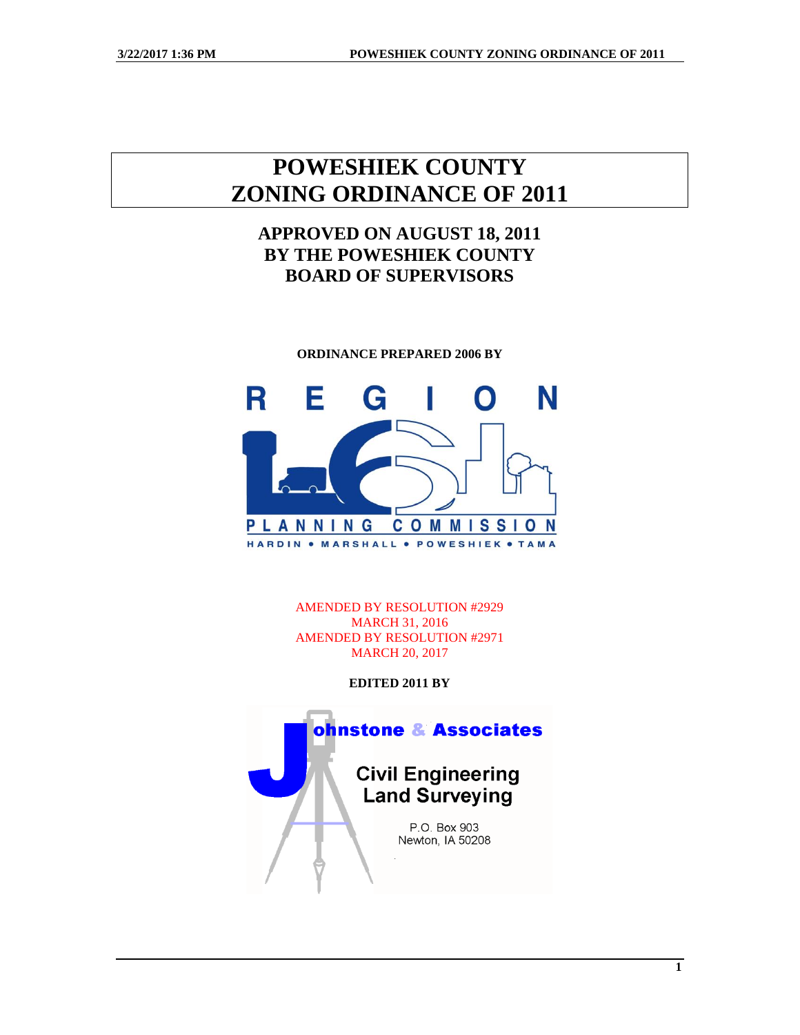# **POWESHIEK COUNTY ZONING ORDINANCE OF 2011**

## **APPROVED ON AUGUST 18, 2011 BY THE POWESHIEK COUNTY BOARD OF SUPERVISORS**

**ORDINANCE PREPARED 2006 BY**



AMENDED BY RESOLUTION #2929 MARCH 31, 2016 AMENDED BY RESOLUTION #2971 MARCH 20, 2017

**EDITED 2011 BY** 



**1**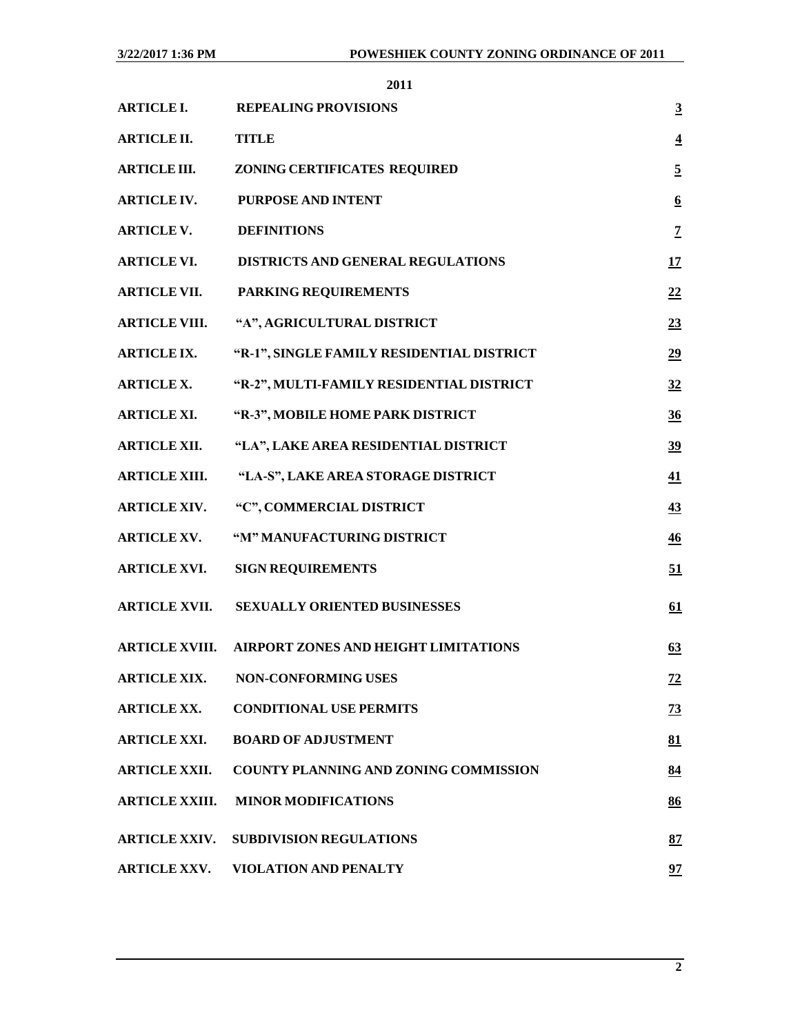| <b>ARTICLE I.</b>     | <b>REPEALING PROVISIONS</b>                         | $\overline{3}$   |
|-----------------------|-----------------------------------------------------|------------------|
| <b>ARTICLE II.</b>    | <b>TITLE</b>                                        | $\overline{4}$   |
| <b>ARTICLE III.</b>   | ZONING CERTIFICATES REQUIRED                        | $\overline{5}$   |
| <b>ARTICLE IV.</b>    | PURPOSE AND INTENT                                  | $6 \overline{6}$ |
| <b>ARTICLE V.</b>     | <b>DEFINITIONS</b>                                  | $\overline{1}$   |
| <b>ARTICLE VI.</b>    | DISTRICTS AND GENERAL REGULATIONS                   | 17               |
| <b>ARTICLE VII.</b>   | PARKING REQUIREMENTS                                | 22               |
| <b>ARTICLE VIII.</b>  | "A", AGRICULTURAL DISTRICT                          | 23               |
| <b>ARTICLE IX.</b>    | "R-1", SINGLE FAMILY RESIDENTIAL DISTRICT           | 29               |
| <b>ARTICLE X.</b>     | "R-2", MULTI-FAMILY RESIDENTIAL DISTRICT            | 32               |
| <b>ARTICLE XI.</b>    | "R-3", MOBILE HOME PARK DISTRICT                    | 36               |
| <b>ARTICLE XII.</b>   | "LA", LAKE AREA RESIDENTIAL DISTRICT                | 39               |
| <b>ARTICLE XIII.</b>  | "LA-S", LAKE AREA STORAGE DISTRICT                  | $\overline{41}$  |
| <b>ARTICLE XIV.</b>   | "C", COMMERCIAL DISTRICT                            | 43               |
| <b>ARTICLE XV.</b>    | "M" MANUFACTURING DISTRICT                          | $\overline{46}$  |
| <b>ARTICLE XVI.</b>   | <b>SIGN REQUIREMENTS</b>                            | 51               |
| <b>ARTICLE XVII.</b>  | SEXUALLY ORIENTED BUSINESSES                        | 61               |
|                       | ARTICLE XVIII. AIRPORT ZONES AND HEIGHT LIMITATIONS | 63               |
| <b>ARTICLE XIX.</b>   | <b>NON-CONFORMING USES</b>                          | <u>72</u>        |
| <b>ARTICLE XX.</b>    | <b>CONDITIONAL USE PERMITS</b>                      | $\frac{73}{2}$   |
| <b>ARTICLE XXI.</b>   | <b>BOARD OF ADJUSTMENT</b>                          | 81               |
| <b>ARTICLE XXII.</b>  | <b>COUNTY PLANNING AND ZONING COMMISSION</b>        | 84               |
| <b>ARTICLE XXIII.</b> | <b>MINOR MODIFICATIONS</b>                          | 86               |
| <b>ARTICLE XXIV.</b>  | <b>SUBDIVISION REGULATIONS</b>                      | 87               |
| <b>ARTICLE XXV.</b>   | VIOLATION AND PENALTY                               | 97               |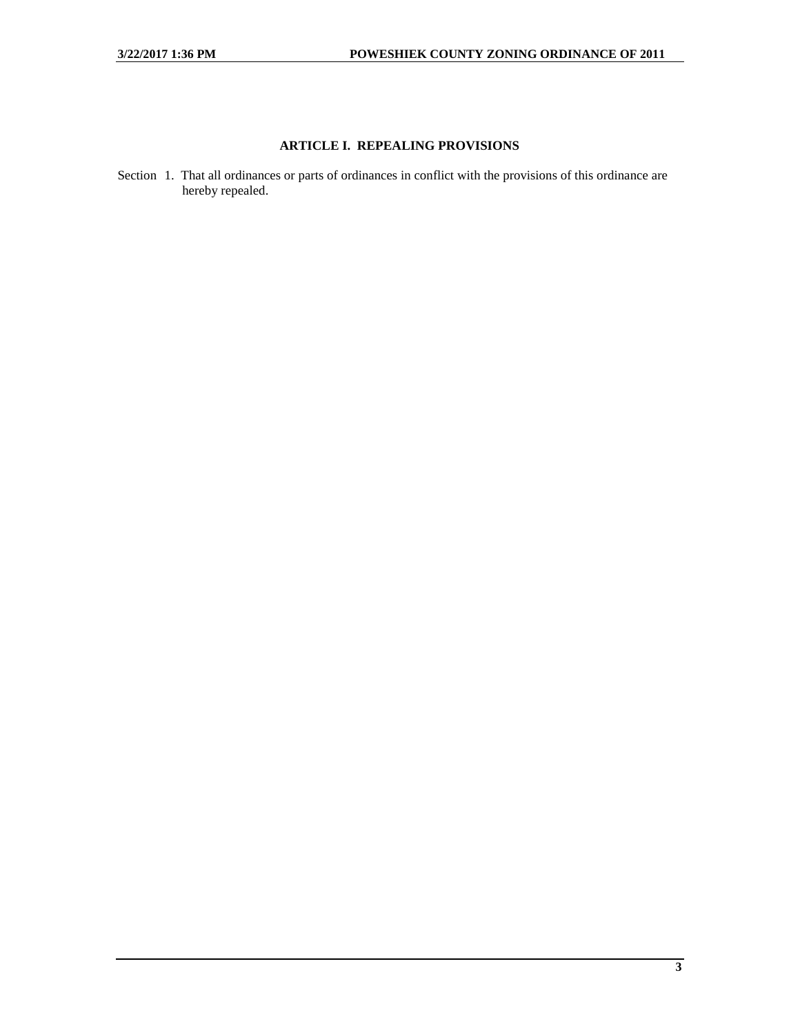## **ARTICLE I. REPEALING PROVISIONS**

<span id="page-2-0"></span>Section 1. That all ordinances or parts of ordinances in conflict with the provisions of this ordinance are hereby repealed.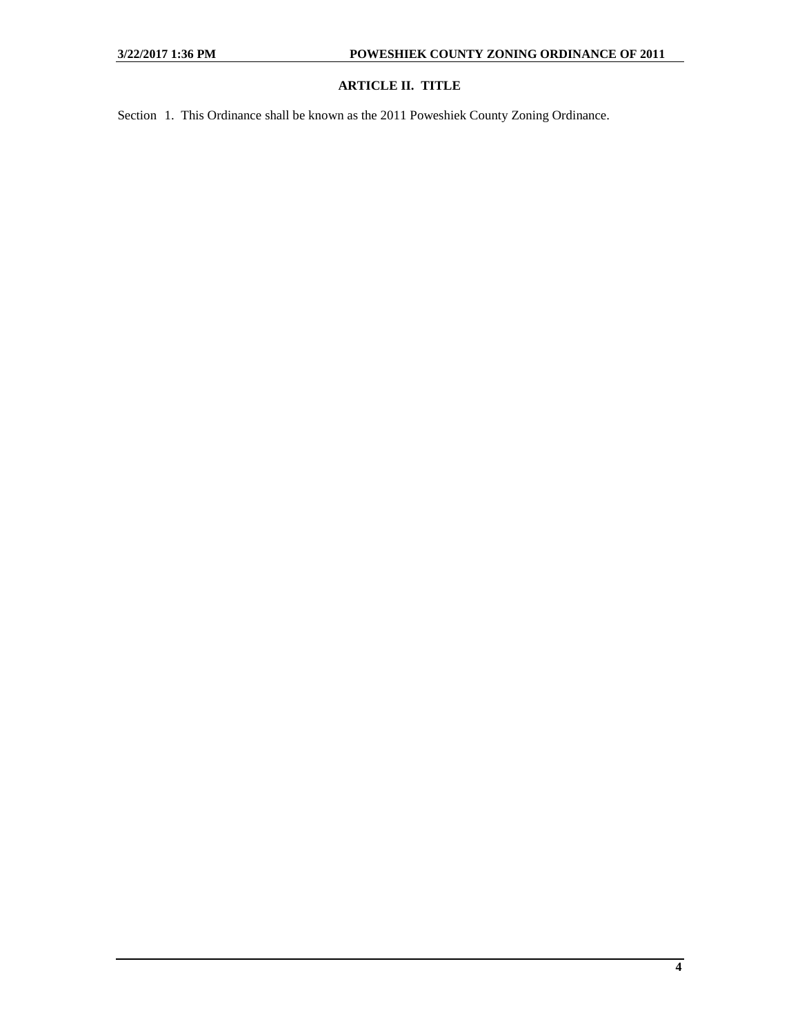## **ARTICLE II. TITLE**

<span id="page-3-0"></span>Section 1. This Ordinance shall be known as the 2011 Poweshiek County Zoning Ordinance.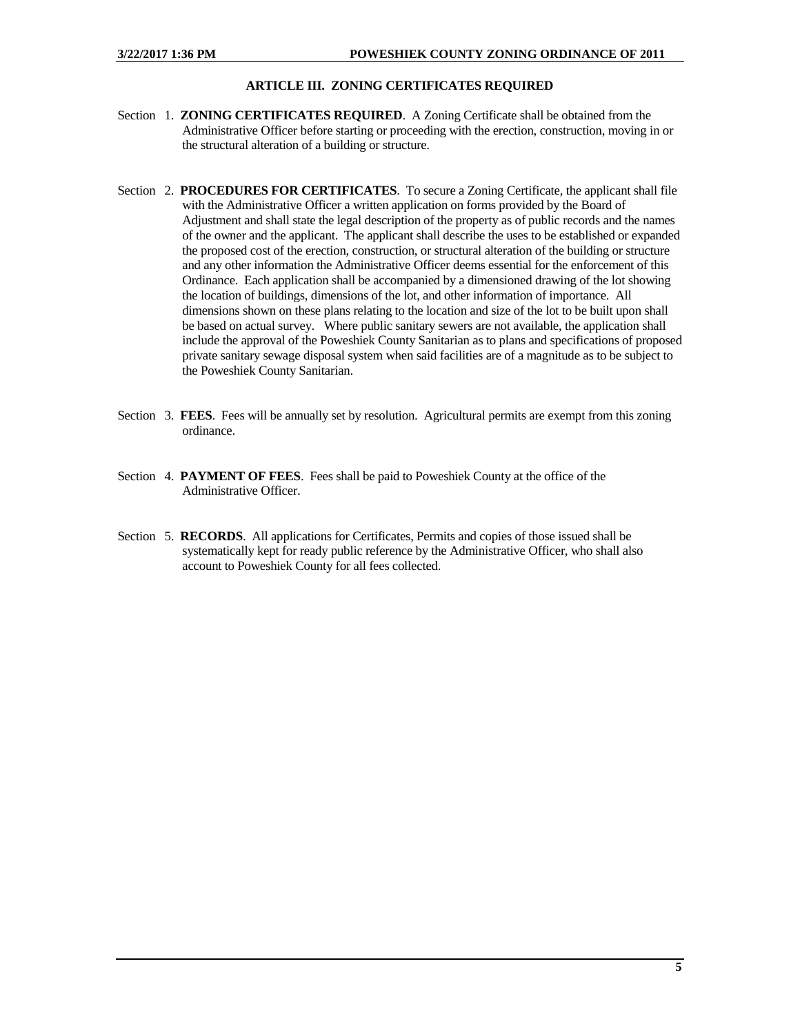## **ARTICLE III. ZONING CERTIFICATES REQUIRED**

- <span id="page-4-0"></span>Section 1. **ZONING CERTIFICATES REQUIRED**. A Zoning Certificate shall be obtained from the Administrative Officer before starting or proceeding with the erection, construction, moving in or the structural alteration of a building or structure.
- Section 2. **PROCEDURES FOR CERTIFICATES**. To secure a Zoning Certificate, the applicant shall file with the Administrative Officer a written application on forms provided by the Board of Adjustment and shall state the legal description of the property as of public records and the names of the owner and the applicant. The applicant shall describe the uses to be established or expanded the proposed cost of the erection, construction, or structural alteration of the building or structure and any other information the Administrative Officer deems essential for the enforcement of this Ordinance. Each application shall be accompanied by a dimensioned drawing of the lot showing the location of buildings, dimensions of the lot, and other information of importance. All dimensions shown on these plans relating to the location and size of the lot to be built upon shall be based on actual survey. Where public sanitary sewers are not available, the application shall include the approval of the Poweshiek County Sanitarian as to plans and specifications of proposed private sanitary sewage disposal system when said facilities are of a magnitude as to be subject to the Poweshiek County Sanitarian.
- Section 3. **FEES**. Fees will be annually set by resolution. Agricultural permits are exempt from this zoning ordinance.
- Section 4. **PAYMENT OF FEES**. Fees shall be paid to Poweshiek County at the office of the Administrative Officer.
- Section 5. **RECORDS**. All applications for Certificates, Permits and copies of those issued shall be systematically kept for ready public reference by the Administrative Officer, who shall also account to Poweshiek County for all fees collected.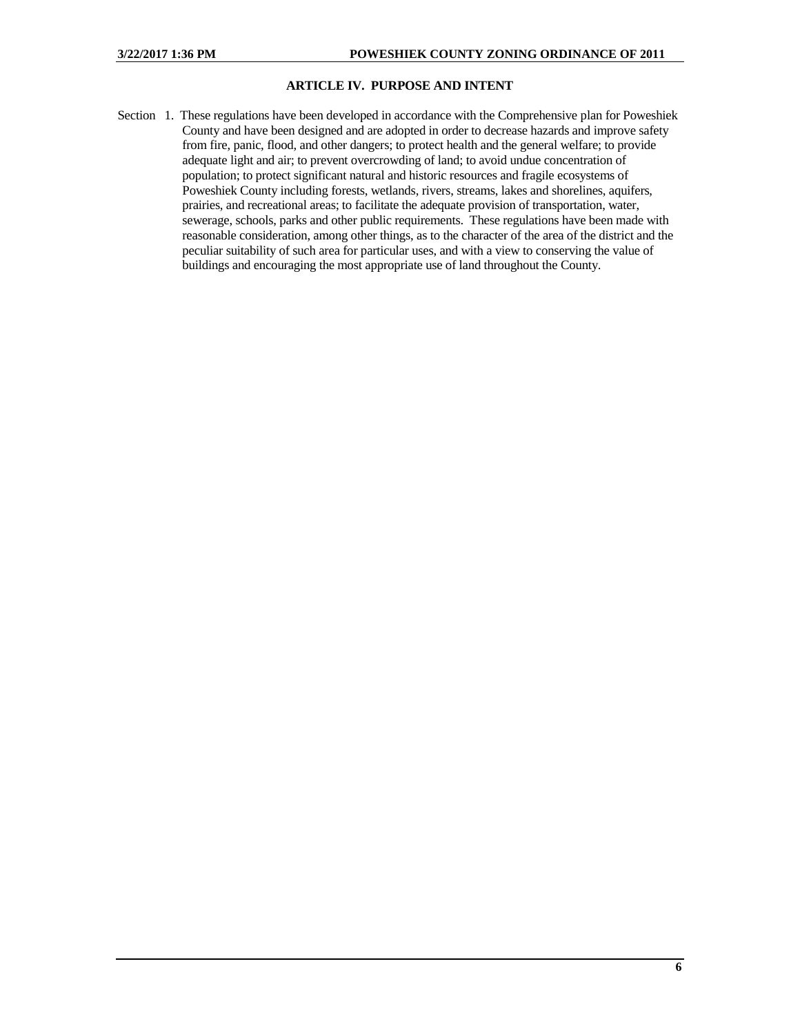## **ARTICLE IV. PURPOSE AND INTENT**

Section 1. These regulations have been developed in accordance with the Comprehensive plan for Poweshiek County and have been designed and are adopted in order to decrease hazards and improve safety from fire, panic, flood, and other dangers; to protect health and the general welfare; to provide adequate light and air; to prevent overcrowding of land; to avoid undue concentration of population; to protect significant natural and historic resources and fragile ecosystems of Poweshiek County including forests, wetlands, rivers, streams, lakes and shorelines, aquifers, prairies, and recreational areas; to facilitate the adequate provision of transportation, water, sewerage, schools, parks and other public requirements. These regulations have been made with reasonable consideration, among other things, as to the character of the area of the district and the peculiar suitability of such area for particular uses, and with a view to conserving the value of buildings and encouraging the most appropriate use of land throughout the County.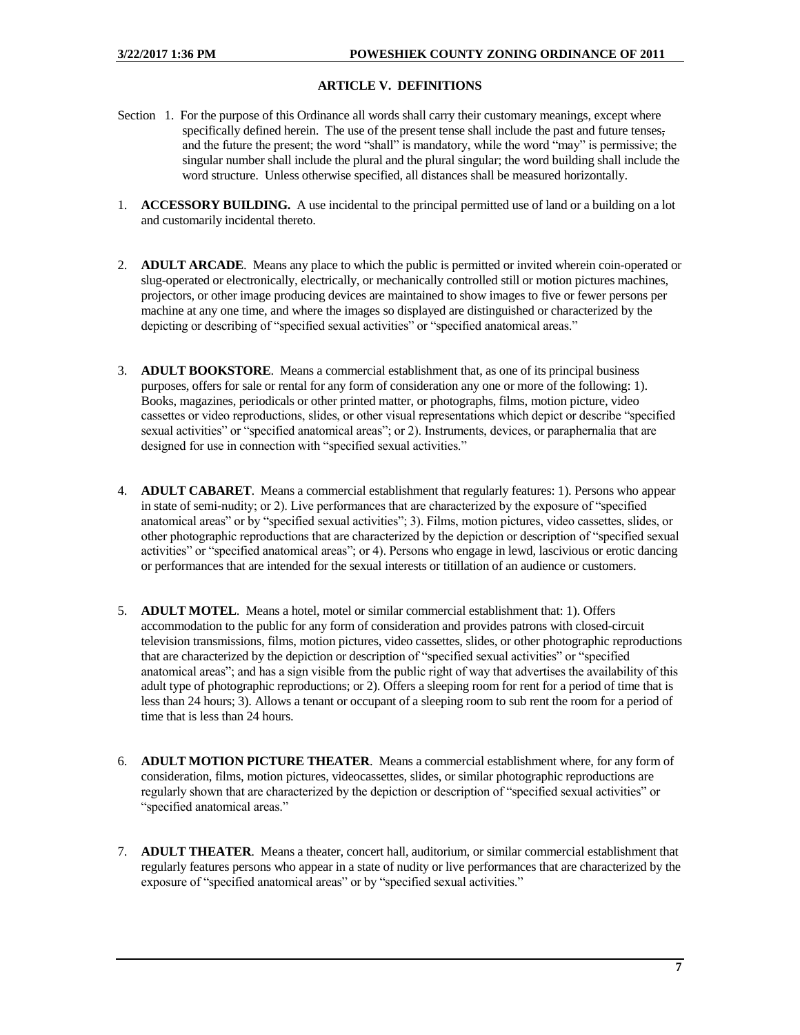## **ARTICLE V. DEFINITIONS**

- Section 1. For the purpose of this Ordinance all words shall carry their customary meanings, except where specifically defined herein. The use of the present tense shall include the past and future tenses, and the future the present; the word "shall" is mandatory, while the word "may" is permissive; the singular number shall include the plural and the plural singular; the word building shall include the word structure. Unless otherwise specified, all distances shall be measured horizontally.
- 1. **ACCESSORY BUILDING.** A use incidental to the principal permitted use of land or a building on a lot and customarily incidental thereto.
- 2. **ADULT ARCADE**. Means any place to which the public is permitted or invited wherein coin-operated or slug-operated or electronically, electrically, or mechanically controlled still or motion pictures machines, projectors, or other image producing devices are maintained to show images to five or fewer persons per machine at any one time, and where the images so displayed are distinguished or characterized by the depicting or describing of "specified sexual activities" or "specified anatomical areas."
- 3. **ADULT BOOKSTORE**. Means a commercial establishment that, as one of its principal business purposes, offers for sale or rental for any form of consideration any one or more of the following: 1). Books, magazines, periodicals or other printed matter, or photographs, films, motion picture, video cassettes or video reproductions, slides, or other visual representations which depict or describe "specified sexual activities" or "specified anatomical areas"; or 2). Instruments, devices, or paraphernalia that are designed for use in connection with "specified sexual activities."
- 4. **ADULT CABARET**. Means a commercial establishment that regularly features: 1). Persons who appear in state of semi-nudity; or 2). Live performances that are characterized by the exposure of "specified anatomical areas" or by "specified sexual activities"; 3). Films, motion pictures, video cassettes, slides, or other photographic reproductions that are characterized by the depiction or description of "specified sexual activities" or "specified anatomical areas"; or 4). Persons who engage in lewd, lascivious or erotic dancing or performances that are intended for the sexual interests or titillation of an audience or customers.
- 5. **ADULT MOTEL**. Means a hotel, motel or similar commercial establishment that: 1). Offers accommodation to the public for any form of consideration and provides patrons with closed-circuit television transmissions, films, motion pictures, video cassettes, slides, or other photographic reproductions that are characterized by the depiction or description of "specified sexual activities" or "specified anatomical areas"; and has a sign visible from the public right of way that advertises the availability of this adult type of photographic reproductions; or 2). Offers a sleeping room for rent for a period of time that is less than 24 hours; 3). Allows a tenant or occupant of a sleeping room to sub rent the room for a period of time that is less than 24 hours.
- 6. **ADULT MOTION PICTURE THEATER**. Means a commercial establishment where, for any form of consideration, films, motion pictures, videocassettes, slides, or similar photographic reproductions are regularly shown that are characterized by the depiction or description of "specified sexual activities" or "specified anatomical areas."
- 7. **ADULT THEATER**. Means a theater, concert hall, auditorium, or similar commercial establishment that regularly features persons who appear in a state of nudity or live performances that are characterized by the exposure of "specified anatomical areas" or by "specified sexual activities."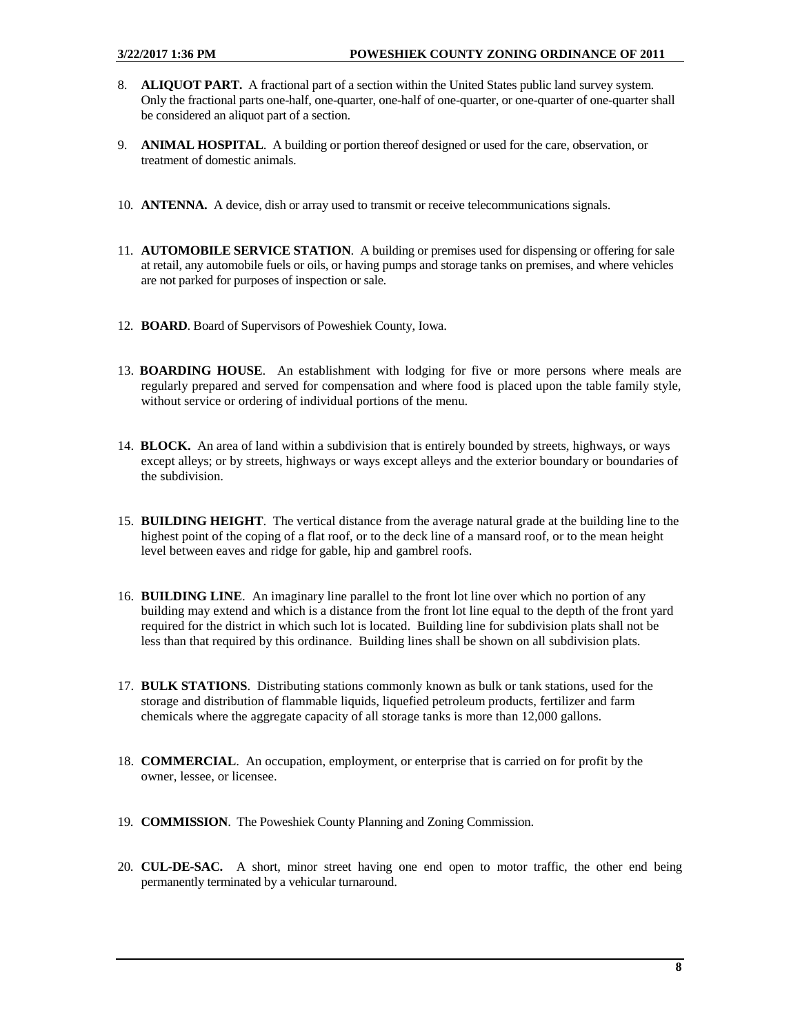- 8. **ALIQUOT PART.** A fractional part of a section within the United States public land survey system. Only the fractional parts one-half, one-quarter, one-half of one-quarter, or one-quarter of one-quarter shall be considered an aliquot part of a section.
- 9. **ANIMAL HOSPITAL**. A building or portion thereof designed or used for the care, observation, or treatment of domestic animals.
- 10. **ANTENNA.** A device, dish or array used to transmit or receive telecommunications signals.
- 11. **AUTOMOBILE SERVICE STATION**. A building or premises used for dispensing or offering for sale at retail, any automobile fuels or oils, or having pumps and storage tanks on premises, and where vehicles are not parked for purposes of inspection or sale.
- 12. **BOARD**. Board of Supervisors of Poweshiek County, Iowa.
- 13. **BOARDING HOUSE**. An establishment with lodging for five or more persons where meals are regularly prepared and served for compensation and where food is placed upon the table family style, without service or ordering of individual portions of the menu.
- 14. **BLOCK.** An area of land within a subdivision that is entirely bounded by streets, highways, or ways except alleys; or by streets, highways or ways except alleys and the exterior boundary or boundaries of the subdivision.
- 15. **BUILDING HEIGHT**. The vertical distance from the average natural grade at the building line to the highest point of the coping of a flat roof, or to the deck line of a mansard roof, or to the mean height level between eaves and ridge for gable, hip and gambrel roofs.
- 16. **BUILDING LINE**. An imaginary line parallel to the front lot line over which no portion of any building may extend and which is a distance from the front lot line equal to the depth of the front yard required for the district in which such lot is located. Building line for subdivision plats shall not be less than that required by this ordinance. Building lines shall be shown on all subdivision plats.
- 17. **BULK STATIONS**. Distributing stations commonly known as bulk or tank stations, used for the storage and distribution of flammable liquids, liquefied petroleum products, fertilizer and farm chemicals where the aggregate capacity of all storage tanks is more than 12,000 gallons.
- 18. **COMMERCIAL**. An occupation, employment, or enterprise that is carried on for profit by the owner, lessee, or licensee.
- 19. **COMMISSION**. The Poweshiek County Planning and Zoning Commission.
- 20. **CUL-DE-SAC.** A short, minor street having one end open to motor traffic, the other end being permanently terminated by a vehicular turnaround.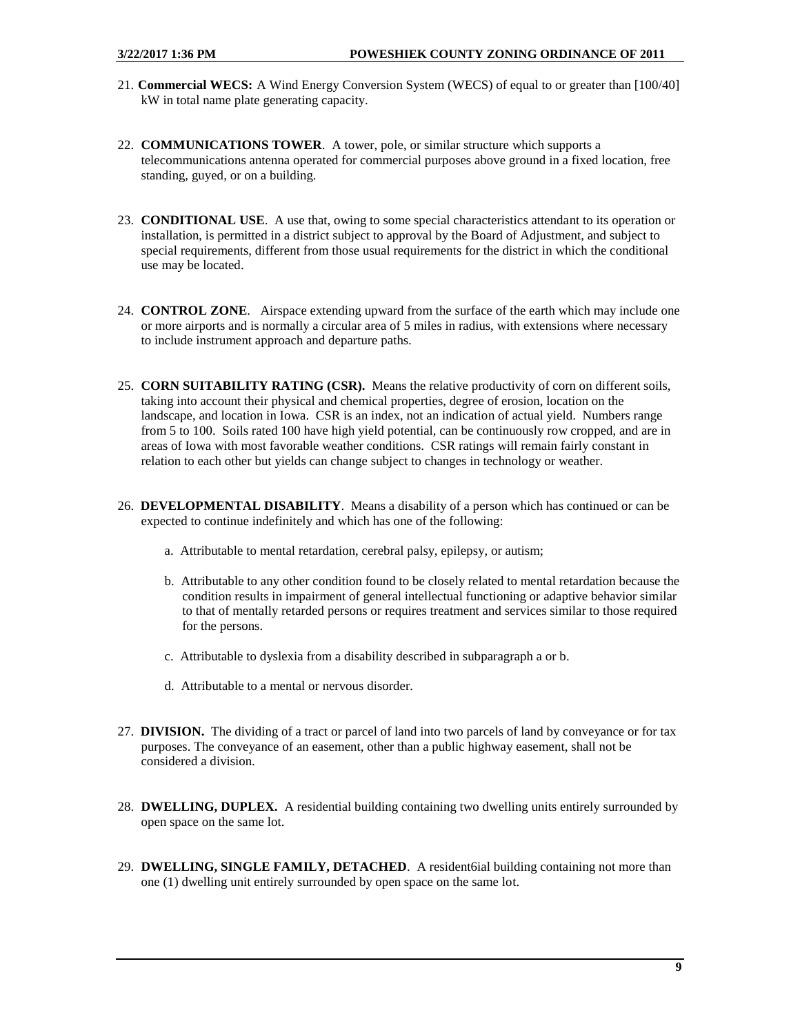- 21. **Commercial WECS:** A Wind Energy Conversion System (WECS) of equal to or greater than [100/40] kW in total name plate generating capacity.
- 22. **COMMUNICATIONS TOWER**. A tower, pole, or similar structure which supports a telecommunications antenna operated for commercial purposes above ground in a fixed location, free standing, guyed, or on a building.
- 23. **CONDITIONAL USE**. A use that, owing to some special characteristics attendant to its operation or installation, is permitted in a district subject to approval by the Board of Adjustment, and subject to special requirements, different from those usual requirements for the district in which the conditional use may be located.
- 24. **CONTROL ZONE**. Airspace extending upward from the surface of the earth which may include one or more airports and is normally a circular area of 5 miles in radius, with extensions where necessary to include instrument approach and departure paths.
- 25. **CORN SUITABILITY RATING (CSR).** Means the relative productivity of corn on different soils, taking into account their physical and chemical properties, degree of erosion, location on the landscape, and location in Iowa. CSR is an index, not an indication of actual yield. Numbers range from 5 to 100. Soils rated 100 have high yield potential, can be continuously row cropped, and are in areas of Iowa with most favorable weather conditions. CSR ratings will remain fairly constant in relation to each other but yields can change subject to changes in technology or weather.
- 26. **DEVELOPMENTAL DISABILITY**. Means a disability of a person which has continued or can be expected to continue indefinitely and which has one of the following:
	- a. Attributable to mental retardation, cerebral palsy, epilepsy, or autism;
	- b. Attributable to any other condition found to be closely related to mental retardation because the condition results in impairment of general intellectual functioning or adaptive behavior similar to that of mentally retarded persons or requires treatment and services similar to those required for the persons.
	- c. Attributable to dyslexia from a disability described in subparagraph a or b.
	- d. Attributable to a mental or nervous disorder.
- 27. **DIVISION.** The dividing of a tract or parcel of land into two parcels of land by conveyance or for tax purposes. The conveyance of an easement, other than a public highway easement, shall not be considered a division.
- 28. **DWELLING, DUPLEX.** A residential building containing two dwelling units entirely surrounded by open space on the same lot.
- 29. **DWELLING, SINGLE FAMILY, DETACHED**. A resident6ial building containing not more than one (1) dwelling unit entirely surrounded by open space on the same lot.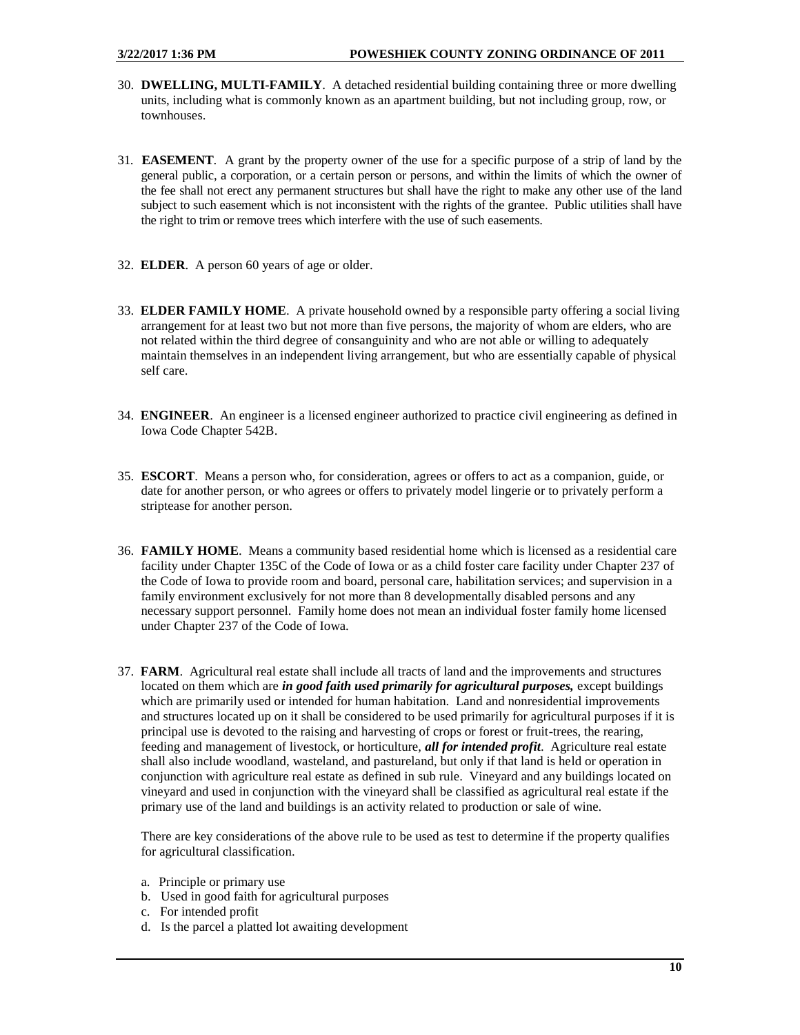- 30. **DWELLING, MULTI-FAMILY**. A detached residential building containing three or more dwelling units, including what is commonly known as an apartment building, but not including group, row, or townhouses.
- 31. **EASEMENT**. A grant by the property owner of the use for a specific purpose of a strip of land by the general public, a corporation, or a certain person or persons, and within the limits of which the owner of the fee shall not erect any permanent structures but shall have the right to make any other use of the land subject to such easement which is not inconsistent with the rights of the grantee. Public utilities shall have the right to trim or remove trees which interfere with the use of such easements.
- 32. **ELDER**. A person 60 years of age or older.
- 33. **ELDER FAMILY HOME**. A private household owned by a responsible party offering a social living arrangement for at least two but not more than five persons, the majority of whom are elders, who are not related within the third degree of consanguinity and who are not able or willing to adequately maintain themselves in an independent living arrangement, but who are essentially capable of physical self care.
- 34. **ENGINEER**. An engineer is a licensed engineer authorized to practice civil engineering as defined in Iowa Code Chapter 542B.
- 35. **ESCORT**. Means a person who, for consideration, agrees or offers to act as a companion, guide, or date for another person, or who agrees or offers to privately model lingerie or to privately perform a striptease for another person.
- 36. **FAMILY HOME**. Means a community based residential home which is licensed as a residential care facility under Chapter 135C of the Code of Iowa or as a child foster care facility under Chapter 237 of the Code of Iowa to provide room and board, personal care, habilitation services; and supervision in a family environment exclusively for not more than 8 developmentally disabled persons and any necessary support personnel. Family home does not mean an individual foster family home licensed under Chapter 237 of the Code of Iowa.
- 37. **FARM**. Agricultural real estate shall include all tracts of land and the improvements and structures located on them which are *in good faith used primarily for agricultural purposes*, except buildings which are primarily used or intended for human habitation. Land and nonresidential improvements and structures located up on it shall be considered to be used primarily for agricultural purposes if it is principal use is devoted to the raising and harvesting of crops or forest or fruit-trees, the rearing, feeding and management of livestock, or horticulture, *all for intended profit*. Agriculture real estate shall also include woodland, wasteland, and pastureland, but only if that land is held or operation in conjunction with agriculture real estate as defined in sub rule. Vineyard and any buildings located on vineyard and used in conjunction with the vineyard shall be classified as agricultural real estate if the primary use of the land and buildings is an activity related to production or sale of wine.

There are key considerations of the above rule to be used as test to determine if the property qualifies for agricultural classification.

- a. Principle or primary use
- b. Used in good faith for agricultural purposes
- c. For intended profit
- d. Is the parcel a platted lot awaiting development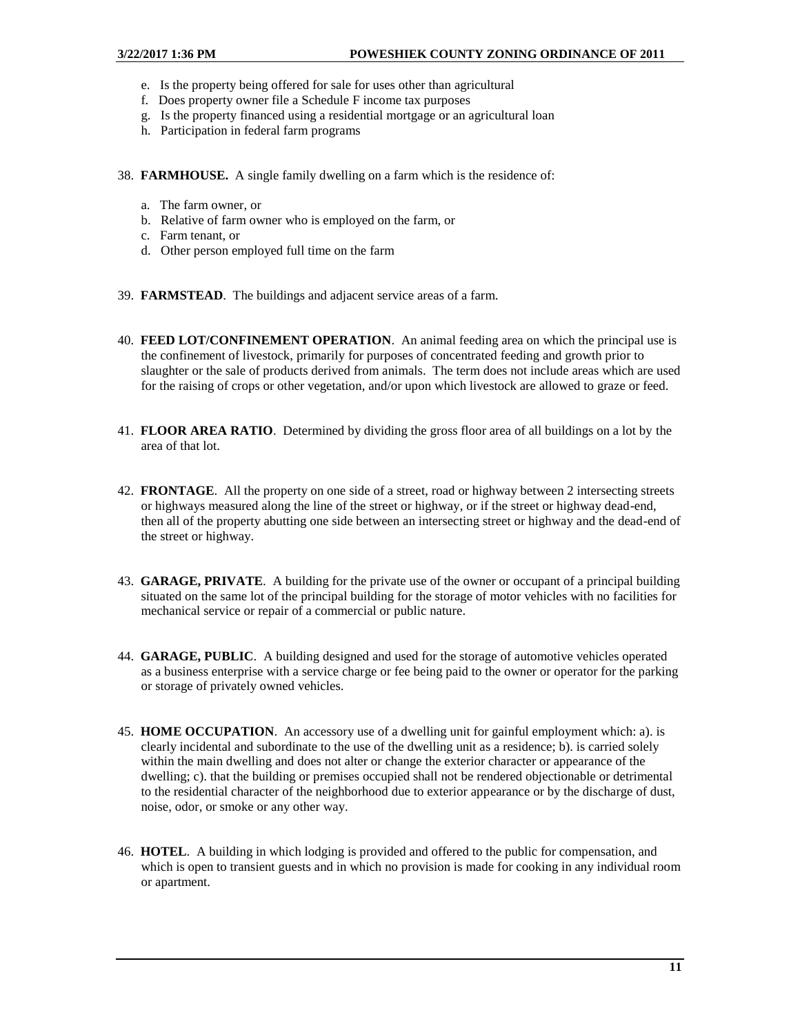- e. Is the property being offered for sale for uses other than agricultural
- f. Does property owner file a Schedule F income tax purposes
- g. Is the property financed using a residential mortgage or an agricultural loan
- h. Participation in federal farm programs
- 38. **FARMHOUSE.** A single family dwelling on a farm which is the residence of:
	- a. The farm owner, or
	- b. Relative of farm owner who is employed on the farm, or
	- c. Farm tenant, or
	- d. Other person employed full time on the farm
- 39. **FARMSTEAD**. The buildings and adjacent service areas of a farm.
- 40. **FEED LOT/CONFINEMENT OPERATION**. An animal feeding area on which the principal use is the confinement of livestock, primarily for purposes of concentrated feeding and growth prior to slaughter or the sale of products derived from animals. The term does not include areas which are used for the raising of crops or other vegetation, and/or upon which livestock are allowed to graze or feed.
- 41. **FLOOR AREA RATIO**. Determined by dividing the gross floor area of all buildings on a lot by the area of that lot.
- 42. **FRONTAGE**. All the property on one side of a street, road or highway between 2 intersecting streets or highways measured along the line of the street or highway, or if the street or highway dead-end, then all of the property abutting one side between an intersecting street or highway and the dead-end of the street or highway.
- 43. **GARAGE, PRIVATE**. A building for the private use of the owner or occupant of a principal building situated on the same lot of the principal building for the storage of motor vehicles with no facilities for mechanical service or repair of a commercial or public nature.
- 44. **GARAGE, PUBLIC**. A building designed and used for the storage of automotive vehicles operated as a business enterprise with a service charge or fee being paid to the owner or operator for the parking or storage of privately owned vehicles.
- 45. **HOME OCCUPATION**. An accessory use of a dwelling unit for gainful employment which: a). is clearly incidental and subordinate to the use of the dwelling unit as a residence; b). is carried solely within the main dwelling and does not alter or change the exterior character or appearance of the dwelling; c). that the building or premises occupied shall not be rendered objectionable or detrimental to the residential character of the neighborhood due to exterior appearance or by the discharge of dust, noise, odor, or smoke or any other way.
- 46. **HOTEL**. A building in which lodging is provided and offered to the public for compensation, and which is open to transient guests and in which no provision is made for cooking in any individual room or apartment.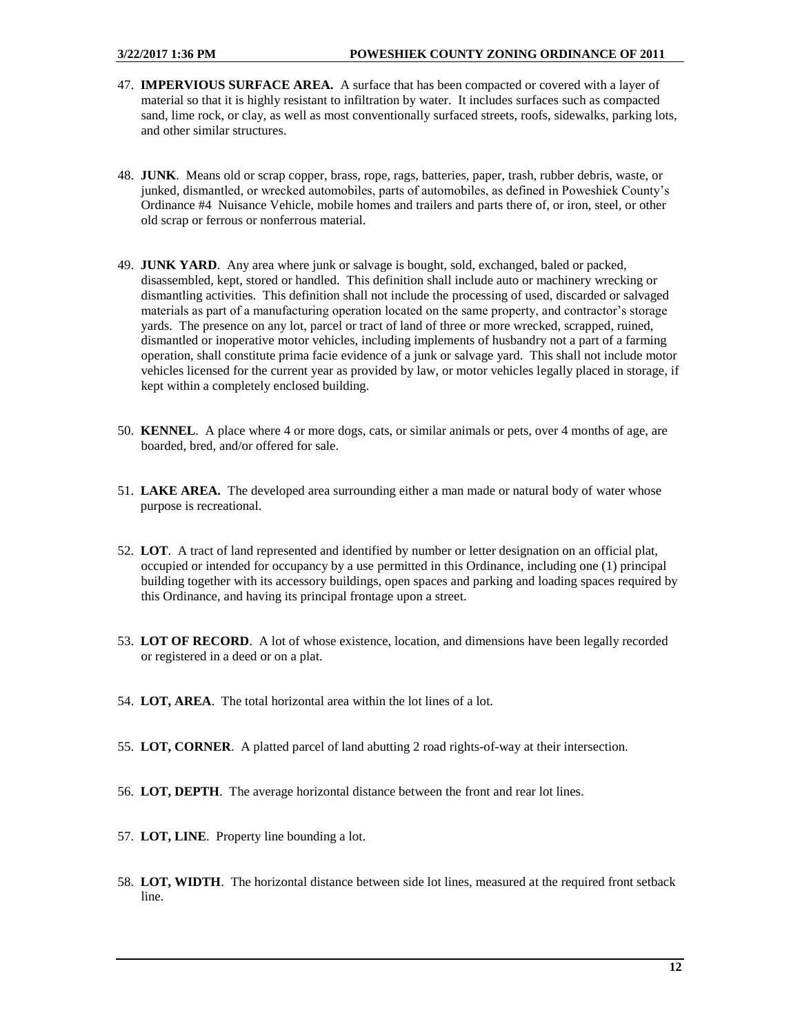- 47. **IMPERVIOUS SURFACE AREA.** A surface that has been compacted or covered with a layer of material so that it is highly resistant to infiltration by water. It includes surfaces such as compacted sand, lime rock, or clay, as well as most conventionally surfaced streets, roofs, sidewalks, parking lots, and other similar structures.
- 48. **JUNK**. Means old or scrap copper, brass, rope, rags, batteries, paper, trash, rubber debris, waste, or junked, dismantled, or wrecked automobiles, parts of automobiles, as defined in Poweshiek County's Ordinance #4 Nuisance Vehicle, mobile homes and trailers and parts there of, or iron, steel, or other old scrap or ferrous or nonferrous material.
- 49. **JUNK YARD**. Any area where junk or salvage is bought, sold, exchanged, baled or packed, disassembled, kept, stored or handled. This definition shall include auto or machinery wrecking or dismantling activities. This definition shall not include the processing of used, discarded or salvaged materials as part of a manufacturing operation located on the same property, and contractor's storage yards. The presence on any lot, parcel or tract of land of three or more wrecked, scrapped, ruined, dismantled or inoperative motor vehicles, including implements of husbandry not a part of a farming operation, shall constitute prima facie evidence of a junk or salvage yard. This shall not include motor vehicles licensed for the current year as provided by law, or motor vehicles legally placed in storage, if kept within a completely enclosed building.
- 50. **KENNEL**. A place where 4 or more dogs, cats, or similar animals or pets, over 4 months of age, are boarded, bred, and/or offered for sale.
- 51. **LAKE AREA.** The developed area surrounding either a man made or natural body of water whose purpose is recreational.
- 52. **LOT**. A tract of land represented and identified by number or letter designation on an official plat, occupied or intended for occupancy by a use permitted in this Ordinance, including one (1) principal building together with its accessory buildings, open spaces and parking and loading spaces required by this Ordinance, and having its principal frontage upon a street.
- 53. **LOT OF RECORD**. A lot of whose existence, location, and dimensions have been legally recorded or registered in a deed or on a plat.
- 54. **LOT, AREA**. The total horizontal area within the lot lines of a lot.
- 55. **LOT, CORNER**. A platted parcel of land abutting 2 road rights-of-way at their intersection.
- 56. **LOT, DEPTH**. The average horizontal distance between the front and rear lot lines.
- 57. **LOT, LINE**. Property line bounding a lot.
- 58. **LOT, WIDTH**. The horizontal distance between side lot lines, measured at the required front setback line.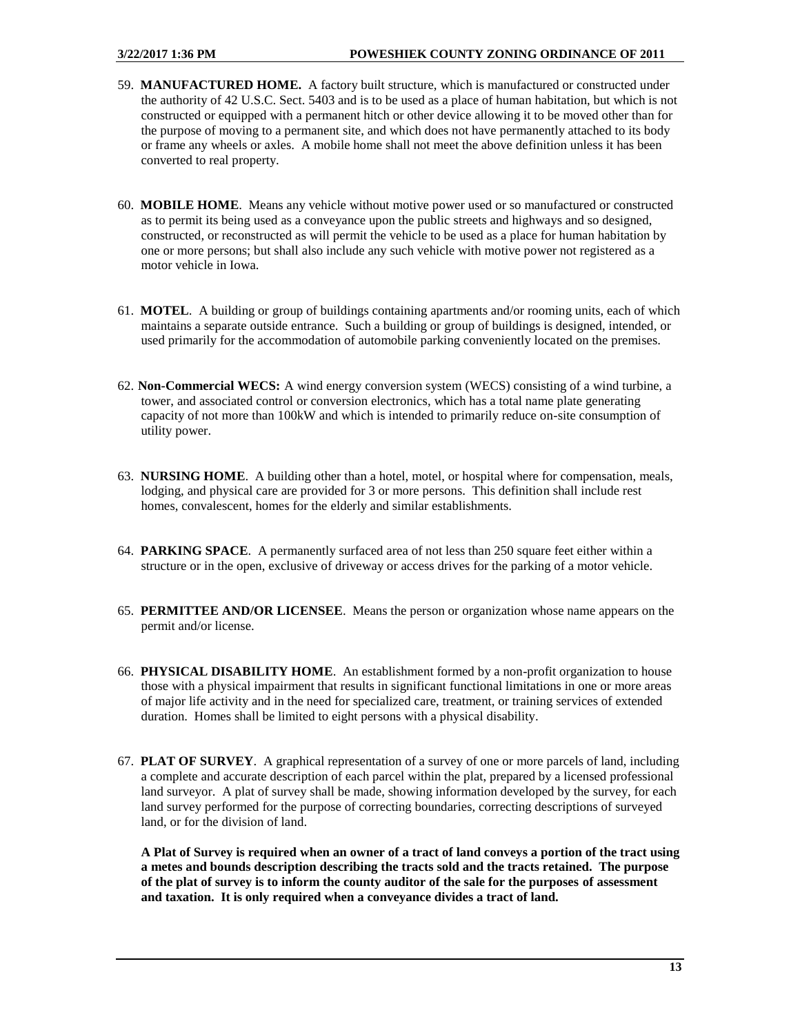- 59. **MANUFACTURED HOME.** A factory built structure, which is manufactured or constructed under the authority of 42 U.S.C. Sect. 5403 and is to be used as a place of human habitation, but which is not constructed or equipped with a permanent hitch or other device allowing it to be moved other than for the purpose of moving to a permanent site, and which does not have permanently attached to its body or frame any wheels or axles. A mobile home shall not meet the above definition unless it has been converted to real property.
- 60. **MOBILE HOME**. Means any vehicle without motive power used or so manufactured or constructed as to permit its being used as a conveyance upon the public streets and highways and so designed, constructed, or reconstructed as will permit the vehicle to be used as a place for human habitation by one or more persons; but shall also include any such vehicle with motive power not registered as a motor vehicle in Iowa.
- 61. **MOTEL**. A building or group of buildings containing apartments and/or rooming units, each of which maintains a separate outside entrance. Such a building or group of buildings is designed, intended, or used primarily for the accommodation of automobile parking conveniently located on the premises.
- 62. **Non-Commercial WECS:** A wind energy conversion system (WECS) consisting of a wind turbine, a tower, and associated control or conversion electronics, which has a total name plate generating capacity of not more than 100kW and which is intended to primarily reduce on-site consumption of utility power.
- 63. **NURSING HOME**. A building other than a hotel, motel, or hospital where for compensation, meals, lodging, and physical care are provided for 3 or more persons. This definition shall include rest homes, convalescent, homes for the elderly and similar establishments.
- 64. **PARKING SPACE**. A permanently surfaced area of not less than 250 square feet either within a structure or in the open, exclusive of driveway or access drives for the parking of a motor vehicle.
- 65. **PERMITTEE AND/OR LICENSEE**. Means the person or organization whose name appears on the permit and/or license.
- 66. **PHYSICAL DISABILITY HOME**. An establishment formed by a non-profit organization to house those with a physical impairment that results in significant functional limitations in one or more areas of major life activity and in the need for specialized care, treatment, or training services of extended duration. Homes shall be limited to eight persons with a physical disability.
- 67. **PLAT OF SURVEY**. A graphical representation of a survey of one or more parcels of land, including a complete and accurate description of each parcel within the plat, prepared by a licensed professional land surveyor. A plat of survey shall be made, showing information developed by the survey, for each land survey performed for the purpose of correcting boundaries, correcting descriptions of surveyed land, or for the division of land.

 **A Plat of Survey is required when an owner of a tract of land conveys a portion of the tract using a metes and bounds description describing the tracts sold and the tracts retained. The purpose of the plat of survey is to inform the county auditor of the sale for the purposes of assessment and taxation. It is only required when a conveyance divides a tract of land.**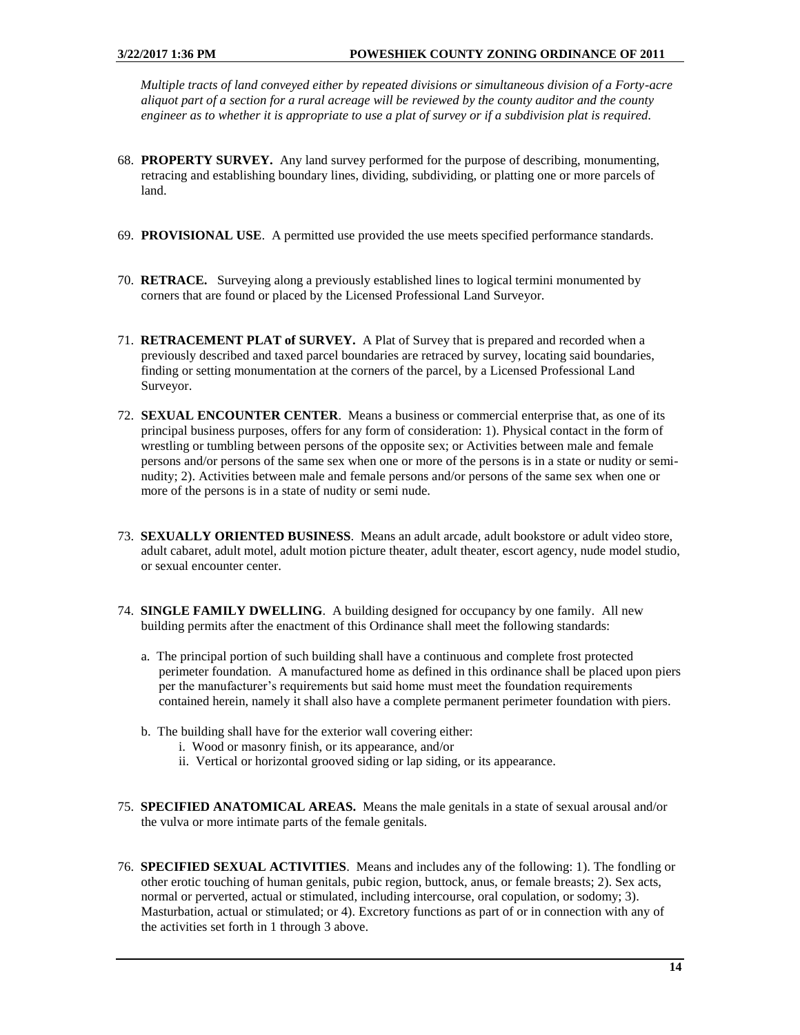*Multiple tracts of land conveyed either by repeated divisions or simultaneous division of a Forty-acre aliquot part of a section for a rural acreage will be reviewed by the county auditor and the county engineer as to whether it is appropriate to use a plat of survey or if a subdivision plat is required.* 

- 68. **PROPERTY SURVEY.** Any land survey performed for the purpose of describing, monumenting, retracing and establishing boundary lines, dividing, subdividing, or platting one or more parcels of land.
- 69. **PROVISIONAL USE**. A permitted use provided the use meets specified performance standards.
- 70. **RETRACE.** Surveying along a previously established lines to logical termini monumented by corners that are found or placed by the Licensed Professional Land Surveyor.
- 71. **RETRACEMENT PLAT of SURVEY.** A Plat of Survey that is prepared and recorded when a previously described and taxed parcel boundaries are retraced by survey, locating said boundaries, finding or setting monumentation at the corners of the parcel, by a Licensed Professional Land Surveyor.
- 72. **SEXUAL ENCOUNTER CENTER**. Means a business or commercial enterprise that, as one of its principal business purposes, offers for any form of consideration: 1). Physical contact in the form of wrestling or tumbling between persons of the opposite sex; or Activities between male and female persons and/or persons of the same sex when one or more of the persons is in a state or nudity or seminudity; 2). Activities between male and female persons and/or persons of the same sex when one or more of the persons is in a state of nudity or semi nude.
- 73. **SEXUALLY ORIENTED BUSINESS**. Means an adult arcade, adult bookstore or adult video store, adult cabaret, adult motel, adult motion picture theater, adult theater, escort agency, nude model studio, or sexual encounter center.
- 74. **SINGLE FAMILY DWELLING**. A building designed for occupancy by one family. All new building permits after the enactment of this Ordinance shall meet the following standards:
	- a. The principal portion of such building shall have a continuous and complete frost protected perimeter foundation. A manufactured home as defined in this ordinance shall be placed upon piers per the manufacturer's requirements but said home must meet the foundation requirements contained herein, namely it shall also have a complete permanent perimeter foundation with piers.
	- b. The building shall have for the exterior wall covering either:
		- i. Wood or masonry finish, or its appearance, and/or
		- ii. Vertical or horizontal grooved siding or lap siding, or its appearance.
- 75. **SPECIFIED ANATOMICAL AREAS.** Means the male genitals in a state of sexual arousal and/or the vulva or more intimate parts of the female genitals.
- 76. **SPECIFIED SEXUAL ACTIVITIES**. Means and includes any of the following: 1). The fondling or other erotic touching of human genitals, pubic region, buttock, anus, or female breasts; 2). Sex acts, normal or perverted, actual or stimulated, including intercourse, oral copulation, or sodomy; 3). Masturbation, actual or stimulated; or 4). Excretory functions as part of or in connection with any of the activities set forth in 1 through 3 above.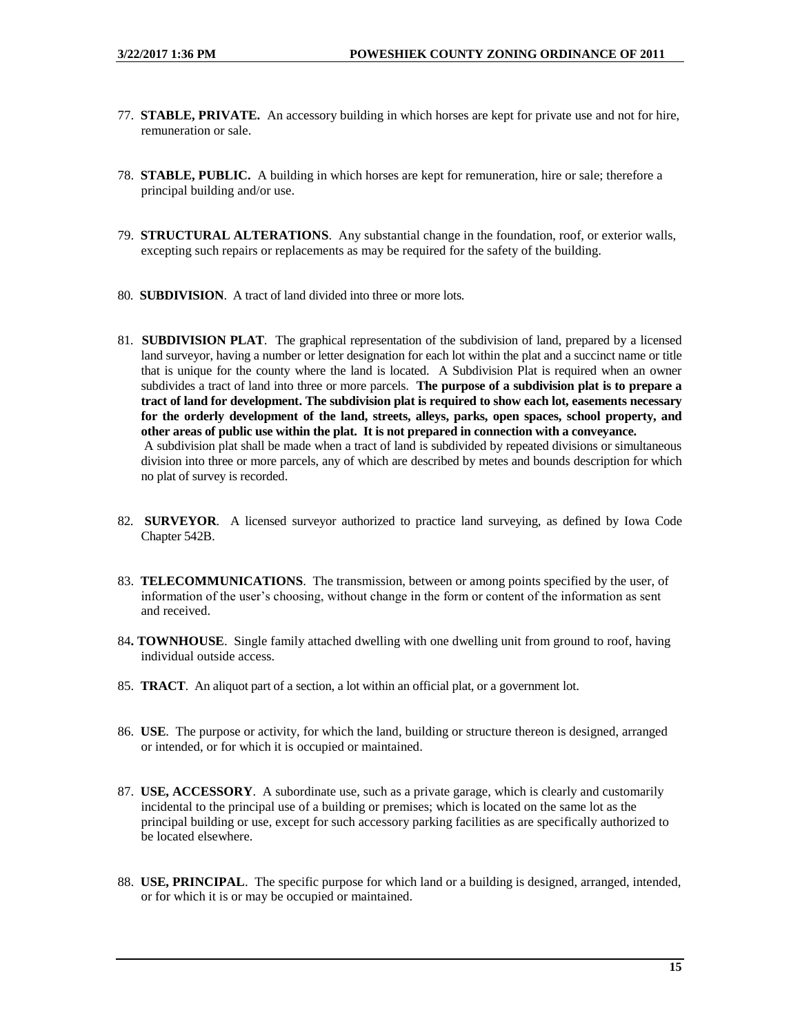- 77. **STABLE, PRIVATE.** An accessory building in which horses are kept for private use and not for hire, remuneration or sale.
- 78. **STABLE, PUBLIC.** A building in which horses are kept for remuneration, hire or sale; therefore a principal building and/or use.
- 79. **STRUCTURAL ALTERATIONS**. Any substantial change in the foundation, roof, or exterior walls, excepting such repairs or replacements as may be required for the safety of the building.
- 80. **SUBDIVISION**. A tract of land divided into three or more lots.
- 81. **SUBDIVISION PLAT**. The graphical representation of the subdivision of land, prepared by a licensed land surveyor, having a number or letter designation for each lot within the plat and a succinct name or title that is unique for the county where the land is located. A Subdivision Plat is required when an owner subdivides a tract of land into three or more parcels. **The purpose of a subdivision plat is to prepare a tract of land for development. The subdivision plat is required to show each lot, easements necessary for the orderly development of the land, streets, alleys, parks, open spaces, school property, and other areas of public use within the plat. It is not prepared in connection with a conveyance.** A subdivision plat shall be made when a tract of land is subdivided by repeated divisions or simultaneous division into three or more parcels, any of which are described by metes and bounds description for which no plat of survey is recorded.
- 82. **SURVEYOR**. A licensed surveyor authorized to practice land surveying, as defined by Iowa Code Chapter 542B.
- 83. **TELECOMMUNICATIONS**. The transmission, between or among points specified by the user, of information of the user's choosing, without change in the form or content of the information as sent and received.
- 84**. TOWNHOUSE**. Single family attached dwelling with one dwelling unit from ground to roof, having individual outside access.
- 85. **TRACT**. An aliquot part of a section, a lot within an official plat, or a government lot.
- 86. **USE**. The purpose or activity, for which the land, building or structure thereon is designed, arranged or intended, or for which it is occupied or maintained.
- 87. **USE, ACCESSORY**. A subordinate use, such as a private garage, which is clearly and customarily incidental to the principal use of a building or premises; which is located on the same lot as the principal building or use, except for such accessory parking facilities as are specifically authorized to be located elsewhere.
- 88. **USE, PRINCIPAL**. The specific purpose for which land or a building is designed, arranged, intended, or for which it is or may be occupied or maintained.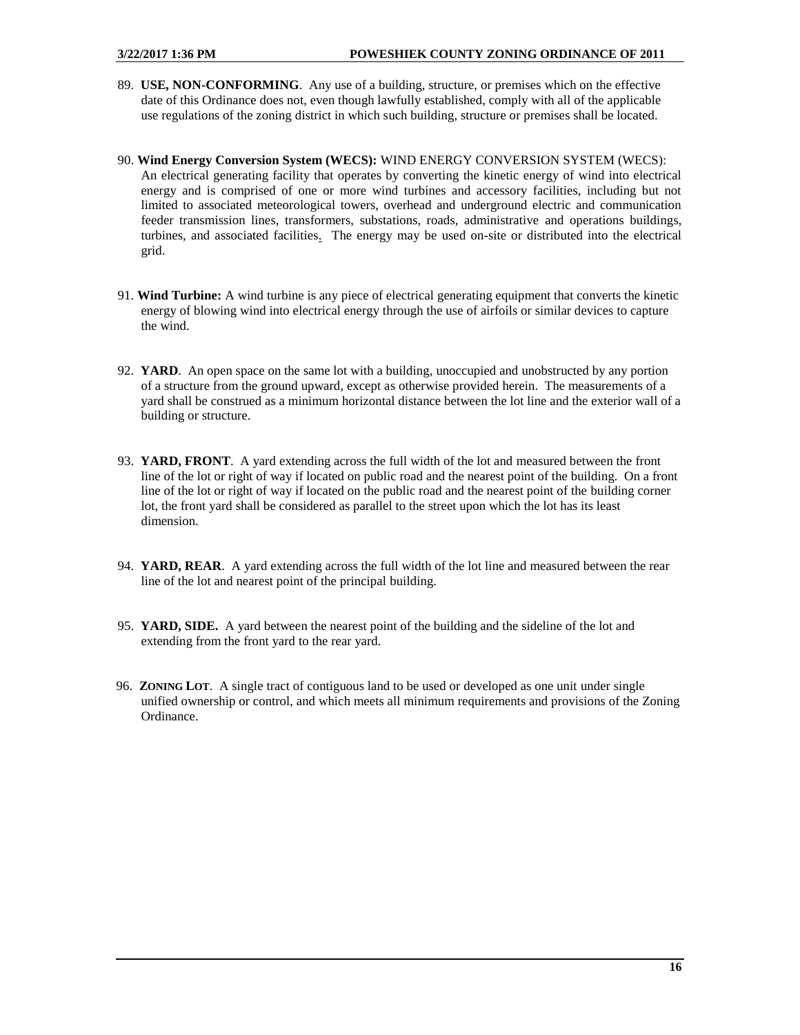- 89. **USE, NON-CONFORMING**. Any use of a building, structure, or premises which on the effective date of this Ordinance does not, even though lawfully established, comply with all of the applicable use regulations of the zoning district in which such building, structure or premises shall be located.
- 90. **Wind Energy Conversion System (WECS):** WIND ENERGY CONVERSION SYSTEM (WECS): An electrical generating facility that operates by converting the kinetic energy of wind into electrical energy and is comprised of one or more wind turbines and accessory facilities, including but not limited to associated meteorological towers, overhead and underground electric and communication feeder transmission lines, transformers, substations, roads, administrative and operations buildings, turbines, and associated facilities. The energy may be used on-site or distributed into the electrical grid.
- 91. **Wind Turbine:** A wind turbine is any piece of electrical generating equipment that converts the kinetic energy of blowing wind into electrical energy through the use of airfoils or similar devices to capture the wind.
- 92. **YARD**. An open space on the same lot with a building, unoccupied and unobstructed by any portion of a structure from the ground upward, except as otherwise provided herein. The measurements of a yard shall be construed as a minimum horizontal distance between the lot line and the exterior wall of a building or structure.
- 93. **YARD, FRONT**. A yard extending across the full width of the lot and measured between the front line of the lot or right of way if located on public road and the nearest point of the building. On a front line of the lot or right of way if located on the public road and the nearest point of the building corner lot, the front yard shall be considered as parallel to the street upon which the lot has its least dimension.
- 94. **YARD, REAR**. A yard extending across the full width of the lot line and measured between the rear line of the lot and nearest point of the principal building.
- 95. **YARD, SIDE.** A yard between the nearest point of the building and the sideline of the lot and extending from the front yard to the rear yard.
- <span id="page-15-0"></span> 96. **ZONING LOT**. A single tract of contiguous land to be used or developed as one unit under single unified ownership or control, and which meets all minimum requirements and provisions of the Zoning Ordinance.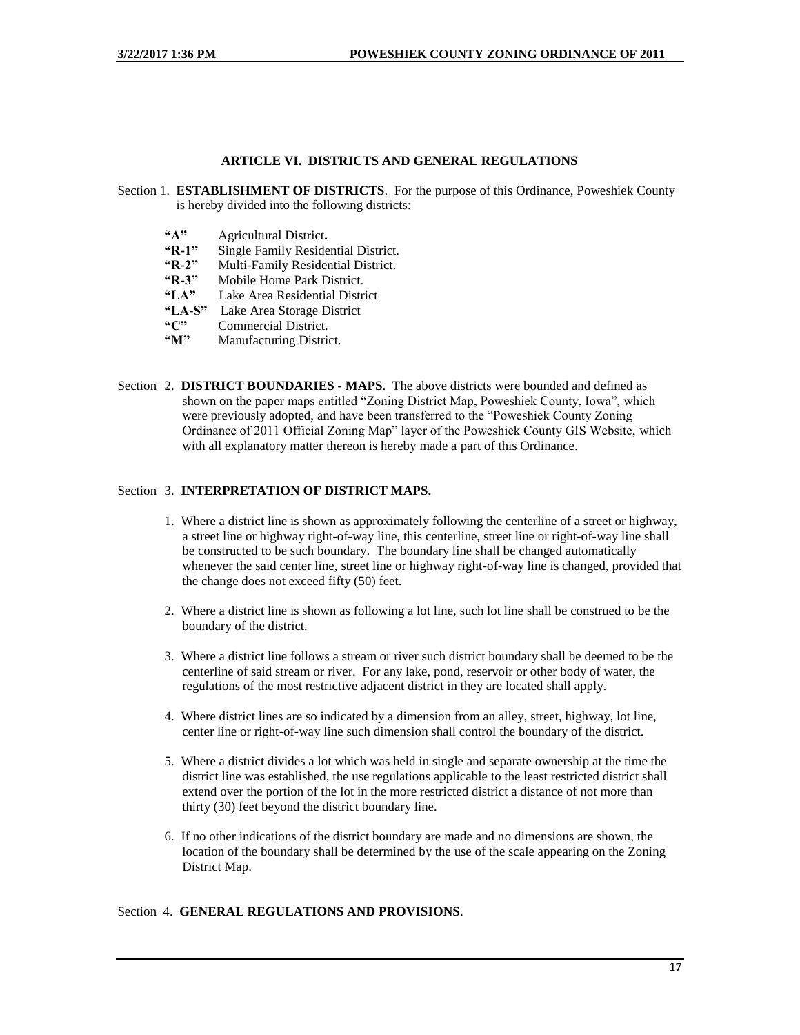#### **ARTICLE VI. DISTRICTS AND GENERAL REGULATIONS**

- Section 1. **ESTABLISHMENT OF DISTRICTS**. For the purpose of this Ordinance, Poweshiek County is hereby divided into the following districts:
	- **"A"** Agricultural District**.**
	- **"R-1"** Single Family Residential District.
	- **"R-2"** Multi-Family Residential District.
	- **"R-3"** Mobile Home Park District.<br>"LA" Lake Area Residential Distr
	- "LA" Lake Area Residential District<br>"LA-S" Lake Area Storage District
	- **Lake Area Storage District**
	- **"C"** Commercial District.
	- **"M"** Manufacturing District.
- Section 2. **DISTRICT BOUNDARIES - MAPS**. The above districts were bounded and defined as shown on the paper maps entitled "Zoning District Map, Poweshiek County, Iowa", which were previously adopted, and have been transferred to the "Poweshiek County Zoning Ordinance of 2011 Official Zoning Map" layer of the Poweshiek County GIS Website, which with all explanatory matter thereon is hereby made a part of this Ordinance.

#### Section 3. **INTERPRETATION OF DISTRICT MAPS.**

- 1. Where a district line is shown as approximately following the centerline of a street or highway, a street line or highway right-of-way line, this centerline, street line or right-of-way line shall be constructed to be such boundary. The boundary line shall be changed automatically whenever the said center line, street line or highway right-of-way line is changed, provided that the change does not exceed fifty (50) feet.
- 2. Where a district line is shown as following a lot line, such lot line shall be construed to be the boundary of the district.
- 3. Where a district line follows a stream or river such district boundary shall be deemed to be the centerline of said stream or river. For any lake, pond, reservoir or other body of water, the regulations of the most restrictive adjacent district in they are located shall apply.
- 4. Where district lines are so indicated by a dimension from an alley, street, highway, lot line, center line or right-of-way line such dimension shall control the boundary of the district.
- 5. Where a district divides a lot which was held in single and separate ownership at the time the district line was established, the use regulations applicable to the least restricted district shall extend over the portion of the lot in the more restricted district a distance of not more than thirty (30) feet beyond the district boundary line.
- 6. If no other indications of the district boundary are made and no dimensions are shown, the location of the boundary shall be determined by the use of the scale appearing on the Zoning District Map.

#### Section 4. **GENERAL REGULATIONS AND PROVISIONS**.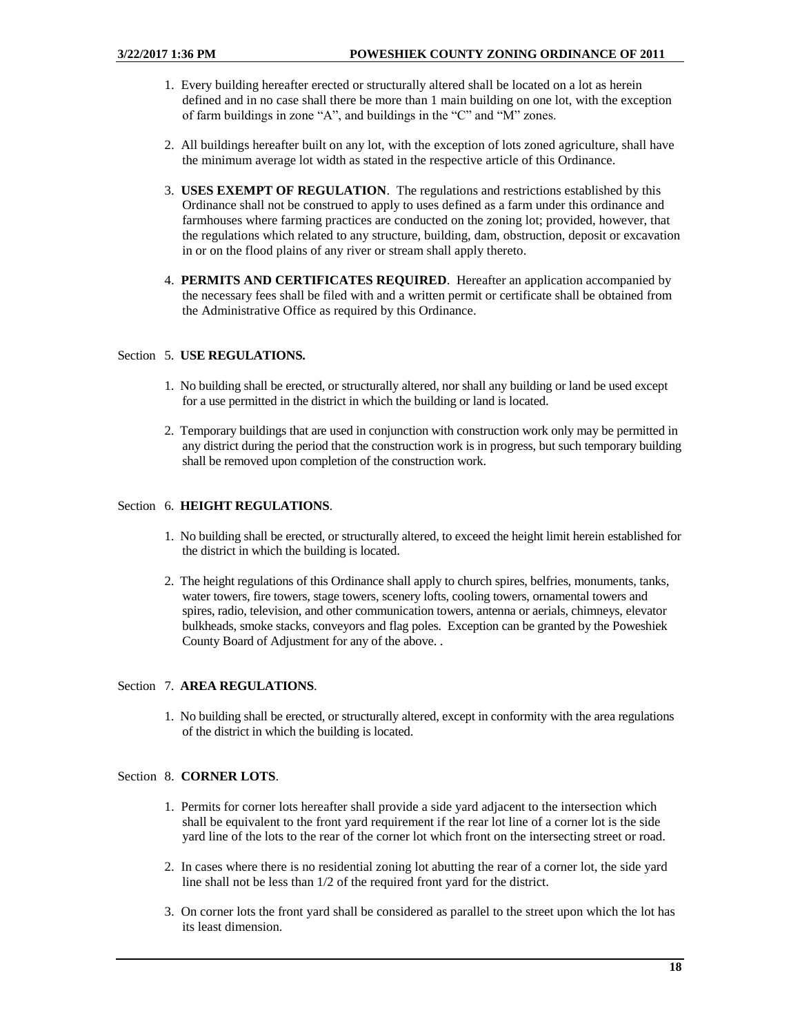- 1. Every building hereafter erected or structurally altered shall be located on a lot as herein defined and in no case shall there be more than 1 main building on one lot, with the exception of farm buildings in zone "A", and buildings in the "C" and "M" zones.
- 2. All buildings hereafter built on any lot, with the exception of lots zoned agriculture, shall have the minimum average lot width as stated in the respective article of this Ordinance.
- 3. **USES EXEMPT OF REGULATION**. The regulations and restrictions established by this Ordinance shall not be construed to apply to uses defined as a farm under this ordinance and farmhouses where farming practices are conducted on the zoning lot; provided, however, that the regulations which related to any structure, building, dam, obstruction, deposit or excavation in or on the flood plains of any river or stream shall apply thereto.
- 4. **PERMITS AND CERTIFICATES REQUIRED**. Hereafter an application accompanied by the necessary fees shall be filed with and a written permit or certificate shall be obtained from the Administrative Office as required by this Ordinance.

#### Section 5. **USE REGULATIONS.**

- 1. No building shall be erected, or structurally altered, nor shall any building or land be used except for a use permitted in the district in which the building or land is located.
- 2. Temporary buildings that are used in conjunction with construction work only may be permitted in any district during the period that the construction work is in progress, but such temporary building shall be removed upon completion of the construction work.

#### Section 6. **HEIGHT REGULATIONS**.

- 1. No building shall be erected, or structurally altered, to exceed the height limit herein established for the district in which the building is located.
- 2. The height regulations of this Ordinance shall apply to church spires, belfries, monuments, tanks, water towers, fire towers, stage towers, scenery lofts, cooling towers, ornamental towers and spires, radio, television, and other communication towers, antenna or aerials, chimneys, elevator bulkheads, smoke stacks, conveyors and flag poles. Exception can be granted by the Poweshiek County Board of Adjustment for any of the above. .

#### Section 7. **AREA REGULATIONS**.

1. No building shall be erected, or structurally altered, except in conformity with the area regulations of the district in which the building is located.

## Section 8. **CORNER LOTS**.

- 1. Permits for corner lots hereafter shall provide a side yard adjacent to the intersection which shall be equivalent to the front yard requirement if the rear lot line of a corner lot is the side yard line of the lots to the rear of the corner lot which front on the intersecting street or road.
- 2. In cases where there is no residential zoning lot abutting the rear of a corner lot, the side yard line shall not be less than 1/2 of the required front yard for the district.
- 3. On corner lots the front yard shall be considered as parallel to the street upon which the lot has its least dimension.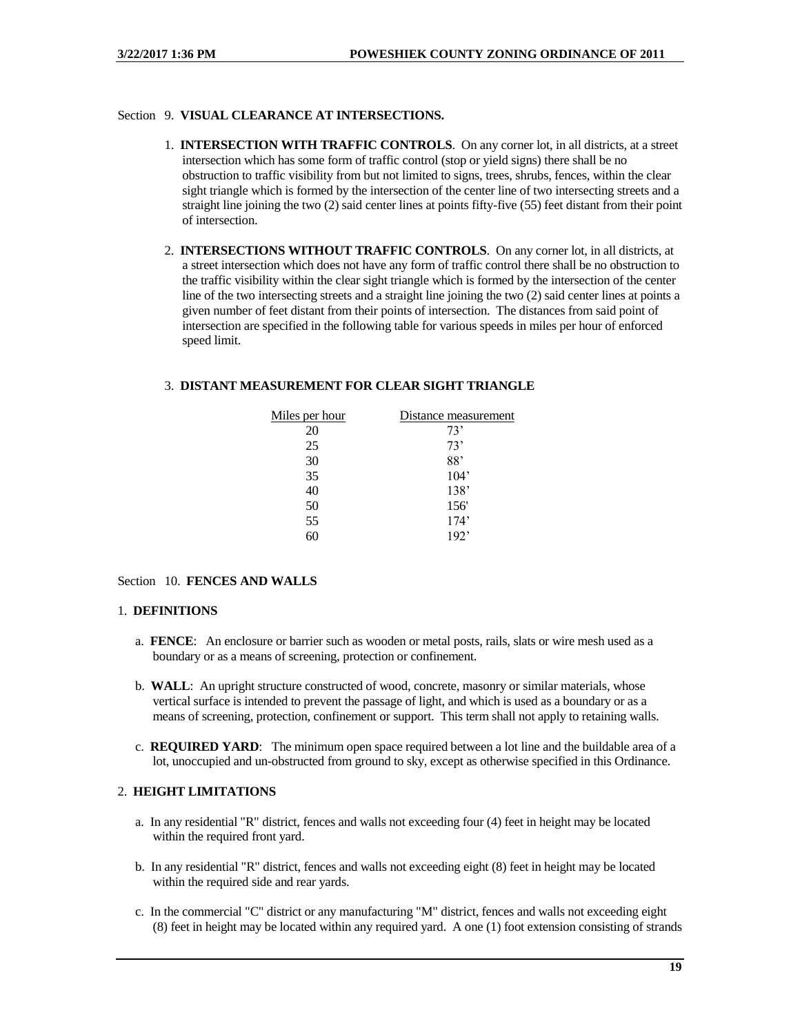## Section 9. **VISUAL CLEARANCE AT INTERSECTIONS.**

- 1. **INTERSECTION WITH TRAFFIC CONTROLS**. On any corner lot, in all districts, at a street intersection which has some form of traffic control (stop or yield signs) there shall be no obstruction to traffic visibility from but not limited to signs, trees, shrubs, fences, within the clear sight triangle which is formed by the intersection of the center line of two intersecting streets and a straight line joining the two (2) said center lines at points fifty-five (55) feet distant from their point of intersection.
- 2. **INTERSECTIONS WITHOUT TRAFFIC CONTROLS**. On any corner lot, in all districts, at a street intersection which does not have any form of traffic control there shall be no obstruction to the traffic visibility within the clear sight triangle which is formed by the intersection of the center line of the two intersecting streets and a straight line joining the two (2) said center lines at points a given number of feet distant from their points of intersection. The distances from said point of intersection are specified in the following table for various speeds in miles per hour of enforced speed limit.

#### 3. **DISTANT MEASUREMENT FOR CLEAR SIGHT TRIANGLE**

| Miles per hour | Distance measurement |
|----------------|----------------------|
| 20             | 73'                  |
| 25             | 73'                  |
| 30             | 88'                  |
| 35             | 104'                 |
| 40             | 138'                 |
| 50             | 156'                 |
| 55             | 174'                 |
|                | 192'                 |

#### Section 10. **FENCES AND WALLS**

#### 1. **DEFINITIONS**

- a. **FENCE**: An enclosure or barrier such as wooden or metal posts, rails, slats or wire mesh used as a boundary or as a means of screening, protection or confinement.
- b. **WALL**: An upright structure constructed of wood, concrete, masonry or similar materials, whose vertical surface is intended to prevent the passage of light, and which is used as a boundary or as a means of screening, protection, confinement or support. This term shall not apply to retaining walls.
- c. **REQUIRED YARD**: The minimum open space required between a lot line and the buildable area of a lot, unoccupied and un-obstructed from ground to sky, except as otherwise specified in this Ordinance.

## 2. **HEIGHT LIMITATIONS**

- a. In any residential "R" district, fences and walls not exceeding four (4) feet in height may be located within the required front yard.
- b. In any residential "R" district, fences and walls not exceeding eight (8) feet in height may be located within the required side and rear yards.
- c. In the commercial "C" district or any manufacturing "M" district, fences and walls not exceeding eight (8) feet in height may be located within any required yard. A one (1) foot extension consisting of strands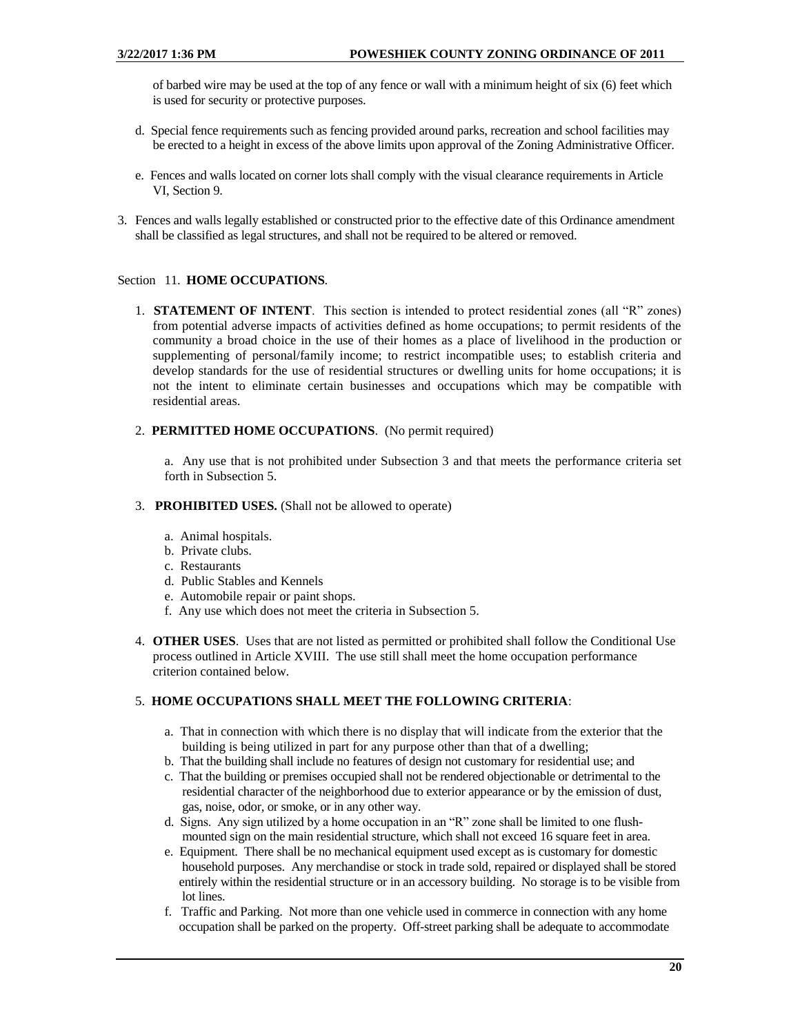of barbed wire may be used at the top of any fence or wall with a minimum height of six (6) feet which is used for security or protective purposes.

- d. Special fence requirements such as fencing provided around parks, recreation and school facilities may be erected to a height in excess of the above limits upon approval of the Zoning Administrative Officer.
- e. Fences and walls located on corner lots shall comply with the visual clearance requirements in Article VI, Section 9.
- 3. Fences and walls legally established or constructed prior to the effective date of this Ordinance amendment shall be classified as legal structures, and shall not be required to be altered or removed.

#### Section 11. **HOME OCCUPATIONS**.

1. **STATEMENT OF INTENT**. This section is intended to protect residential zones (all "R" zones) from potential adverse impacts of activities defined as home occupations; to permit residents of the community a broad choice in the use of their homes as a place of livelihood in the production or supplementing of personal/family income; to restrict incompatible uses; to establish criteria and develop standards for the use of residential structures or dwelling units for home occupations; it is not the intent to eliminate certain businesses and occupations which may be compatible with residential areas.

#### 2. **PERMITTED HOME OCCUPATIONS**. (No permit required)

a. Any use that is not prohibited under Subsection 3 and that meets the performance criteria set forth in Subsection 5.

#### 3. **PROHIBITED USES.** (Shall not be allowed to operate)

- a. Animal hospitals.
- b. Private clubs.
- c. Restaurants
- d. Public Stables and Kennels
- e. Automobile repair or paint shops.
- f. Any use which does not meet the criteria in Subsection 5.
- 4. **OTHER USES**. Uses that are not listed as permitted or prohibited shall follow the Conditional Use process outlined in Article XVIII. The use still shall meet the home occupation performance criterion contained below.

#### 5. **HOME OCCUPATIONS SHALL MEET THE FOLLOWING CRITERIA**:

- a. That in connection with which there is no display that will indicate from the exterior that the building is being utilized in part for any purpose other than that of a dwelling;
- b. That the building shall include no features of design not customary for residential use; and
- c. That the building or premises occupied shall not be rendered objectionable or detrimental to the residential character of the neighborhood due to exterior appearance or by the emission of dust, gas, noise, odor, or smoke, or in any other way.
- d. Signs. Any sign utilized by a home occupation in an "R" zone shall be limited to one flushmounted sign on the main residential structure, which shall not exceed 16 square feet in area.
- e. Equipment. There shall be no mechanical equipment used except as is customary for domestic household purposes. Any merchandise or stock in trade sold, repaired or displayed shall be stored entirely within the residential structure or in an accessory building. No storage is to be visible from lot lines.
- f. Traffic and Parking. Not more than one vehicle used in commerce in connection with any home occupation shall be parked on the property. Off-street parking shall be adequate to accommodate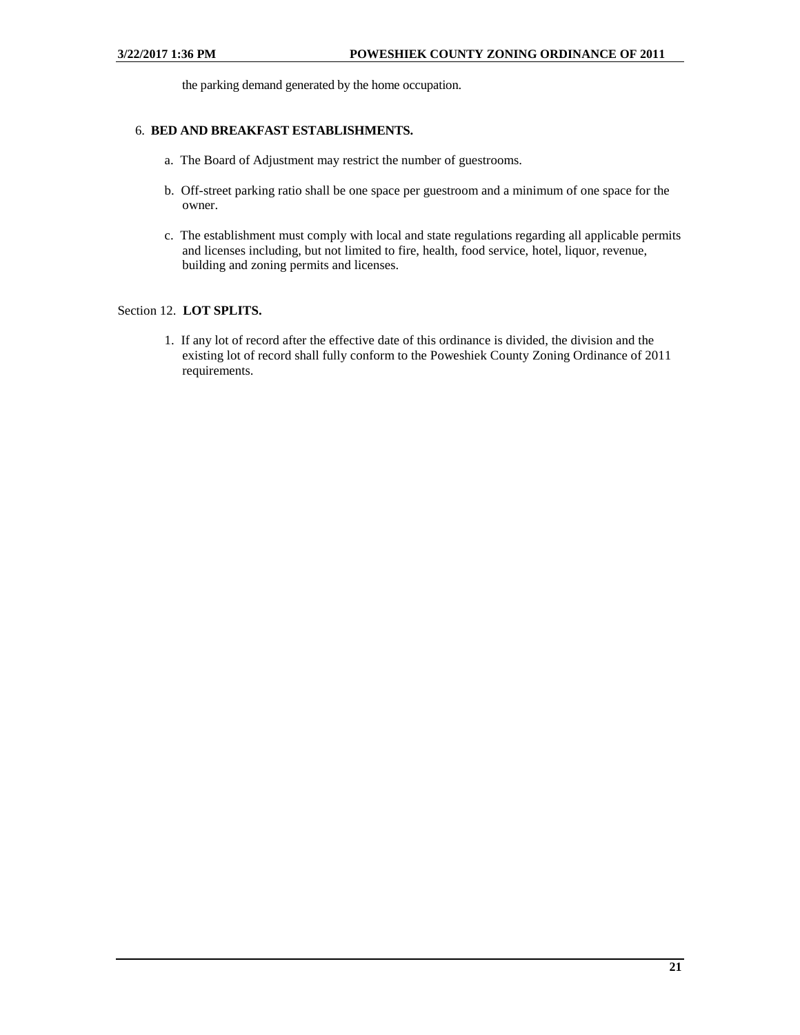the parking demand generated by the home occupation.

## 6. **BED AND BREAKFAST ESTABLISHMENTS.**

- a. The Board of Adjustment may restrict the number of guestrooms.
- b. Off-street parking ratio shall be one space per guestroom and a minimum of one space for the owner.
- c. The establishment must comply with local and state regulations regarding all applicable permits and licenses including, but not limited to fire, health, food service, hotel, liquor, revenue, building and zoning permits and licenses.

## Section 12. **LOT SPLITS.**

1. If any lot of record after the effective date of this ordinance is divided, the division and the existing lot of record shall fully conform to the Poweshiek County Zoning Ordinance of 2011 requirements.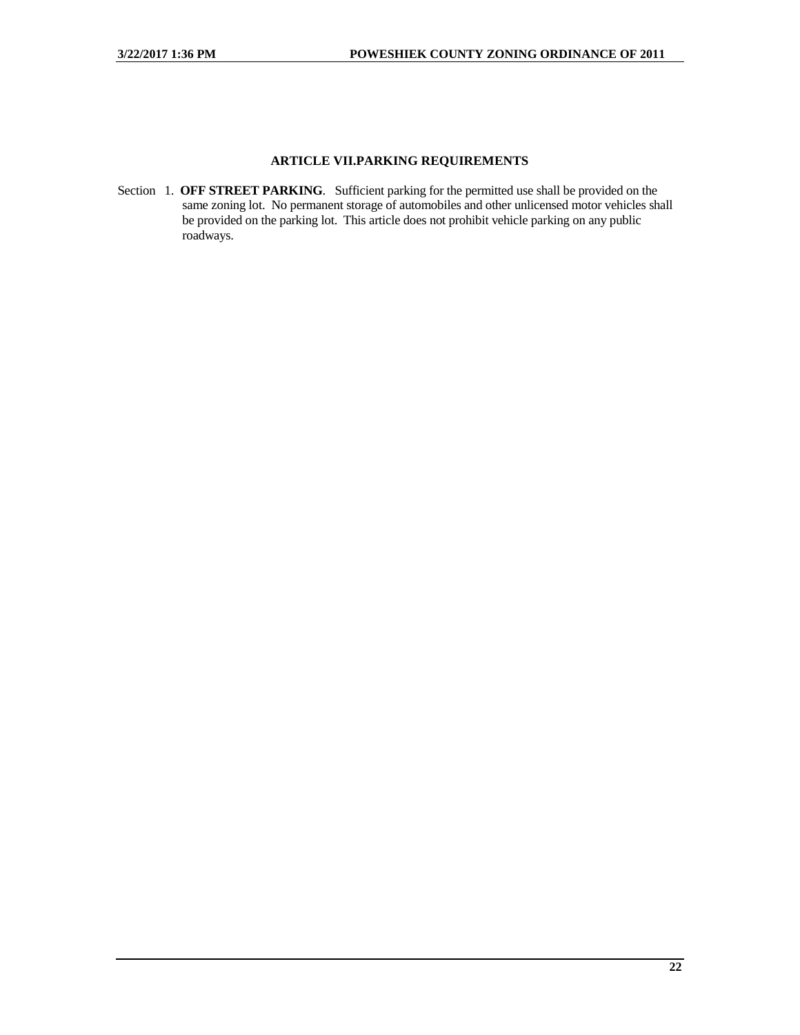## **ARTICLE VII.PARKING REQUIREMENTS**

<span id="page-21-0"></span>Section 1. **OFF STREET PARKING**. Sufficient parking for the permitted use shall be provided on the same zoning lot. No permanent storage of automobiles and other unlicensed motor vehicles shall be provided on the parking lot. This article does not prohibit vehicle parking on any public roadways.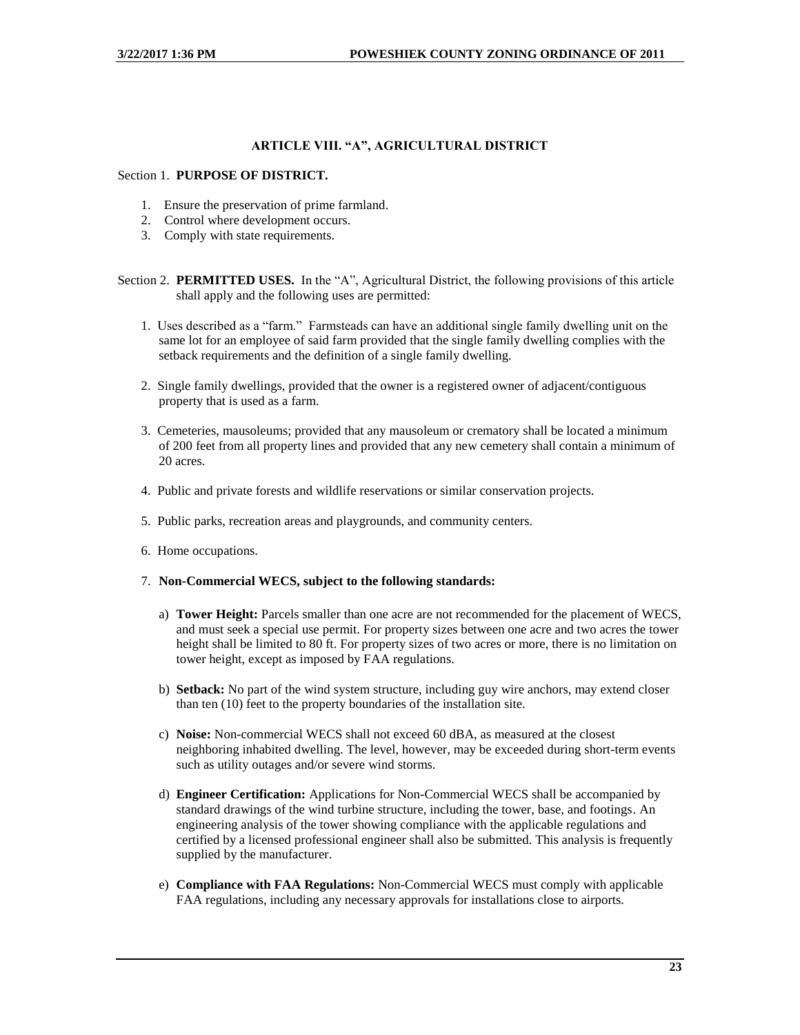## **ARTICLE VIII. "A", AGRICULTURAL DISTRICT**

#### <span id="page-22-0"></span>Section 1. **PURPOSE OF DISTRICT.**

- 1. Ensure the preservation of prime farmland.
- 2. Control where development occurs.
- 3. Comply with state requirements.

Section 2. **PERMITTED USES.** In the "A", Agricultural District, the following provisions of this article shall apply and the following uses are permitted:

- 1. Uses described as a "farm." Farmsteads can have an additional single family dwelling unit on the same lot for an employee of said farm provided that the single family dwelling complies with the setback requirements and the definition of a single family dwelling.
- 2. Single family dwellings, provided that the owner is a registered owner of adjacent/contiguous property that is used as a farm.
- 3. Cemeteries, mausoleums; provided that any mausoleum or crematory shall be located a minimum of 200 feet from all property lines and provided that any new cemetery shall contain a minimum of 20 acres.
- 4. Public and private forests and wildlife reservations or similar conservation projects.
- 5. Public parks, recreation areas and playgrounds, and community centers.
- 6. Home occupations.
- 7. **Non-Commercial WECS, subject to the following standards:**
	- a) **Tower Height:** Parcels smaller than one acre are not recommended for the placement of WECS, and must seek a special use permit. For property sizes between one acre and two acres the tower height shall be limited to 80 ft. For property sizes of two acres or more, there is no limitation on tower height, except as imposed by FAA regulations.
	- b) **Setback:** No part of the wind system structure, including guy wire anchors, may extend closer than ten (10) feet to the property boundaries of the installation site.
	- c) **Noise:** Non-commercial WECS shall not exceed 60 dBA, as measured at the closest neighboring inhabited dwelling. The level, however, may be exceeded during short-term events such as utility outages and/or severe wind storms.
	- d) **Engineer Certification:** Applications for Non-Commercial WECS shall be accompanied by standard drawings of the wind turbine structure, including the tower, base, and footings. An engineering analysis of the tower showing compliance with the applicable regulations and certified by a licensed professional engineer shall also be submitted. This analysis is frequently supplied by the manufacturer.
	- e) **Compliance with FAA Regulations:** Non-Commercial WECS must comply with applicable FAA regulations, including any necessary approvals for installations close to airports.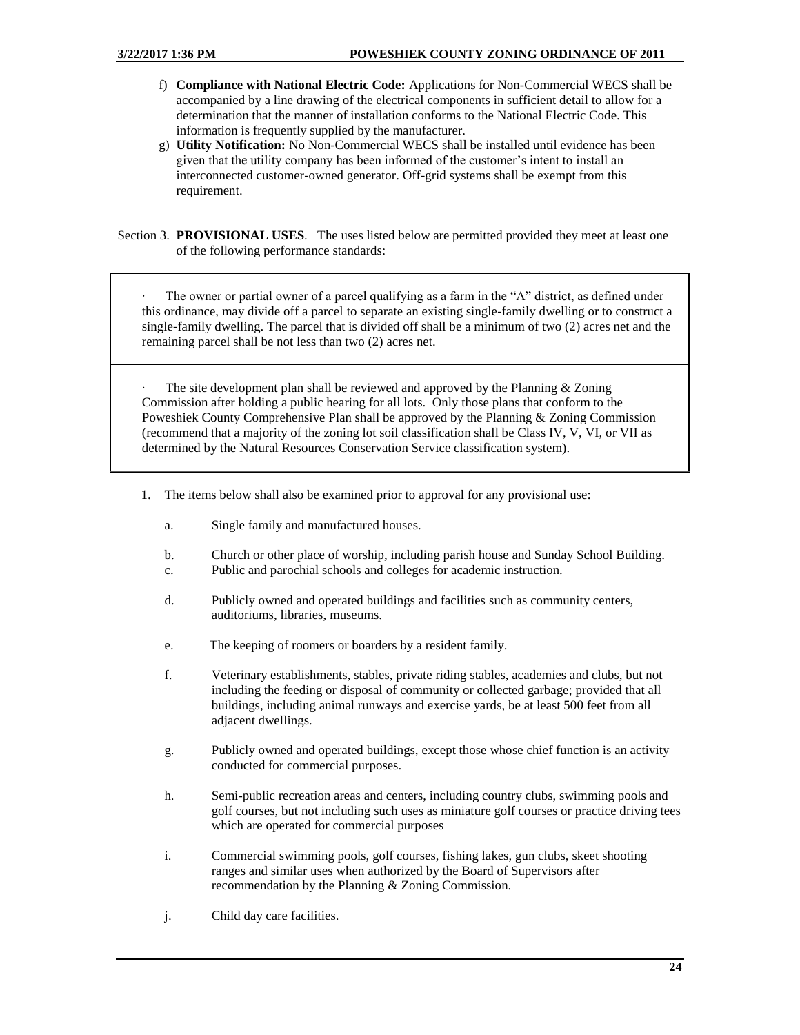- f) **Compliance with National Electric Code:** Applications for Non-Commercial WECS shall be accompanied by a line drawing of the electrical components in sufficient detail to allow for a determination that the manner of installation conforms to the National Electric Code. This information is frequently supplied by the manufacturer.
- g) **Utility Notification:** No Non-Commercial WECS shall be installed until evidence has been given that the utility company has been informed of the customer's intent to install an interconnected customer-owned generator. Off-grid systems shall be exempt from this requirement.

Section 3. **PROVISIONAL USES**. The uses listed below are permitted provided they meet at least one of the following performance standards:

The owner or partial owner of a parcel qualifying as a farm in the "A" district, as defined under this ordinance, may divide off a parcel to separate an existing single-family dwelling or to construct a single-family dwelling. The parcel that is divided off shall be a minimum of two (2) acres net and the remaining parcel shall be not less than two (2) acres net.

The site development plan shall be reviewed and approved by the Planning  $&$  Zoning Commission after holding a public hearing for all lots. Only those plans that conform to the Poweshiek County Comprehensive Plan shall be approved by the Planning & Zoning Commission (recommend that a majority of the zoning lot soil classification shall be Class IV, V, VI, or VII as determined by the Natural Resources Conservation Service classification system).

- 1. The items below shall also be examined prior to approval for any provisional use:
	- a. Single family and manufactured houses.
	- b. Church or other place of worship, including parish house and Sunday School Building.
	- c. Public and parochial schools and colleges for academic instruction.
	- d. Publicly owned and operated buildings and facilities such as community centers, auditoriums, libraries, museums.
	- e. The keeping of roomers or boarders by a resident family.
	- f. Veterinary establishments, stables, private riding stables, academies and clubs, but not including the feeding or disposal of community or collected garbage; provided that all buildings, including animal runways and exercise yards, be at least 500 feet from all adjacent dwellings.
	- g. Publicly owned and operated buildings, except those whose chief function is an activity conducted for commercial purposes.
	- h. Semi-public recreation areas and centers, including country clubs, swimming pools and golf courses, but not including such uses as miniature golf courses or practice driving tees which are operated for commercial purposes
	- i. Commercial swimming pools, golf courses, fishing lakes, gun clubs, skeet shooting ranges and similar uses when authorized by the Board of Supervisors after recommendation by the Planning & Zoning Commission.
	- j. Child day care facilities.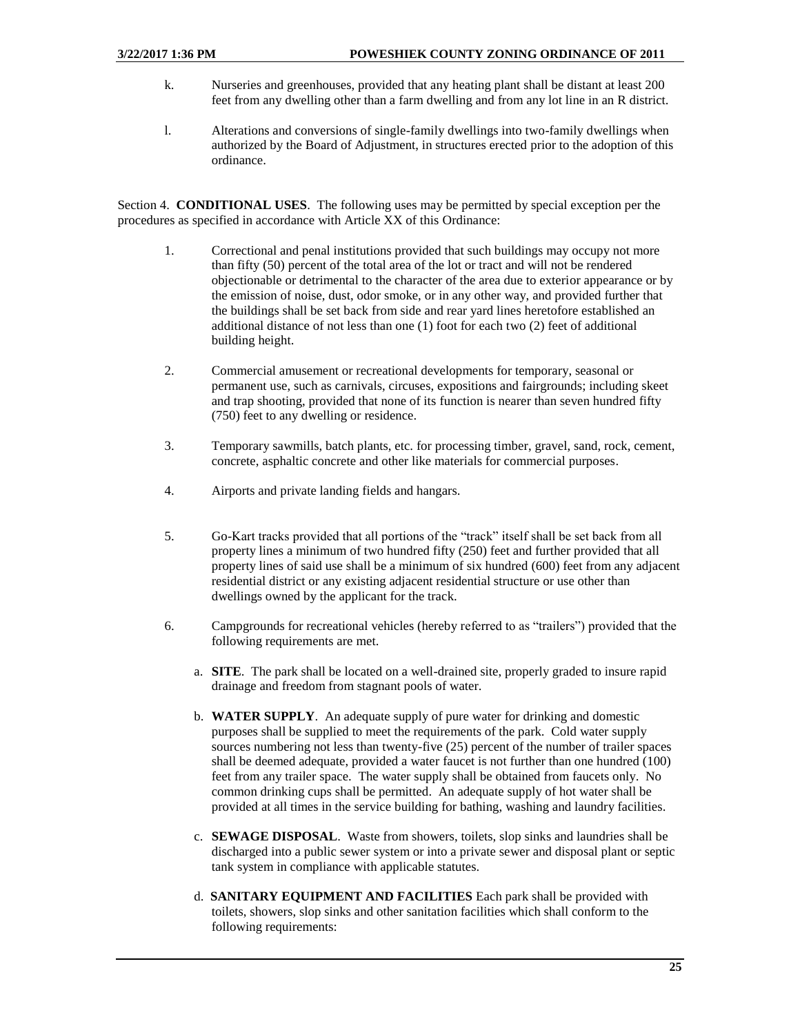- k. Nurseries and greenhouses, provided that any heating plant shall be distant at least 200 feet from any dwelling other than a farm dwelling and from any lot line in an R district.
- l. Alterations and conversions of single-family dwellings into two-family dwellings when authorized by the Board of Adjustment, in structures erected prior to the adoption of this ordinance.

Section 4. **CONDITIONAL USES**. The following uses may be permitted by special exception per the procedures as specified in accordance with Article XX of this Ordinance:

- 1. Correctional and penal institutions provided that such buildings may occupy not more than fifty (50) percent of the total area of the lot or tract and will not be rendered objectionable or detrimental to the character of the area due to exterior appearance or by the emission of noise, dust, odor smoke, or in any other way, and provided further that the buildings shall be set back from side and rear yard lines heretofore established an additional distance of not less than one (1) foot for each two (2) feet of additional building height.
- 2. Commercial amusement or recreational developments for temporary, seasonal or permanent use, such as carnivals, circuses, expositions and fairgrounds; including skeet and trap shooting, provided that none of its function is nearer than seven hundred fifty (750) feet to any dwelling or residence.
- 3. Temporary sawmills, batch plants, etc. for processing timber, gravel, sand, rock, cement, concrete, asphaltic concrete and other like materials for commercial purposes.
- 4. Airports and private landing fields and hangars.
- 5. Go-Kart tracks provided that all portions of the "track" itself shall be set back from all property lines a minimum of two hundred fifty (250) feet and further provided that all property lines of said use shall be a minimum of six hundred (600) feet from any adjacent residential district or any existing adjacent residential structure or use other than dwellings owned by the applicant for the track.
- 6. Campgrounds for recreational vehicles (hereby referred to as "trailers") provided that the following requirements are met.
	- a. **SITE**. The park shall be located on a well-drained site, properly graded to insure rapid drainage and freedom from stagnant pools of water.
	- b. **WATER SUPPLY**. An adequate supply of pure water for drinking and domestic purposes shall be supplied to meet the requirements of the park. Cold water supply sources numbering not less than twenty-five (25) percent of the number of trailer spaces shall be deemed adequate, provided a water faucet is not further than one hundred (100) feet from any trailer space. The water supply shall be obtained from faucets only. No common drinking cups shall be permitted. An adequate supply of hot water shall be provided at all times in the service building for bathing, washing and laundry facilities.
	- c. **SEWAGE DISPOSAL**. Waste from showers, toilets, slop sinks and laundries shall be discharged into a public sewer system or into a private sewer and disposal plant or septic tank system in compliance with applicable statutes.
	- d. **SANITARY EQUIPMENT AND FACILITIES** Each park shall be provided with toilets, showers, slop sinks and other sanitation facilities which shall conform to the following requirements: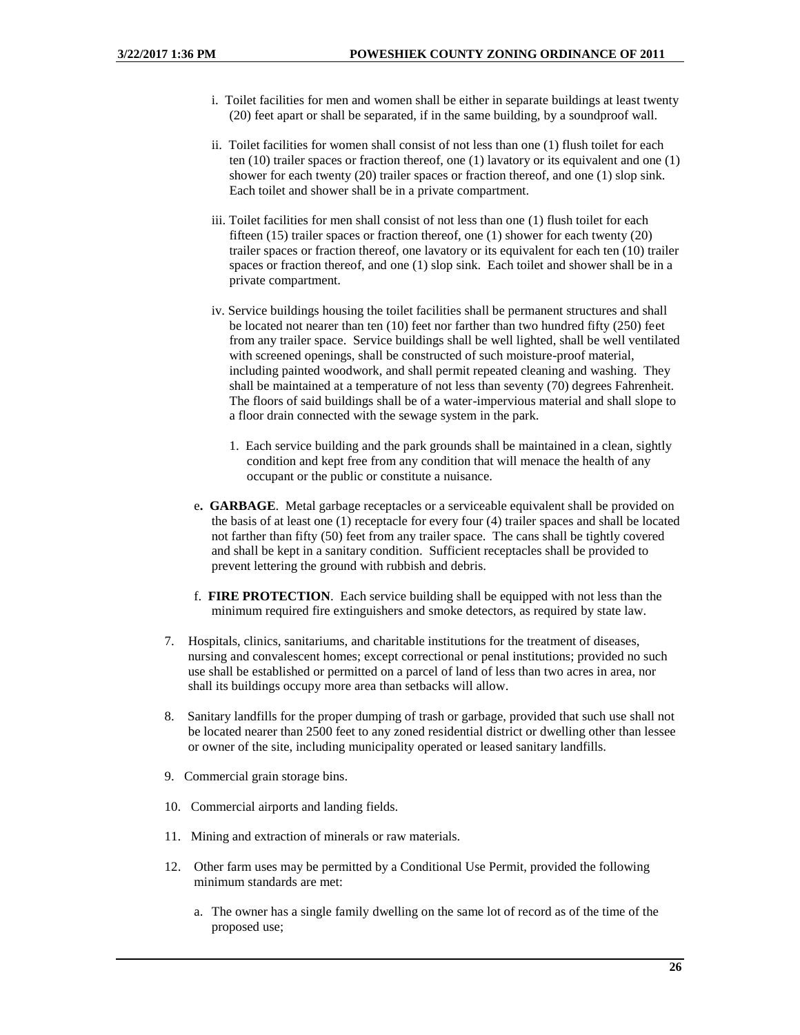- i. Toilet facilities for men and women shall be either in separate buildings at least twenty (20) feet apart or shall be separated, if in the same building, by a soundproof wall.
- ii. Toilet facilities for women shall consist of not less than one (1) flush toilet for each ten (10) trailer spaces or fraction thereof, one (1) lavatory or its equivalent and one (1) shower for each twenty (20) trailer spaces or fraction thereof, and one (1) slop sink. Each toilet and shower shall be in a private compartment.
- iii. Toilet facilities for men shall consist of not less than one (1) flush toilet for each fifteen (15) trailer spaces or fraction thereof, one (1) shower for each twenty (20) trailer spaces or fraction thereof, one lavatory or its equivalent for each ten (10) trailer spaces or fraction thereof, and one (1) slop sink. Each toilet and shower shall be in a private compartment.
- iv. Service buildings housing the toilet facilities shall be permanent structures and shall be located not nearer than ten (10) feet nor farther than two hundred fifty (250) feet from any trailer space. Service buildings shall be well lighted, shall be well ventilated with screened openings, shall be constructed of such moisture-proof material, including painted woodwork, and shall permit repeated cleaning and washing. They shall be maintained at a temperature of not less than seventy (70) degrees Fahrenheit. The floors of said buildings shall be of a water-impervious material and shall slope to a floor drain connected with the sewage system in the park.
	- 1. Each service building and the park grounds shall be maintained in a clean, sightly condition and kept free from any condition that will menace the health of any occupant or the public or constitute a nuisance.
- e**. GARBAGE**. Metal garbage receptacles or a serviceable equivalent shall be provided on the basis of at least one (1) receptacle for every four (4) trailer spaces and shall be located not farther than fifty (50) feet from any trailer space. The cans shall be tightly covered and shall be kept in a sanitary condition. Sufficient receptacles shall be provided to prevent lettering the ground with rubbish and debris.
- f. **FIRE PROTECTION**. Each service building shall be equipped with not less than the minimum required fire extinguishers and smoke detectors, as required by state law.
- 7. Hospitals, clinics, sanitariums, and charitable institutions for the treatment of diseases, nursing and convalescent homes; except correctional or penal institutions; provided no such use shall be established or permitted on a parcel of land of less than two acres in area, nor shall its buildings occupy more area than setbacks will allow.
- 8. Sanitary landfills for the proper dumping of trash or garbage, provided that such use shall not be located nearer than 2500 feet to any zoned residential district or dwelling other than lessee or owner of the site, including municipality operated or leased sanitary landfills.
- 9. Commercial grain storage bins.
- 10. Commercial airports and landing fields.
- 11. Mining and extraction of minerals or raw materials.
- 12. Other farm uses may be permitted by a Conditional Use Permit, provided the following minimum standards are met:
	- a. The owner has a single family dwelling on the same lot of record as of the time of the proposed use;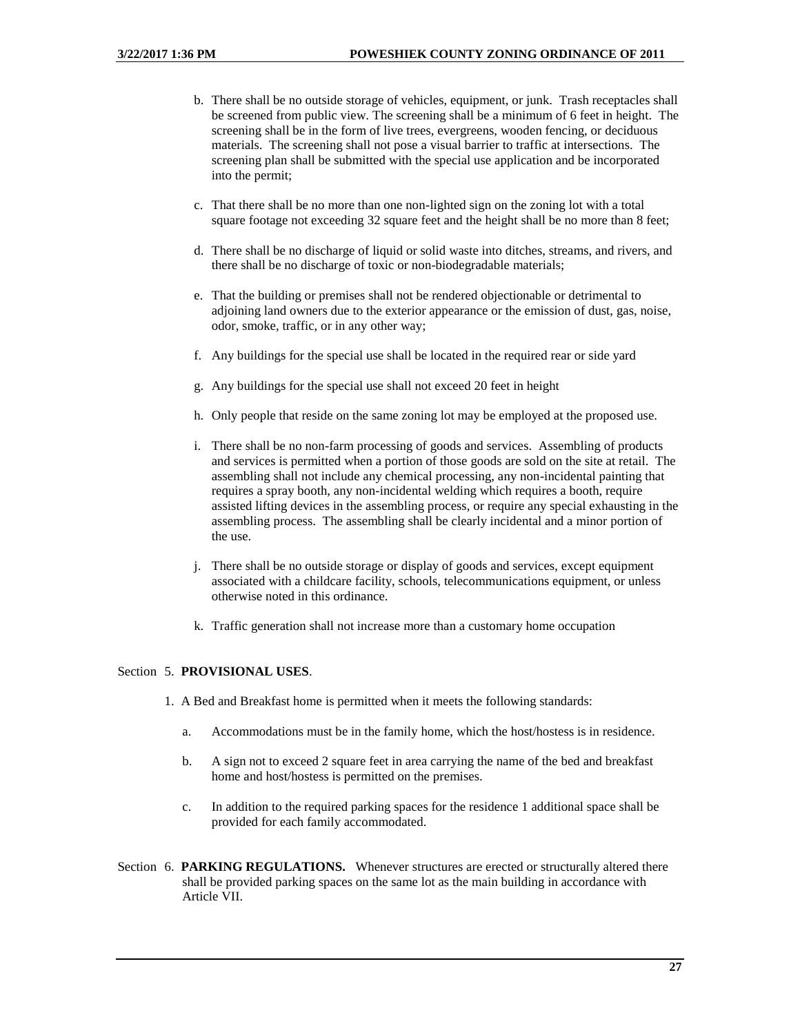- b. There shall be no outside storage of vehicles, equipment, or junk. Trash receptacles shall be screened from public view. The screening shall be a minimum of 6 feet in height. The screening shall be in the form of live trees, evergreens, wooden fencing, or deciduous materials. The screening shall not pose a visual barrier to traffic at intersections. The screening plan shall be submitted with the special use application and be incorporated into the permit;
- c. That there shall be no more than one non-lighted sign on the zoning lot with a total square footage not exceeding 32 square feet and the height shall be no more than 8 feet;
- d. There shall be no discharge of liquid or solid waste into ditches, streams, and rivers, and there shall be no discharge of toxic or non-biodegradable materials;
- e. That the building or premises shall not be rendered objectionable or detrimental to adjoining land owners due to the exterior appearance or the emission of dust, gas, noise, odor, smoke, traffic, or in any other way;
- f. Any buildings for the special use shall be located in the required rear or side yard
- g. Any buildings for the special use shall not exceed 20 feet in height
- h. Only people that reside on the same zoning lot may be employed at the proposed use.
- i. There shall be no non-farm processing of goods and services. Assembling of products and services is permitted when a portion of those goods are sold on the site at retail. The assembling shall not include any chemical processing, any non-incidental painting that requires a spray booth, any non-incidental welding which requires a booth, require assisted lifting devices in the assembling process, or require any special exhausting in the assembling process. The assembling shall be clearly incidental and a minor portion of the use.
- j. There shall be no outside storage or display of goods and services, except equipment associated with a childcare facility, schools, telecommunications equipment, or unless otherwise noted in this ordinance.
- k. Traffic generation shall not increase more than a customary home occupation

## Section 5. **PROVISIONAL USES**.

- 1. A Bed and Breakfast home is permitted when it meets the following standards:
	- a. Accommodations must be in the family home, which the host/hostess is in residence.
	- b. A sign not to exceed 2 square feet in area carrying the name of the bed and breakfast home and host/hostess is permitted on the premises.
	- c. In addition to the required parking spaces for the residence 1 additional space shall be provided for each family accommodated.
- Section 6. **PARKING REGULATIONS.** Whenever structures are erected or structurally altered there shall be provided parking spaces on the same lot as the main building in accordance with Article VII.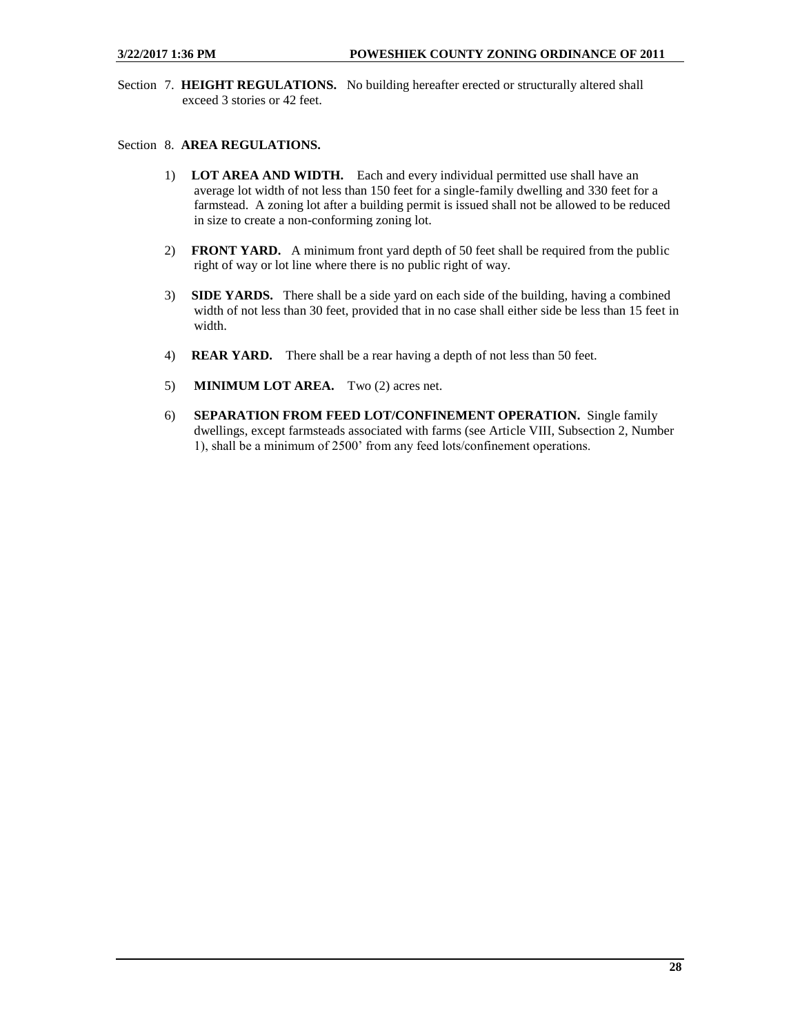Section 7. **HEIGHT REGULATIONS.** No building hereafter erected or structurally altered shall exceed 3 stories or 42 feet.

## Section 8. **AREA REGULATIONS.**

- 1) **LOT AREA AND WIDTH.** Each and every individual permitted use shall have an average lot width of not less than 150 feet for a single-family dwelling and 330 feet for a farmstead. A zoning lot after a building permit is issued shall not be allowed to be reduced in size to create a non-conforming zoning lot.
- 2) **FRONT YARD.** A minimum front yard depth of 50 feet shall be required from the public right of way or lot line where there is no public right of way.
- 3) **SIDE YARDS.** There shall be a side yard on each side of the building, having a combined width of not less than 30 feet, provided that in no case shall either side be less than 15 feet in width.
- 4) **REAR YARD.** There shall be a rear having a depth of not less than 50 feet.
- 5) **MINIMUM LOT AREA.** Two (2) acres net.
- 6) **SEPARATION FROM FEED LOT/CONFINEMENT OPERATION.** Single family dwellings, except farmsteads associated with farms (see Article VIII, Subsection 2, Number 1), shall be a minimum of 2500' from any feed lots/confinement operations.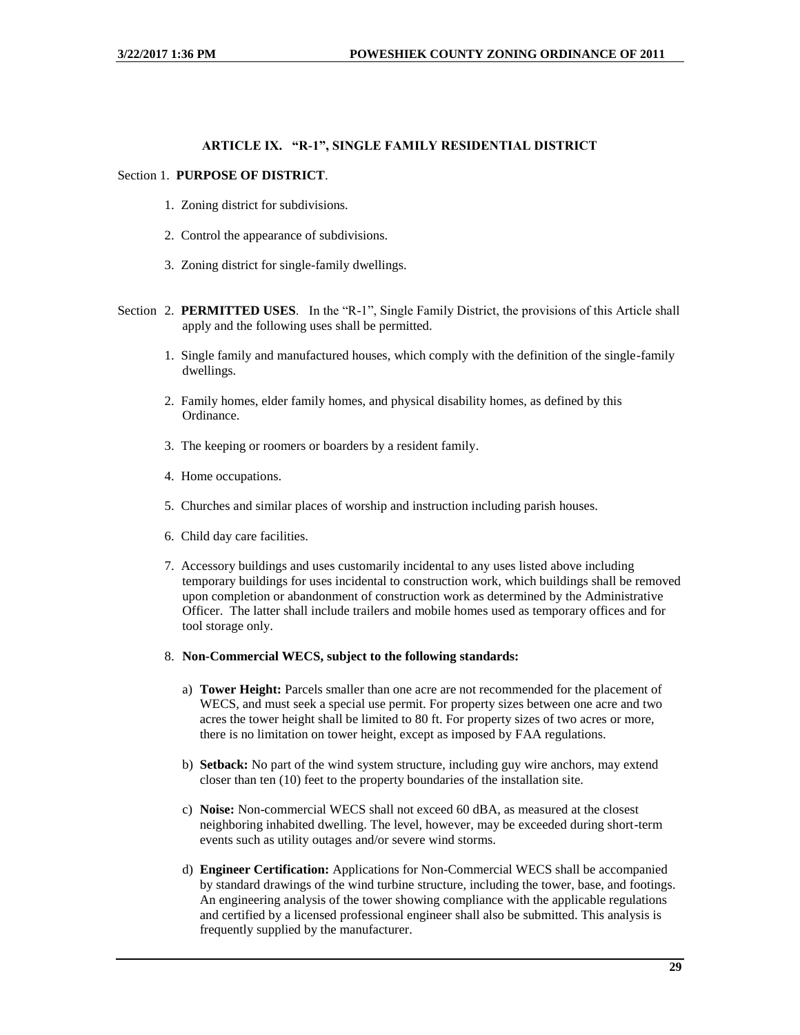## **ARTICLE IX. "R-1", SINGLE FAMILY RESIDENTIAL DISTRICT**

## <span id="page-28-0"></span>Section 1. **PURPOSE OF DISTRICT**.

- 1. Zoning district for subdivisions.
- 2. Control the appearance of subdivisions.
- 3. Zoning district for single-family dwellings.
- Section 2. **PERMITTED USES**. In the "R-1", Single Family District, the provisions of this Article shall apply and the following uses shall be permitted.
	- 1. Single family and manufactured houses, which comply with the definition of the single-family dwellings.
	- 2. Family homes, elder family homes, and physical disability homes, as defined by this Ordinance.
	- 3. The keeping or roomers or boarders by a resident family.
	- 4. Home occupations.
	- 5. Churches and similar places of worship and instruction including parish houses.
	- 6. Child day care facilities.
	- 7. Accessory buildings and uses customarily incidental to any uses listed above including temporary buildings for uses incidental to construction work, which buildings shall be removed upon completion or abandonment of construction work as determined by the Administrative Officer. The latter shall include trailers and mobile homes used as temporary offices and for tool storage only.
	- 8. **Non-Commercial WECS, subject to the following standards:**
		- a) **Tower Height:** Parcels smaller than one acre are not recommended for the placement of WECS, and must seek a special use permit. For property sizes between one acre and two acres the tower height shall be limited to 80 ft. For property sizes of two acres or more, there is no limitation on tower height, except as imposed by FAA regulations.
		- b) **Setback:** No part of the wind system structure, including guy wire anchors, may extend closer than ten (10) feet to the property boundaries of the installation site.
		- c) **Noise:** Non-commercial WECS shall not exceed 60 dBA, as measured at the closest neighboring inhabited dwelling. The level, however, may be exceeded during short-term events such as utility outages and/or severe wind storms.
		- d) **Engineer Certification:** Applications for Non-Commercial WECS shall be accompanied by standard drawings of the wind turbine structure, including the tower, base, and footings. An engineering analysis of the tower showing compliance with the applicable regulations and certified by a licensed professional engineer shall also be submitted. This analysis is frequently supplied by the manufacturer.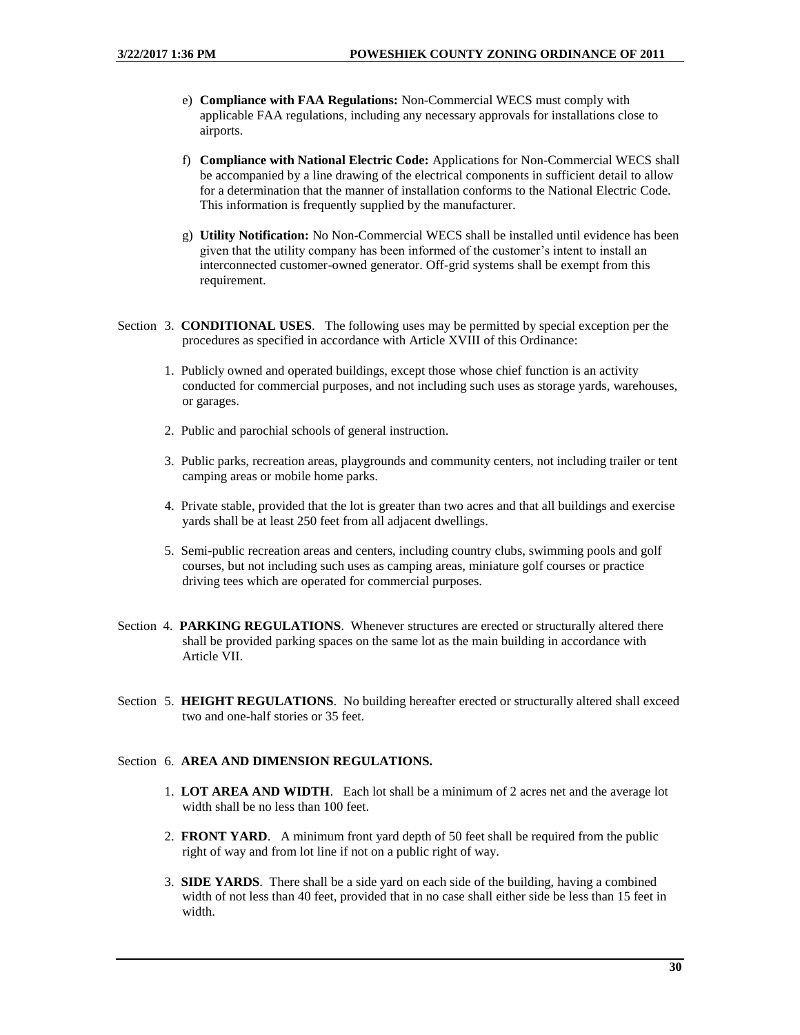- e) **Compliance with FAA Regulations:** Non-Commercial WECS must comply with applicable FAA regulations, including any necessary approvals for installations close to airports.
- f) **Compliance with National Electric Code:** Applications for Non-Commercial WECS shall be accompanied by a line drawing of the electrical components in sufficient detail to allow for a determination that the manner of installation conforms to the National Electric Code. This information is frequently supplied by the manufacturer.
- g) **Utility Notification:** No Non-Commercial WECS shall be installed until evidence has been given that the utility company has been informed of the customer's intent to install an interconnected customer-owned generator. Off-grid systems shall be exempt from this requirement.
- Section 3. **CONDITIONAL USES**. The following uses may be permitted by special exception per the procedures as specified in accordance with Article XVIII of this Ordinance:
	- 1. Publicly owned and operated buildings, except those whose chief function is an activity conducted for commercial purposes, and not including such uses as storage yards, warehouses, or garages.
	- 2. Public and parochial schools of general instruction.
	- 3. Public parks, recreation areas, playgrounds and community centers, not including trailer or tent camping areas or mobile home parks.
	- 4. Private stable, provided that the lot is greater than two acres and that all buildings and exercise yards shall be at least 250 feet from all adjacent dwellings.
	- 5. Semi-public recreation areas and centers, including country clubs, swimming pools and golf courses, but not including such uses as camping areas, miniature golf courses or practice driving tees which are operated for commercial purposes.
- Section 4. **PARKING REGULATIONS**. Whenever structures are erected or structurally altered there shall be provided parking spaces on the same lot as the main building in accordance with Article VII.
- Section 5. **HEIGHT REGULATIONS**. No building hereafter erected or structurally altered shall exceed two and one-half stories or 35 feet.

#### Section 6. **AREA AND DIMENSION REGULATIONS.**

- 1. **LOT AREA AND WIDTH**. Each lot shall be a minimum of 2 acres net and the average lot width shall be no less than 100 feet.
- 2. **FRONT YARD**. A minimum front yard depth of 50 feet shall be required from the public right of way and from lot line if not on a public right of way.
- 3. **SIDE YARDS**. There shall be a side yard on each side of the building, having a combined width of not less than 40 feet, provided that in no case shall either side be less than 15 feet in width.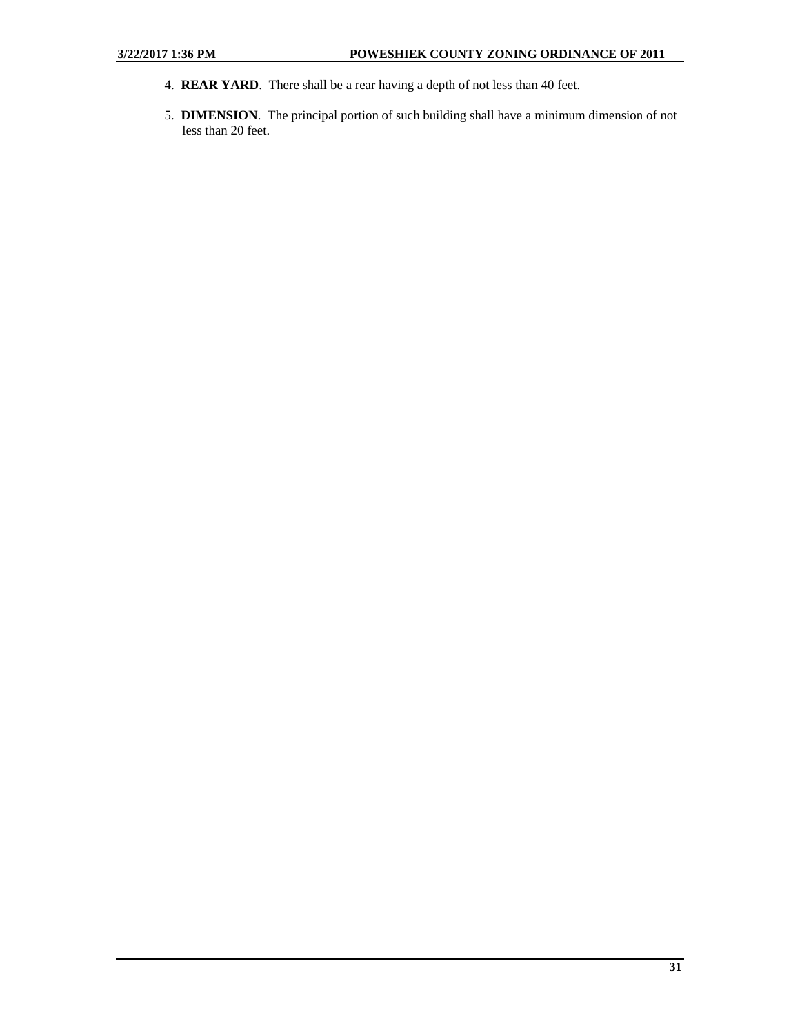- 4. **REAR YARD**. There shall be a rear having a depth of not less than 40 feet.
- 5. **DIMENSION**. The principal portion of such building shall have a minimum dimension of not less than 20 feet.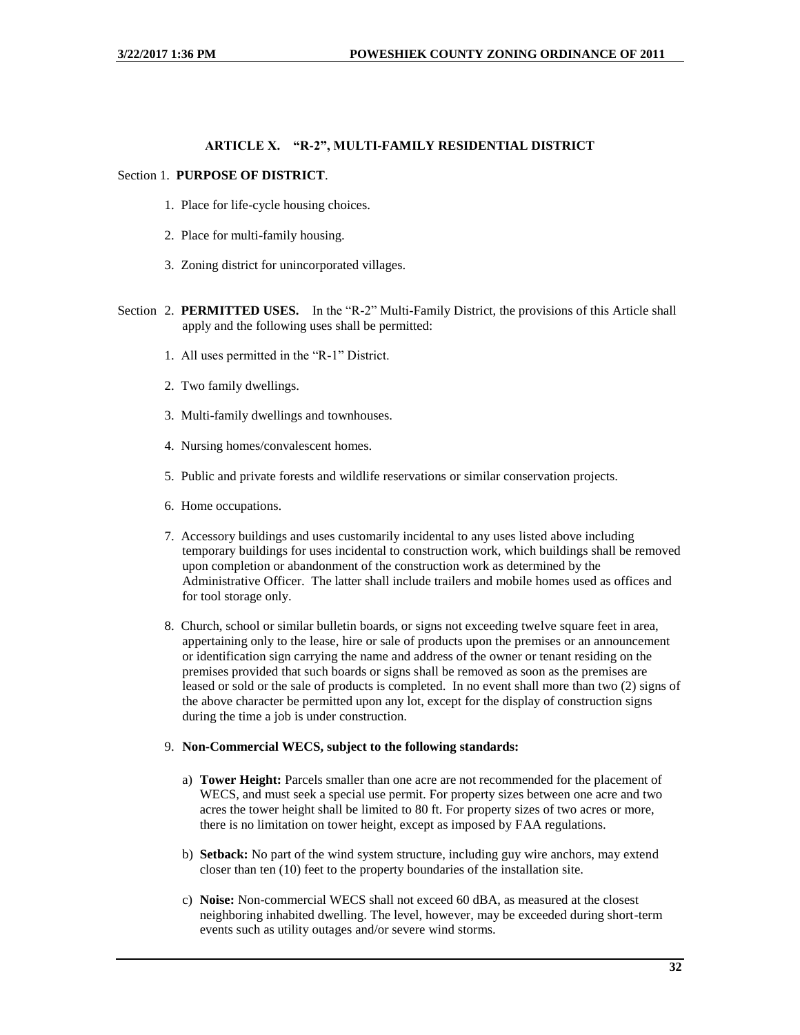#### **ARTICLE X. "R-2", MULTI-FAMILY RESIDENTIAL DISTRICT**

#### <span id="page-31-0"></span>Section 1. **PURPOSE OF DISTRICT**.

- 1. Place for life-cycle housing choices.
- 2. Place for multi-family housing.
- 3. Zoning district for unincorporated villages.
- Section 2. **PERMITTED USES.** In the "R-2" Multi-Family District, the provisions of this Article shall apply and the following uses shall be permitted:
	- 1. All uses permitted in the "R-1" District.
	- 2. Two family dwellings.
	- 3. Multi-family dwellings and townhouses.
	- 4. Nursing homes/convalescent homes.
	- 5. Public and private forests and wildlife reservations or similar conservation projects.
	- 6. Home occupations.
	- 7. Accessory buildings and uses customarily incidental to any uses listed above including temporary buildings for uses incidental to construction work, which buildings shall be removed upon completion or abandonment of the construction work as determined by the Administrative Officer. The latter shall include trailers and mobile homes used as offices and for tool storage only.
	- 8. Church, school or similar bulletin boards, or signs not exceeding twelve square feet in area, appertaining only to the lease, hire or sale of products upon the premises or an announcement or identification sign carrying the name and address of the owner or tenant residing on the premises provided that such boards or signs shall be removed as soon as the premises are leased or sold or the sale of products is completed. In no event shall more than two (2) signs of the above character be permitted upon any lot, except for the display of construction signs during the time a job is under construction.

#### 9. **Non-Commercial WECS, subject to the following standards:**

- a) **Tower Height:** Parcels smaller than one acre are not recommended for the placement of WECS, and must seek a special use permit. For property sizes between one acre and two acres the tower height shall be limited to 80 ft. For property sizes of two acres or more, there is no limitation on tower height, except as imposed by FAA regulations.
- b) **Setback:** No part of the wind system structure, including guy wire anchors, may extend closer than ten (10) feet to the property boundaries of the installation site.
- c) **Noise:** Non-commercial WECS shall not exceed 60 dBA, as measured at the closest neighboring inhabited dwelling. The level, however, may be exceeded during short-term events such as utility outages and/or severe wind storms.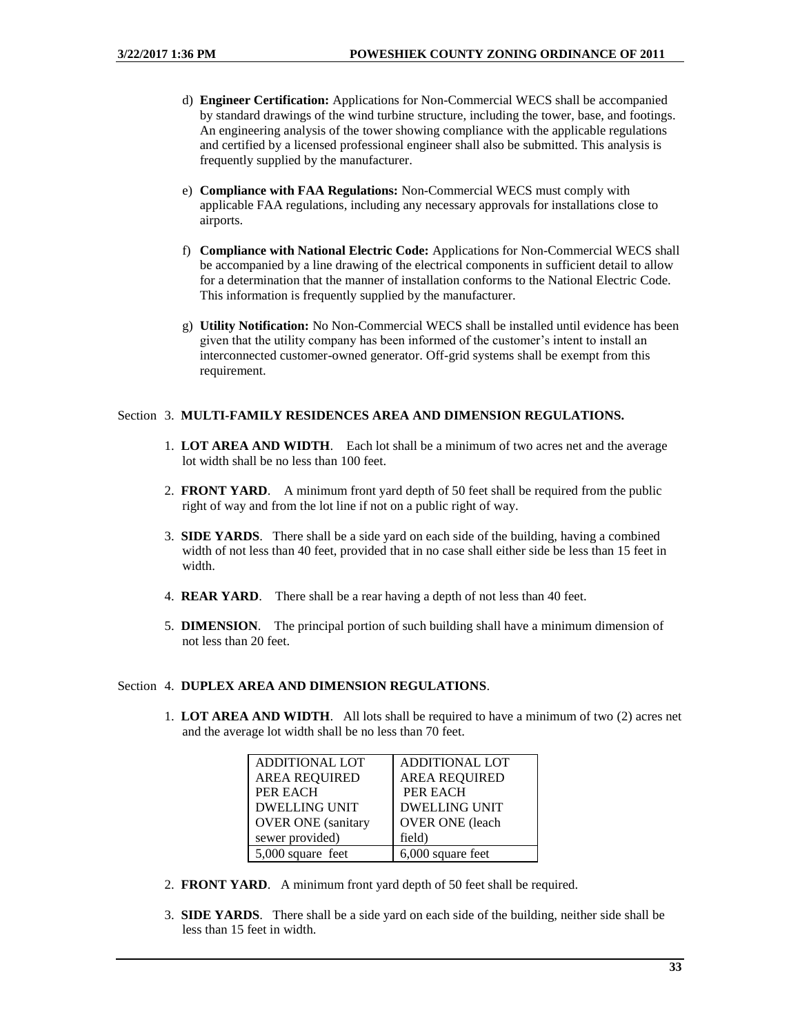- d) **Engineer Certification:** Applications for Non-Commercial WECS shall be accompanied by standard drawings of the wind turbine structure, including the tower, base, and footings. An engineering analysis of the tower showing compliance with the applicable regulations and certified by a licensed professional engineer shall also be submitted. This analysis is frequently supplied by the manufacturer.
- e) **Compliance with FAA Regulations:** Non-Commercial WECS must comply with applicable FAA regulations, including any necessary approvals for installations close to airports.
- f) **Compliance with National Electric Code:** Applications for Non-Commercial WECS shall be accompanied by a line drawing of the electrical components in sufficient detail to allow for a determination that the manner of installation conforms to the National Electric Code. This information is frequently supplied by the manufacturer.
- g) **Utility Notification:** No Non-Commercial WECS shall be installed until evidence has been given that the utility company has been informed of the customer's intent to install an interconnected customer-owned generator. Off-grid systems shall be exempt from this requirement.

#### Section 3. **MULTI-FAMILY RESIDENCES AREA AND DIMENSION REGULATIONS.**

- 1. **LOT AREA AND WIDTH**. Each lot shall be a minimum of two acres net and the average lot width shall be no less than 100 feet.
- 2. **FRONT YARD**. A minimum front yard depth of 50 feet shall be required from the public right of way and from the lot line if not on a public right of way.
- 3. **SIDE YARDS**. There shall be a side yard on each side of the building, having a combined width of not less than 40 feet, provided that in no case shall either side be less than 15 feet in width.
- 4. **REAR YARD**. There shall be a rear having a depth of not less than 40 feet.
- 5. **DIMENSION**. The principal portion of such building shall have a minimum dimension of not less than 20 feet.

#### Section 4. **DUPLEX AREA AND DIMENSION REGULATIONS**.

1. **LOT AREA AND WIDTH**. All lots shall be required to have a minimum of two (2) acres net and the average lot width shall be no less than 70 feet.

| <b>ADDITIONAL LOT</b>     | <b>ADDITIONAL LOT</b>  |
|---------------------------|------------------------|
| <b>AREA REQUIRED</b>      | <b>AREA REQUIRED</b>   |
| <b>PER EACH</b>           | PER EACH               |
| <b>DWELLING UNIT</b>      | <b>DWELLING UNIT</b>   |
| <b>OVER ONE</b> (sanitary | <b>OVER ONE</b> (leach |
| sewer provided)           | field)                 |
| 5,000 square feet         | 6,000 square feet      |

- 2. **FRONT YARD**. A minimum front yard depth of 50 feet shall be required.
- 3. **SIDE YARDS**. There shall be a side yard on each side of the building, neither side shall be less than 15 feet in width.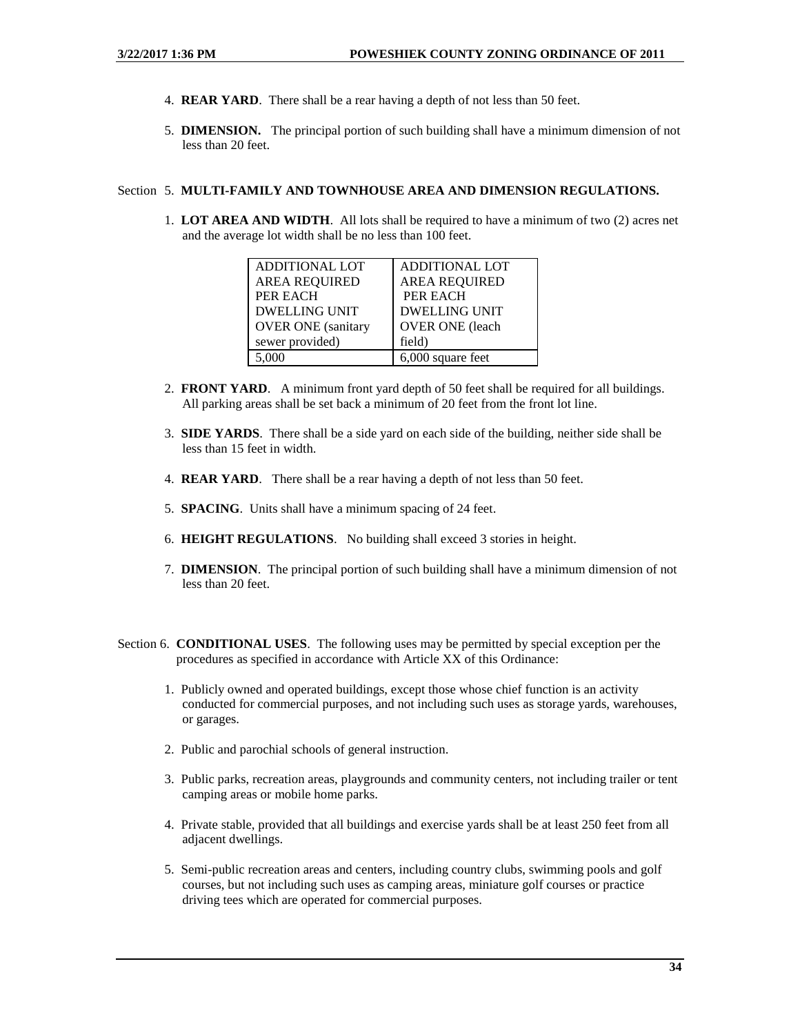- 4. **REAR YARD**. There shall be a rear having a depth of not less than 50 feet.
- 5. **DIMENSION.** The principal portion of such building shall have a minimum dimension of not less than 20 feet.

#### Section 5. **MULTI-FAMILY AND TOWNHOUSE AREA AND DIMENSION REGULATIONS.**

1. **LOT AREA AND WIDTH**. All lots shall be required to have a minimum of two (2) acres net and the average lot width shall be no less than 100 feet.

| <b>ADDITIONAL LOT</b>     | <b>ADDITIONAL LOT</b>  |
|---------------------------|------------------------|
| <b>AREA REQUIRED</b>      | <b>AREA REQUIRED</b>   |
| <b>PER EACH</b>           | PER EACH               |
| <b>DWELLING UNIT</b>      | <b>DWELLING UNIT</b>   |
| <b>OVER ONE</b> (sanitary | <b>OVER ONE</b> (leach |
| sewer provided)           | field)                 |
| 5,000                     | 6,000 square feet      |

- 2. **FRONT YARD**. A minimum front yard depth of 50 feet shall be required for all buildings. All parking areas shall be set back a minimum of 20 feet from the front lot line.
- 3. **SIDE YARDS**. There shall be a side yard on each side of the building, neither side shall be less than 15 feet in width.
- 4. **REAR YARD**. There shall be a rear having a depth of not less than 50 feet.
- 5. **SPACING**. Units shall have a minimum spacing of 24 feet.
- 6. **HEIGHT REGULATIONS**. No building shall exceed 3 stories in height.
- 7. **DIMENSION**. The principal portion of such building shall have a minimum dimension of not less than 20 feet.
- Section 6. **CONDITIONAL USES**. The following uses may be permitted by special exception per the procedures as specified in accordance with Article XX of this Ordinance:
	- 1. Publicly owned and operated buildings, except those whose chief function is an activity conducted for commercial purposes, and not including such uses as storage yards, warehouses, or garages.
	- 2. Public and parochial schools of general instruction.
	- 3. Public parks, recreation areas, playgrounds and community centers, not including trailer or tent camping areas or mobile home parks.
	- 4. Private stable, provided that all buildings and exercise yards shall be at least 250 feet from all adjacent dwellings.
	- 5. Semi-public recreation areas and centers, including country clubs, swimming pools and golf courses, but not including such uses as camping areas, miniature golf courses or practice driving tees which are operated for commercial purposes.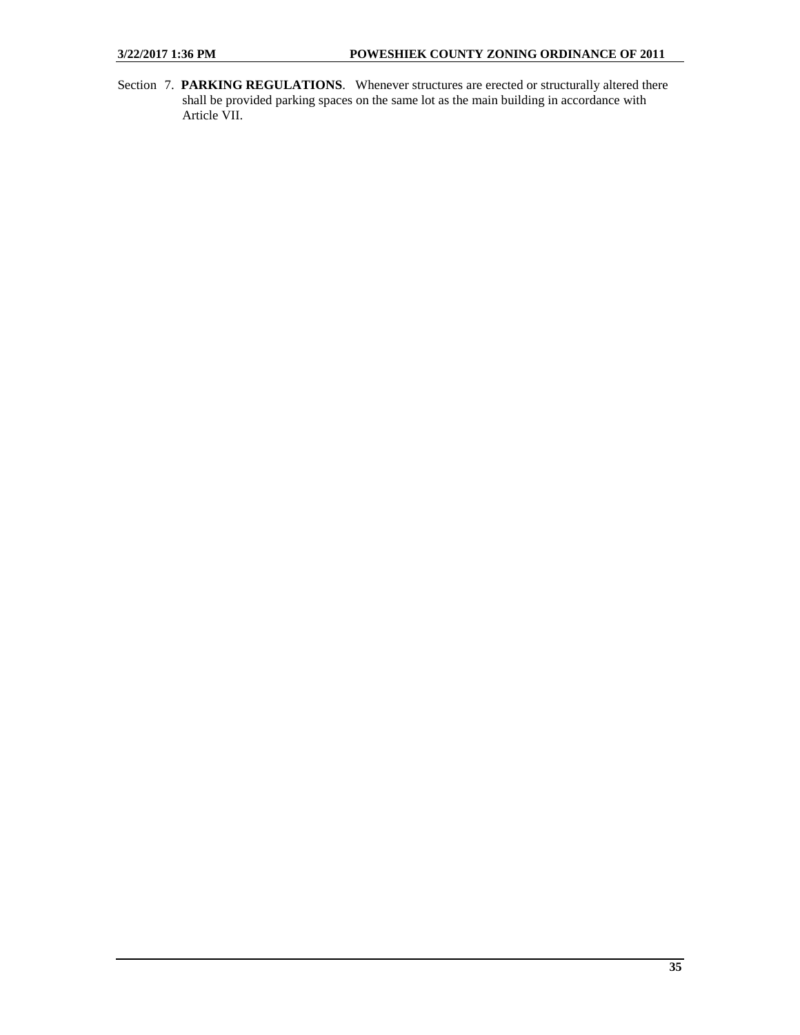Section 7. **PARKING REGULATIONS**. Whenever structures are erected or structurally altered there shall be provided parking spaces on the same lot as the main building in accordance with Article VII.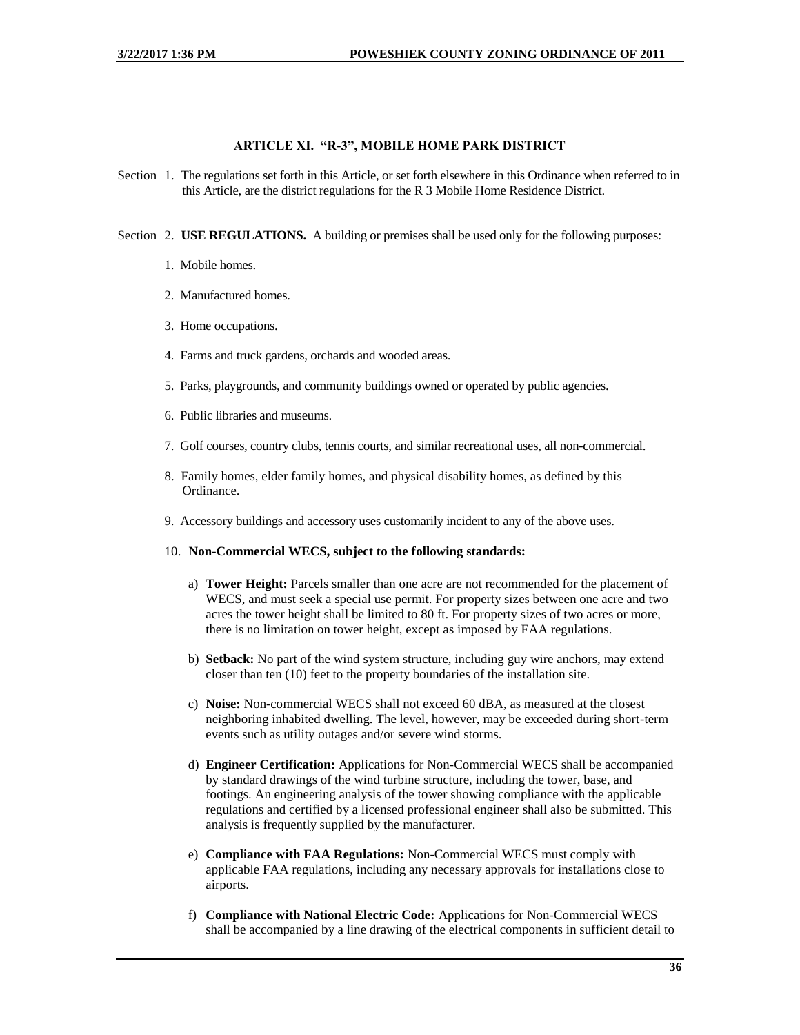#### **ARTICLE XI. "R-3", MOBILE HOME PARK DISTRICT**

<span id="page-35-0"></span>Section 1. The regulations set forth in this Article, or set forth elsewhere in this Ordinance when referred to in this Article, are the district regulations for the R 3 Mobile Home Residence District.

Section 2. **USE REGULATIONS.** A building or premises shall be used only for the following purposes:

- 1. Mobile homes.
- 2. Manufactured homes.
- 3. Home occupations.
- 4. Farms and truck gardens, orchards and wooded areas.
- 5. Parks, playgrounds, and community buildings owned or operated by public agencies.
- 6. Public libraries and museums.
- 7. Golf courses, country clubs, tennis courts, and similar recreational uses, all non-commercial.
- 8. Family homes, elder family homes, and physical disability homes, as defined by this Ordinance.
- 9. Accessory buildings and accessory uses customarily incident to any of the above uses.
- 10. **Non-Commercial WECS, subject to the following standards:**
	- a) **Tower Height:** Parcels smaller than one acre are not recommended for the placement of WECS, and must seek a special use permit. For property sizes between one acre and two acres the tower height shall be limited to 80 ft. For property sizes of two acres or more, there is no limitation on tower height, except as imposed by FAA regulations.
	- b) **Setback:** No part of the wind system structure, including guy wire anchors, may extend closer than ten (10) feet to the property boundaries of the installation site.
	- c) **Noise:** Non-commercial WECS shall not exceed 60 dBA, as measured at the closest neighboring inhabited dwelling. The level, however, may be exceeded during short-term events such as utility outages and/or severe wind storms.
	- d) **Engineer Certification:** Applications for Non-Commercial WECS shall be accompanied by standard drawings of the wind turbine structure, including the tower, base, and footings. An engineering analysis of the tower showing compliance with the applicable regulations and certified by a licensed professional engineer shall also be submitted. This analysis is frequently supplied by the manufacturer.
	- e) **Compliance with FAA Regulations:** Non-Commercial WECS must comply with applicable FAA regulations, including any necessary approvals for installations close to airports.
	- f) **Compliance with National Electric Code:** Applications for Non-Commercial WECS shall be accompanied by a line drawing of the electrical components in sufficient detail to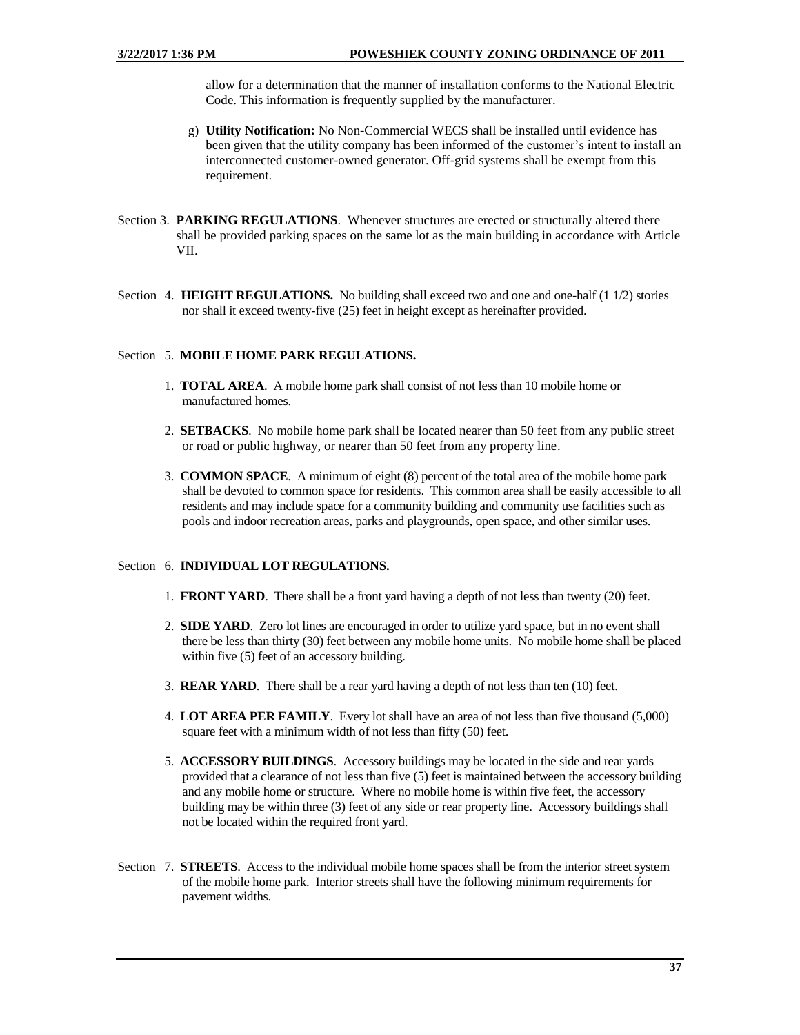allow for a determination that the manner of installation conforms to the National Electric Code. This information is frequently supplied by the manufacturer.

- g) **Utility Notification:** No Non-Commercial WECS shall be installed until evidence has been given that the utility company has been informed of the customer's intent to install an interconnected customer-owned generator. Off-grid systems shall be exempt from this requirement.
- Section 3. **PARKING REGULATIONS**. Whenever structures are erected or structurally altered there shall be provided parking spaces on the same lot as the main building in accordance with Article VII.
- Section 4. **HEIGHT REGULATIONS.** No building shall exceed two and one and one-half (1 1/2) stories nor shall it exceed twenty-five (25) feet in height except as hereinafter provided.

## Section 5. **MOBILE HOME PARK REGULATIONS.**

- 1. **TOTAL AREA**. A mobile home park shall consist of not less than 10 mobile home or manufactured homes.
- 2. **SETBACKS**. No mobile home park shall be located nearer than 50 feet from any public street or road or public highway, or nearer than 50 feet from any property line.
- 3. **COMMON SPACE**. A minimum of eight (8) percent of the total area of the mobile home park shall be devoted to common space for residents. This common area shall be easily accessible to all residents and may include space for a community building and community use facilities such as pools and indoor recreation areas, parks and playgrounds, open space, and other similar uses.

### Section 6. **INDIVIDUAL LOT REGULATIONS.**

- 1. **FRONT YARD**. There shall be a front yard having a depth of not less than twenty (20) feet.
- 2. **SIDE YARD**. Zero lot lines are encouraged in order to utilize yard space, but in no event shall there be less than thirty (30) feet between any mobile home units. No mobile home shall be placed within five  $(5)$  feet of an accessory building.
- 3. **REAR YARD**. There shall be a rear yard having a depth of not less than ten (10) feet.
- 4. **LOT AREA PER FAMILY**. Every lot shall have an area of not less than five thousand (5,000) square feet with a minimum width of not less than fifty (50) feet.
- 5. **ACCESSORY BUILDINGS**. Accessory buildings may be located in the side and rear yards provided that a clearance of not less than five (5) feet is maintained between the accessory building and any mobile home or structure. Where no mobile home is within five feet, the accessory building may be within three (3) feet of any side or rear property line. Accessory buildings shall not be located within the required front yard.
- Section 7. **STREETS**. Access to the individual mobile home spaces shall be from the interior street system of the mobile home park. Interior streets shall have the following minimum requirements for pavement widths.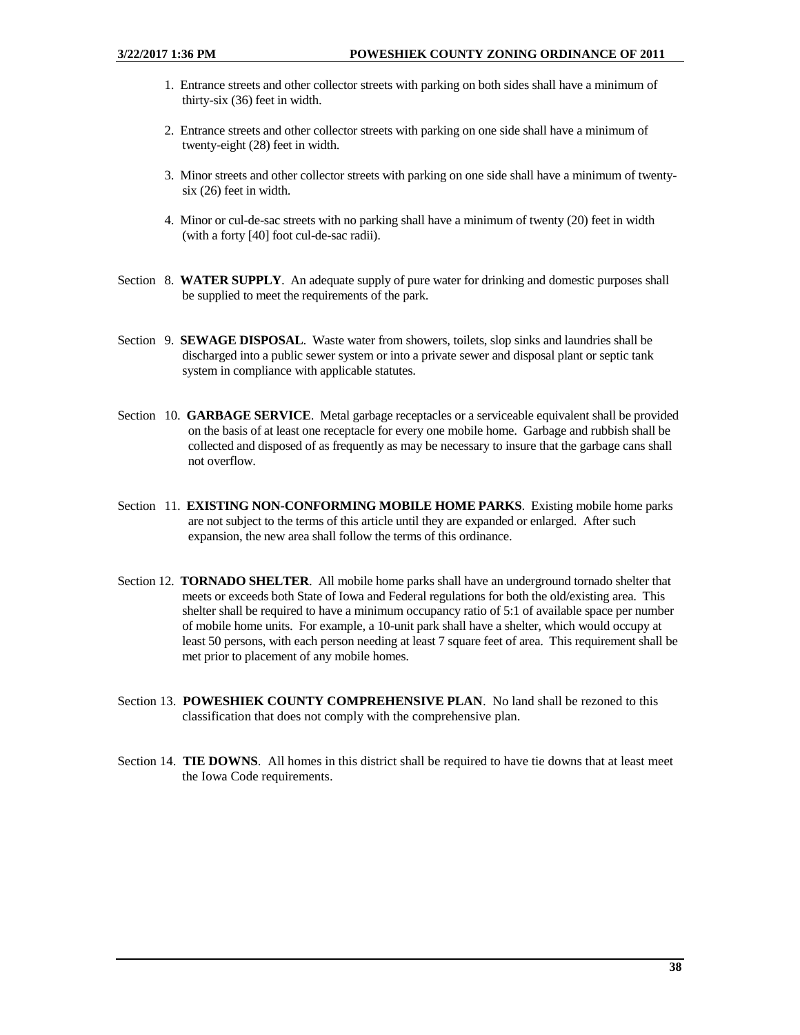- 1. Entrance streets and other collector streets with parking on both sides shall have a minimum of thirty-six (36) feet in width.
- 2. Entrance streets and other collector streets with parking on one side shall have a minimum of twenty-eight (28) feet in width.
- 3. Minor streets and other collector streets with parking on one side shall have a minimum of twentysix (26) feet in width.
- 4. Minor or cul-de-sac streets with no parking shall have a minimum of twenty (20) feet in width (with a forty [40] foot cul-de-sac radii).
- Section 8. **WATER SUPPLY**. An adequate supply of pure water for drinking and domestic purposes shall be supplied to meet the requirements of the park.
- Section 9. **SEWAGE DISPOSAL**. Waste water from showers, toilets, slop sinks and laundries shall be discharged into a public sewer system or into a private sewer and disposal plant or septic tank system in compliance with applicable statutes.
- Section 10. **GARBAGE SERVICE**. Metal garbage receptacles or a serviceable equivalent shall be provided on the basis of at least one receptacle for every one mobile home. Garbage and rubbish shall be collected and disposed of as frequently as may be necessary to insure that the garbage cans shall not overflow.
- Section 11. **EXISTING NON-CONFORMING MOBILE HOME PARKS**. Existing mobile home parks are not subject to the terms of this article until they are expanded or enlarged. After such expansion, the new area shall follow the terms of this ordinance.
- Section 12. **TORNADO SHELTER**. All mobile home parks shall have an underground tornado shelter that meets or exceeds both State of Iowa and Federal regulations for both the old/existing area. This shelter shall be required to have a minimum occupancy ratio of 5:1 of available space per number of mobile home units. For example, a 10-unit park shall have a shelter, which would occupy at least 50 persons, with each person needing at least 7 square feet of area. This requirement shall be met prior to placement of any mobile homes.
- Section 13. **POWESHIEK COUNTY COMPREHENSIVE PLAN**. No land shall be rezoned to this classification that does not comply with the comprehensive plan.
- Section 14. **TIE DOWNS**. All homes in this district shall be required to have tie downs that at least meet the Iowa Code requirements.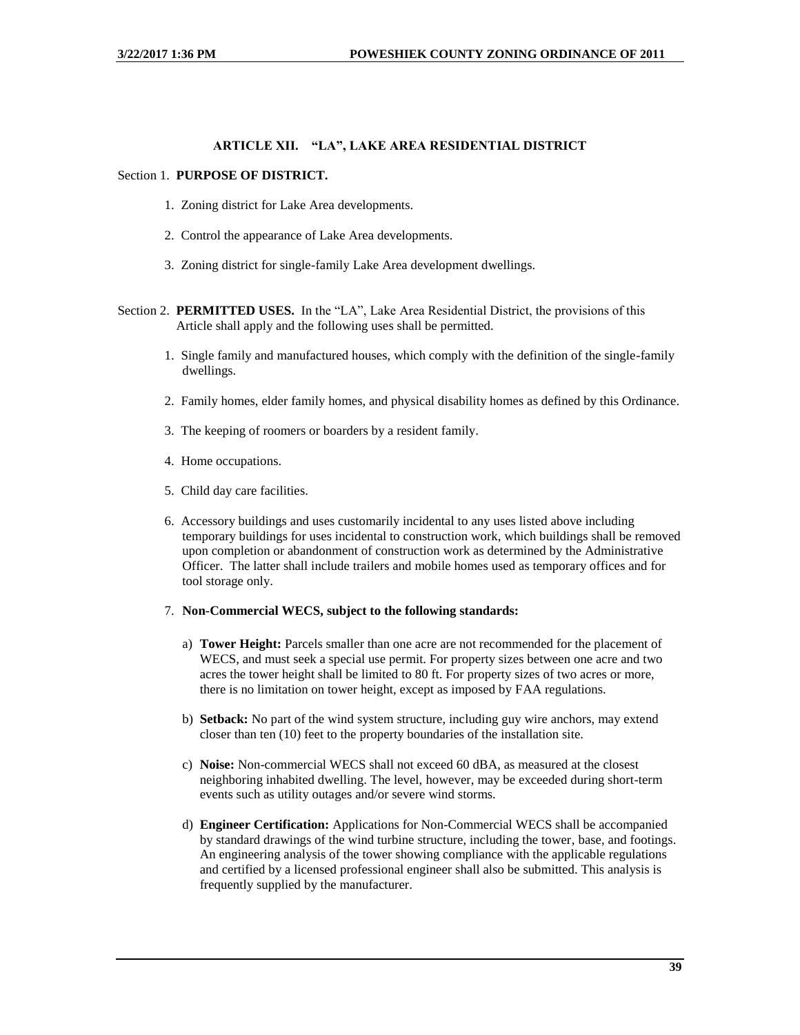## **ARTICLE XII. "LA", LAKE AREA RESIDENTIAL DISTRICT**

#### Section 1. **PURPOSE OF DISTRICT.**

- 1. Zoning district for Lake Area developments.
- 2. Control the appearance of Lake Area developments.
- 3. Zoning district for single-family Lake Area development dwellings.
- Section 2. **PERMITTED USES.** In the "LA", Lake Area Residential District, the provisions of this Article shall apply and the following uses shall be permitted.
	- 1. Single family and manufactured houses, which comply with the definition of the single-family dwellings.
	- 2. Family homes, elder family homes, and physical disability homes as defined by this Ordinance.
	- 3. The keeping of roomers or boarders by a resident family.
	- 4. Home occupations.
	- 5. Child day care facilities.
	- 6. Accessory buildings and uses customarily incidental to any uses listed above including temporary buildings for uses incidental to construction work, which buildings shall be removed upon completion or abandonment of construction work as determined by the Administrative Officer. The latter shall include trailers and mobile homes used as temporary offices and for tool storage only.

#### 7. **Non-Commercial WECS, subject to the following standards:**

- a) **Tower Height:** Parcels smaller than one acre are not recommended for the placement of WECS, and must seek a special use permit. For property sizes between one acre and two acres the tower height shall be limited to 80 ft. For property sizes of two acres or more, there is no limitation on tower height, except as imposed by FAA regulations.
- b) **Setback:** No part of the wind system structure, including guy wire anchors, may extend closer than ten (10) feet to the property boundaries of the installation site.
- c) **Noise:** Non-commercial WECS shall not exceed 60 dBA, as measured at the closest neighboring inhabited dwelling. The level, however, may be exceeded during short-term events such as utility outages and/or severe wind storms.
- d) **Engineer Certification:** Applications for Non-Commercial WECS shall be accompanied by standard drawings of the wind turbine structure, including the tower, base, and footings. An engineering analysis of the tower showing compliance with the applicable regulations and certified by a licensed professional engineer shall also be submitted. This analysis is frequently supplied by the manufacturer.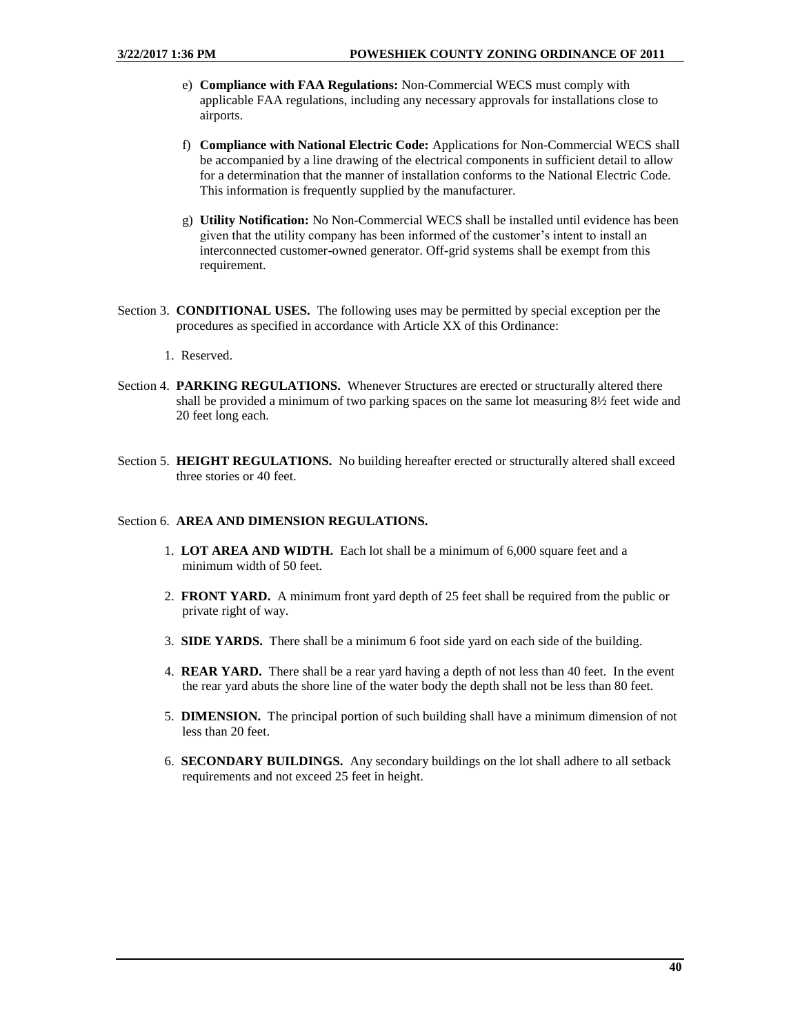- e) **Compliance with FAA Regulations:** Non-Commercial WECS must comply with applicable FAA regulations, including any necessary approvals for installations close to airports.
- f) **Compliance with National Electric Code:** Applications for Non-Commercial WECS shall be accompanied by a line drawing of the electrical components in sufficient detail to allow for a determination that the manner of installation conforms to the National Electric Code. This information is frequently supplied by the manufacturer.
- g) **Utility Notification:** No Non-Commercial WECS shall be installed until evidence has been given that the utility company has been informed of the customer's intent to install an interconnected customer-owned generator. Off-grid systems shall be exempt from this requirement.
- Section 3. **CONDITIONAL USES.** The following uses may be permitted by special exception per the procedures as specified in accordance with Article XX of this Ordinance:
	- 1. Reserved.
- Section 4. **PARKING REGULATIONS.** Whenever Structures are erected or structurally altered there shall be provided a minimum of two parking spaces on the same lot measuring 8½ feet wide and 20 feet long each.
- Section 5. **HEIGHT REGULATIONS.** No building hereafter erected or structurally altered shall exceed three stories or 40 feet.

### Section 6. **AREA AND DIMENSION REGULATIONS.**

- 1. **LOT AREA AND WIDTH.** Each lot shall be a minimum of 6,000 square feet and a minimum width of 50 feet.
- 2. **FRONT YARD.** A minimum front yard depth of 25 feet shall be required from the public or private right of way.
- 3. **SIDE YARDS.** There shall be a minimum 6 foot side yard on each side of the building.
- 4. **REAR YARD.** There shall be a rear yard having a depth of not less than 40 feet. In the event the rear yard abuts the shore line of the water body the depth shall not be less than 80 feet.
- 5. **DIMENSION.** The principal portion of such building shall have a minimum dimension of not less than 20 feet.
- 6. **SECONDARY BUILDINGS.** Any secondary buildings on the lot shall adhere to all setback requirements and not exceed 25 feet in height.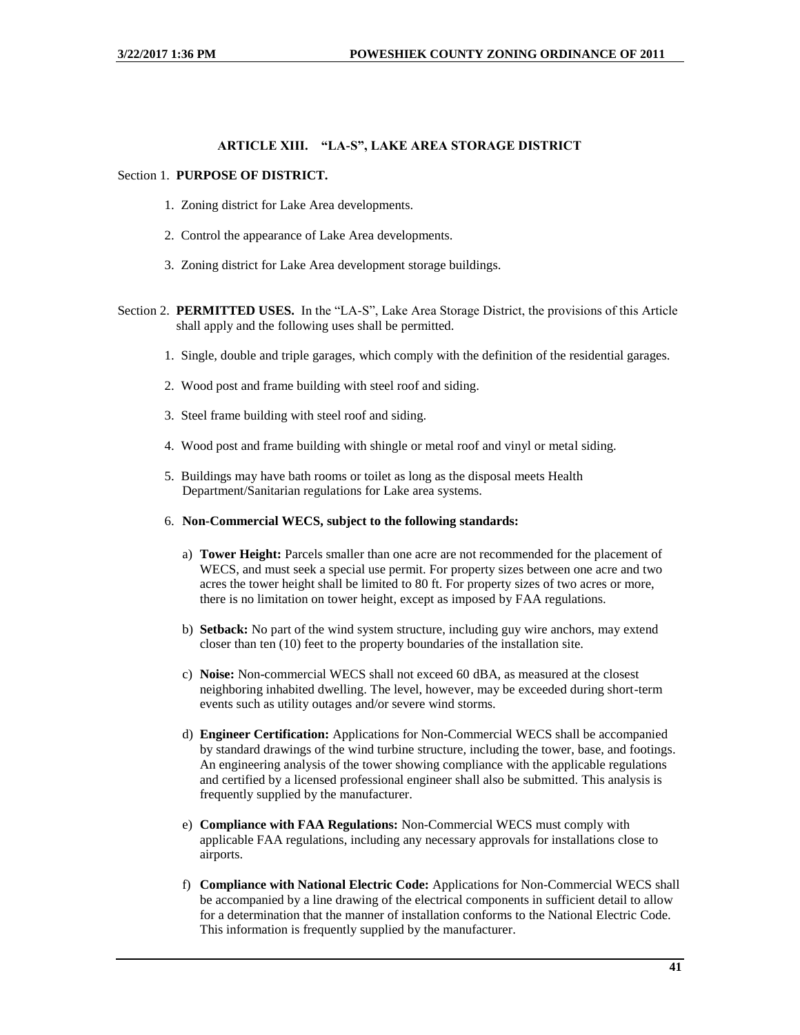## **ARTICLE XIII. "LA-S", LAKE AREA STORAGE DISTRICT**

#### Section 1. **PURPOSE OF DISTRICT.**

- 1. Zoning district for Lake Area developments.
- 2. Control the appearance of Lake Area developments.
- 3. Zoning district for Lake Area development storage buildings.
- Section 2. **PERMITTED USES.** In the "LA-S", Lake Area Storage District, the provisions of this Article shall apply and the following uses shall be permitted.
	- 1. Single, double and triple garages, which comply with the definition of the residential garages.
	- 2. Wood post and frame building with steel roof and siding.
	- 3. Steel frame building with steel roof and siding.
	- 4. Wood post and frame building with shingle or metal roof and vinyl or metal siding.
	- 5. Buildings may have bath rooms or toilet as long as the disposal meets Health Department/Sanitarian regulations for Lake area systems.
	- 6. **Non-Commercial WECS, subject to the following standards:**
		- a) **Tower Height:** Parcels smaller than one acre are not recommended for the placement of WECS, and must seek a special use permit. For property sizes between one acre and two acres the tower height shall be limited to 80 ft. For property sizes of two acres or more, there is no limitation on tower height, except as imposed by FAA regulations.
		- b) **Setback:** No part of the wind system structure, including guy wire anchors, may extend closer than ten (10) feet to the property boundaries of the installation site.
		- c) **Noise:** Non-commercial WECS shall not exceed 60 dBA, as measured at the closest neighboring inhabited dwelling. The level, however, may be exceeded during short-term events such as utility outages and/or severe wind storms.
		- d) **Engineer Certification:** Applications for Non-Commercial WECS shall be accompanied by standard drawings of the wind turbine structure, including the tower, base, and footings. An engineering analysis of the tower showing compliance with the applicable regulations and certified by a licensed professional engineer shall also be submitted. This analysis is frequently supplied by the manufacturer.
		- e) **Compliance with FAA Regulations:** Non-Commercial WECS must comply with applicable FAA regulations, including any necessary approvals for installations close to airports.
		- f) **Compliance with National Electric Code:** Applications for Non-Commercial WECS shall be accompanied by a line drawing of the electrical components in sufficient detail to allow for a determination that the manner of installation conforms to the National Electric Code. This information is frequently supplied by the manufacturer.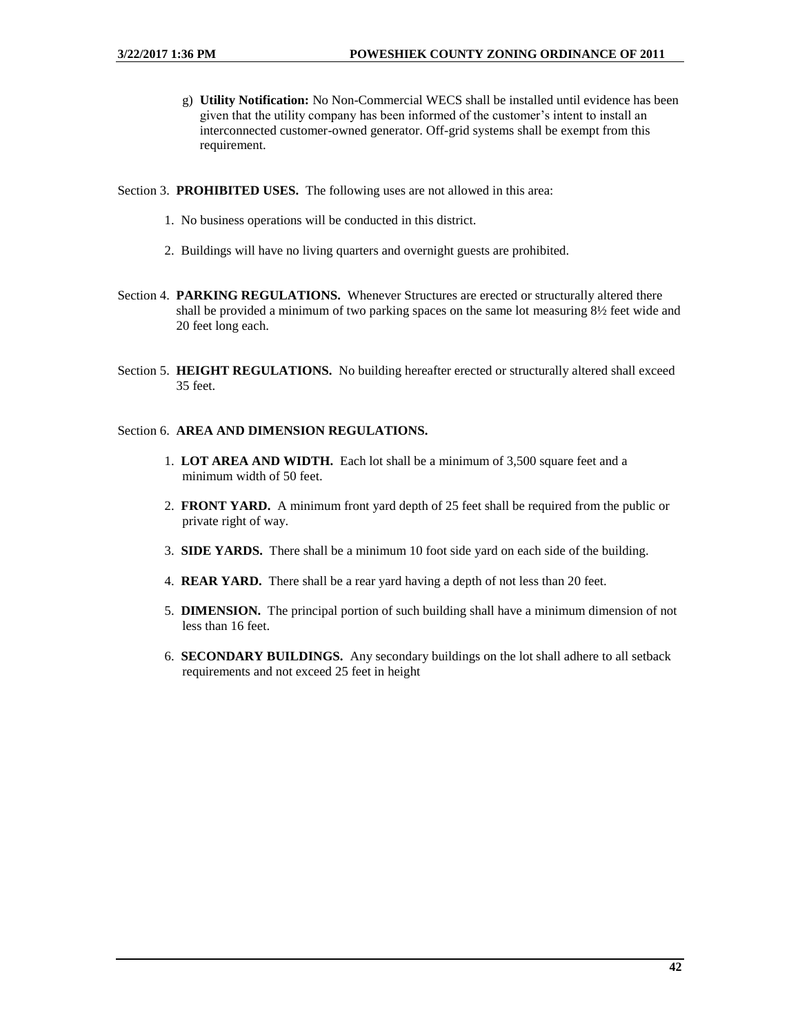- g) **Utility Notification:** No Non-Commercial WECS shall be installed until evidence has been given that the utility company has been informed of the customer's intent to install an interconnected customer-owned generator. Off-grid systems shall be exempt from this requirement.
- Section 3. **PROHIBITED USES.** The following uses are not allowed in this area:
	- 1. No business operations will be conducted in this district.
	- 2. Buildings will have no living quarters and overnight guests are prohibited.
- Section 4. **PARKING REGULATIONS.** Whenever Structures are erected or structurally altered there shall be provided a minimum of two parking spaces on the same lot measuring 8½ feet wide and 20 feet long each.
- Section 5. **HEIGHT REGULATIONS.** No building hereafter erected or structurally altered shall exceed 35 feet.

## Section 6. **AREA AND DIMENSION REGULATIONS.**

- 1. **LOT AREA AND WIDTH.** Each lot shall be a minimum of 3,500 square feet and a minimum width of 50 feet.
- 2. **FRONT YARD.** A minimum front yard depth of 25 feet shall be required from the public or private right of way.
- 3. **SIDE YARDS.** There shall be a minimum 10 foot side yard on each side of the building.
- 4. **REAR YARD.** There shall be a rear yard having a depth of not less than 20 feet.
- 5. **DIMENSION.** The principal portion of such building shall have a minimum dimension of not less than 16 feet.
- 6. **SECONDARY BUILDINGS.** Any secondary buildings on the lot shall adhere to all setback requirements and not exceed 25 feet in height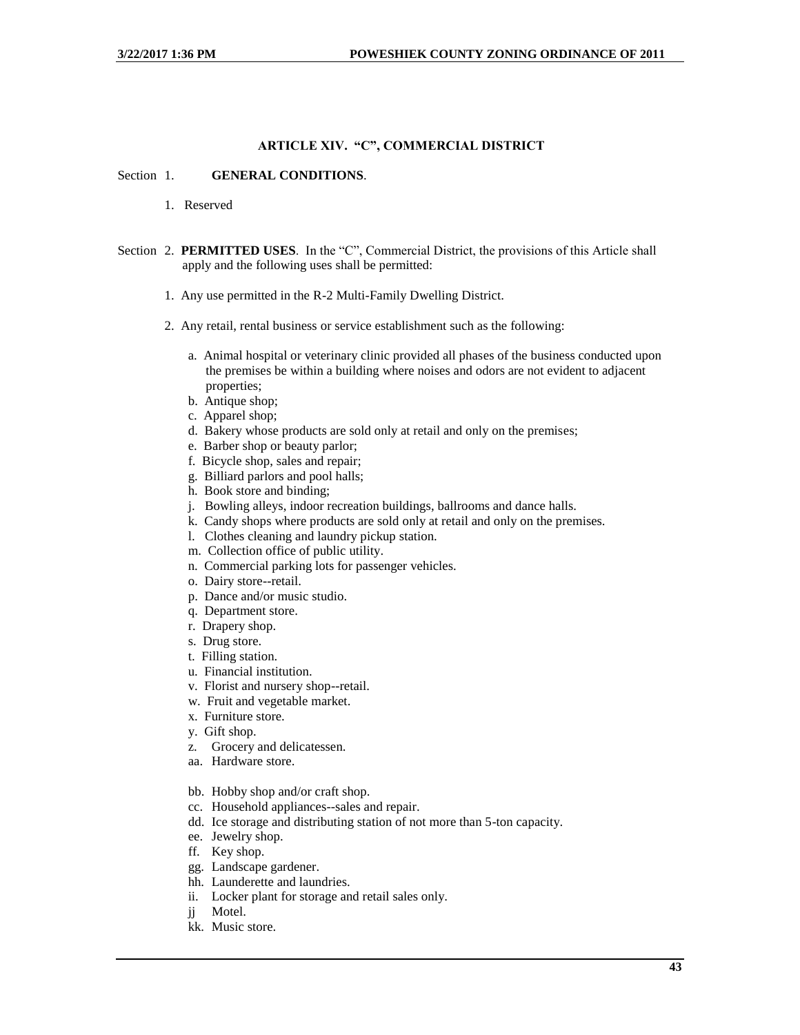## **ARTICLE XIV. "C", COMMERCIAL DISTRICT**

#### Section 1. **GENERAL CONDITIONS**.

- 1. Reserved
- Section 2. **PERMITTED USES**. In the "C", Commercial District, the provisions of this Article shall apply and the following uses shall be permitted:
	- 1. Any use permitted in the R-2 Multi-Family Dwelling District.
	- 2. Any retail, rental business or service establishment such as the following:
		- a. Animal hospital or veterinary clinic provided all phases of the business conducted upon the premises be within a building where noises and odors are not evident to adjacent properties;
		- b. Antique shop;
		- c. Apparel shop;
		- d. Bakery whose products are sold only at retail and only on the premises;
		- e. Barber shop or beauty parlor;
		- f. Bicycle shop, sales and repair;
		- g. Billiard parlors and pool halls;
		- h. Book store and binding;
		- j. Bowling alleys, indoor recreation buildings, ballrooms and dance halls.
		- k. Candy shops where products are sold only at retail and only on the premises.
		- l. Clothes cleaning and laundry pickup station.
		- m. Collection office of public utility.
		- n. Commercial parking lots for passenger vehicles.
		- o. Dairy store--retail.
		- p. Dance and/or music studio.
		- q. Department store.
		- r. Drapery shop.
		- s. Drug store.
		- t. Filling station.
		- u. Financial institution.
		- v. Florist and nursery shop--retail.
		- w. Fruit and vegetable market.
		- x. Furniture store.
		- y. Gift shop.
		- z. Grocery and delicatessen.
		- aa. Hardware store.
		- bb. Hobby shop and/or craft shop.
		- cc. Household appliances--sales and repair.
		- dd. Ice storage and distributing station of not more than 5-ton capacity.
		- ee. Jewelry shop.
		- ff. Key shop.
		- gg. Landscape gardener.
		- hh. Launderette and laundries.
		- ii. Locker plant for storage and retail sales only.
		- jj Motel.
		- kk. Music store.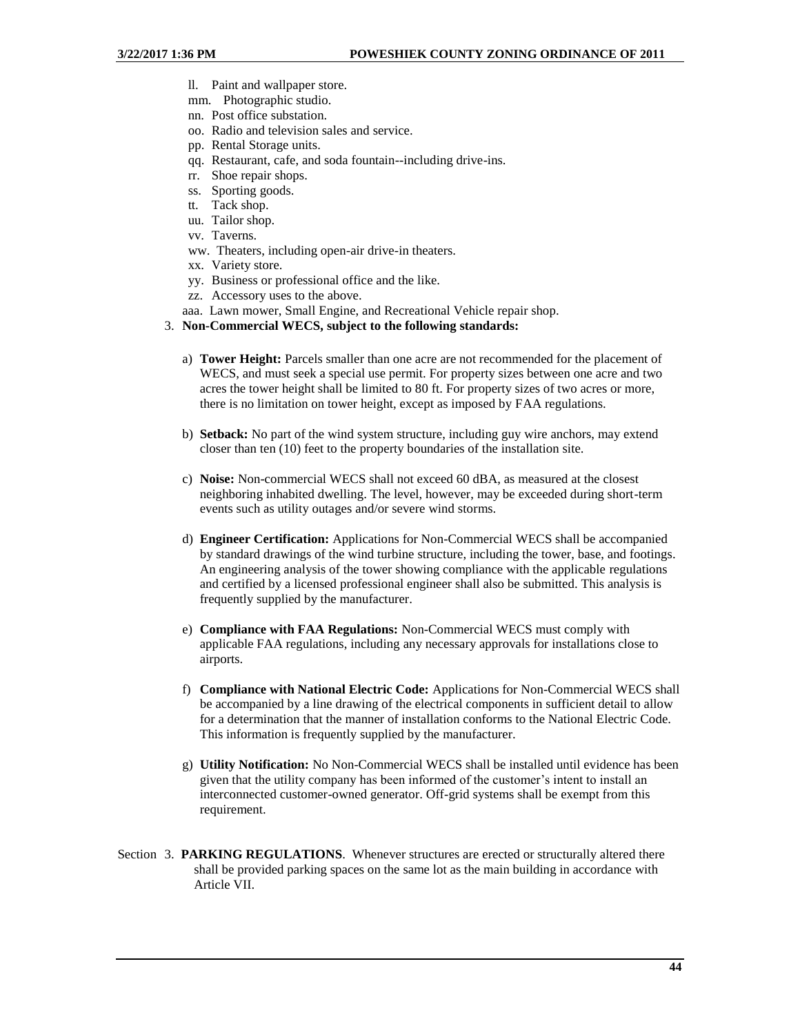- ll. Paint and wallpaper store.
- mm. Photographic studio.
- nn. Post office substation.
- oo. Radio and television sales and service.
- pp. Rental Storage units.
- qq. Restaurant, cafe, and soda fountain--including drive-ins.
- rr. Shoe repair shops.
- ss. Sporting goods.
- tt. Tack shop.
- uu. Tailor shop.
- vv. Taverns.
- ww. Theaters, including open-air drive-in theaters.
- xx. Variety store.
- yy. Business or professional office and the like.
- zz. Accessory uses to the above.
- aaa. Lawn mower, Small Engine, and Recreational Vehicle repair shop.

### 3. **Non-Commercial WECS, subject to the following standards:**

- a) **Tower Height:** Parcels smaller than one acre are not recommended for the placement of WECS, and must seek a special use permit. For property sizes between one acre and two acres the tower height shall be limited to 80 ft. For property sizes of two acres or more, there is no limitation on tower height, except as imposed by FAA regulations.
- b) **Setback:** No part of the wind system structure, including guy wire anchors, may extend closer than ten (10) feet to the property boundaries of the installation site.
- c) **Noise:** Non-commercial WECS shall not exceed 60 dBA, as measured at the closest neighboring inhabited dwelling. The level, however, may be exceeded during short-term events such as utility outages and/or severe wind storms.
- d) **Engineer Certification:** Applications for Non-Commercial WECS shall be accompanied by standard drawings of the wind turbine structure, including the tower, base, and footings. An engineering analysis of the tower showing compliance with the applicable regulations and certified by a licensed professional engineer shall also be submitted. This analysis is frequently supplied by the manufacturer.
- e) **Compliance with FAA Regulations:** Non-Commercial WECS must comply with applicable FAA regulations, including any necessary approvals for installations close to airports.
- f) **Compliance with National Electric Code:** Applications for Non-Commercial WECS shall be accompanied by a line drawing of the electrical components in sufficient detail to allow for a determination that the manner of installation conforms to the National Electric Code. This information is frequently supplied by the manufacturer.
- g) **Utility Notification:** No Non-Commercial WECS shall be installed until evidence has been given that the utility company has been informed of the customer's intent to install an interconnected customer-owned generator. Off-grid systems shall be exempt from this requirement.
- Section 3. **PARKING REGULATIONS**. Whenever structures are erected or structurally altered there shall be provided parking spaces on the same lot as the main building in accordance with Article VII.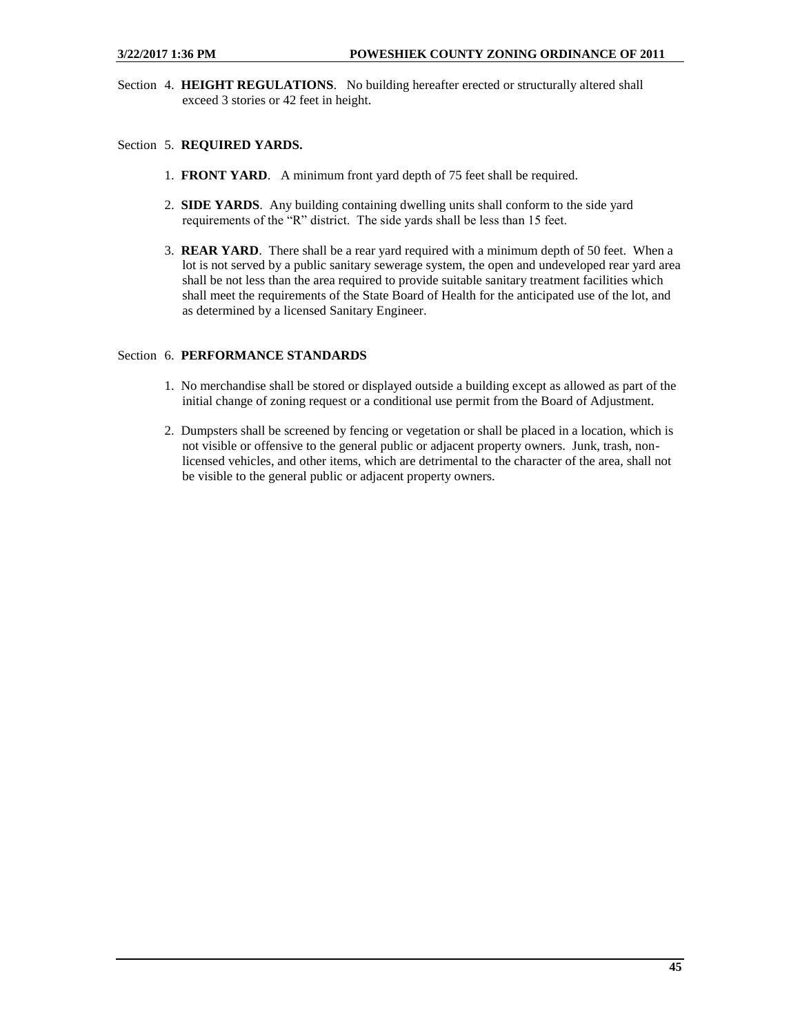Section 4. **HEIGHT REGULATIONS**. No building hereafter erected or structurally altered shall exceed 3 stories or 42 feet in height.

## Section 5. **REQUIRED YARDS.**

- 1. **FRONT YARD**. A minimum front yard depth of 75 feet shall be required.
- 2. **SIDE YARDS**. Any building containing dwelling units shall conform to the side yard requirements of the "R" district. The side yards shall be less than 15 feet.
- 3. **REAR YARD**. There shall be a rear yard required with a minimum depth of 50 feet. When a lot is not served by a public sanitary sewerage system, the open and undeveloped rear yard area shall be not less than the area required to provide suitable sanitary treatment facilities which shall meet the requirements of the State Board of Health for the anticipated use of the lot, and as determined by a licensed Sanitary Engineer.

## Section 6. **PERFORMANCE STANDARDS**

- 1. No merchandise shall be stored or displayed outside a building except as allowed as part of the initial change of zoning request or a conditional use permit from the Board of Adjustment.
- 2. Dumpsters shall be screened by fencing or vegetation or shall be placed in a location, which is not visible or offensive to the general public or adjacent property owners. Junk, trash, nonlicensed vehicles, and other items, which are detrimental to the character of the area, shall not be visible to the general public or adjacent property owners.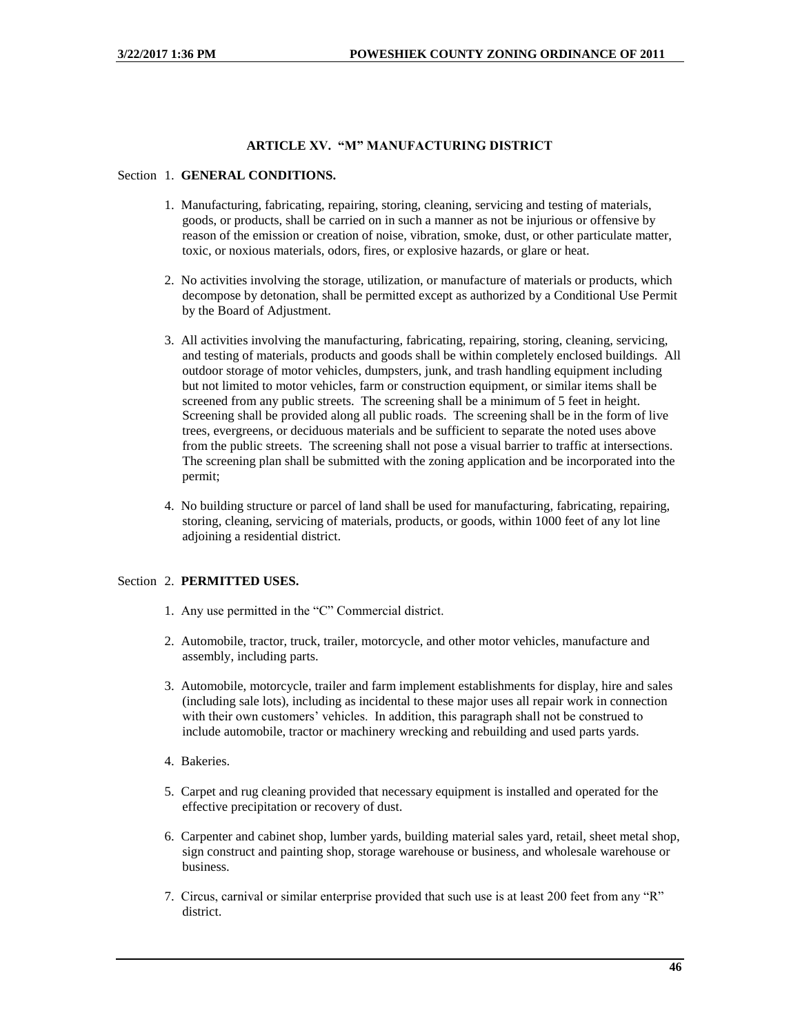## **ARTICLE XV. "M" MANUFACTURING DISTRICT**

#### Section 1. **GENERAL CONDITIONS.**

- 1. Manufacturing, fabricating, repairing, storing, cleaning, servicing and testing of materials, goods, or products, shall be carried on in such a manner as not be injurious or offensive by reason of the emission or creation of noise, vibration, smoke, dust, or other particulate matter, toxic, or noxious materials, odors, fires, or explosive hazards, or glare or heat.
- 2. No activities involving the storage, utilization, or manufacture of materials or products, which decompose by detonation, shall be permitted except as authorized by a Conditional Use Permit by the Board of Adjustment.
- 3. All activities involving the manufacturing, fabricating, repairing, storing, cleaning, servicing, and testing of materials, products and goods shall be within completely enclosed buildings. All outdoor storage of motor vehicles, dumpsters, junk, and trash handling equipment including but not limited to motor vehicles, farm or construction equipment, or similar items shall be screened from any public streets. The screening shall be a minimum of 5 feet in height. Screening shall be provided along all public roads. The screening shall be in the form of live trees, evergreens, or deciduous materials and be sufficient to separate the noted uses above from the public streets. The screening shall not pose a visual barrier to traffic at intersections. The screening plan shall be submitted with the zoning application and be incorporated into the permit;
- 4. No building structure or parcel of land shall be used for manufacturing, fabricating, repairing, storing, cleaning, servicing of materials, products, or goods, within 1000 feet of any lot line adjoining a residential district.

### Section 2. **PERMITTED USES.**

- 1. Any use permitted in the "C" Commercial district.
- 2. Automobile, tractor, truck, trailer, motorcycle, and other motor vehicles, manufacture and assembly, including parts.
- 3. Automobile, motorcycle, trailer and farm implement establishments for display, hire and sales (including sale lots), including as incidental to these major uses all repair work in connection with their own customers' vehicles. In addition, this paragraph shall not be construed to include automobile, tractor or machinery wrecking and rebuilding and used parts yards.
- 4. Bakeries.
- 5. Carpet and rug cleaning provided that necessary equipment is installed and operated for the effective precipitation or recovery of dust.
- 6. Carpenter and cabinet shop, lumber yards, building material sales yard, retail, sheet metal shop, sign construct and painting shop, storage warehouse or business, and wholesale warehouse or business.
- 7. Circus, carnival or similar enterprise provided that such use is at least 200 feet from any "R" district.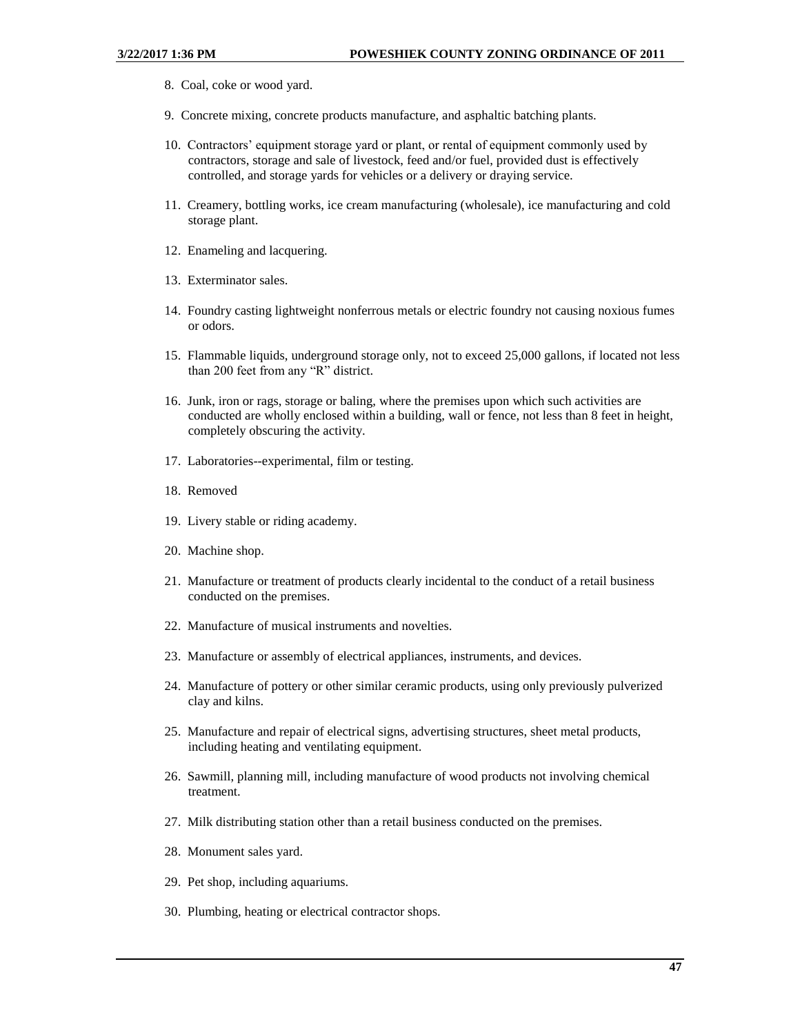- 8. Coal, coke or wood yard.
- 9. Concrete mixing, concrete products manufacture, and asphaltic batching plants.
- 10. Contractors' equipment storage yard or plant, or rental of equipment commonly used by contractors, storage and sale of livestock, feed and/or fuel, provided dust is effectively controlled, and storage yards for vehicles or a delivery or draying service.
- 11. Creamery, bottling works, ice cream manufacturing (wholesale), ice manufacturing and cold storage plant.
- 12. Enameling and lacquering.
- 13. Exterminator sales.
- 14. Foundry casting lightweight nonferrous metals or electric foundry not causing noxious fumes or odors.
- 15. Flammable liquids, underground storage only, not to exceed 25,000 gallons, if located not less than 200 feet from any "R" district.
- 16. Junk, iron or rags, storage or baling, where the premises upon which such activities are conducted are wholly enclosed within a building, wall or fence, not less than 8 feet in height, completely obscuring the activity.
- 17. Laboratories--experimental, film or testing.
- 18. Removed
- 19. Livery stable or riding academy.
- 20. Machine shop.
- 21. Manufacture or treatment of products clearly incidental to the conduct of a retail business conducted on the premises.
- 22. Manufacture of musical instruments and novelties.
- 23. Manufacture or assembly of electrical appliances, instruments, and devices.
- 24. Manufacture of pottery or other similar ceramic products, using only previously pulverized clay and kilns.
- 25. Manufacture and repair of electrical signs, advertising structures, sheet metal products, including heating and ventilating equipment.
- 26. Sawmill, planning mill, including manufacture of wood products not involving chemical treatment.
- 27. Milk distributing station other than a retail business conducted on the premises.
- 28. Monument sales yard.
- 29. Pet shop, including aquariums.
- 30. Plumbing, heating or electrical contractor shops.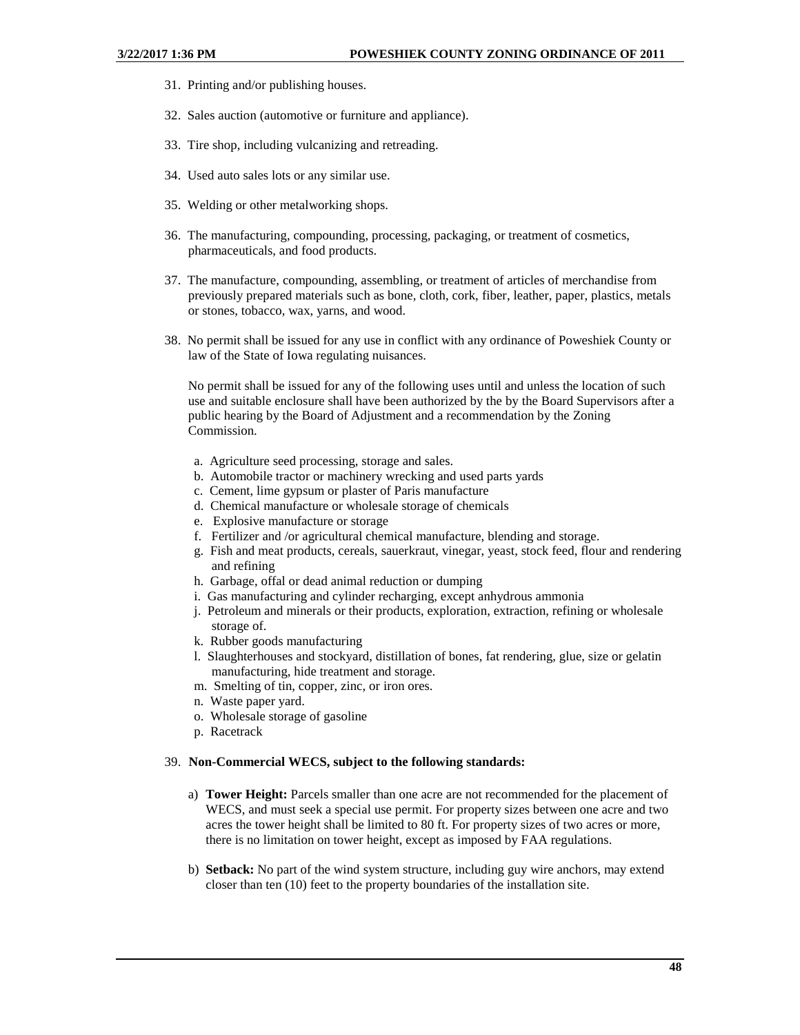- 31. Printing and/or publishing houses.
- 32. Sales auction (automotive or furniture and appliance).
- 33. Tire shop, including vulcanizing and retreading.
- 34. Used auto sales lots or any similar use.
- 35. Welding or other metalworking shops.
- 36. The manufacturing, compounding, processing, packaging, or treatment of cosmetics, pharmaceuticals, and food products.
- 37. The manufacture, compounding, assembling, or treatment of articles of merchandise from previously prepared materials such as bone, cloth, cork, fiber, leather, paper, plastics, metals or stones, tobacco, wax, yarns, and wood.
- 38. No permit shall be issued for any use in conflict with any ordinance of Poweshiek County or law of the State of Iowa regulating nuisances.

No permit shall be issued for any of the following uses until and unless the location of such use and suitable enclosure shall have been authorized by the by the Board Supervisors after a public hearing by the Board of Adjustment and a recommendation by the Zoning Commission.

- a. Agriculture seed processing, storage and sales.
- b. Automobile tractor or machinery wrecking and used parts yards
- c. Cement, lime gypsum or plaster of Paris manufacture
- d. Chemical manufacture or wholesale storage of chemicals
- e. Explosive manufacture or storage
- f. Fertilizer and /or agricultural chemical manufacture, blending and storage.
- g. Fish and meat products, cereals, sauerkraut, vinegar, yeast, stock feed, flour and rendering and refining
- h. Garbage, offal or dead animal reduction or dumping
- i. Gas manufacturing and cylinder recharging, except anhydrous ammonia
- j. Petroleum and minerals or their products, exploration, extraction, refining or wholesale storage of.
- k. Rubber goods manufacturing
- l. Slaughterhouses and stockyard, distillation of bones, fat rendering, glue, size or gelatin manufacturing, hide treatment and storage.
- m. Smelting of tin, copper, zinc, or iron ores.
- n. Waste paper yard.
- o. Wholesale storage of gasoline
- p. Racetrack

#### 39. **Non-Commercial WECS, subject to the following standards:**

- a) **Tower Height:** Parcels smaller than one acre are not recommended for the placement of WECS, and must seek a special use permit. For property sizes between one acre and two acres the tower height shall be limited to 80 ft. For property sizes of two acres or more, there is no limitation on tower height, except as imposed by FAA regulations.
- b) **Setback:** No part of the wind system structure, including guy wire anchors, may extend closer than ten (10) feet to the property boundaries of the installation site.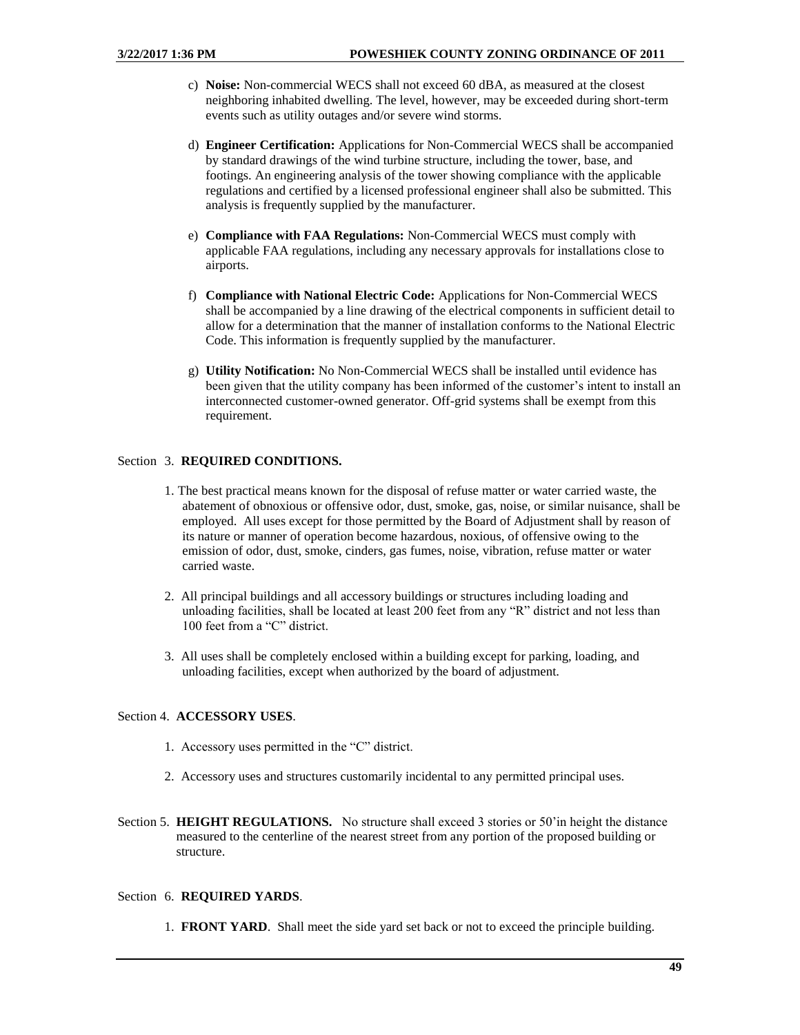- c) **Noise:** Non-commercial WECS shall not exceed 60 dBA, as measured at the closest neighboring inhabited dwelling. The level, however, may be exceeded during short-term events such as utility outages and/or severe wind storms.
- d) **Engineer Certification:** Applications for Non-Commercial WECS shall be accompanied by standard drawings of the wind turbine structure, including the tower, base, and footings. An engineering analysis of the tower showing compliance with the applicable regulations and certified by a licensed professional engineer shall also be submitted. This analysis is frequently supplied by the manufacturer.
- e) **Compliance with FAA Regulations:** Non-Commercial WECS must comply with applicable FAA regulations, including any necessary approvals for installations close to airports.
- f) **Compliance with National Electric Code:** Applications for Non-Commercial WECS shall be accompanied by a line drawing of the electrical components in sufficient detail to allow for a determination that the manner of installation conforms to the National Electric Code. This information is frequently supplied by the manufacturer.
- g) **Utility Notification:** No Non-Commercial WECS shall be installed until evidence has been given that the utility company has been informed of the customer's intent to install an interconnected customer-owned generator. Off-grid systems shall be exempt from this requirement.

# Section 3. **REQUIRED CONDITIONS.**

- 1. The best practical means known for the disposal of refuse matter or water carried waste, the abatement of obnoxious or offensive odor, dust, smoke, gas, noise, or similar nuisance, shall be employed. All uses except for those permitted by the Board of Adjustment shall by reason of its nature or manner of operation become hazardous, noxious, of offensive owing to the emission of odor, dust, smoke, cinders, gas fumes, noise, vibration, refuse matter or water carried waste.
- 2. All principal buildings and all accessory buildings or structures including loading and unloading facilities, shall be located at least 200 feet from any "R" district and not less than 100 feet from a "C" district.
- 3. All uses shall be completely enclosed within a building except for parking, loading, and unloading facilities, except when authorized by the board of adjustment.

## Section 4. **ACCESSORY USES**.

- 1. Accessory uses permitted in the "C" district.
- 2. Accessory uses and structures customarily incidental to any permitted principal uses.
- Section 5. **HEIGHT REGULATIONS.** No structure shall exceed 3 stories or 50'in height the distance measured to the centerline of the nearest street from any portion of the proposed building or structure.

### Section 6. **REQUIRED YARDS**.

1. **FRONT YARD**. Shall meet the side yard set back or not to exceed the principle building.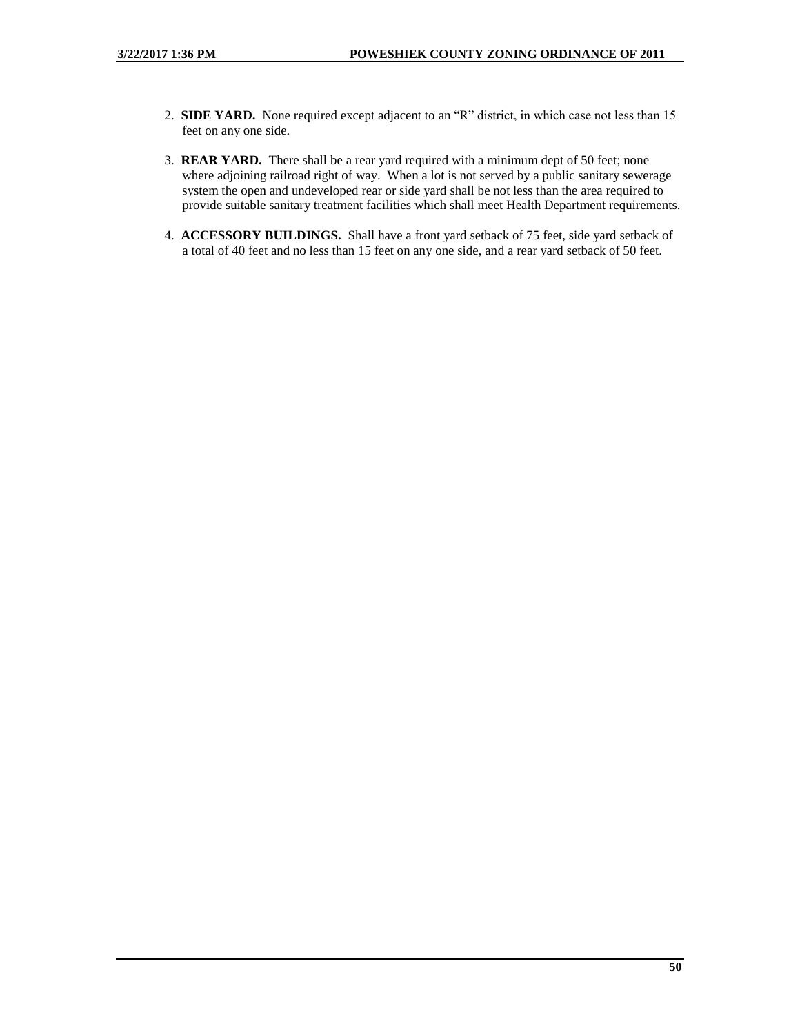- 2. **SIDE YARD.** None required except adjacent to an "R" district, in which case not less than 15 feet on any one side.
- 3. **REAR YARD.** There shall be a rear yard required with a minimum dept of 50 feet; none where adjoining railroad right of way. When a lot is not served by a public sanitary sewerage system the open and undeveloped rear or side yard shall be not less than the area required to provide suitable sanitary treatment facilities which shall meet Health Department requirements.
- 4. **ACCESSORY BUILDINGS.** Shall have a front yard setback of 75 feet, side yard setback of a total of 40 feet and no less than 15 feet on any one side, and a rear yard setback of 50 feet.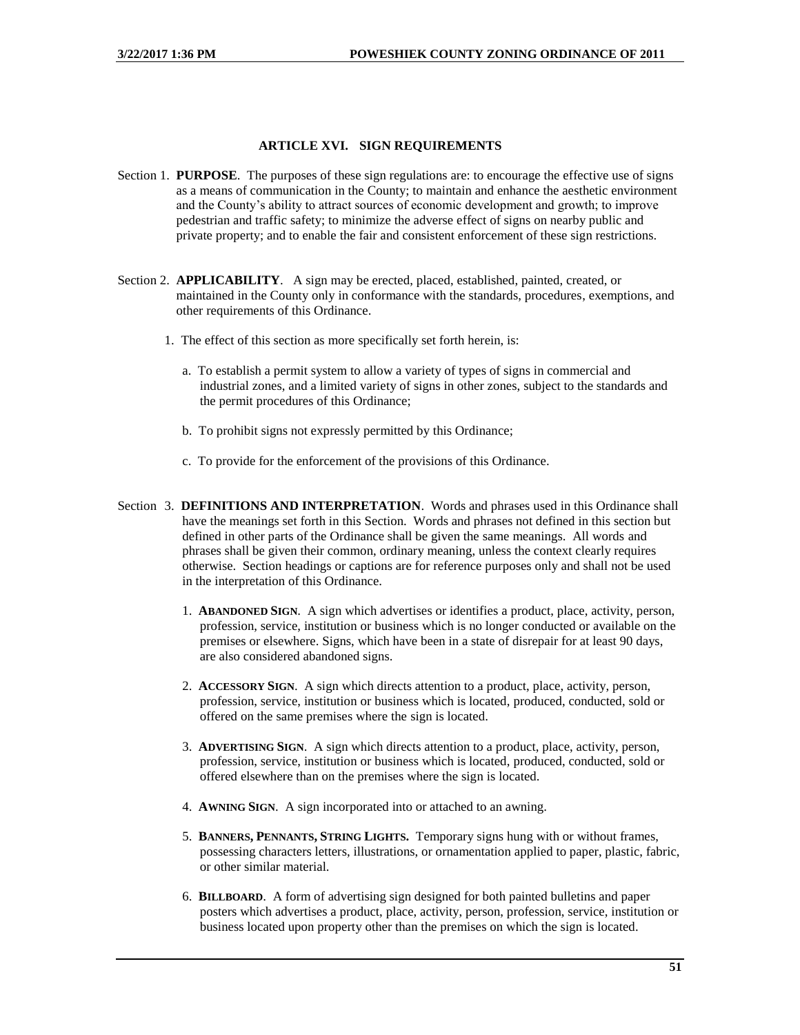## **ARTICLE XVI. SIGN REQUIREMENTS**

- Section 1. **PURPOSE**. The purposes of these sign regulations are: to encourage the effective use of signs as a means of communication in the County; to maintain and enhance the aesthetic environment and the County's ability to attract sources of economic development and growth; to improve pedestrian and traffic safety; to minimize the adverse effect of signs on nearby public and private property; and to enable the fair and consistent enforcement of these sign restrictions.
- Section 2. **APPLICABILITY**. A sign may be erected, placed, established, painted, created, or maintained in the County only in conformance with the standards, procedures, exemptions, and other requirements of this Ordinance.
	- 1. The effect of this section as more specifically set forth herein, is:
		- a. To establish a permit system to allow a variety of types of signs in commercial and industrial zones, and a limited variety of signs in other zones, subject to the standards and the permit procedures of this Ordinance;
		- b. To prohibit signs not expressly permitted by this Ordinance;
		- c. To provide for the enforcement of the provisions of this Ordinance.
- Section 3. **DEFINITIONS AND INTERPRETATION**. Words and phrases used in this Ordinance shall have the meanings set forth in this Section. Words and phrases not defined in this section but defined in other parts of the Ordinance shall be given the same meanings. All words and phrases shall be given their common, ordinary meaning, unless the context clearly requires otherwise. Section headings or captions are for reference purposes only and shall not be used in the interpretation of this Ordinance.
	- 1. **ABANDONED SIGN**. A sign which advertises or identifies a product, place, activity, person, profession, service, institution or business which is no longer conducted or available on the premises or elsewhere. Signs, which have been in a state of disrepair for at least 90 days, are also considered abandoned signs.
	- 2. **ACCESSORY SIGN**. A sign which directs attention to a product, place, activity, person, profession, service, institution or business which is located, produced, conducted, sold or offered on the same premises where the sign is located.
	- 3. **ADVERTISING SIGN**. A sign which directs attention to a product, place, activity, person, profession, service, institution or business which is located, produced, conducted, sold or offered elsewhere than on the premises where the sign is located.
	- 4. **AWNING SIGN**. A sign incorporated into or attached to an awning.
	- 5. **BANNERS, PENNANTS, STRING LIGHTS.** Temporary signs hung with or without frames, possessing characters letters, illustrations, or ornamentation applied to paper, plastic, fabric, or other similar material.
	- 6. **BILLBOARD**. A form of advertising sign designed for both painted bulletins and paper posters which advertises a product, place, activity, person, profession, service, institution or business located upon property other than the premises on which the sign is located.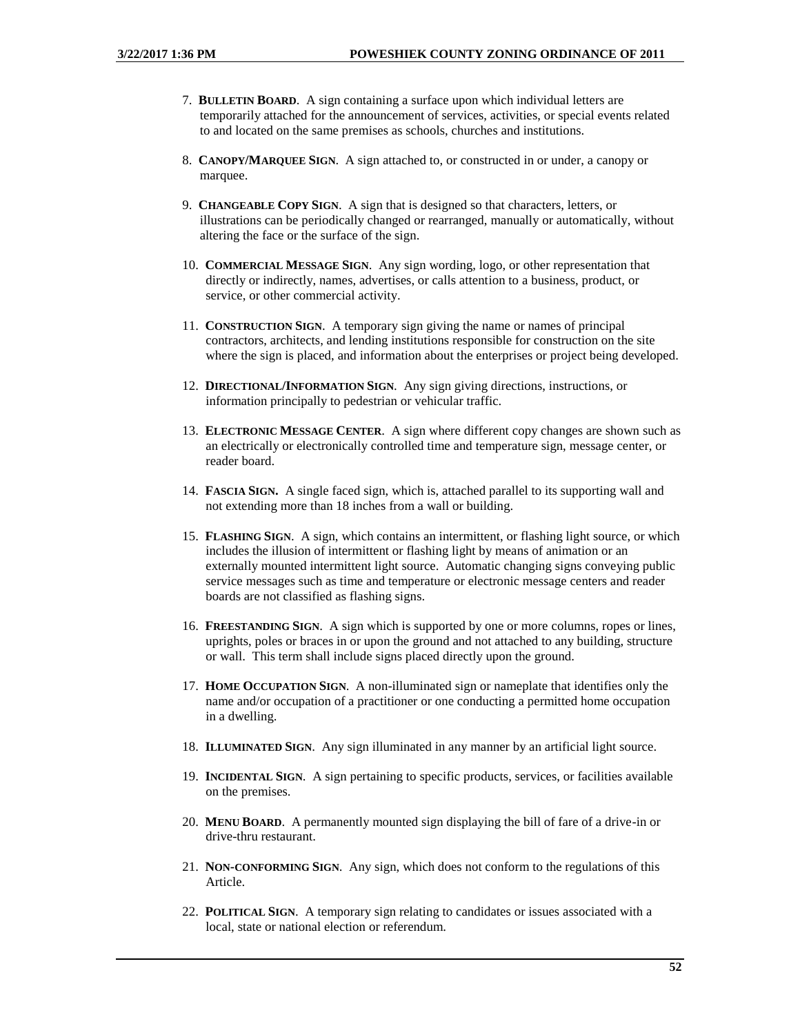- 7. **BULLETIN BOARD**. A sign containing a surface upon which individual letters are temporarily attached for the announcement of services, activities, or special events related to and located on the same premises as schools, churches and institutions.
- 8. **CANOPY/MARQUEE SIGN**. A sign attached to, or constructed in or under, a canopy or marquee.
- 9. **CHANGEABLE COPY SIGN**. A sign that is designed so that characters, letters, or illustrations can be periodically changed or rearranged, manually or automatically, without altering the face or the surface of the sign.
- 10. **COMMERCIAL MESSAGE SIGN**. Any sign wording, logo, or other representation that directly or indirectly, names, advertises, or calls attention to a business, product, or service, or other commercial activity.
- 11. **CONSTRUCTION SIGN**. A temporary sign giving the name or names of principal contractors, architects, and lending institutions responsible for construction on the site where the sign is placed, and information about the enterprises or project being developed.
- 12. **DIRECTIONAL/INFORMATION SIGN**. Any sign giving directions, instructions, or information principally to pedestrian or vehicular traffic.
- 13. **ELECTRONIC MESSAGE CENTER**. A sign where different copy changes are shown such as an electrically or electronically controlled time and temperature sign, message center, or reader board.
- 14. **FASCIA SIGN.** A single faced sign, which is, attached parallel to its supporting wall and not extending more than 18 inches from a wall or building.
- 15. **FLASHING SIGN**. A sign, which contains an intermittent, or flashing light source, or which includes the illusion of intermittent or flashing light by means of animation or an externally mounted intermittent light source. Automatic changing signs conveying public service messages such as time and temperature or electronic message centers and reader boards are not classified as flashing signs.
- 16. **FREESTANDING SIGN**. A sign which is supported by one or more columns, ropes or lines, uprights, poles or braces in or upon the ground and not attached to any building, structure or wall. This term shall include signs placed directly upon the ground.
- 17. **HOME OCCUPATION SIGN**. A non-illuminated sign or nameplate that identifies only the name and/or occupation of a practitioner or one conducting a permitted home occupation in a dwelling.
- 18. **ILLUMINATED SIGN**. Any sign illuminated in any manner by an artificial light source.
- 19. **INCIDENTAL SIGN**. A sign pertaining to specific products, services, or facilities available on the premises.
- 20. **MENU BOARD**. A permanently mounted sign displaying the bill of fare of a drive-in or drive-thru restaurant.
- 21. **NON-CONFORMING SIGN**. Any sign, which does not conform to the regulations of this Article.
- 22. **POLITICAL SIGN**. A temporary sign relating to candidates or issues associated with a local, state or national election or referendum.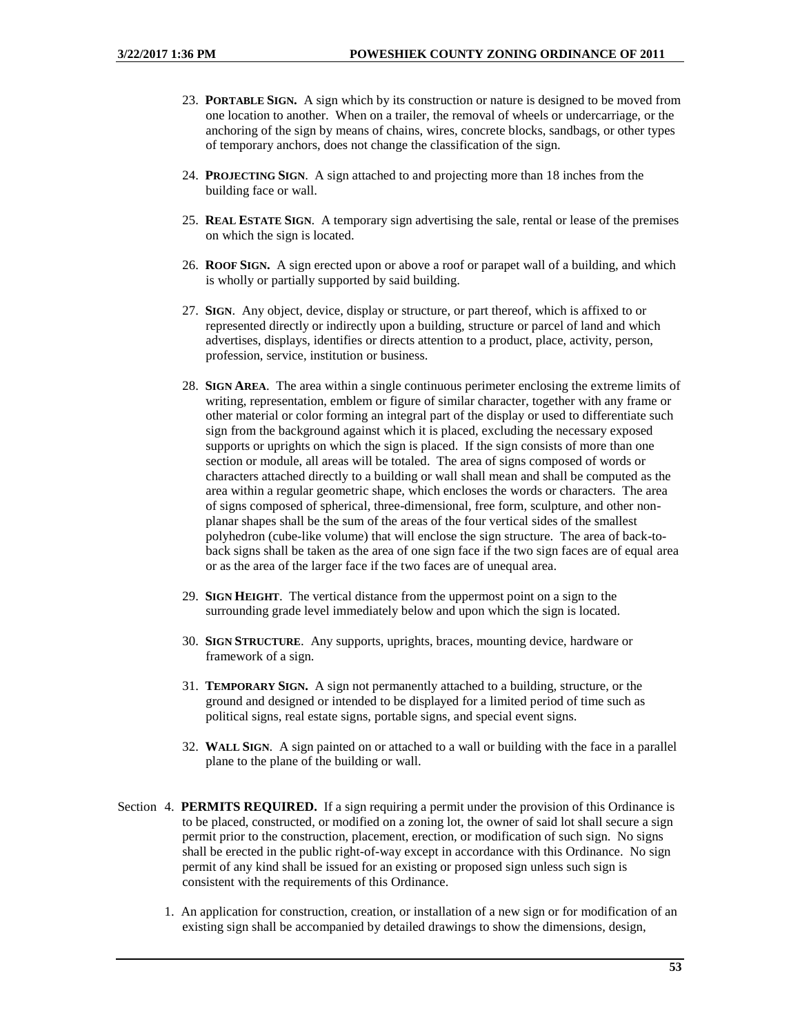- 23. **PORTABLE SIGN.** A sign which by its construction or nature is designed to be moved from one location to another. When on a trailer, the removal of wheels or undercarriage, or the anchoring of the sign by means of chains, wires, concrete blocks, sandbags, or other types of temporary anchors, does not change the classification of the sign.
- 24. **PROJECTING SIGN**. A sign attached to and projecting more than 18 inches from the building face or wall.
- 25. **REAL ESTATE SIGN**. A temporary sign advertising the sale, rental or lease of the premises on which the sign is located.
- 26. **ROOF SIGN.** A sign erected upon or above a roof or parapet wall of a building, and which is wholly or partially supported by said building.
- 27. **SIGN**. Any object, device, display or structure, or part thereof, which is affixed to or represented directly or indirectly upon a building, structure or parcel of land and which advertises, displays, identifies or directs attention to a product, place, activity, person, profession, service, institution or business.
- 28. **SIGN AREA**. The area within a single continuous perimeter enclosing the extreme limits of writing, representation, emblem or figure of similar character, together with any frame or other material or color forming an integral part of the display or used to differentiate such sign from the background against which it is placed, excluding the necessary exposed supports or uprights on which the sign is placed. If the sign consists of more than one section or module, all areas will be totaled. The area of signs composed of words or characters attached directly to a building or wall shall mean and shall be computed as the area within a regular geometric shape, which encloses the words or characters. The area of signs composed of spherical, three-dimensional, free form, sculpture, and other nonplanar shapes shall be the sum of the areas of the four vertical sides of the smallest polyhedron (cube-like volume) that will enclose the sign structure. The area of back-toback signs shall be taken as the area of one sign face if the two sign faces are of equal area or as the area of the larger face if the two faces are of unequal area.
- 29. **SIGN HEIGHT**. The vertical distance from the uppermost point on a sign to the surrounding grade level immediately below and upon which the sign is located.
- 30. **SIGN STRUCTURE**. Any supports, uprights, braces, mounting device, hardware or framework of a sign.
- 31. **TEMPORARY SIGN.** A sign not permanently attached to a building, structure, or the ground and designed or intended to be displayed for a limited period of time such as political signs, real estate signs, portable signs, and special event signs.
- 32. **WALL SIGN**. A sign painted on or attached to a wall or building with the face in a parallel plane to the plane of the building or wall.
- Section 4. **PERMITS REQUIRED.** If a sign requiring a permit under the provision of this Ordinance is to be placed, constructed, or modified on a zoning lot, the owner of said lot shall secure a sign permit prior to the construction, placement, erection, or modification of such sign. No signs shall be erected in the public right-of-way except in accordance with this Ordinance. No sign permit of any kind shall be issued for an existing or proposed sign unless such sign is consistent with the requirements of this Ordinance.
	- 1. An application for construction, creation, or installation of a new sign or for modification of an existing sign shall be accompanied by detailed drawings to show the dimensions, design,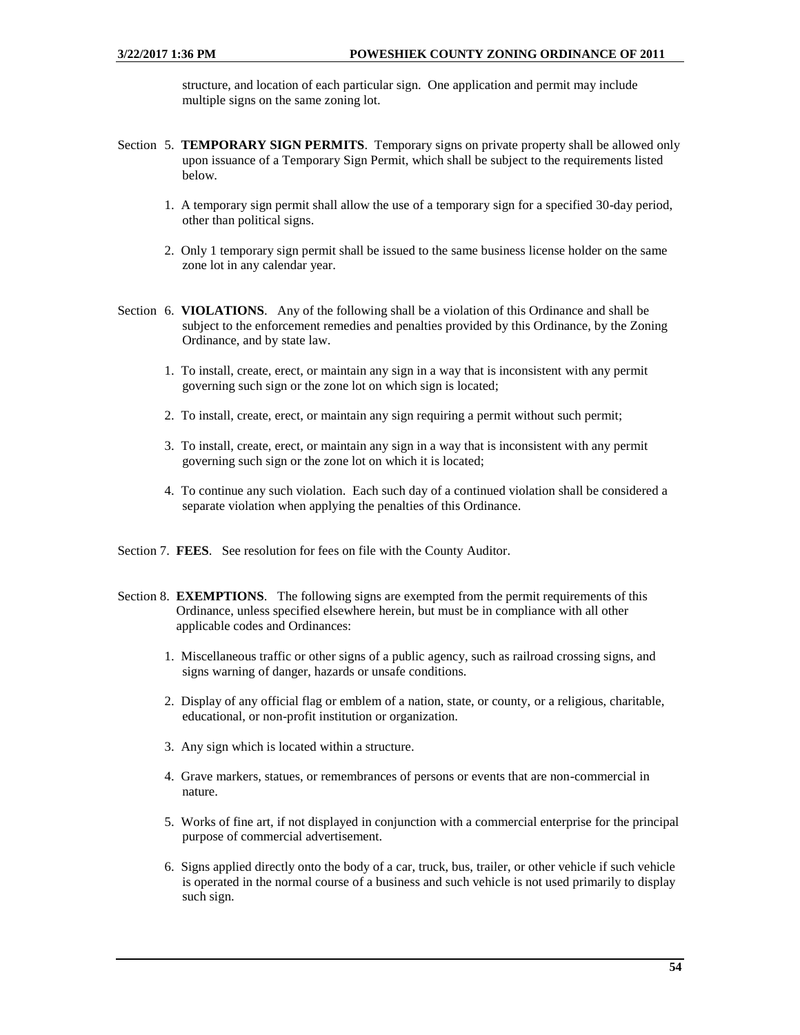structure, and location of each particular sign. One application and permit may include multiple signs on the same zoning lot.

- Section 5. **TEMPORARY SIGN PERMITS**. Temporary signs on private property shall be allowed only upon issuance of a Temporary Sign Permit, which shall be subject to the requirements listed below.
	- 1. A temporary sign permit shall allow the use of a temporary sign for a specified 30-day period, other than political signs.
	- 2. Only 1 temporary sign permit shall be issued to the same business license holder on the same zone lot in any calendar year.
- Section 6. **VIOLATIONS**. Any of the following shall be a violation of this Ordinance and shall be subject to the enforcement remedies and penalties provided by this Ordinance, by the Zoning Ordinance, and by state law.
	- 1. To install, create, erect, or maintain any sign in a way that is inconsistent with any permit governing such sign or the zone lot on which sign is located;
	- 2. To install, create, erect, or maintain any sign requiring a permit without such permit;
	- 3. To install, create, erect, or maintain any sign in a way that is inconsistent with any permit governing such sign or the zone lot on which it is located;
	- 4. To continue any such violation. Each such day of a continued violation shall be considered a separate violation when applying the penalties of this Ordinance.
- Section 7. **FEES**. See resolution for fees on file with the County Auditor.
- Section 8. **EXEMPTIONS**. The following signs are exempted from the permit requirements of this Ordinance, unless specified elsewhere herein, but must be in compliance with all other applicable codes and Ordinances:
	- 1. Miscellaneous traffic or other signs of a public agency, such as railroad crossing signs, and signs warning of danger, hazards or unsafe conditions.
	- 2. Display of any official flag or emblem of a nation, state, or county, or a religious, charitable, educational, or non-profit institution or organization.
	- 3. Any sign which is located within a structure.
	- 4. Grave markers, statues, or remembrances of persons or events that are non-commercial in nature.
	- 5. Works of fine art, if not displayed in conjunction with a commercial enterprise for the principal purpose of commercial advertisement.
	- 6. Signs applied directly onto the body of a car, truck, bus, trailer, or other vehicle if such vehicle is operated in the normal course of a business and such vehicle is not used primarily to display such sign.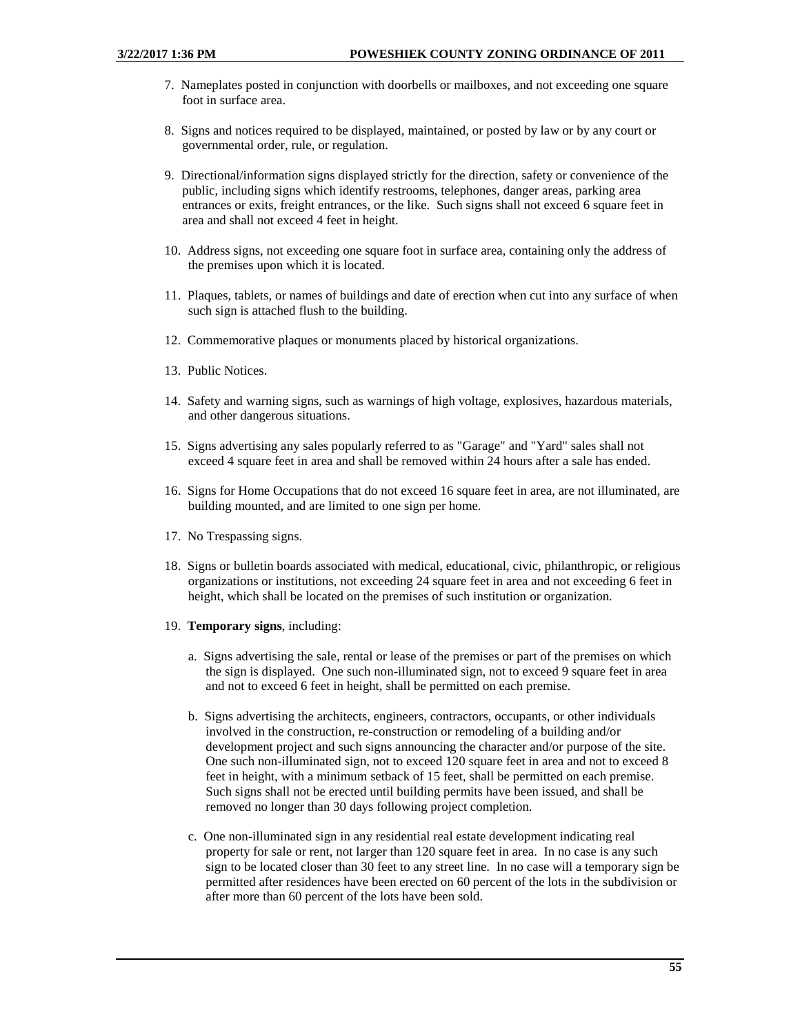- 7. Nameplates posted in conjunction with doorbells or mailboxes, and not exceeding one square foot in surface area.
- 8. Signs and notices required to be displayed, maintained, or posted by law or by any court or governmental order, rule, or regulation.
- 9. Directional/information signs displayed strictly for the direction, safety or convenience of the public, including signs which identify restrooms, telephones, danger areas, parking area entrances or exits, freight entrances, or the like. Such signs shall not exceed 6 square feet in area and shall not exceed 4 feet in height.
- 10. Address signs, not exceeding one square foot in surface area, containing only the address of the premises upon which it is located.
- 11. Plaques, tablets, or names of buildings and date of erection when cut into any surface of when such sign is attached flush to the building.
- 12. Commemorative plaques or monuments placed by historical organizations.
- 13. Public Notices.
- 14. Safety and warning signs, such as warnings of high voltage, explosives, hazardous materials, and other dangerous situations.
- 15. Signs advertising any sales popularly referred to as "Garage" and "Yard" sales shall not exceed 4 square feet in area and shall be removed within 24 hours after a sale has ended.
- 16. Signs for Home Occupations that do not exceed 16 square feet in area, are not illuminated, are building mounted, and are limited to one sign per home.
- 17. No Trespassing signs.
- 18. Signs or bulletin boards associated with medical, educational, civic, philanthropic, or religious organizations or institutions, not exceeding 24 square feet in area and not exceeding 6 feet in height, which shall be located on the premises of such institution or organization.
- 19. **Temporary signs**, including:
	- a. Signs advertising the sale, rental or lease of the premises or part of the premises on which the sign is displayed. One such non-illuminated sign, not to exceed 9 square feet in area and not to exceed 6 feet in height, shall be permitted on each premise.
	- b. Signs advertising the architects, engineers, contractors, occupants, or other individuals involved in the construction, re-construction or remodeling of a building and/or development project and such signs announcing the character and/or purpose of the site. One such non-illuminated sign, not to exceed 120 square feet in area and not to exceed 8 feet in height, with a minimum setback of 15 feet, shall be permitted on each premise. Such signs shall not be erected until building permits have been issued, and shall be removed no longer than 30 days following project completion.
	- c. One non-illuminated sign in any residential real estate development indicating real property for sale or rent, not larger than 120 square feet in area. In no case is any such sign to be located closer than 30 feet to any street line. In no case will a temporary sign be permitted after residences have been erected on 60 percent of the lots in the subdivision or after more than 60 percent of the lots have been sold.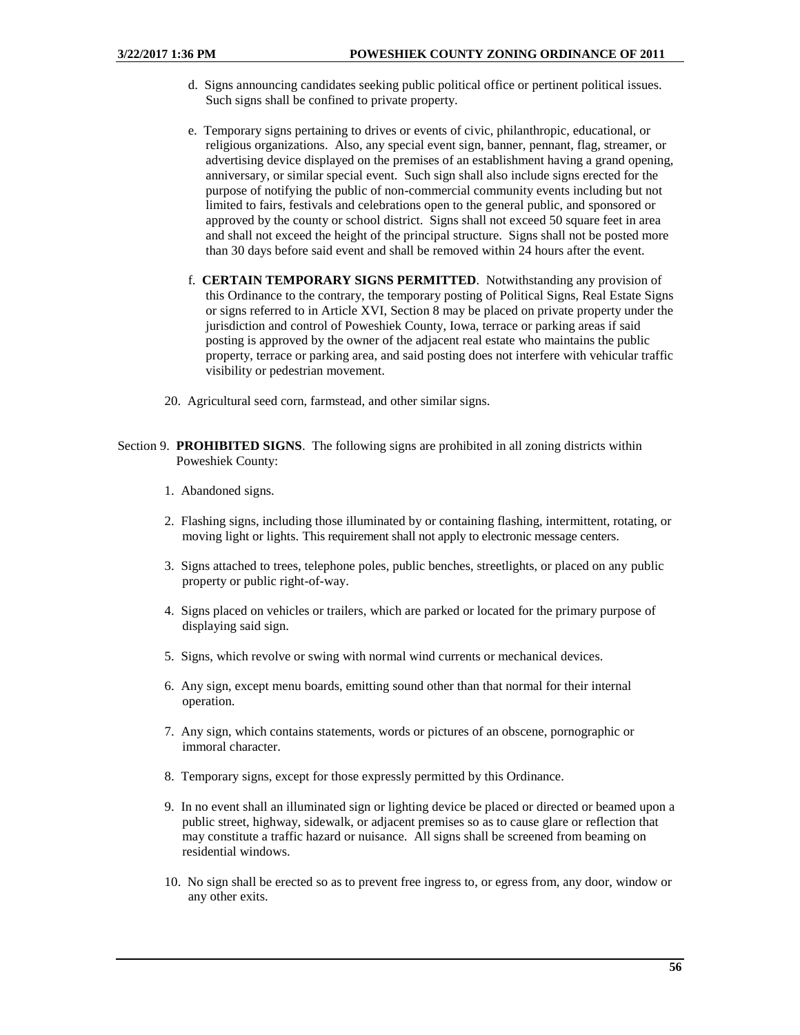- d. Signs announcing candidates seeking public political office or pertinent political issues. Such signs shall be confined to private property.
- e. Temporary signs pertaining to drives or events of civic, philanthropic, educational, or religious organizations. Also, any special event sign, banner, pennant, flag, streamer, or advertising device displayed on the premises of an establishment having a grand opening, anniversary, or similar special event. Such sign shall also include signs erected for the purpose of notifying the public of non-commercial community events including but not limited to fairs, festivals and celebrations open to the general public, and sponsored or approved by the county or school district. Signs shall not exceed 50 square feet in area and shall not exceed the height of the principal structure. Signs shall not be posted more than 30 days before said event and shall be removed within 24 hours after the event.
- f. **CERTAIN TEMPORARY SIGNS PERMITTED**. Notwithstanding any provision of this Ordinance to the contrary, the temporary posting of Political Signs, Real Estate Signs or signs referred to in Article XVI, Section 8 may be placed on private property under the jurisdiction and control of Poweshiek County, Iowa, terrace or parking areas if said posting is approved by the owner of the adjacent real estate who maintains the public property, terrace or parking area, and said posting does not interfere with vehicular traffic visibility or pedestrian movement.
- 20. Agricultural seed corn, farmstead, and other similar signs.

- 1. Abandoned signs.
- 2. Flashing signs, including those illuminated by or containing flashing, intermittent, rotating, or moving light or lights. This requirement shall not apply to electronic message centers.
- 3. Signs attached to trees, telephone poles, public benches, streetlights, or placed on any public property or public right-of-way.
- 4. Signs placed on vehicles or trailers, which are parked or located for the primary purpose of displaying said sign.
- 5. Signs, which revolve or swing with normal wind currents or mechanical devices.
- 6. Any sign, except menu boards, emitting sound other than that normal for their internal operation.
- 7. Any sign, which contains statements, words or pictures of an obscene, pornographic or immoral character.
- 8. Temporary signs, except for those expressly permitted by this Ordinance.
- 9. In no event shall an illuminated sign or lighting device be placed or directed or beamed upon a public street, highway, sidewalk, or adjacent premises so as to cause glare or reflection that may constitute a traffic hazard or nuisance. All signs shall be screened from beaming on residential windows.
- 10. No sign shall be erected so as to prevent free ingress to, or egress from, any door, window or any other exits.

Section 9. **PROHIBITED SIGNS**. The following signs are prohibited in all zoning districts within Poweshiek County: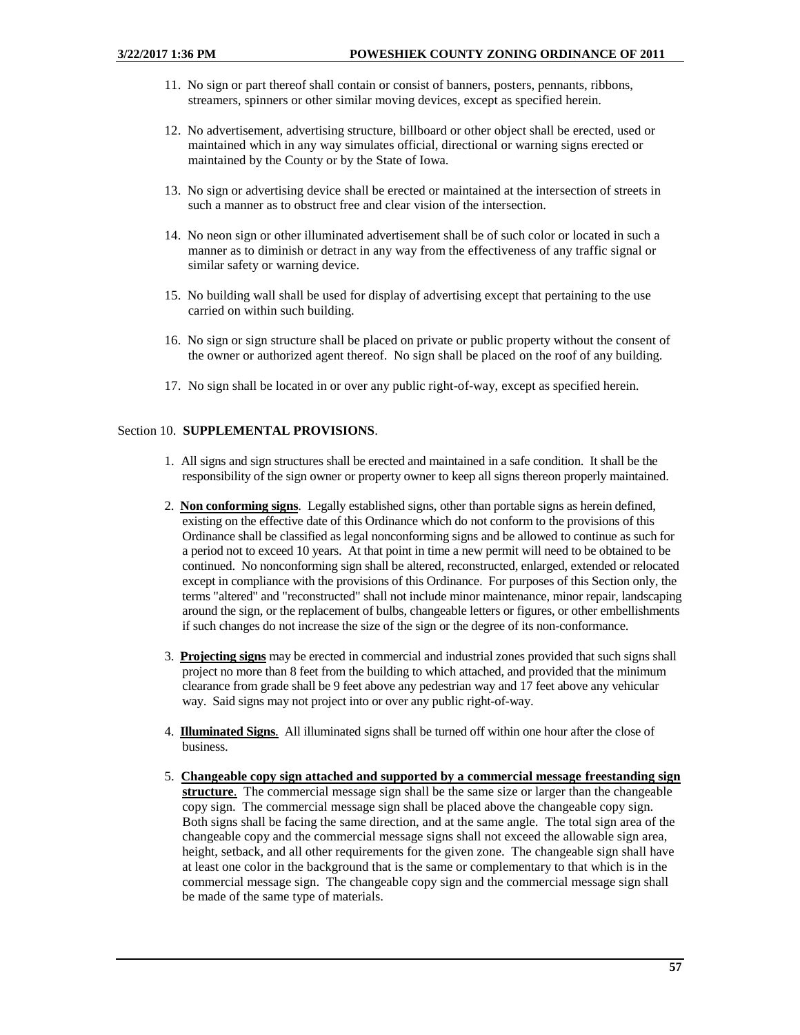- 11. No sign or part thereof shall contain or consist of banners, posters, pennants, ribbons, streamers, spinners or other similar moving devices, except as specified herein.
- 12. No advertisement, advertising structure, billboard or other object shall be erected, used or maintained which in any way simulates official, directional or warning signs erected or maintained by the County or by the State of Iowa.
- 13. No sign or advertising device shall be erected or maintained at the intersection of streets in such a manner as to obstruct free and clear vision of the intersection.
- 14. No neon sign or other illuminated advertisement shall be of such color or located in such a manner as to diminish or detract in any way from the effectiveness of any traffic signal or similar safety or warning device.
- 15. No building wall shall be used for display of advertising except that pertaining to the use carried on within such building.
- 16. No sign or sign structure shall be placed on private or public property without the consent of the owner or authorized agent thereof. No sign shall be placed on the roof of any building.
- 17. No sign shall be located in or over any public right-of-way, except as specified herein.

# Section 10. **SUPPLEMENTAL PROVISIONS**.

- 1. All signs and sign structures shall be erected and maintained in a safe condition. It shall be the responsibility of the sign owner or property owner to keep all signs thereon properly maintained.
- 2. **Non conforming signs**. Legally established signs, other than portable signs as herein defined, existing on the effective date of this Ordinance which do not conform to the provisions of this Ordinance shall be classified as legal nonconforming signs and be allowed to continue as such for a period not to exceed 10 years. At that point in time a new permit will need to be obtained to be continued. No nonconforming sign shall be altered, reconstructed, enlarged, extended or relocated except in compliance with the provisions of this Ordinance. For purposes of this Section only, the terms "altered" and "reconstructed" shall not include minor maintenance, minor repair, landscaping around the sign, or the replacement of bulbs, changeable letters or figures, or other embellishments if such changes do not increase the size of the sign or the degree of its non-conformance.
- 3. **Projecting signs** may be erected in commercial and industrial zones provided that such signs shall project no more than 8 feet from the building to which attached, and provided that the minimum clearance from grade shall be 9 feet above any pedestrian way and 17 feet above any vehicular way. Said signs may not project into or over any public right-of-way.
- 4. **Illuminated Signs**. All illuminated signs shall be turned off within one hour after the close of business.
- 5. **Changeable copy sign attached and supported by a commercial message freestanding sign structure**. The commercial message sign shall be the same size or larger than the changeable copy sign. The commercial message sign shall be placed above the changeable copy sign. Both signs shall be facing the same direction, and at the same angle. The total sign area of the changeable copy and the commercial message signs shall not exceed the allowable sign area, height, setback, and all other requirements for the given zone. The changeable sign shall have at least one color in the background that is the same or complementary to that which is in the commercial message sign. The changeable copy sign and the commercial message sign shall be made of the same type of materials.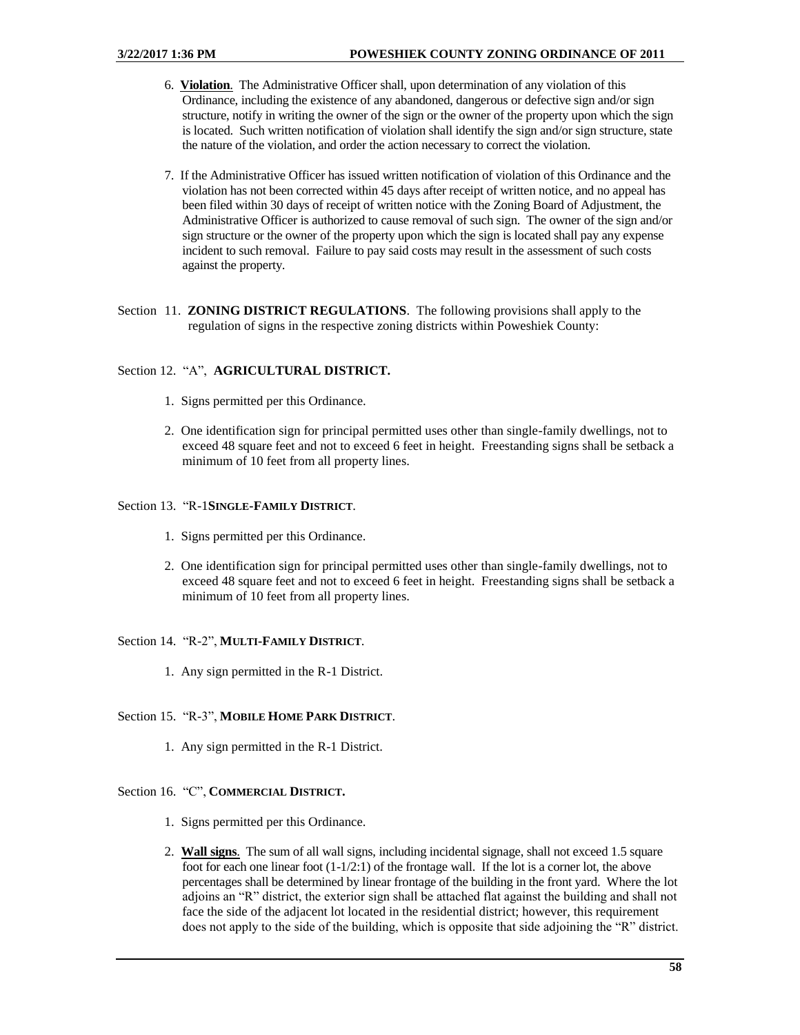- 6. **Violation**. The Administrative Officer shall, upon determination of any violation of this Ordinance, including the existence of any abandoned, dangerous or defective sign and/or sign structure, notify in writing the owner of the sign or the owner of the property upon which the sign is located. Such written notification of violation shall identify the sign and/or sign structure, state the nature of the violation, and order the action necessary to correct the violation.
- 7. If the Administrative Officer has issued written notification of violation of this Ordinance and the violation has not been corrected within 45 days after receipt of written notice, and no appeal has been filed within 30 days of receipt of written notice with the Zoning Board of Adjustment, the Administrative Officer is authorized to cause removal of such sign. The owner of the sign and/or sign structure or the owner of the property upon which the sign is located shall pay any expense incident to such removal. Failure to pay said costs may result in the assessment of such costs against the property.
- Section 11. **ZONING DISTRICT REGULATIONS**. The following provisions shall apply to the regulation of signs in the respective zoning districts within Poweshiek County:

## Section 12. "A", **AGRICULTURAL DISTRICT.**

- 1. Signs permitted per this Ordinance.
- 2. One identification sign for principal permitted uses other than single-family dwellings, not to exceed 48 square feet and not to exceed 6 feet in height. Freestanding signs shall be setback a minimum of 10 feet from all property lines.

## Section 13. "R-1**SINGLE-FAMILY DISTRICT**.

- 1. Signs permitted per this Ordinance.
- 2. One identification sign for principal permitted uses other than single-family dwellings, not to exceed 48 square feet and not to exceed 6 feet in height. Freestanding signs shall be setback a minimum of 10 feet from all property lines.

### Section 14. "R-2", **MULTI-FAMILY DISTRICT**.

1. Any sign permitted in the R-1 District.

# Section 15. "R-3", **MOBILE HOME PARK DISTRICT**.

1. Any sign permitted in the R-1 District.

# Section 16. "C", **COMMERCIAL DISTRICT.**

- 1. Signs permitted per this Ordinance.
- 2. **Wall signs**. The sum of all wall signs, including incidental signage, shall not exceed 1.5 square foot for each one linear foot  $(1-1/2:1)$  of the frontage wall. If the lot is a corner lot, the above percentages shall be determined by linear frontage of the building in the front yard. Where the lot adjoins an "R" district, the exterior sign shall be attached flat against the building and shall not face the side of the adjacent lot located in the residential district; however, this requirement does not apply to the side of the building, which is opposite that side adjoining the "R" district.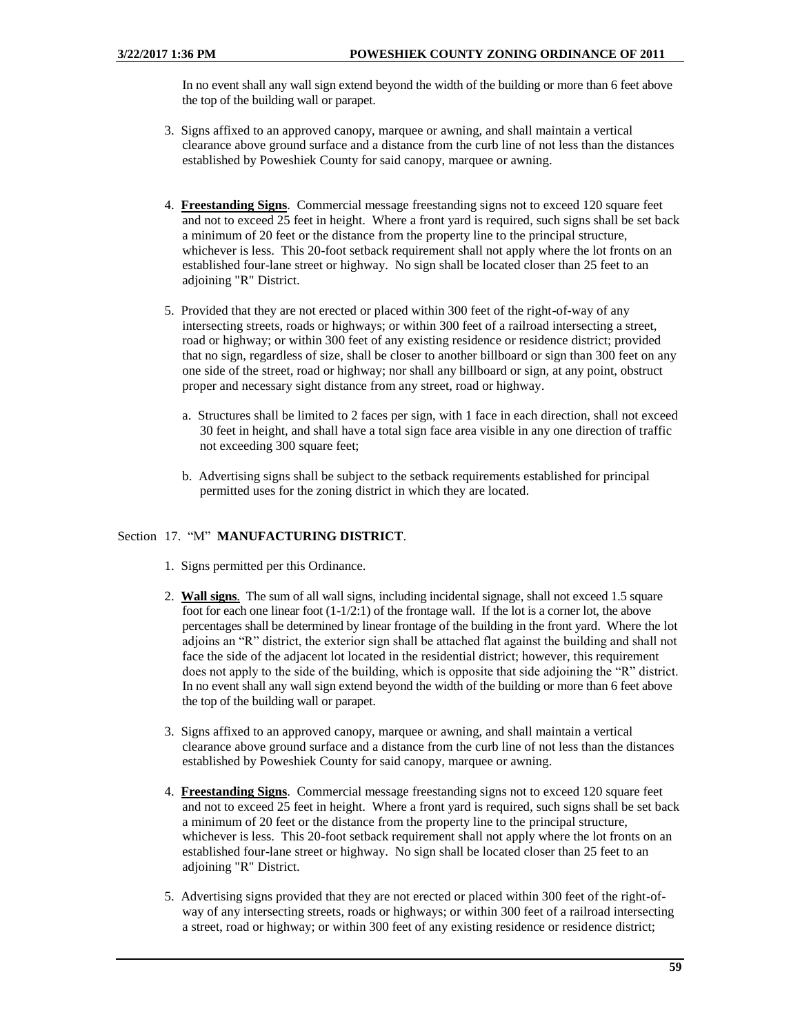In no event shall any wall sign extend beyond the width of the building or more than 6 feet above the top of the building wall or parapet.

- 3. Signs affixed to an approved canopy, marquee or awning, and shall maintain a vertical clearance above ground surface and a distance from the curb line of not less than the distances established by Poweshiek County for said canopy, marquee or awning.
- 4. **Freestanding Signs**. Commercial message freestanding signs not to exceed 120 square feet and not to exceed 25 feet in height. Where a front yard is required, such signs shall be set back a minimum of 20 feet or the distance from the property line to the principal structure, whichever is less. This 20-foot setback requirement shall not apply where the lot fronts on an established four-lane street or highway. No sign shall be located closer than 25 feet to an adjoining "R" District.
- 5. Provided that they are not erected or placed within 300 feet of the right-of-way of any intersecting streets, roads or highways; or within 300 feet of a railroad intersecting a street, road or highway; or within 300 feet of any existing residence or residence district; provided that no sign, regardless of size, shall be closer to another billboard or sign than 300 feet on any one side of the street, road or highway; nor shall any billboard or sign, at any point, obstruct proper and necessary sight distance from any street, road or highway.
	- a. Structures shall be limited to 2 faces per sign, with 1 face in each direction, shall not exceed 30 feet in height, and shall have a total sign face area visible in any one direction of traffic not exceeding 300 square feet;
	- b. Advertising signs shall be subject to the setback requirements established for principal permitted uses for the zoning district in which they are located.

# Section 17. "M" **MANUFACTURING DISTRICT**.

- 1. Signs permitted per this Ordinance.
- 2. **Wall signs**. The sum of all wall signs, including incidental signage, shall not exceed 1.5 square foot for each one linear foot  $(1-1/2:1)$  of the frontage wall. If the lot is a corner lot, the above percentages shall be determined by linear frontage of the building in the front yard. Where the lot adjoins an "R" district, the exterior sign shall be attached flat against the building and shall not face the side of the adjacent lot located in the residential district; however, this requirement does not apply to the side of the building, which is opposite that side adjoining the "R" district. In no event shall any wall sign extend beyond the width of the building or more than 6 feet above the top of the building wall or parapet.
- 3. Signs affixed to an approved canopy, marquee or awning, and shall maintain a vertical clearance above ground surface and a distance from the curb line of not less than the distances established by Poweshiek County for said canopy, marquee or awning.
- 4. **Freestanding Signs**. Commercial message freestanding signs not to exceed 120 square feet and not to exceed 25 feet in height. Where a front yard is required, such signs shall be set back a minimum of 20 feet or the distance from the property line to the principal structure, whichever is less. This 20-foot setback requirement shall not apply where the lot fronts on an established four-lane street or highway. No sign shall be located closer than 25 feet to an adjoining "R" District.
- 5. Advertising signs provided that they are not erected or placed within 300 feet of the right-ofway of any intersecting streets, roads or highways; or within 300 feet of a railroad intersecting a street, road or highway; or within 300 feet of any existing residence or residence district;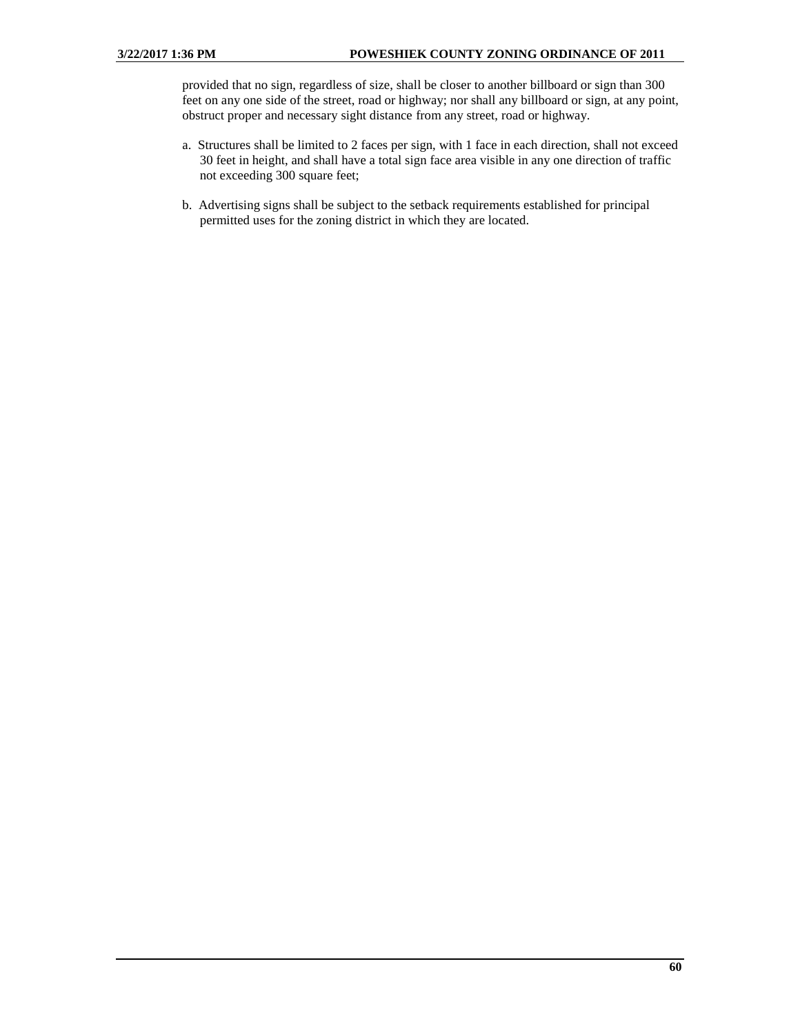provided that no sign, regardless of size, shall be closer to another billboard or sign than 300 feet on any one side of the street, road or highway; nor shall any billboard or sign, at any point, obstruct proper and necessary sight distance from any street, road or highway.

- a. Structures shall be limited to 2 faces per sign, with 1 face in each direction, shall not exceed 30 feet in height, and shall have a total sign face area visible in any one direction of traffic not exceeding 300 square feet;
- b. Advertising signs shall be subject to the setback requirements established for principal permitted uses for the zoning district in which they are located.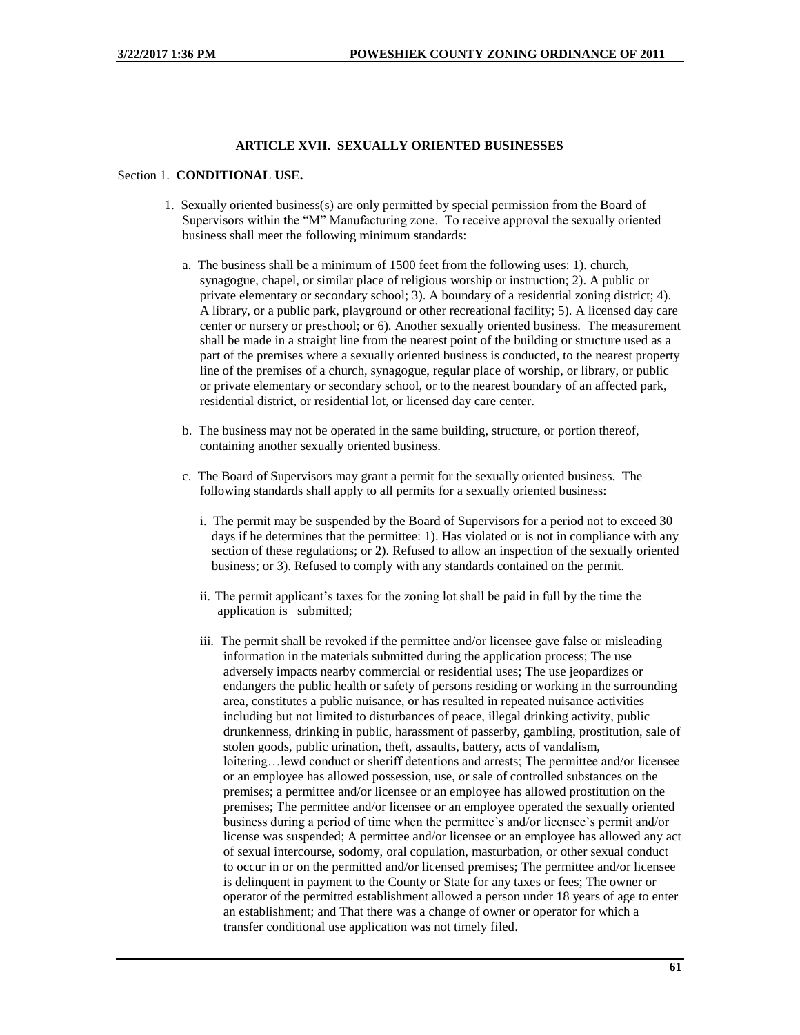## **ARTICLE XVII. SEXUALLY ORIENTED BUSINESSES**

#### Section 1. **CONDITIONAL USE.**

- 1. Sexually oriented business(s) are only permitted by special permission from the Board of Supervisors within the "M" Manufacturing zone. To receive approval the sexually oriented business shall meet the following minimum standards:
	- a. The business shall be a minimum of 1500 feet from the following uses: 1). church, synagogue, chapel, or similar place of religious worship or instruction; 2). A public or private elementary or secondary school; 3). A boundary of a residential zoning district; 4). A library, or a public park, playground or other recreational facility; 5). A licensed day care center or nursery or preschool; or 6). Another sexually oriented business. The measurement shall be made in a straight line from the nearest point of the building or structure used as a part of the premises where a sexually oriented business is conducted, to the nearest property line of the premises of a church, synagogue, regular place of worship, or library, or public or private elementary or secondary school, or to the nearest boundary of an affected park, residential district, or residential lot, or licensed day care center.
	- b. The business may not be operated in the same building, structure, or portion thereof, containing another sexually oriented business.
	- c. The Board of Supervisors may grant a permit for the sexually oriented business. The following standards shall apply to all permits for a sexually oriented business:
		- i. The permit may be suspended by the Board of Supervisors for a period not to exceed 30 days if he determines that the permittee: 1). Has violated or is not in compliance with any section of these regulations; or 2). Refused to allow an inspection of the sexually oriented business; or 3). Refused to comply with any standards contained on the permit.
		- ii. The permit applicant's taxes for the zoning lot shall be paid in full by the time the application is submitted;
		- iii. The permit shall be revoked if the permittee and/or licensee gave false or misleading information in the materials submitted during the application process; The use adversely impacts nearby commercial or residential uses; The use jeopardizes or endangers the public health or safety of persons residing or working in the surrounding area, constitutes a public nuisance, or has resulted in repeated nuisance activities including but not limited to disturbances of peace, illegal drinking activity, public drunkenness, drinking in public, harassment of passerby, gambling, prostitution, sale of stolen goods, public urination, theft, assaults, battery, acts of vandalism, loitering…lewd conduct or sheriff detentions and arrests; The permittee and/or licensee or an employee has allowed possession, use, or sale of controlled substances on the premises; a permittee and/or licensee or an employee has allowed prostitution on the premises; The permittee and/or licensee or an employee operated the sexually oriented business during a period of time when the permittee's and/or licensee's permit and/or license was suspended; A permittee and/or licensee or an employee has allowed any act of sexual intercourse, sodomy, oral copulation, masturbation, or other sexual conduct to occur in or on the permitted and/or licensed premises; The permittee and/or licensee is delinquent in payment to the County or State for any taxes or fees; The owner or operator of the permitted establishment allowed a person under 18 years of age to enter an establishment; and That there was a change of owner or operator for which a transfer conditional use application was not timely filed.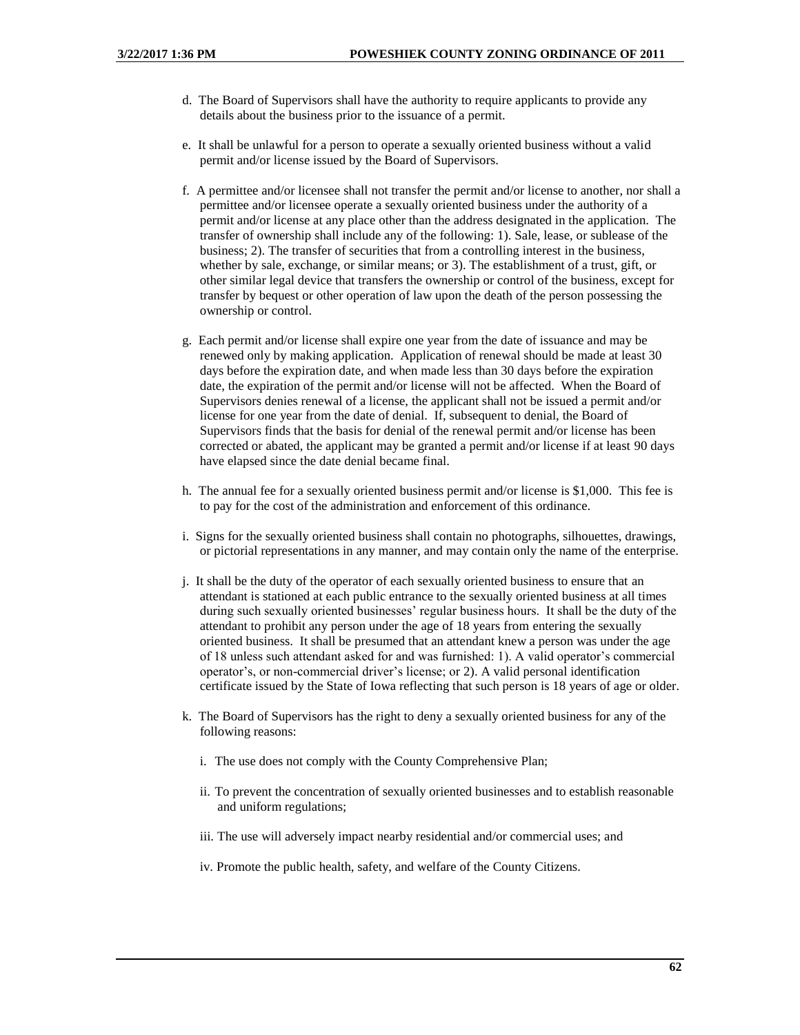- d. The Board of Supervisors shall have the authority to require applicants to provide any details about the business prior to the issuance of a permit.
- e. It shall be unlawful for a person to operate a sexually oriented business without a valid permit and/or license issued by the Board of Supervisors.
- f. A permittee and/or licensee shall not transfer the permit and/or license to another, nor shall a permittee and/or licensee operate a sexually oriented business under the authority of a permit and/or license at any place other than the address designated in the application. The transfer of ownership shall include any of the following: 1). Sale, lease, or sublease of the business; 2). The transfer of securities that from a controlling interest in the business, whether by sale, exchange, or similar means; or 3). The establishment of a trust, gift, or other similar legal device that transfers the ownership or control of the business, except for transfer by bequest or other operation of law upon the death of the person possessing the ownership or control.
- g. Each permit and/or license shall expire one year from the date of issuance and may be renewed only by making application. Application of renewal should be made at least 30 days before the expiration date, and when made less than 30 days before the expiration date, the expiration of the permit and/or license will not be affected. When the Board of Supervisors denies renewal of a license, the applicant shall not be issued a permit and/or license for one year from the date of denial. If, subsequent to denial, the Board of Supervisors finds that the basis for denial of the renewal permit and/or license has been corrected or abated, the applicant may be granted a permit and/or license if at least 90 days have elapsed since the date denial became final.
- h. The annual fee for a sexually oriented business permit and/or license is \$1,000. This fee is to pay for the cost of the administration and enforcement of this ordinance.
- i. Signs for the sexually oriented business shall contain no photographs, silhouettes, drawings, or pictorial representations in any manner, and may contain only the name of the enterprise.
- j. It shall be the duty of the operator of each sexually oriented business to ensure that an attendant is stationed at each public entrance to the sexually oriented business at all times during such sexually oriented businesses' regular business hours. It shall be the duty of the attendant to prohibit any person under the age of 18 years from entering the sexually oriented business. It shall be presumed that an attendant knew a person was under the age of 18 unless such attendant asked for and was furnished: 1). A valid operator's commercial operator's, or non-commercial driver's license; or 2). A valid personal identification certificate issued by the State of Iowa reflecting that such person is 18 years of age or older.
- k. The Board of Supervisors has the right to deny a sexually oriented business for any of the following reasons:
	- i. The use does not comply with the County Comprehensive Plan;
	- ii. To prevent the concentration of sexually oriented businesses and to establish reasonable and uniform regulations;
	- iii. The use will adversely impact nearby residential and/or commercial uses; and
	- iv. Promote the public health, safety, and welfare of the County Citizens.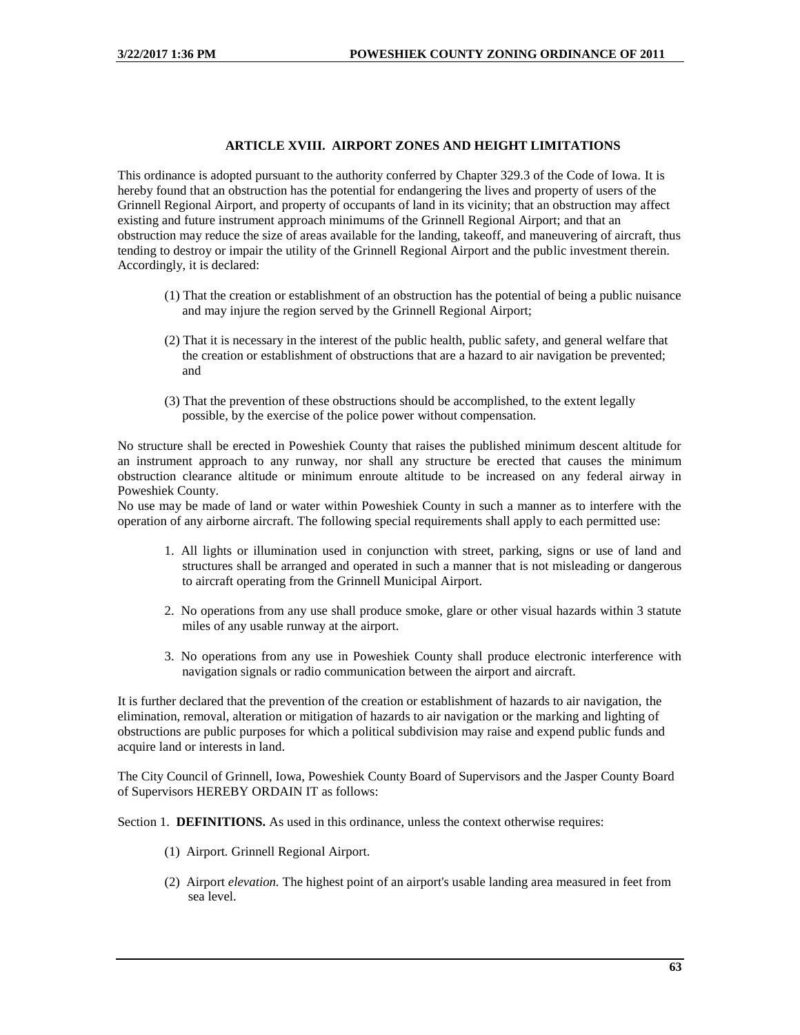## **ARTICLE XVIII. AIRPORT ZONES AND HEIGHT LIMITATIONS**

This ordinance is adopted pursuant to the authority conferred by Chapter 329.3 of the Code of Iowa. It is hereby found that an obstruction has the potential for endangering the lives and property of users of the Grinnell Regional Airport, and property of occupants of land in its vicinity; that an obstruction may affect existing and future instrument approach minimums of the Grinnell Regional Airport; and that an obstruction may reduce the size of areas available for the landing, takeoff, and maneuvering of aircraft, thus tending to destroy or impair the utility of the Grinnell Regional Airport and the public investment therein. Accordingly, it is declared:

- (1) That the creation or establishment of an obstruction has the potential of being a public nuisance and may injure the region served by the Grinnell Regional Airport;
- (2) That it is necessary in the interest of the public health, public safety, and general welfare that the creation or establishment of obstructions that are a hazard to air navigation be prevented; and
- (3) That the prevention of these obstructions should be accomplished, to the extent legally possible, by the exercise of the police power without compensation.

No structure shall be erected in Poweshiek County that raises the published minimum descent altitude for an instrument approach to any runway, nor shall any structure be erected that causes the minimum obstruction clearance altitude or minimum enroute altitude to be increased on any federal airway in Poweshiek County.

No use may be made of land or water within Poweshiek County in such a manner as to interfere with the operation of any airborne aircraft. The following special requirements shall apply to each permitted use:

- 1. All lights or illumination used in conjunction with street, parking, signs or use of land and structures shall be arranged and operated in such a manner that is not misleading or dangerous to aircraft operating from the Grinnell Municipal Airport.
- 2. No operations from any use shall produce smoke, glare or other visual hazards within 3 statute miles of any usable runway at the airport.
- 3. No operations from any use in Poweshiek County shall produce electronic interference with navigation signals or radio communication between the airport and aircraft.

It is further declared that the prevention of the creation or establishment of hazards to air navigation, the elimination, removal, alteration or mitigation of hazards to air navigation or the marking and lighting of obstructions are public purposes for which a political subdivision may raise and expend public funds and acquire land or interests in land.

The City Council of Grinnell, Iowa, Poweshiek County Board of Supervisors and the Jasper County Board of Supervisors HEREBY ORDAIN IT as follows:

Section 1. **DEFINITIONS.** As used in this ordinance, unless the context otherwise requires:

- (1) Airport*.* Grinnell Regional Airport.
- (2) Airport *elevation.* The highest point of an airport's usable landing area measured in feet from sea level.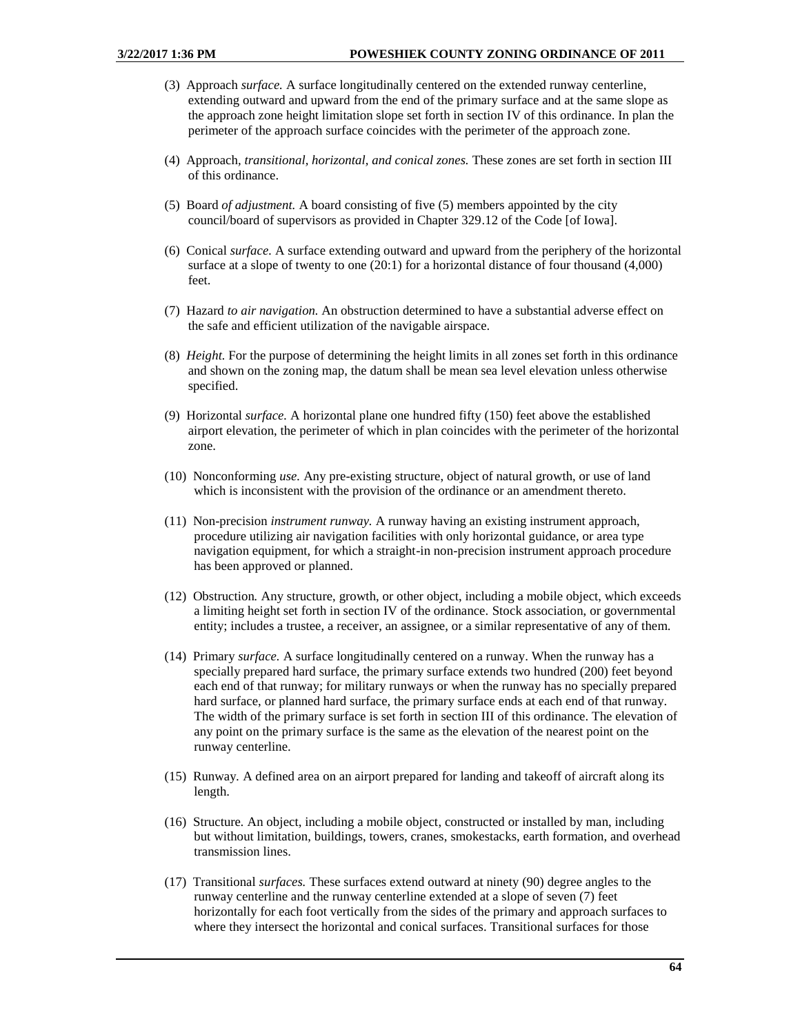- (3) Approach *surface.* A surface longitudinally centered on the extended runway centerline, extending outward and upward from the end of the primary surface and at the same slope as the approach zone height limitation slope set forth in section IV of this ordinance. In plan the perimeter of the approach surface coincides with the perimeter of the approach zone.
- (4) Approach*, transitional, horizontal, and conical zones.* These zones are set forth in section III of this ordinance.
- (5) Board *of adjustment.* A board consisting of five (5) members appointed by the city council/board of supervisors as provided in Chapter 329.12 of the Code [of Iowa].
- (6) Conical *surface.* A surface extending outward and upward from the periphery of the horizontal surface at a slope of twenty to one (20:1) for a horizontal distance of four thousand (4,000) feet.
- (7) Hazard *to air navigation.* An obstruction determined to have a substantial adverse effect on the safe and efficient utilization of the navigable airspace.
- (8) *Height.* For the purpose of determining the height limits in all zones set forth in this ordinance and shown on the zoning map, the datum shall be mean sea level elevation unless otherwise specified.
- (9) Horizontal *surface.* A horizontal plane one hundred fifty (150) feet above the established airport elevation, the perimeter of which in plan coincides with the perimeter of the horizontal zone.
- (10) Nonconforming *use.* Any pre-existing structure, object of natural growth, or use of land which is inconsistent with the provision of the ordinance or an amendment thereto.
- (11) Non-precision *instrument runway.* A runway having an existing instrument approach, procedure utilizing air navigation facilities with only horizontal guidance, or area type navigation equipment, for which a straight-in non-precision instrument approach procedure has been approved or planned.
- (12) Obstruction*.* Any structure, growth, or other object, including a mobile object, which exceeds a limiting height set forth in section IV of the ordinance. Stock association, or governmental entity; includes a trustee, a receiver, an assignee, or a similar representative of any of them.
- (14) Primary *surface.* A surface longitudinally centered on a runway. When the runway has a specially prepared hard surface, the primary surface extends two hundred (200) feet beyond each end of that runway; for military runways or when the runway has no specially prepared hard surface, or planned hard surface, the primary surface ends at each end of that runway. The width of the primary surface is set forth in section III of this ordinance. The elevation of any point on the primary surface is the same as the elevation of the nearest point on the runway centerline.
- (15) Runway*.* A defined area on an airport prepared for landing and takeoff of aircraft along its length.
- (16) Structure*.* An object, including a mobile object, constructed or installed by man, including but without limitation, buildings, towers, cranes, smokestacks, earth formation, and overhead transmission lines.
- (17) Transitional *surfaces.* These surfaces extend outward at ninety (90) degree angles to the runway centerline and the runway centerline extended at a slope of seven (7) feet horizontally for each foot vertically from the sides of the primary and approach surfaces to where they intersect the horizontal and conical surfaces. Transitional surfaces for those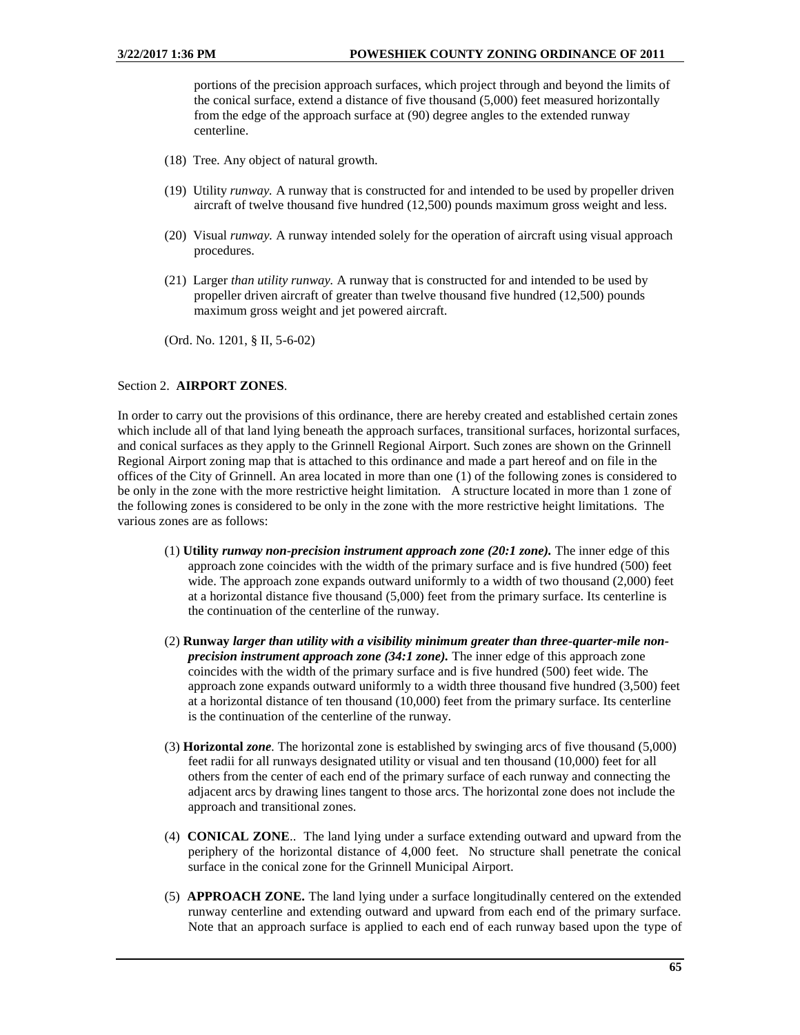portions of the precision approach surfaces, which project through and beyond the limits of the conical surface, extend a distance of five thousand (5,000) feet measured horizontally from the edge of the approach surface at (90) degree angles to the extended runway centerline.

- (18) Tree*.* Any object of natural growth.
- (19) Utility *runway.* A runway that is constructed for and intended to be used by propeller driven aircraft of twelve thousand five hundred (12,500) pounds maximum gross weight and less.
- (20) Visual *runway.* A runway intended solely for the operation of aircraft using visual approach procedures.
- (21) Larger *than utility runway.* A runway that is constructed for and intended to be used by propeller driven aircraft of greater than twelve thousand five hundred (12,500) pounds maximum gross weight and jet powered aircraft.

(Ord. No. 1201, § II, 5-6-02)

### Section 2. **AIRPORT ZONES**.

In order to carry out the provisions of this ordinance, there are hereby created and established certain zones which include all of that land lying beneath the approach surfaces, transitional surfaces, horizontal surfaces, and conical surfaces as they apply to the Grinnell Regional Airport. Such zones are shown on the Grinnell Regional Airport zoning map that is attached to this ordinance and made a part hereof and on file in the offices of the City of Grinnell. An area located in more than one (1) of the following zones is considered to be only in the zone with the more restrictive height limitation. A structure located in more than 1 zone of the following zones is considered to be only in the zone with the more restrictive height limitations. The various zones are as follows:

- (1) **Utility** *runway non-precision instrument approach zone (20:1 zone).* The inner edge of this approach zone coincides with the width of the primary surface and is five hundred (500) feet wide. The approach zone expands outward uniformly to a width of two thousand (2,000) feet at a horizontal distance five thousand (5,000) feet from the primary surface. Its centerline is the continuation of the centerline of the runway.
- (2) **Runway** *larger than utility with a visibility minimum greater than three-quarter-mile nonprecision instrument approach zone (34:1 zone).* The inner edge of this approach zone coincides with the width of the primary surface and is five hundred (500) feet wide. The approach zone expands outward uniformly to a width three thousand five hundred (3,500) feet at a horizontal distance of ten thousand (10,000) feet from the primary surface. Its centerline is the continuation of the centerline of the runway.
- (3) **Horizontal** *zone.* The horizontal zone is established by swinging arcs of five thousand (5,000) feet radii for all runways designated utility or visual and ten thousand (10,000) feet for all others from the center of each end of the primary surface of each runway and connecting the adjacent arcs by drawing lines tangent to those arcs. The horizontal zone does not include the approach and transitional zones.
- (4) **CONICAL ZONE**.. The land lying under a surface extending outward and upward from the periphery of the horizontal distance of 4,000 feet. No structure shall penetrate the conical surface in the conical zone for the Grinnell Municipal Airport.
- (5) **APPROACH ZONE.** The land lying under a surface longitudinally centered on the extended runway centerline and extending outward and upward from each end of the primary surface. Note that an approach surface is applied to each end of each runway based upon the type of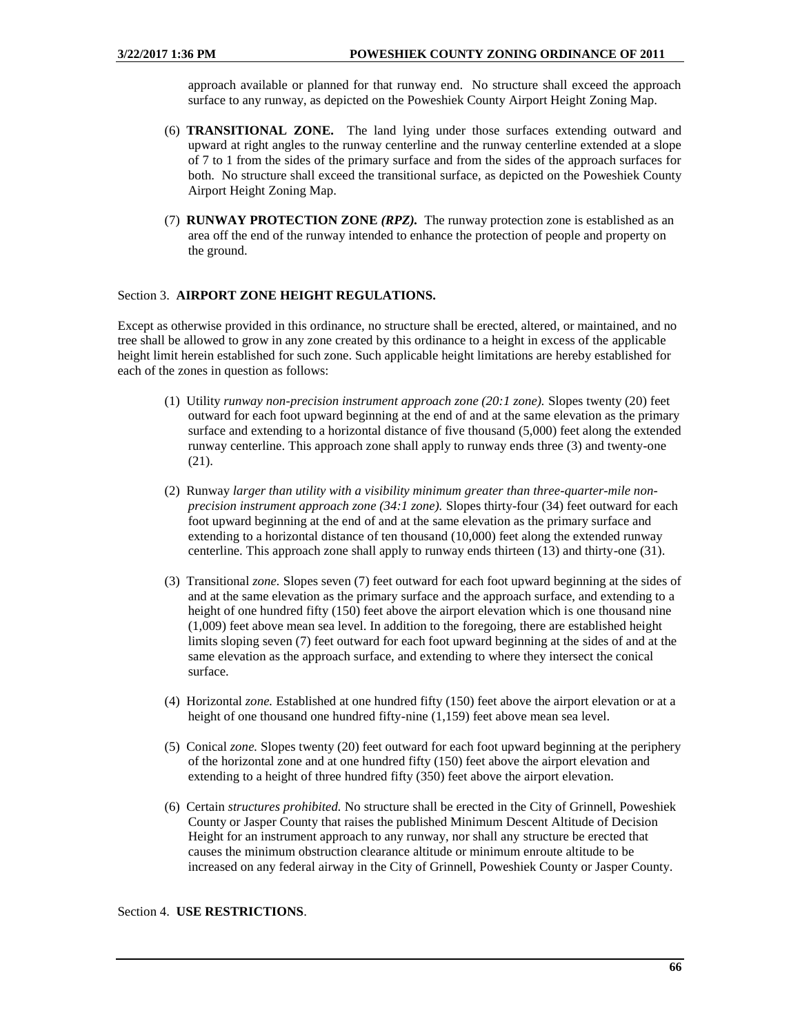approach available or planned for that runway end. No structure shall exceed the approach surface to any runway, as depicted on the Poweshiek County Airport Height Zoning Map.

- (6) **TRANSITIONAL ZONE.** The land lying under those surfaces extending outward and upward at right angles to the runway centerline and the runway centerline extended at a slope of 7 to 1 from the sides of the primary surface and from the sides of the approach surfaces for both. No structure shall exceed the transitional surface, as depicted on the Poweshiek County Airport Height Zoning Map.
- (7) **RUNWAY PROTECTION ZONE** *(RPZ).* The runway protection zone is established as an area off the end of the runway intended to enhance the protection of people and property on the ground.

## Section 3. **AIRPORT ZONE HEIGHT REGULATIONS.**

Except as otherwise provided in this ordinance, no structure shall be erected, altered, or maintained, and no tree shall be allowed to grow in any zone created by this ordinance to a height in excess of the applicable height limit herein established for such zone. Such applicable height limitations are hereby established for each of the zones in question as follows:

- (1) Utility *runway non-precision instrument approach zone (20:1 zone).* Slopes twenty (20) feet outward for each foot upward beginning at the end of and at the same elevation as the primary surface and extending to a horizontal distance of five thousand (5,000) feet along the extended runway centerline. This approach zone shall apply to runway ends three (3) and twenty-one (21).
- (2) Runway *larger than utility with a visibility minimum greater than three-quarter-mile nonprecision instrument approach zone (34:1 zone).* Slopes thirty-four (34) feet outward for each foot upward beginning at the end of and at the same elevation as the primary surface and extending to a horizontal distance of ten thousand (10,000) feet along the extended runway centerline. This approach zone shall apply to runway ends thirteen (13) and thirty-one (31).
- (3) Transitional *zone.* Slopes seven (7) feet outward for each foot upward beginning at the sides of and at the same elevation as the primary surface and the approach surface, and extending to a height of one hundred fifty (150) feet above the airport elevation which is one thousand nine (1,009) feet above mean sea level. In addition to the foregoing, there are established height limits sloping seven (7) feet outward for each foot upward beginning at the sides of and at the same elevation as the approach surface, and extending to where they intersect the conical surface.
- (4) Horizontal *zone.* Established at one hundred fifty (150) feet above the airport elevation or at a height of one thousand one hundred fifty-nine (1,159) feet above mean sea level.
- (5) Conical *zone.* Slopes twenty (20) feet outward for each foot upward beginning at the periphery of the horizontal zone and at one hundred fifty (150) feet above the airport elevation and extending to a height of three hundred fifty (350) feet above the airport elevation.
- (6) Certain *structures prohibited.* No structure shall be erected in the City of Grinnell, Poweshiek County or Jasper County that raises the published Minimum Descent Altitude of Decision Height for an instrument approach to any runway, nor shall any structure be erected that causes the minimum obstruction clearance altitude or minimum enroute altitude to be increased on any federal airway in the City of Grinnell, Poweshiek County or Jasper County.

### Section 4. **USE RESTRICTIONS**.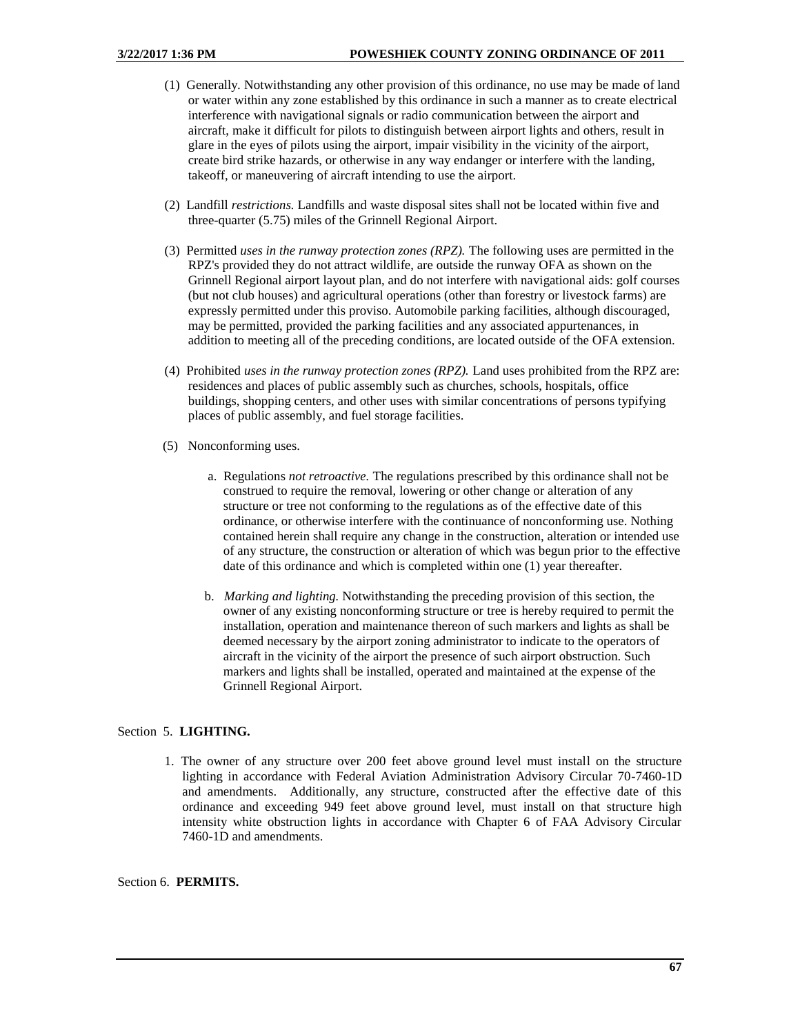- (1) Generally*.* Notwithstanding any other provision of this ordinance, no use may be made of land or water within any zone established by this ordinance in such a manner as to create electrical interference with navigational signals or radio communication between the airport and aircraft, make it difficult for pilots to distinguish between airport lights and others, result in glare in the eyes of pilots using the airport, impair visibility in the vicinity of the airport, create bird strike hazards, or otherwise in any way endanger or interfere with the landing, takeoff, or maneuvering of aircraft intending to use the airport.
- (2) Landfill *restrictions.* Landfills and waste disposal sites shall not be located within five and three-quarter (5.75) miles of the Grinnell Regional Airport.
- (3) Permitted *uses in the runway protection zones (RPZ).* The following uses are permitted in the RPZ's provided they do not attract wildlife, are outside the runway OFA as shown on the Grinnell Regional airport layout plan, and do not interfere with navigational aids: golf courses (but not club houses) and agricultural operations (other than forestry or livestock farms) are expressly permitted under this proviso. Automobile parking facilities, although discouraged, may be permitted, provided the parking facilities and any associated appurtenances, in addition to meeting all of the preceding conditions, are located outside of the OFA extension.
- (4) Prohibited *uses in the runway protection zones (RPZ).* Land uses prohibited from the RPZ are: residences and places of public assembly such as churches, schools, hospitals, office buildings, shopping centers, and other uses with similar concentrations of persons typifying places of public assembly, and fuel storage facilities.
- (5) Nonconforming uses.
	- a. Regulations *not retroactive.* The regulations prescribed by this ordinance shall not be construed to require the removal, lowering or other change or alteration of any structure or tree not conforming to the regulations as of the effective date of this ordinance, or otherwise interfere with the continuance of nonconforming use. Nothing contained herein shall require any change in the construction, alteration or intended use of any structure, the construction or alteration of which was begun prior to the effective date of this ordinance and which is completed within one (1) year thereafter.
	- b. *Marking and lighting.* Notwithstanding the preceding provision of this section, the owner of any existing nonconforming structure or tree is hereby required to permit the installation, operation and maintenance thereon of such markers and lights as shall be deemed necessary by the airport zoning administrator to indicate to the operators of aircraft in the vicinity of the airport the presence of such airport obstruction. Such markers and lights shall be installed, operated and maintained at the expense of the Grinnell Regional Airport.

# Section 5. **LIGHTING.**

1. The owner of any structure over 200 feet above ground level must install on the structure lighting in accordance with Federal Aviation Administration Advisory Circular 70-7460-1D and amendments. Additionally, any structure, constructed after the effective date of this ordinance and exceeding 949 feet above ground level, must install on that structure high intensity white obstruction lights in accordance with Chapter 6 of FAA Advisory Circular 7460-1D and amendments.

Section 6. **PERMITS.**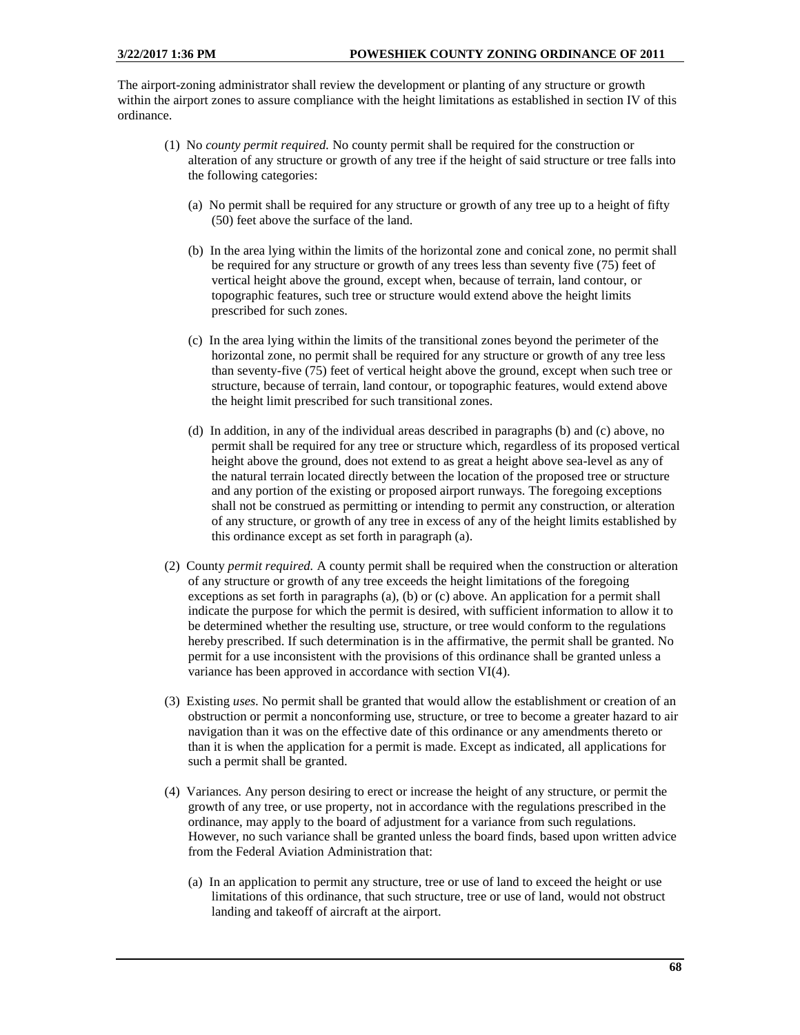The airport-zoning administrator shall review the development or planting of any structure or growth within the airport zones to assure compliance with the height limitations as established in section IV of this ordinance.

- (1) No *county permit required.* No county permit shall be required for the construction or alteration of any structure or growth of any tree if the height of said structure or tree falls into the following categories:
	- (a) No permit shall be required for any structure or growth of any tree up to a height of fifty (50) feet above the surface of the land.
	- (b) In the area lying within the limits of the horizontal zone and conical zone, no permit shall be required for any structure or growth of any trees less than seventy five (75) feet of vertical height above the ground, except when, because of terrain, land contour, or topographic features, such tree or structure would extend above the height limits prescribed for such zones.
	- (c) In the area lying within the limits of the transitional zones beyond the perimeter of the horizontal zone, no permit shall be required for any structure or growth of any tree less than seventy-five (75) feet of vertical height above the ground, except when such tree or structure, because of terrain, land contour, or topographic features, would extend above the height limit prescribed for such transitional zones.
	- (d) In addition, in any of the individual areas described in paragraphs (b) and (c) above, no permit shall be required for any tree or structure which, regardless of its proposed vertical height above the ground, does not extend to as great a height above sea-level as any of the natural terrain located directly between the location of the proposed tree or structure and any portion of the existing or proposed airport runways. The foregoing exceptions shall not be construed as permitting or intending to permit any construction, or alteration of any structure, or growth of any tree in excess of any of the height limits established by this ordinance except as set forth in paragraph (a).
- (2) County *permit required.* A county permit shall be required when the construction or alteration of any structure or growth of any tree exceeds the height limitations of the foregoing exceptions as set forth in paragraphs (a), (b) or (c) above. An application for a permit shall indicate the purpose for which the permit is desired, with sufficient information to allow it to be determined whether the resulting use, structure, or tree would conform to the regulations hereby prescribed. If such determination is in the affirmative, the permit shall be granted. No permit for a use inconsistent with the provisions of this ordinance shall be granted unless a variance has been approved in accordance with section VI(4).
- (3) Existing *uses.* No permit shall be granted that would allow the establishment or creation of an obstruction or permit a nonconforming use, structure, or tree to become a greater hazard to air navigation than it was on the effective date of this ordinance or any amendments thereto or than it is when the application for a permit is made. Except as indicated, all applications for such a permit shall be granted.
- (4) Variances*.* Any person desiring to erect or increase the height of any structure, or permit the growth of any tree, or use property, not in accordance with the regulations prescribed in the ordinance, may apply to the board of adjustment for a variance from such regulations. However, no such variance shall be granted unless the board finds, based upon written advice from the Federal Aviation Administration that:
	- (a) In an application to permit any structure, tree or use of land to exceed the height or use limitations of this ordinance, that such structure, tree or use of land, would not obstruct landing and takeoff of aircraft at the airport.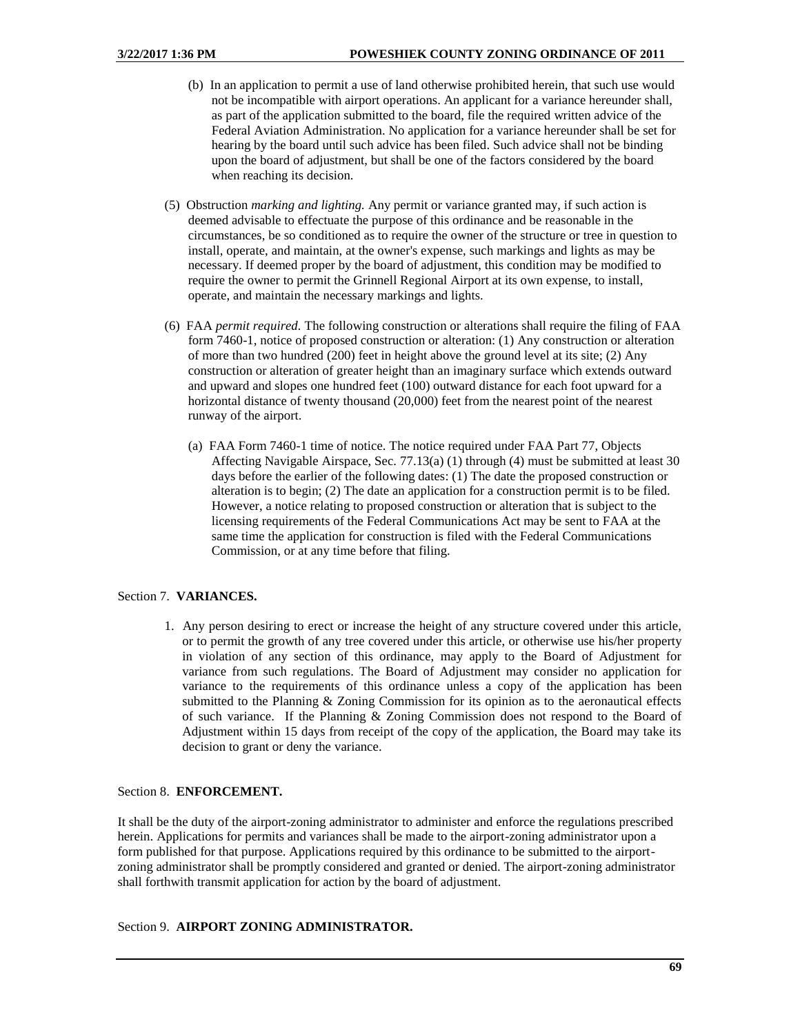- (b) In an application to permit a use of land otherwise prohibited herein, that such use would not be incompatible with airport operations. An applicant for a variance hereunder shall, as part of the application submitted to the board, file the required written advice of the Federal Aviation Administration. No application for a variance hereunder shall be set for hearing by the board until such advice has been filed. Such advice shall not be binding upon the board of adjustment, but shall be one of the factors considered by the board when reaching its decision.
- (5) Obstruction *marking and lighting.* Any permit or variance granted may, if such action is deemed advisable to effectuate the purpose of this ordinance and be reasonable in the circumstances, be so conditioned as to require the owner of the structure or tree in question to install, operate, and maintain, at the owner's expense, such markings and lights as may be necessary. If deemed proper by the board of adjustment, this condition may be modified to require the owner to permit the Grinnell Regional Airport at its own expense, to install, operate, and maintain the necessary markings and lights.
- (6) FAA *permit required.* The following construction or alterations shall require the filing of FAA form 7460-1, notice of proposed construction or alteration: (1) Any construction or alteration of more than two hundred (200) feet in height above the ground level at its site; (2) Any construction or alteration of greater height than an imaginary surface which extends outward and upward and slopes one hundred feet (100) outward distance for each foot upward for a horizontal distance of twenty thousand (20,000) feet from the nearest point of the nearest runway of the airport.
	- (a) FAA Form 7460-1 time of notice. The notice required under FAA Part 77, Objects Affecting Navigable Airspace, Sec. 77.13(a) (1) through (4) must be submitted at least 30 days before the earlier of the following dates: (1) The date the proposed construction or alteration is to begin; (2) The date an application for a construction permit is to be filed. However, a notice relating to proposed construction or alteration that is subject to the licensing requirements of the Federal Communications Act may be sent to FAA at the same time the application for construction is filed with the Federal Communications Commission, or at any time before that filing.

# Section 7. **VARIANCES.**

1. Any person desiring to erect or increase the height of any structure covered under this article, or to permit the growth of any tree covered under this article, or otherwise use his/her property in violation of any section of this ordinance, may apply to the Board of Adjustment for variance from such regulations. The Board of Adjustment may consider no application for variance to the requirements of this ordinance unless a copy of the application has been submitted to the Planning & Zoning Commission for its opinion as to the aeronautical effects of such variance. If the Planning & Zoning Commission does not respond to the Board of Adjustment within 15 days from receipt of the copy of the application, the Board may take its decision to grant or deny the variance.

# Section 8. **ENFORCEMENT.**

It shall be the duty of the airport-zoning administrator to administer and enforce the regulations prescribed herein. Applications for permits and variances shall be made to the airport-zoning administrator upon a form published for that purpose. Applications required by this ordinance to be submitted to the airportzoning administrator shall be promptly considered and granted or denied. The airport-zoning administrator shall forthwith transmit application for action by the board of adjustment.

# Section 9. **AIRPORT ZONING ADMINISTRATOR.**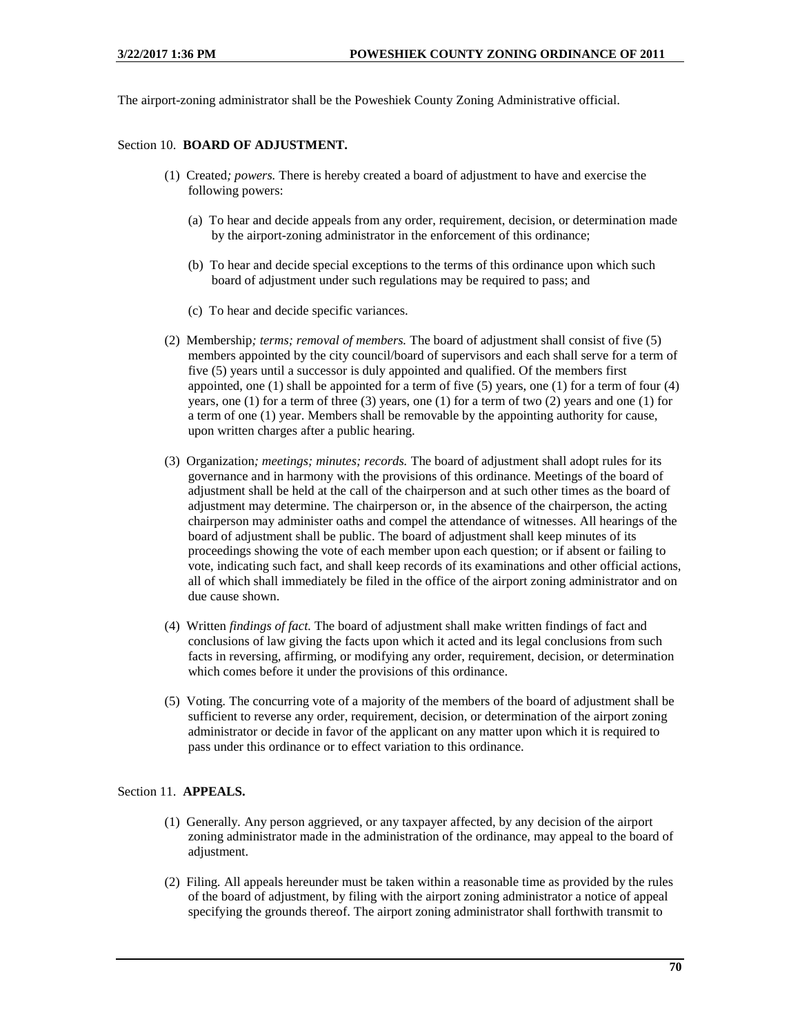The airport-zoning administrator shall be the Poweshiek County Zoning Administrative official.

## Section 10. **BOARD OF ADJUSTMENT.**

- (1) Created*; powers.* There is hereby created a board of adjustment to have and exercise the following powers:
	- (a) To hear and decide appeals from any order, requirement, decision, or determination made by the airport-zoning administrator in the enforcement of this ordinance;
	- (b) To hear and decide special exceptions to the terms of this ordinance upon which such board of adjustment under such regulations may be required to pass; and
	- (c) To hear and decide specific variances.
- (2) Membership*; terms; removal of members.* The board of adjustment shall consist of five (5) members appointed by the city council/board of supervisors and each shall serve for a term of five (5) years until a successor is duly appointed and qualified. Of the members first appointed, one  $(1)$  shall be appointed for a term of five  $(5)$  years, one  $(1)$  for a term of four  $(4)$ years, one (1) for a term of three (3) years, one (1) for a term of two (2) years and one (1) for a term of one (1) year. Members shall be removable by the appointing authority for cause, upon written charges after a public hearing.
- (3) Organization*; meetings; minutes; records.* The board of adjustment shall adopt rules for its governance and in harmony with the provisions of this ordinance. Meetings of the board of adjustment shall be held at the call of the chairperson and at such other times as the board of adjustment may determine. The chairperson or, in the absence of the chairperson, the acting chairperson may administer oaths and compel the attendance of witnesses. All hearings of the board of adjustment shall be public. The board of adjustment shall keep minutes of its proceedings showing the vote of each member upon each question; or if absent or failing to vote, indicating such fact, and shall keep records of its examinations and other official actions, all of which shall immediately be filed in the office of the airport zoning administrator and on due cause shown.
- (4) Written *findings of fact.* The board of adjustment shall make written findings of fact and conclusions of law giving the facts upon which it acted and its legal conclusions from such facts in reversing, affirming, or modifying any order, requirement, decision, or determination which comes before it under the provisions of this ordinance.
- (5) Voting*.* The concurring vote of a majority of the members of the board of adjustment shall be sufficient to reverse any order, requirement, decision, or determination of the airport zoning administrator or decide in favor of the applicant on any matter upon which it is required to pass under this ordinance or to effect variation to this ordinance.

# Section 11. **APPEALS.**

- (1) Generally*.* Any person aggrieved, or any taxpayer affected, by any decision of the airport zoning administrator made in the administration of the ordinance, may appeal to the board of adjustment.
- (2) Filing*.* All appeals hereunder must be taken within a reasonable time as provided by the rules of the board of adjustment, by filing with the airport zoning administrator a notice of appeal specifying the grounds thereof. The airport zoning administrator shall forthwith transmit to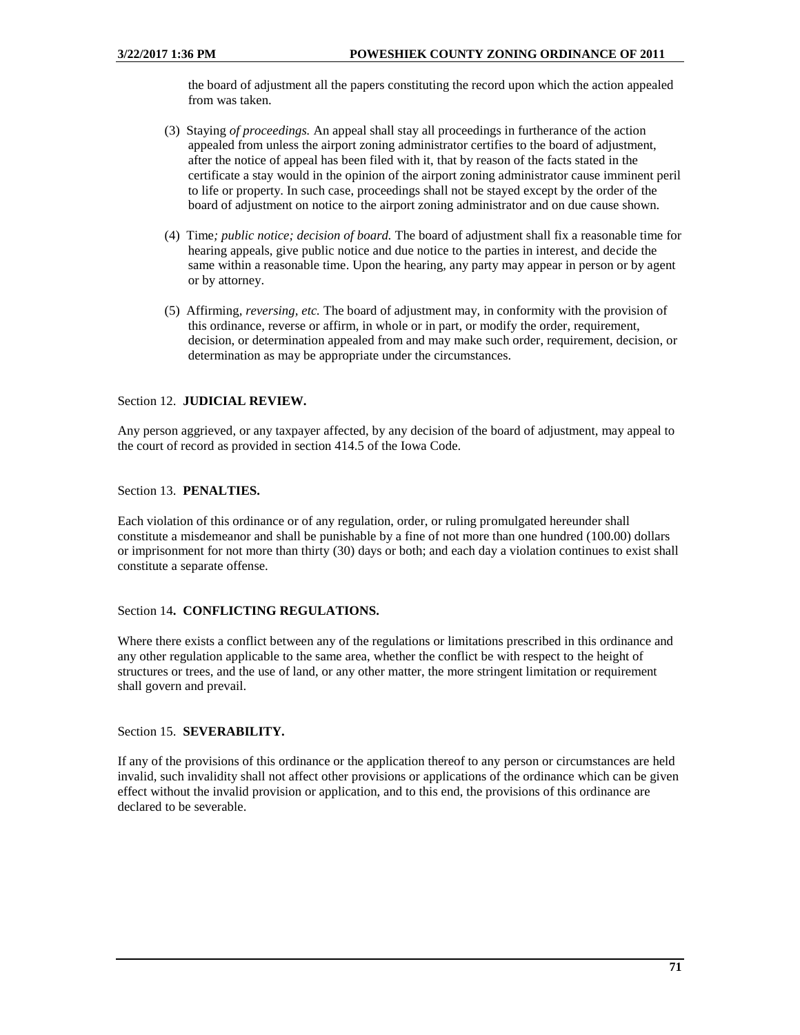the board of adjustment all the papers constituting the record upon which the action appealed from was taken.

- (3) Staying *of proceedings.* An appeal shall stay all proceedings in furtherance of the action appealed from unless the airport zoning administrator certifies to the board of adjustment, after the notice of appeal has been filed with it, that by reason of the facts stated in the certificate a stay would in the opinion of the airport zoning administrator cause imminent peril to life or property. In such case, proceedings shall not be stayed except by the order of the board of adjustment on notice to the airport zoning administrator and on due cause shown.
- (4) Time*; public notice; decision of board.* The board of adjustment shall fix a reasonable time for hearing appeals, give public notice and due notice to the parties in interest, and decide the same within a reasonable time. Upon the hearing, any party may appear in person or by agent or by attorney.
- (5) Affirming*, reversing, etc.* The board of adjustment may, in conformity with the provision of this ordinance, reverse or affirm, in whole or in part, or modify the order, requirement, decision, or determination appealed from and may make such order, requirement, decision, or determination as may be appropriate under the circumstances.

### Section 12. **JUDICIAL REVIEW.**

Any person aggrieved, or any taxpayer affected, by any decision of the board of adjustment, may appeal to the court of record as provided in section 414.5 of the Iowa Code.

## Section 13. **PENALTIES.**

Each violation of this ordinance or of any regulation, order, or ruling promulgated hereunder shall constitute a misdemeanor and shall be punishable by a fine of not more than one hundred (100.00) dollars or imprisonment for not more than thirty (30) days or both; and each day a violation continues to exist shall constitute a separate offense.

### Section 14**. CONFLICTING REGULATIONS.**

Where there exists a conflict between any of the regulations or limitations prescribed in this ordinance and any other regulation applicable to the same area, whether the conflict be with respect to the height of structures or trees, and the use of land, or any other matter, the more stringent limitation or requirement shall govern and prevail.

## Section 15. **SEVERABILITY.**

If any of the provisions of this ordinance or the application thereof to any person or circumstances are held invalid, such invalidity shall not affect other provisions or applications of the ordinance which can be given effect without the invalid provision or application, and to this end, the provisions of this ordinance are declared to be severable.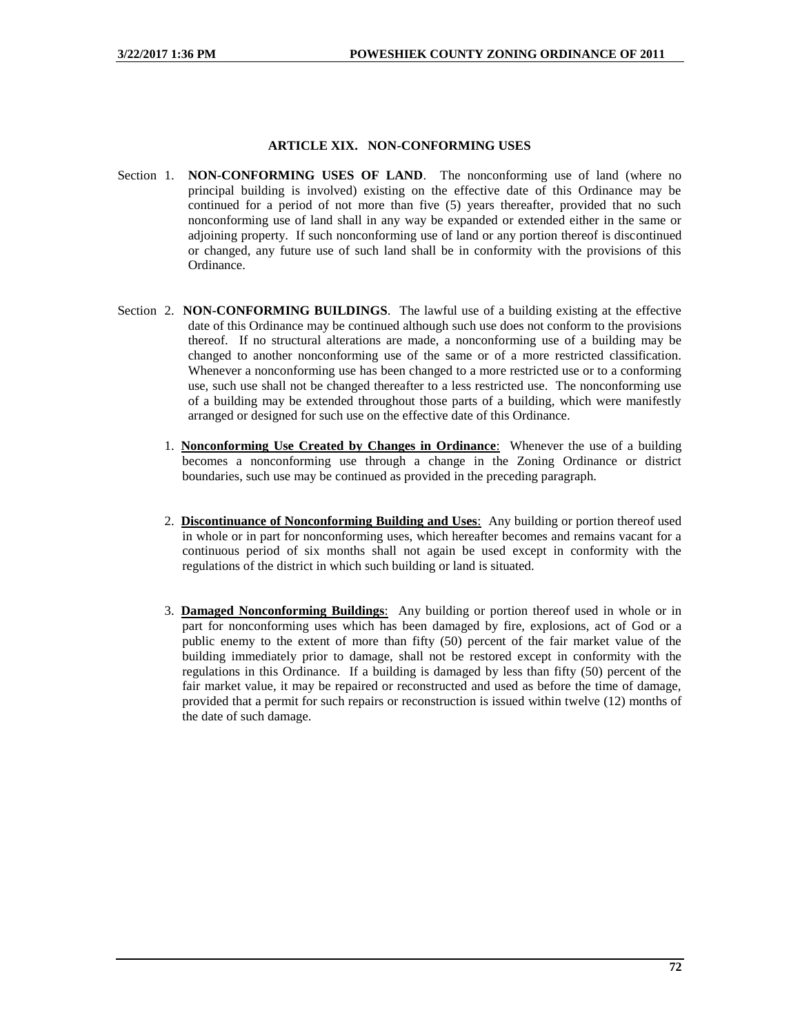### **ARTICLE XIX. NON-CONFORMING USES**

- Section 1. **NON-CONFORMING USES OF LAND**. The nonconforming use of land (where no principal building is involved) existing on the effective date of this Ordinance may be continued for a period of not more than five (5) years thereafter, provided that no such nonconforming use of land shall in any way be expanded or extended either in the same or adjoining property. If such nonconforming use of land or any portion thereof is discontinued or changed, any future use of such land shall be in conformity with the provisions of this Ordinance.
- Section 2. **NON-CONFORMING BUILDINGS**. The lawful use of a building existing at the effective date of this Ordinance may be continued although such use does not conform to the provisions thereof. If no structural alterations are made, a nonconforming use of a building may be changed to another nonconforming use of the same or of a more restricted classification. Whenever a nonconforming use has been changed to a more restricted use or to a conforming use, such use shall not be changed thereafter to a less restricted use. The nonconforming use of a building may be extended throughout those parts of a building, which were manifestly arranged or designed for such use on the effective date of this Ordinance.
	- 1. **Nonconforming Use Created by Changes in Ordinance**: Whenever the use of a building becomes a nonconforming use through a change in the Zoning Ordinance or district boundaries, such use may be continued as provided in the preceding paragraph.
	- 2. **Discontinuance of Nonconforming Building and Uses**: Any building or portion thereof used in whole or in part for nonconforming uses, which hereafter becomes and remains vacant for a continuous period of six months shall not again be used except in conformity with the regulations of the district in which such building or land is situated.
	- 3. **Damaged Nonconforming Buildings**: Any building or portion thereof used in whole or in part for nonconforming uses which has been damaged by fire, explosions, act of God or a public enemy to the extent of more than fifty (50) percent of the fair market value of the building immediately prior to damage, shall not be restored except in conformity with the regulations in this Ordinance. If a building is damaged by less than fifty (50) percent of the fair market value, it may be repaired or reconstructed and used as before the time of damage, provided that a permit for such repairs or reconstruction is issued within twelve (12) months of the date of such damage.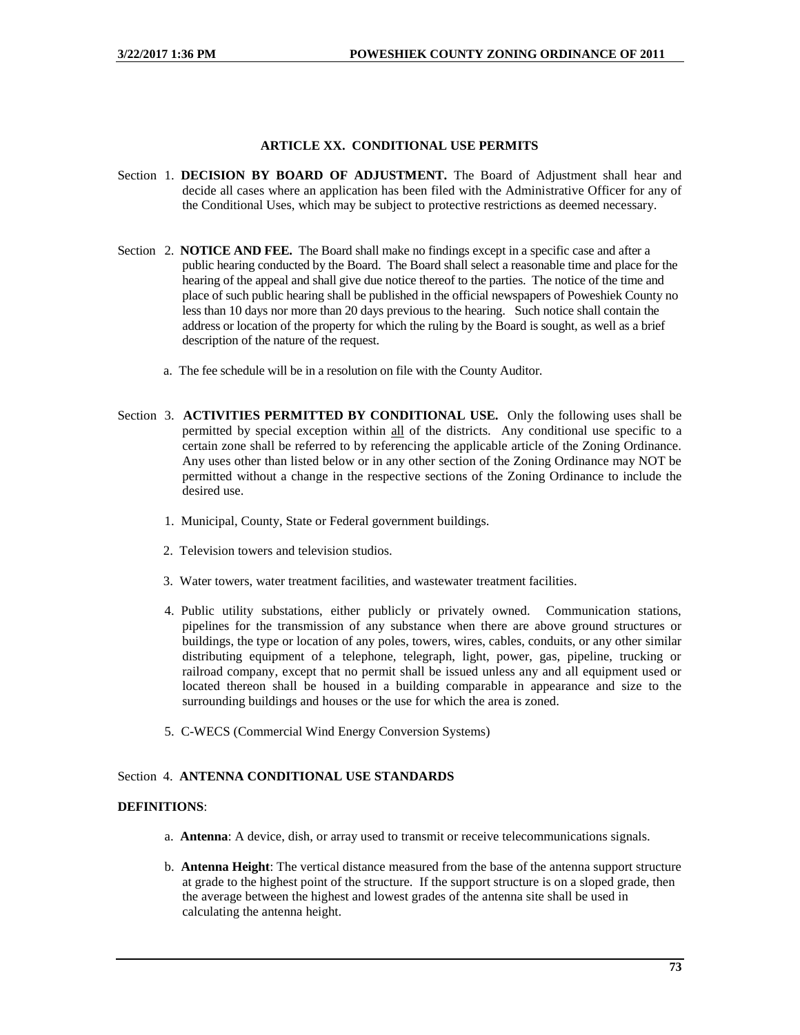## **ARTICLE XX. CONDITIONAL USE PERMITS**

- Section 1. **DECISION BY BOARD OF ADJUSTMENT.** The Board of Adjustment shall hear and decide all cases where an application has been filed with the Administrative Officer for any of the Conditional Uses, which may be subject to protective restrictions as deemed necessary.
- Section 2. **NOTICE AND FEE.** The Board shall make no findings except in a specific case and after a public hearing conducted by the Board. The Board shall select a reasonable time and place for the hearing of the appeal and shall give due notice thereof to the parties. The notice of the time and place of such public hearing shall be published in the official newspapers of Poweshiek County no less than 10 days nor more than 20 days previous to the hearing. Such notice shall contain the address or location of the property for which the ruling by the Board is sought, as well as a brief description of the nature of the request.
	- a. The fee schedule will be in a resolution on file with the County Auditor.
- Section 3. **ACTIVITIES PERMITTED BY CONDITIONAL USE.** Only the following uses shall be permitted by special exception within all of the districts. Any conditional use specific to a certain zone shall be referred to by referencing the applicable article of the Zoning Ordinance. Any uses other than listed below or in any other section of the Zoning Ordinance may NOT be permitted without a change in the respective sections of the Zoning Ordinance to include the desired use.
	- 1. Municipal, County, State or Federal government buildings.
	- 2. Television towers and television studios.
	- 3. Water towers, water treatment facilities, and wastewater treatment facilities.
	- 4. Public utility substations, either publicly or privately owned. Communication stations, pipelines for the transmission of any substance when there are above ground structures or buildings, the type or location of any poles, towers, wires, cables, conduits, or any other similar distributing equipment of a telephone, telegraph, light, power, gas, pipeline, trucking or railroad company, except that no permit shall be issued unless any and all equipment used or located thereon shall be housed in a building comparable in appearance and size to the surrounding buildings and houses or the use for which the area is zoned.
	- 5. C-WECS (Commercial Wind Energy Conversion Systems)

## Section 4. **ANTENNA CONDITIONAL USE STANDARDS**

## **DEFINITIONS**:

- a. **Antenna**: A device, dish, or array used to transmit or receive telecommunications signals.
- b. **Antenna Height**: The vertical distance measured from the base of the antenna support structure at grade to the highest point of the structure. If the support structure is on a sloped grade, then the average between the highest and lowest grades of the antenna site shall be used in calculating the antenna height.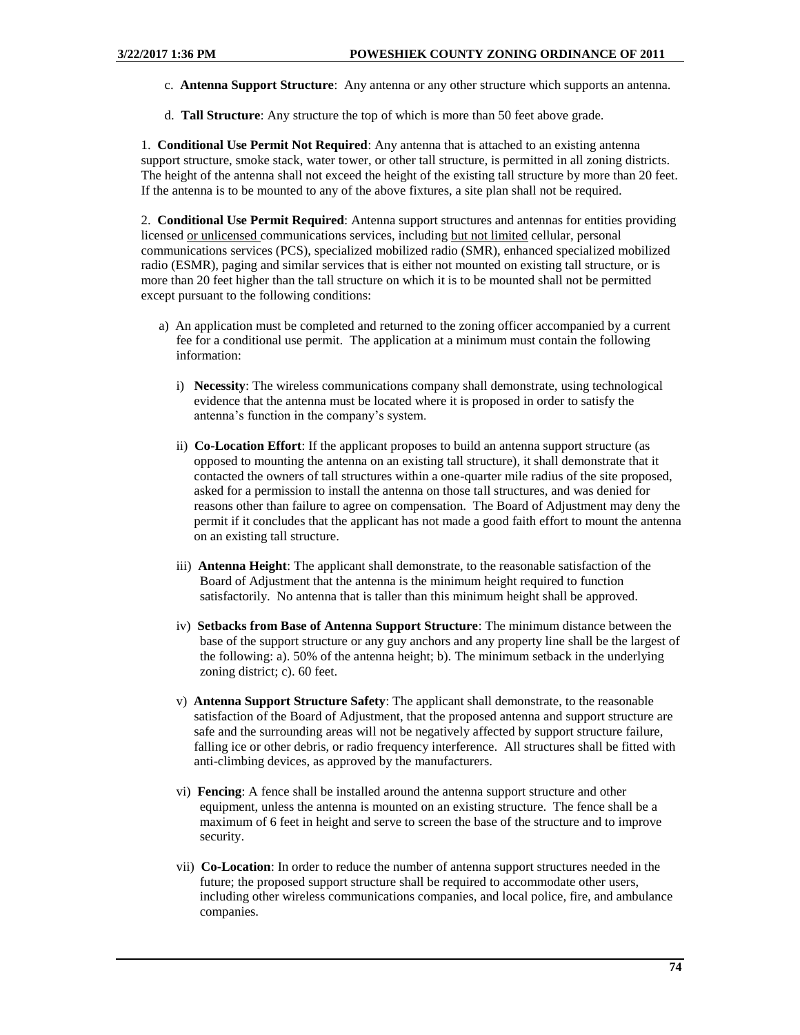- c. **Antenna Support Structure**: Any antenna or any other structure which supports an antenna.
- d. **Tall Structure**: Any structure the top of which is more than 50 feet above grade.

1. **Conditional Use Permit Not Required**: Any antenna that is attached to an existing antenna support structure, smoke stack, water tower, or other tall structure, is permitted in all zoning districts. The height of the antenna shall not exceed the height of the existing tall structure by more than 20 feet. If the antenna is to be mounted to any of the above fixtures, a site plan shall not be required.

2. **Conditional Use Permit Required**: Antenna support structures and antennas for entities providing licensed or unlicensed communications services, including but not limited cellular, personal communications services (PCS), specialized mobilized radio (SMR), enhanced specialized mobilized radio (ESMR), paging and similar services that is either not mounted on existing tall structure, or is more than 20 feet higher than the tall structure on which it is to be mounted shall not be permitted except pursuant to the following conditions:

- a) An application must be completed and returned to the zoning officer accompanied by a current fee for a conditional use permit. The application at a minimum must contain the following information:
	- i) **Necessity**: The wireless communications company shall demonstrate, using technological evidence that the antenna must be located where it is proposed in order to satisfy the antenna's function in the company's system.
	- ii) **Co-Location Effort**: If the applicant proposes to build an antenna support structure (as opposed to mounting the antenna on an existing tall structure), it shall demonstrate that it contacted the owners of tall structures within a one-quarter mile radius of the site proposed, asked for a permission to install the antenna on those tall structures, and was denied for reasons other than failure to agree on compensation. The Board of Adjustment may deny the permit if it concludes that the applicant has not made a good faith effort to mount the antenna on an existing tall structure.
	- iii) **Antenna Height**: The applicant shall demonstrate, to the reasonable satisfaction of the Board of Adjustment that the antenna is the minimum height required to function satisfactorily. No antenna that is taller than this minimum height shall be approved.
	- iv) **Setbacks from Base of Antenna Support Structure**: The minimum distance between the base of the support structure or any guy anchors and any property line shall be the largest of the following: a). 50% of the antenna height; b). The minimum setback in the underlying zoning district; c). 60 feet.
	- v) **Antenna Support Structure Safety**: The applicant shall demonstrate, to the reasonable satisfaction of the Board of Adjustment, that the proposed antenna and support structure are safe and the surrounding areas will not be negatively affected by support structure failure, falling ice or other debris, or radio frequency interference. All structures shall be fitted with anti-climbing devices, as approved by the manufacturers.
	- vi) **Fencing**: A fence shall be installed around the antenna support structure and other equipment, unless the antenna is mounted on an existing structure. The fence shall be a maximum of 6 feet in height and serve to screen the base of the structure and to improve security.
	- vii) **Co-Location**: In order to reduce the number of antenna support structures needed in the future; the proposed support structure shall be required to accommodate other users, including other wireless communications companies, and local police, fire, and ambulance companies.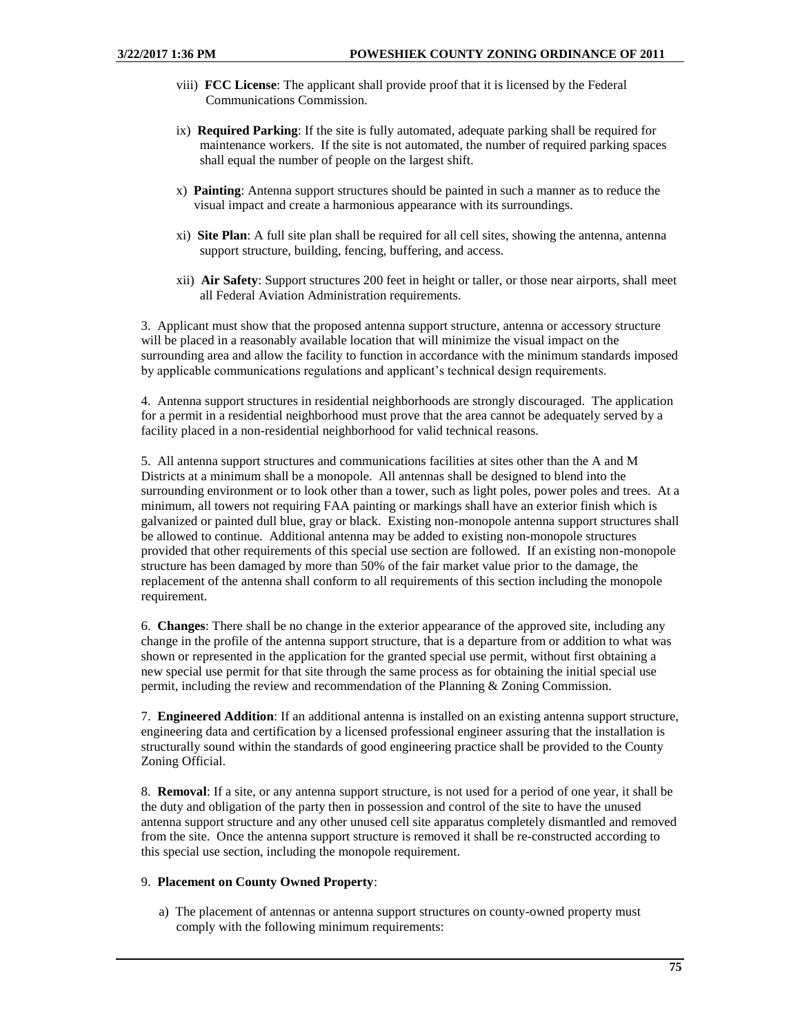- viii) **FCC License**: The applicant shall provide proof that it is licensed by the Federal Communications Commission.
- ix) **Required Parking**: If the site is fully automated, adequate parking shall be required for maintenance workers. If the site is not automated, the number of required parking spaces shall equal the number of people on the largest shift.
- x) **Painting**: Antenna support structures should be painted in such a manner as to reduce the visual impact and create a harmonious appearance with its surroundings.
- xi) **Site Plan**: A full site plan shall be required for all cell sites, showing the antenna, antenna support structure, building, fencing, buffering, and access.
- xii) **Air Safety**: Support structures 200 feet in height or taller, or those near airports, shall meet all Federal Aviation Administration requirements.

3. Applicant must show that the proposed antenna support structure, antenna or accessory structure will be placed in a reasonably available location that will minimize the visual impact on the surrounding area and allow the facility to function in accordance with the minimum standards imposed by applicable communications regulations and applicant's technical design requirements.

4. Antenna support structures in residential neighborhoods are strongly discouraged. The application for a permit in a residential neighborhood must prove that the area cannot be adequately served by a facility placed in a non-residential neighborhood for valid technical reasons.

5. All antenna support structures and communications facilities at sites other than the A and M Districts at a minimum shall be a monopole. All antennas shall be designed to blend into the surrounding environment or to look other than a tower, such as light poles, power poles and trees. At a minimum, all towers not requiring FAA painting or markings shall have an exterior finish which is galvanized or painted dull blue, gray or black. Existing non-monopole antenna support structures shall be allowed to continue. Additional antenna may be added to existing non-monopole structures provided that other requirements of this special use section are followed. If an existing non-monopole structure has been damaged by more than 50% of the fair market value prior to the damage, the replacement of the antenna shall conform to all requirements of this section including the monopole requirement.

6. **Changes**: There shall be no change in the exterior appearance of the approved site, including any change in the profile of the antenna support structure, that is a departure from or addition to what was shown or represented in the application for the granted special use permit, without first obtaining a new special use permit for that site through the same process as for obtaining the initial special use permit, including the review and recommendation of the Planning & Zoning Commission.

7. **Engineered Addition**: If an additional antenna is installed on an existing antenna support structure, engineering data and certification by a licensed professional engineer assuring that the installation is structurally sound within the standards of good engineering practice shall be provided to the County Zoning Official.

8. **Removal**: If a site, or any antenna support structure, is not used for a period of one year, it shall be the duty and obligation of the party then in possession and control of the site to have the unused antenna support structure and any other unused cell site apparatus completely dismantled and removed from the site. Once the antenna support structure is removed it shall be re-constructed according to this special use section, including the monopole requirement.

#### 9. **Placement on County Owned Property**:

a) The placement of antennas or antenna support structures on county-owned property must comply with the following minimum requirements: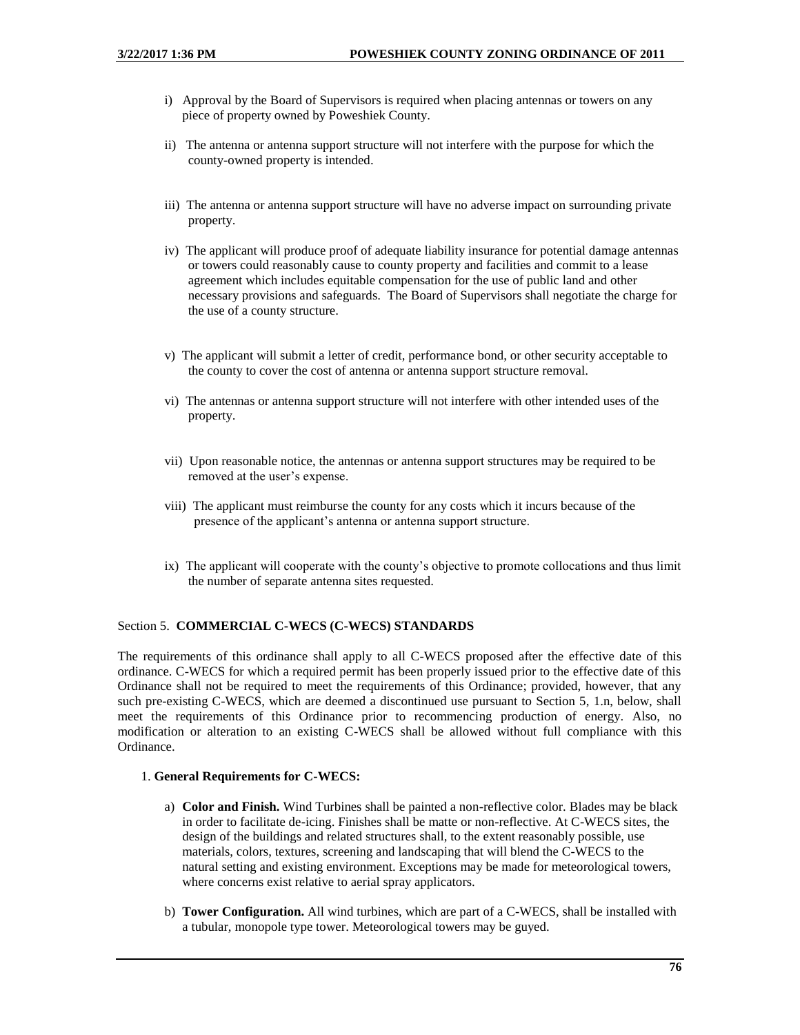- i) Approval by the Board of Supervisors is required when placing antennas or towers on any piece of property owned by Poweshiek County.
- ii) The antenna or antenna support structure will not interfere with the purpose for which the county-owned property is intended.
- iii) The antenna or antenna support structure will have no adverse impact on surrounding private property.
- iv) The applicant will produce proof of adequate liability insurance for potential damage antennas or towers could reasonably cause to county property and facilities and commit to a lease agreement which includes equitable compensation for the use of public land and other necessary provisions and safeguards. The Board of Supervisors shall negotiate the charge for the use of a county structure.
- v) The applicant will submit a letter of credit, performance bond, or other security acceptable to the county to cover the cost of antenna or antenna support structure removal.
- vi) The antennas or antenna support structure will not interfere with other intended uses of the property.
- vii) Upon reasonable notice, the antennas or antenna support structures may be required to be removed at the user's expense.
- viii) The applicant must reimburse the county for any costs which it incurs because of the presence of the applicant's antenna or antenna support structure.
- ix) The applicant will cooperate with the county's objective to promote collocations and thus limit the number of separate antenna sites requested.

### Section 5. **COMMERCIAL C-WECS (C-WECS) STANDARDS**

The requirements of this ordinance shall apply to all C-WECS proposed after the effective date of this ordinance. C-WECS for which a required permit has been properly issued prior to the effective date of this Ordinance shall not be required to meet the requirements of this Ordinance; provided, however, that any such pre-existing C-WECS, which are deemed a discontinued use pursuant to Section 5, 1.n, below, shall meet the requirements of this Ordinance prior to recommencing production of energy. Also, no modification or alteration to an existing C-WECS shall be allowed without full compliance with this Ordinance.

## 1. **General Requirements for C-WECS:**

- a) **Color and Finish.** Wind Turbines shall be painted a non-reflective color. Blades may be black in order to facilitate de-icing. Finishes shall be matte or non-reflective. At C-WECS sites, the design of the buildings and related structures shall, to the extent reasonably possible, use materials, colors, textures, screening and landscaping that will blend the C-WECS to the natural setting and existing environment. Exceptions may be made for meteorological towers, where concerns exist relative to aerial spray applicators.
- b) **Tower Configuration.** All wind turbines, which are part of a C-WECS, shall be installed with a tubular, monopole type tower. Meteorological towers may be guyed.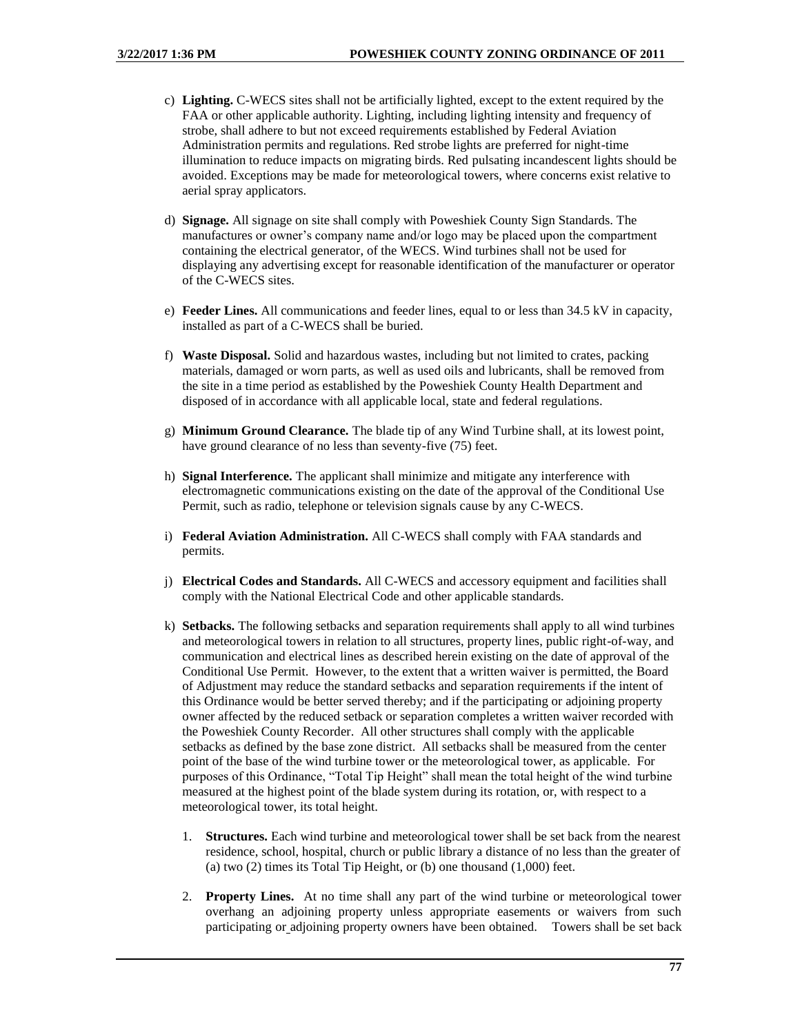- c) **Lighting.** C-WECS sites shall not be artificially lighted, except to the extent required by the FAA or other applicable authority. Lighting, including lighting intensity and frequency of strobe, shall adhere to but not exceed requirements established by Federal Aviation Administration permits and regulations. Red strobe lights are preferred for night-time illumination to reduce impacts on migrating birds. Red pulsating incandescent lights should be avoided. Exceptions may be made for meteorological towers, where concerns exist relative to aerial spray applicators.
- d) **Signage.** All signage on site shall comply with Poweshiek County Sign Standards. The manufactures or owner's company name and/or logo may be placed upon the compartment containing the electrical generator, of the WECS. Wind turbines shall not be used for displaying any advertising except for reasonable identification of the manufacturer or operator of the C-WECS sites.
- e) **Feeder Lines.** All communications and feeder lines, equal to or less than 34.5 kV in capacity, installed as part of a C-WECS shall be buried.
- f) **Waste Disposal.** Solid and hazardous wastes, including but not limited to crates, packing materials, damaged or worn parts, as well as used oils and lubricants, shall be removed from the site in a time period as established by the Poweshiek County Health Department and disposed of in accordance with all applicable local, state and federal regulations.
- g) **Minimum Ground Clearance.** The blade tip of any Wind Turbine shall, at its lowest point, have ground clearance of no less than seventy-five (75) feet.
- h) **Signal Interference.** The applicant shall minimize and mitigate any interference with electromagnetic communications existing on the date of the approval of the Conditional Use Permit, such as radio, telephone or television signals cause by any C-WECS.
- i) **Federal Aviation Administration.** All C-WECS shall comply with FAA standards and permits.
- j) **Electrical Codes and Standards.** All C-WECS and accessory equipment and facilities shall comply with the National Electrical Code and other applicable standards.
- k) **Setbacks.** The following setbacks and separation requirements shall apply to all wind turbines and meteorological towers in relation to all structures, property lines, public right-of-way, and communication and electrical lines as described herein existing on the date of approval of the Conditional Use Permit. However, to the extent that a written waiver is permitted, the Board of Adjustment may reduce the standard setbacks and separation requirements if the intent of this Ordinance would be better served thereby; and if the participating or adjoining property owner affected by the reduced setback or separation completes a written waiver recorded with the Poweshiek County Recorder. All other structures shall comply with the applicable setbacks as defined by the base zone district. All setbacks shall be measured from the center point of the base of the wind turbine tower or the meteorological tower, as applicable. For purposes of this Ordinance, "Total Tip Height" shall mean the total height of the wind turbine measured at the highest point of the blade system during its rotation, or, with respect to a meteorological tower, its total height.
	- 1. **Structures.** Each wind turbine and meteorological tower shall be set back from the nearest residence, school, hospital, church or public library a distance of no less than the greater of (a) two (2) times its Total Tip Height, or (b) one thousand (1,000) feet.
	- 2. **Property Lines.** At no time shall any part of the wind turbine or meteorological tower overhang an adjoining property unless appropriate easements or waivers from such participating or adjoining property owners have been obtained. Towers shall be set back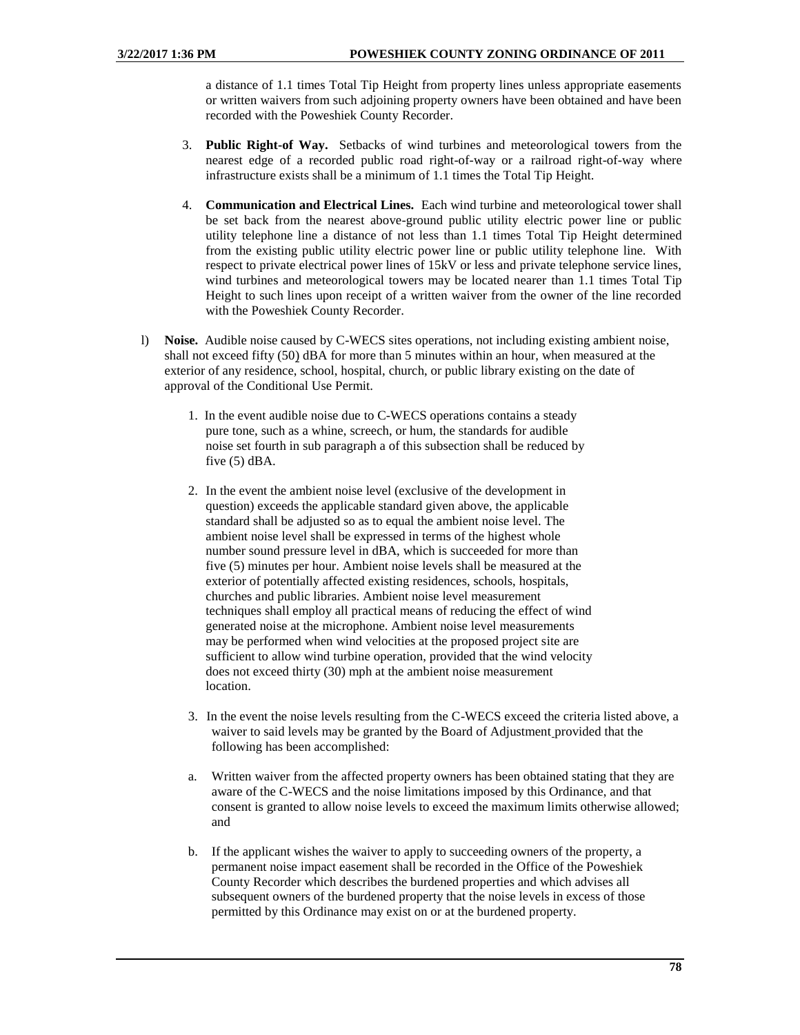a distance of 1.1 times Total Tip Height from property lines unless appropriate easements or written waivers from such adjoining property owners have been obtained and have been recorded with the Poweshiek County Recorder.

- 3. **Public Right-of Way.** Setbacks of wind turbines and meteorological towers from the nearest edge of a recorded public road right-of-way or a railroad right-of-way where infrastructure exists shall be a minimum of 1.1 times the Total Tip Height.
- 4. **Communication and Electrical Lines.** Each wind turbine and meteorological tower shall be set back from the nearest above-ground public utility electric power line or public utility telephone line a distance of not less than 1.1 times Total Tip Height determined from the existing public utility electric power line or public utility telephone line. With respect to private electrical power lines of 15kV or less and private telephone service lines, wind turbines and meteorological towers may be located nearer than 1.1 times Total Tip Height to such lines upon receipt of a written waiver from the owner of the line recorded with the Poweshiek County Recorder.
- l) **Noise.** Audible noise caused by C-WECS sites operations, not including existing ambient noise, shall not exceed fifty (50) dBA for more than 5 minutes within an hour, when measured at the exterior of any residence, school, hospital, church, or public library existing on the date of approval of the Conditional Use Permit.
	- 1. In the event audible noise due to C-WECS operations contains a steady pure tone, such as a whine, screech, or hum, the standards for audible noise set fourth in sub paragraph a of this subsection shall be reduced by five (5) dBA.
	- 2. In the event the ambient noise level (exclusive of the development in question) exceeds the applicable standard given above, the applicable standard shall be adjusted so as to equal the ambient noise level. The ambient noise level shall be expressed in terms of the highest whole number sound pressure level in dBA, which is succeeded for more than five (5) minutes per hour. Ambient noise levels shall be measured at the exterior of potentially affected existing residences, schools, hospitals, churches and public libraries. Ambient noise level measurement techniques shall employ all practical means of reducing the effect of wind generated noise at the microphone. Ambient noise level measurements may be performed when wind velocities at the proposed project site are sufficient to allow wind turbine operation, provided that the wind velocity does not exceed thirty (30) mph at the ambient noise measurement location.
	- 3. In the event the noise levels resulting from the C-WECS exceed the criteria listed above, a waiver to said levels may be granted by the Board of Adjustment provided that the following has been accomplished:
	- a. Written waiver from the affected property owners has been obtained stating that they are aware of the C-WECS and the noise limitations imposed by this Ordinance, and that consent is granted to allow noise levels to exceed the maximum limits otherwise allowed; and
	- b. If the applicant wishes the waiver to apply to succeeding owners of the property, a permanent noise impact easement shall be recorded in the Office of the Poweshiek County Recorder which describes the burdened properties and which advises all subsequent owners of the burdened property that the noise levels in excess of those permitted by this Ordinance may exist on or at the burdened property.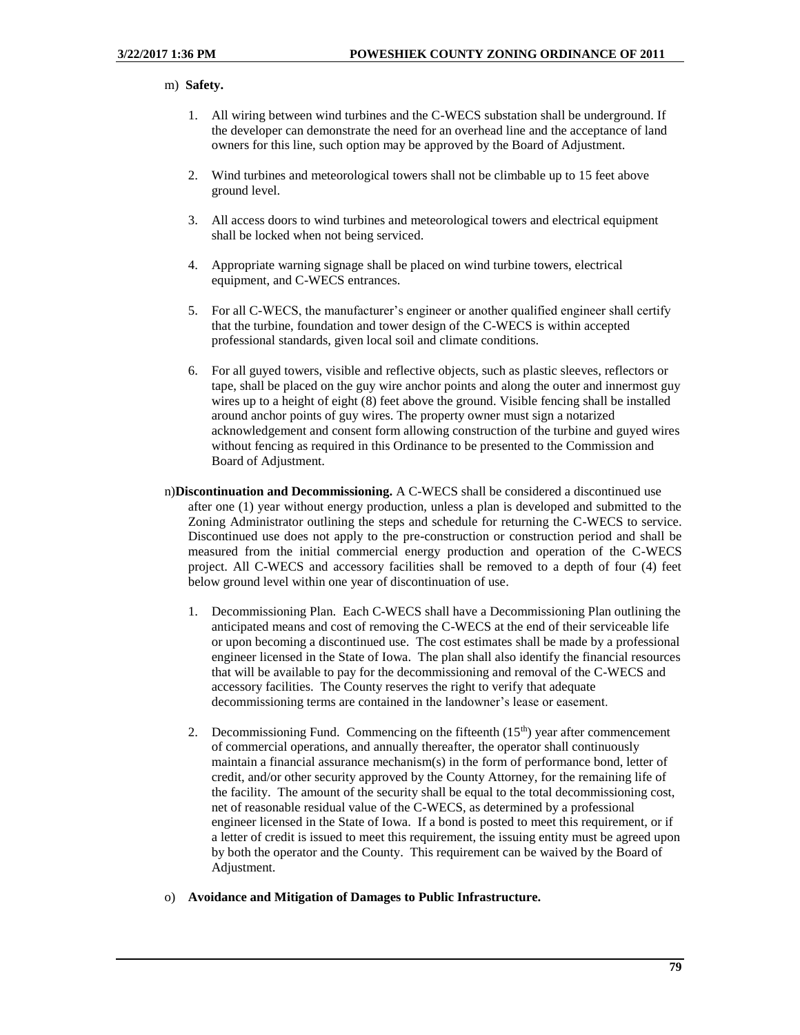#### m) **Safety.**

- 1. All wiring between wind turbines and the C-WECS substation shall be underground. If the developer can demonstrate the need for an overhead line and the acceptance of land owners for this line, such option may be approved by the Board of Adjustment.
- 2. Wind turbines and meteorological towers shall not be climbable up to 15 feet above ground level.
- 3. All access doors to wind turbines and meteorological towers and electrical equipment shall be locked when not being serviced.
- 4. Appropriate warning signage shall be placed on wind turbine towers, electrical equipment, and C-WECS entrances.
- 5. For all C-WECS, the manufacturer's engineer or another qualified engineer shall certify that the turbine, foundation and tower design of the C-WECS is within accepted professional standards, given local soil and climate conditions.
- 6. For all guyed towers, visible and reflective objects, such as plastic sleeves, reflectors or tape, shall be placed on the guy wire anchor points and along the outer and innermost guy wires up to a height of eight (8) feet above the ground. Visible fencing shall be installed around anchor points of guy wires. The property owner must sign a notarized acknowledgement and consent form allowing construction of the turbine and guyed wires without fencing as required in this Ordinance to be presented to the Commission and Board of Adjustment.
- n)**Discontinuation and Decommissioning.** A C-WECS shall be considered a discontinued use after one (1) year without energy production, unless a plan is developed and submitted to the Zoning Administrator outlining the steps and schedule for returning the C-WECS to service. Discontinued use does not apply to the pre-construction or construction period and shall be measured from the initial commercial energy production and operation of the C-WECS project. All C-WECS and accessory facilities shall be removed to a depth of four (4) feet below ground level within one year of discontinuation of use.
	- 1. Decommissioning Plan. Each C-WECS shall have a Decommissioning Plan outlining the anticipated means and cost of removing the C-WECS at the end of their serviceable life or upon becoming a discontinued use. The cost estimates shall be made by a professional engineer licensed in the State of Iowa. The plan shall also identify the financial resources that will be available to pay for the decommissioning and removal of the C-WECS and accessory facilities. The County reserves the right to verify that adequate decommissioning terms are contained in the landowner's lease or easement.
	- 2. Decommissioning Fund. Commencing on the fifteenth  $(15<sup>th</sup>)$  year after commencement of commercial operations, and annually thereafter, the operator shall continuously maintain a financial assurance mechanism(s) in the form of performance bond, letter of credit, and/or other security approved by the County Attorney, for the remaining life of the facility. The amount of the security shall be equal to the total decommissioning cost, net of reasonable residual value of the C-WECS, as determined by a professional engineer licensed in the State of Iowa. If a bond is posted to meet this requirement, or if a letter of credit is issued to meet this requirement, the issuing entity must be agreed upon by both the operator and the County. This requirement can be waived by the Board of Adjustment.
- o) **Avoidance and Mitigation of Damages to Public Infrastructure.**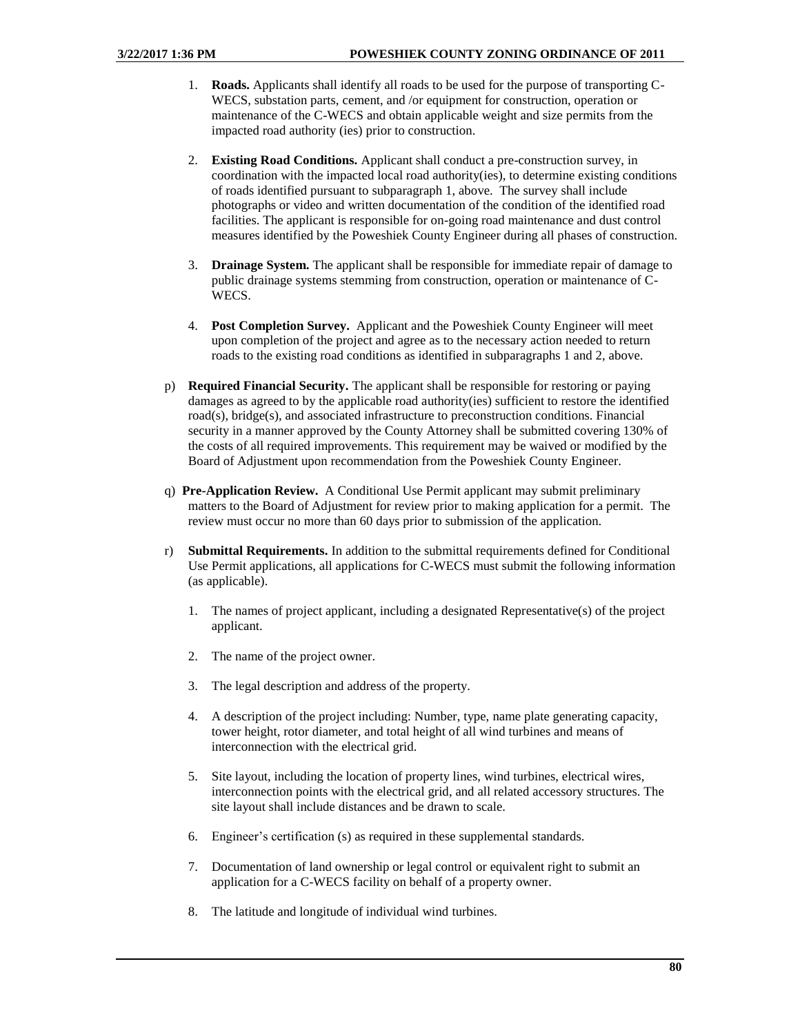- 1. **Roads.** Applicants shall identify all roads to be used for the purpose of transporting C-WECS, substation parts, cement, and /or equipment for construction, operation or maintenance of the C-WECS and obtain applicable weight and size permits from the impacted road authority (ies) prior to construction.
- 2. **Existing Road Conditions.** Applicant shall conduct a pre-construction survey, in coordination with the impacted local road authority(ies), to determine existing conditions of roads identified pursuant to subparagraph 1, above. The survey shall include photographs or video and written documentation of the condition of the identified road facilities. The applicant is responsible for on-going road maintenance and dust control measures identified by the Poweshiek County Engineer during all phases of construction.
- 3. **Drainage System.** The applicant shall be responsible for immediate repair of damage to public drainage systems stemming from construction, operation or maintenance of C-WECS.
- 4. **Post Completion Survey.** Applicant and the Poweshiek County Engineer will meet upon completion of the project and agree as to the necessary action needed to return roads to the existing road conditions as identified in subparagraphs 1 and 2, above.
- p) **Required Financial Security.** The applicant shall be responsible for restoring or paying damages as agreed to by the applicable road authority(ies) sufficient to restore the identified road(s), bridge(s), and associated infrastructure to preconstruction conditions. Financial security in a manner approved by the County Attorney shall be submitted covering 130% of the costs of all required improvements. This requirement may be waived or modified by the Board of Adjustment upon recommendation from the Poweshiek County Engineer.
- q) **Pre-Application Review.** A Conditional Use Permit applicant may submit preliminary matters to the Board of Adjustment for review prior to making application for a permit. The review must occur no more than 60 days prior to submission of the application.
- r) **Submittal Requirements.** In addition to the submittal requirements defined for Conditional Use Permit applications, all applications for C-WECS must submit the following information (as applicable).
	- 1. The names of project applicant, including a designated Representative(s) of the project applicant.
	- 2. The name of the project owner.
	- 3. The legal description and address of the property.
	- 4. A description of the project including: Number, type, name plate generating capacity, tower height, rotor diameter, and total height of all wind turbines and means of interconnection with the electrical grid.
	- 5. Site layout, including the location of property lines, wind turbines, electrical wires, interconnection points with the electrical grid, and all related accessory structures. The site layout shall include distances and be drawn to scale.
	- 6. Engineer's certification (s) as required in these supplemental standards.
	- 7. Documentation of land ownership or legal control or equivalent right to submit an application for a C-WECS facility on behalf of a property owner.
	- 8. The latitude and longitude of individual wind turbines.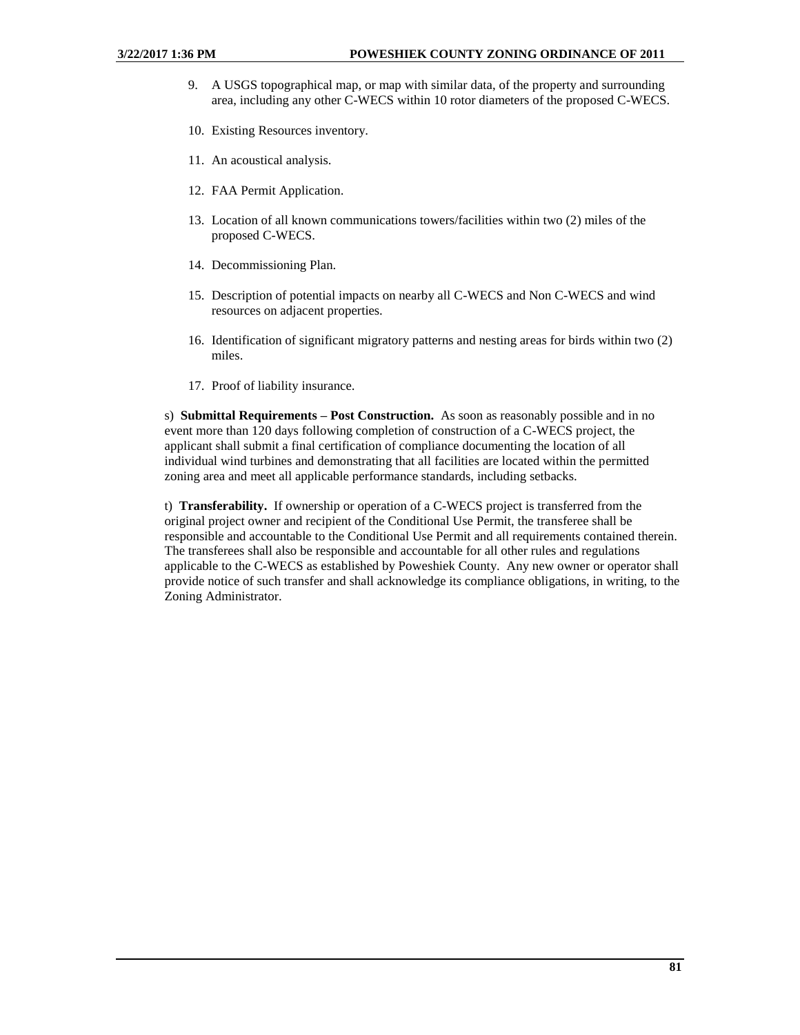- 9. A USGS topographical map, or map with similar data, of the property and surrounding area, including any other C-WECS within 10 rotor diameters of the proposed C-WECS.
- 10. Existing Resources inventory.
- 11. An acoustical analysis.
- 12. FAA Permit Application.
- 13. Location of all known communications towers/facilities within two (2) miles of the proposed C-WECS.
- 14. Decommissioning Plan.
- 15. Description of potential impacts on nearby all C-WECS and Non C-WECS and wind resources on adjacent properties.
- 16. Identification of significant migratory patterns and nesting areas for birds within two (2) miles.
- 17. Proof of liability insurance.

s) **Submittal Requirements – Post Construction.** As soon as reasonably possible and in no event more than 120 days following completion of construction of a C-WECS project, the applicant shall submit a final certification of compliance documenting the location of all individual wind turbines and demonstrating that all facilities are located within the permitted zoning area and meet all applicable performance standards, including setbacks.

t) **Transferability.** If ownership or operation of a C-WECS project is transferred from the original project owner and recipient of the Conditional Use Permit, the transferee shall be responsible and accountable to the Conditional Use Permit and all requirements contained therein. The transferees shall also be responsible and accountable for all other rules and regulations applicable to the C-WECS as established by Poweshiek County. Any new owner or operator shall provide notice of such transfer and shall acknowledge its compliance obligations, in writing, to the Zoning Administrator.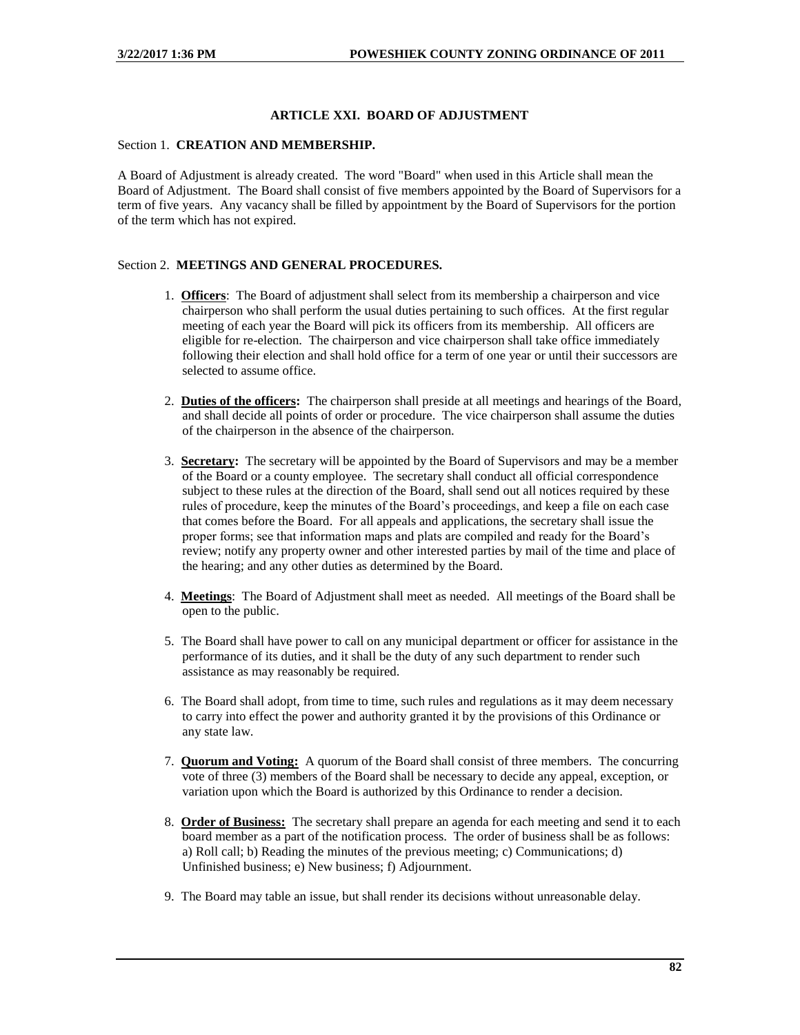## **ARTICLE XXI. BOARD OF ADJUSTMENT**

## Section 1. **CREATION AND MEMBERSHIP.**

A Board of Adjustment is already created. The word "Board" when used in this Article shall mean the Board of Adjustment. The Board shall consist of five members appointed by the Board of Supervisors for a term of five years.Any vacancy shall be filled by appointment by the Board of Supervisors for the portion of the term which has not expired.

## Section 2. **MEETINGS AND GENERAL PROCEDURES.**

- 1. **Officers**: The Board of adjustment shall select from its membership a chairperson and vice chairperson who shall perform the usual duties pertaining to such offices. At the first regular meeting of each year the Board will pick its officers from its membership. All officers are eligible for re-election. The chairperson and vice chairperson shall take office immediately following their election and shall hold office for a term of one year or until their successors are selected to assume office.
- 2. **Duties of the officers:** The chairperson shall preside at all meetings and hearings of the Board, and shall decide all points of order or procedure. The vice chairperson shall assume the duties of the chairperson in the absence of the chairperson.
- 3. **Secretary:** The secretary will be appointed by the Board of Supervisors and may be a member of the Board or a county employee. The secretary shall conduct all official correspondence subject to these rules at the direction of the Board, shall send out all notices required by these rules of procedure, keep the minutes of the Board's proceedings, and keep a file on each case that comes before the Board. For all appeals and applications, the secretary shall issue the proper forms; see that information maps and plats are compiled and ready for the Board's review; notify any property owner and other interested parties by mail of the time and place of the hearing; and any other duties as determined by the Board.
- 4. **Meetings**: The Board of Adjustment shall meet as needed. All meetings of the Board shall be open to the public.
- 5. The Board shall have power to call on any municipal department or officer for assistance in the performance of its duties, and it shall be the duty of any such department to render such assistance as may reasonably be required.
- 6. The Board shall adopt, from time to time, such rules and regulations as it may deem necessary to carry into effect the power and authority granted it by the provisions of this Ordinance or any state law.
- 7. **Quorum and Voting:** A quorum of the Board shall consist of three members. The concurring vote of three (3) members of the Board shall be necessary to decide any appeal, exception, or variation upon which the Board is authorized by this Ordinance to render a decision.
- 8. **Order of Business:** The secretary shall prepare an agenda for each meeting and send it to each board member as a part of the notification process. The order of business shall be as follows: a) Roll call; b) Reading the minutes of the previous meeting; c) Communications; d) Unfinished business; e) New business; f) Adjournment.
- 9. The Board may table an issue, but shall render its decisions without unreasonable delay.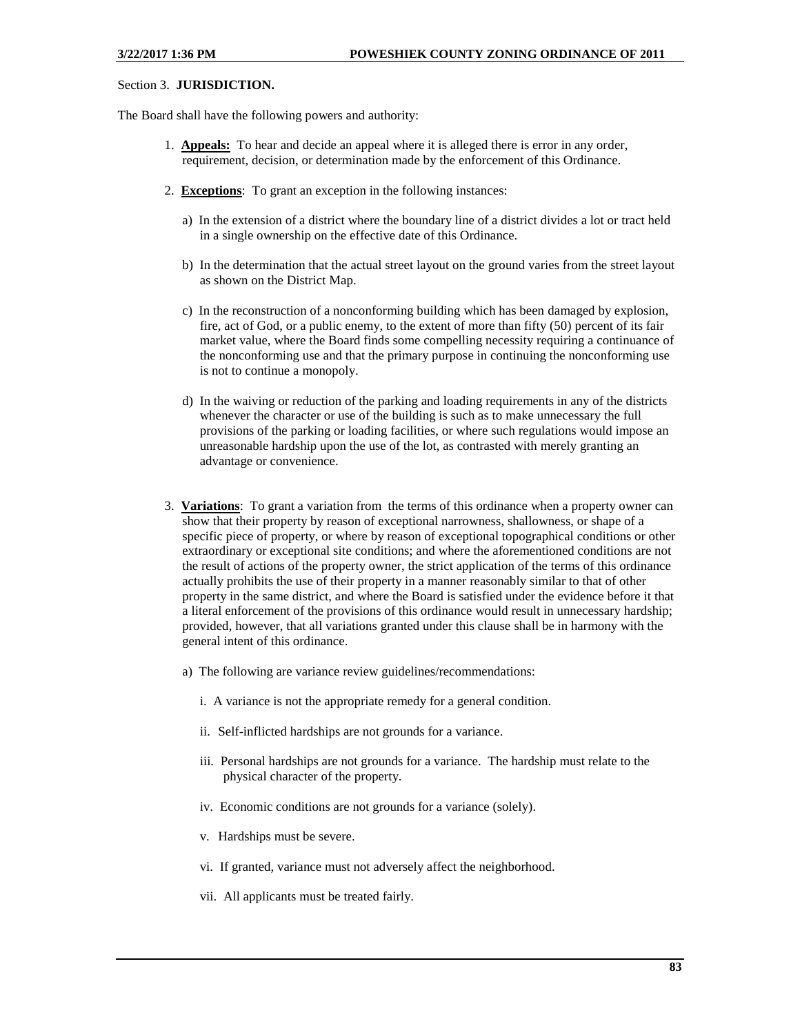#### Section 3. **JURISDICTION.**

The Board shall have the following powers and authority:

- 1. **Appeals:** To hear and decide an appeal where it is alleged there is error in any order, requirement, decision, or determination made by the enforcement of this Ordinance.
- 2. **Exceptions**: To grant an exception in the following instances:
	- a) In the extension of a district where the boundary line of a district divides a lot or tract held in a single ownership on the effective date of this Ordinance.
	- b) In the determination that the actual street layout on the ground varies from the street layout as shown on the District Map.
	- c) In the reconstruction of a nonconforming building which has been damaged by explosion, fire, act of God, or a public enemy, to the extent of more than fifty (50) percent of its fair market value, where the Board finds some compelling necessity requiring a continuance of the nonconforming use and that the primary purpose in continuing the nonconforming use is not to continue a monopoly.
	- d) In the waiving or reduction of the parking and loading requirements in any of the districts whenever the character or use of the building is such as to make unnecessary the full provisions of the parking or loading facilities, or where such regulations would impose an unreasonable hardship upon the use of the lot, as contrasted with merely granting an advantage or convenience.
- 3. **Variations**: To grant a variation from the terms of this ordinance when a property owner can show that their property by reason of exceptional narrowness, shallowness, or shape of a specific piece of property, or where by reason of exceptional topographical conditions or other extraordinary or exceptional site conditions; and where the aforementioned conditions are not the result of actions of the property owner, the strict application of the terms of this ordinance actually prohibits the use of their property in a manner reasonably similar to that of other property in the same district, and where the Board is satisfied under the evidence before it that a literal enforcement of the provisions of this ordinance would result in unnecessary hardship; provided, however, that all variations granted under this clause shall be in harmony with the general intent of this ordinance.
	- a) The following are variance review guidelines/recommendations:
		- i. A variance is not the appropriate remedy for a general condition.
		- ii. Self-inflicted hardships are not grounds for a variance.
		- iii. Personal hardships are not grounds for a variance. The hardship must relate to the physical character of the property.
		- iv. Economic conditions are not grounds for a variance (solely).
		- v. Hardships must be severe.
		- vi. If granted, variance must not adversely affect the neighborhood.
		- vii. All applicants must be treated fairly.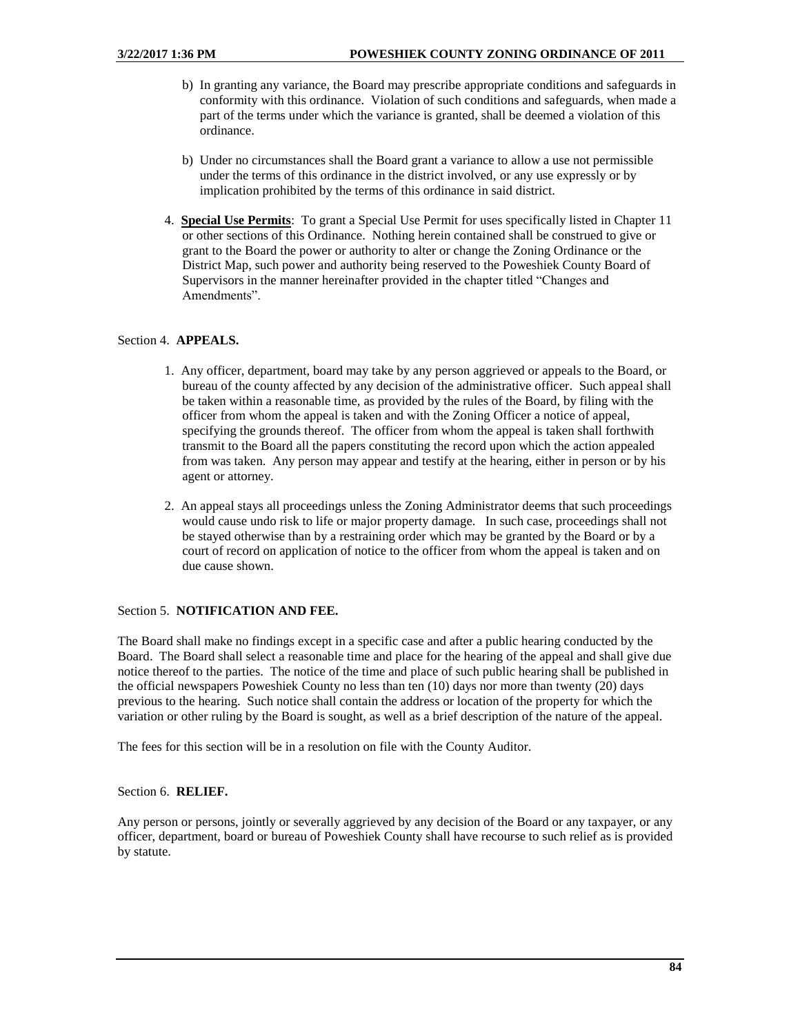- b) In granting any variance, the Board may prescribe appropriate conditions and safeguards in conformity with this ordinance. Violation of such conditions and safeguards, when made a part of the terms under which the variance is granted, shall be deemed a violation of this ordinance.
- b) Under no circumstances shall the Board grant a variance to allow a use not permissible under the terms of this ordinance in the district involved, or any use expressly or by implication prohibited by the terms of this ordinance in said district.
- 4. **Special Use Permits**: To grant a Special Use Permit for uses specifically listed in Chapter 11 or other sections of this Ordinance. Nothing herein contained shall be construed to give or grant to the Board the power or authority to alter or change the Zoning Ordinance or the District Map, such power and authority being reserved to the Poweshiek County Board of Supervisors in the manner hereinafter provided in the chapter titled "Changes and Amendments".

## Section 4. **APPEALS.**

- 1. Any officer, department, board may take by any person aggrieved or appeals to the Board, or bureau of the county affected by any decision of the administrative officer. Such appeal shall be taken within a reasonable time, as provided by the rules of the Board, by filing with the officer from whom the appeal is taken and with the Zoning Officer a notice of appeal, specifying the grounds thereof. The officer from whom the appeal is taken shall forthwith transmit to the Board all the papers constituting the record upon which the action appealed from was taken. Any person may appear and testify at the hearing, either in person or by his agent or attorney.
- 2. An appeal stays all proceedings unless the Zoning Administrator deems that such proceedings would cause undo risk to life or major property damage. In such case, proceedings shall not be stayed otherwise than by a restraining order which may be granted by the Board or by a court of record on application of notice to the officer from whom the appeal is taken and on due cause shown.

## Section 5. **NOTIFICATION AND FEE.**

The Board shall make no findings except in a specific case and after a public hearing conducted by the Board. The Board shall select a reasonable time and place for the hearing of the appeal and shall give due notice thereof to the parties. The notice of the time and place of such public hearing shall be published in the official newspapers Poweshiek County no less than ten (10) days nor more than twenty (20) days previous to the hearing. Such notice shall contain the address or location of the property for which the variation or other ruling by the Board is sought, as well as a brief description of the nature of the appeal.

The fees for this section will be in a resolution on file with the County Auditor.

## Section 6. **RELIEF.**

Any person or persons, jointly or severally aggrieved by any decision of the Board or any taxpayer, or any officer, department, board or bureau of Poweshiek County shall have recourse to such relief as is provided by statute.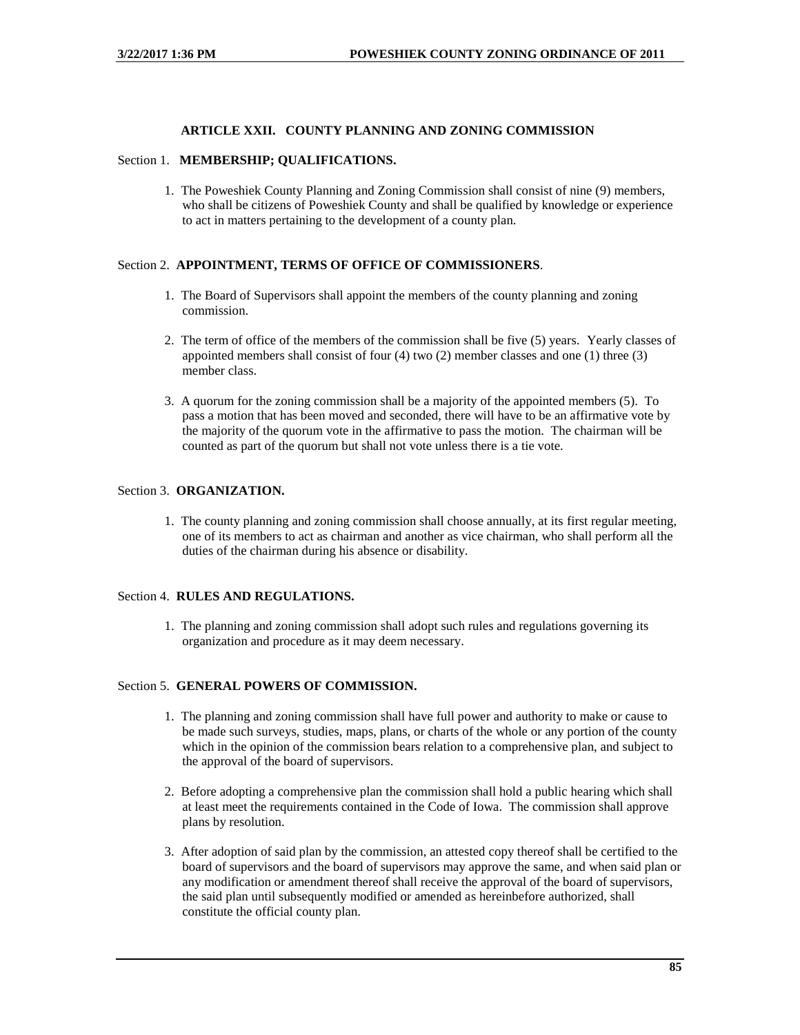## **ARTICLE XXII. COUNTY PLANNING AND ZONING COMMISSION**

#### Section 1. **MEMBERSHIP; QUALIFICATIONS.**

1. The Poweshiek County Planning and Zoning Commission shall consist of nine (9) members, who shall be citizens of Poweshiek County and shall be qualified by knowledge or experience to act in matters pertaining to the development of a county plan.

## Section 2. **APPOINTMENT, TERMS OF OFFICE OF COMMISSIONERS**.

- 1. The Board of Supervisors shall appoint the members of the county planning and zoning commission.
- 2. The term of office of the members of the commission shall be five (5) years. Yearly classes of appointed members shall consist of four (4) two (2) member classes and one (1) three (3) member class.
- 3. A quorum for the zoning commission shall be a majority of the appointed members (5). To pass a motion that has been moved and seconded, there will have to be an affirmative vote by the majority of the quorum vote in the affirmative to pass the motion. The chairman will be counted as part of the quorum but shall not vote unless there is a tie vote.

## Section 3. **ORGANIZATION.**

1. The county planning and zoning commission shall choose annually, at its first regular meeting, one of its members to act as chairman and another as vice chairman, who shall perform all the duties of the chairman during his absence or disability.

#### Section 4. **RULES AND REGULATIONS.**

1. The planning and zoning commission shall adopt such rules and regulations governing its organization and procedure as it may deem necessary.

#### Section 5. **GENERAL POWERS OF COMMISSION.**

- 1. The planning and zoning commission shall have full power and authority to make or cause to be made such surveys, studies, maps, plans, or charts of the whole or any portion of the county which in the opinion of the commission bears relation to a comprehensive plan, and subject to the approval of the board of supervisors.
- 2. Before adopting a comprehensive plan the commission shall hold a public hearing which shall at least meet the requirements contained in the Code of Iowa. The commission shall approve plans by resolution.
- 3. After adoption of said plan by the commission, an attested copy thereof shall be certified to the board of supervisors and the board of supervisors may approve the same, and when said plan or any modification or amendment thereof shall receive the approval of the board of supervisors, the said plan until subsequently modified or amended as hereinbefore authorized, shall constitute the official county plan.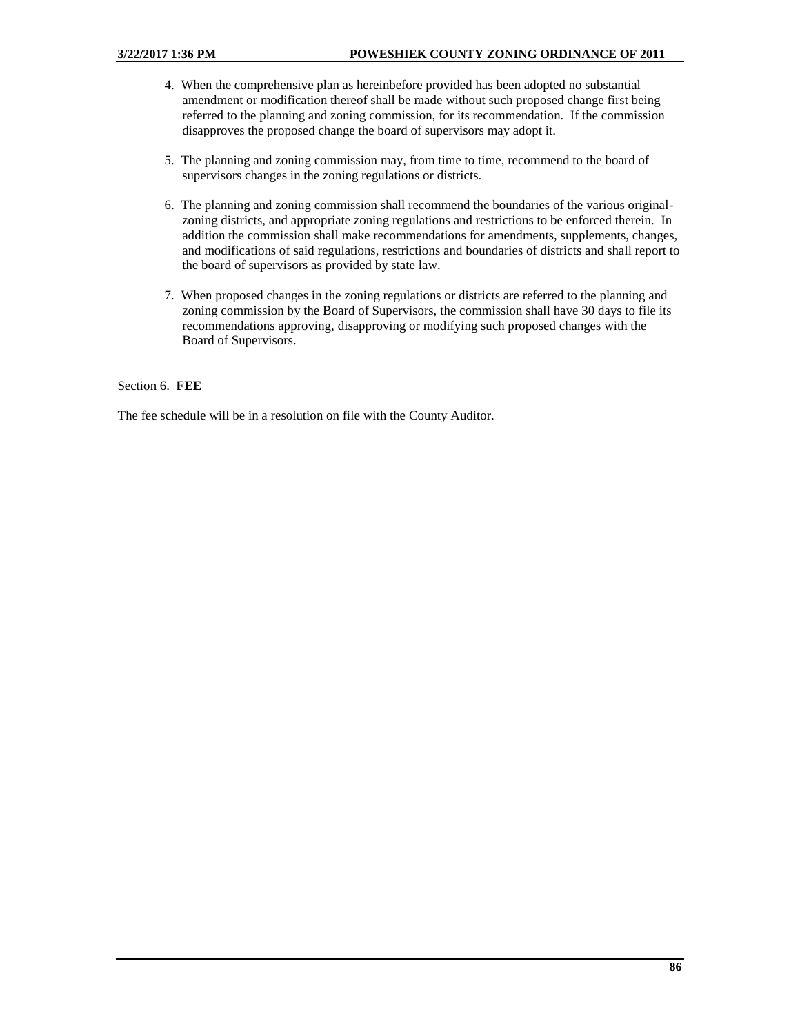- 4. When the comprehensive plan as hereinbefore provided has been adopted no substantial amendment or modification thereof shall be made without such proposed change first being referred to the planning and zoning commission, for its recommendation. If the commission disapproves the proposed change the board of supervisors may adopt it.
- 5. The planning and zoning commission may, from time to time, recommend to the board of supervisors changes in the zoning regulations or districts.
- 6. The planning and zoning commission shall recommend the boundaries of the various originalzoning districts, and appropriate zoning regulations and restrictions to be enforced therein. In addition the commission shall make recommendations for amendments, supplements, changes, and modifications of said regulations, restrictions and boundaries of districts and shall report to the board of supervisors as provided by state law.
- 7. When proposed changes in the zoning regulations or districts are referred to the planning and zoning commission by the Board of Supervisors, the commission shall have 30 days to file its recommendations approving, disapproving or modifying such proposed changes with the Board of Supervisors.

## Section 6. **FEE**

The fee schedule will be in a resolution on file with the County Auditor.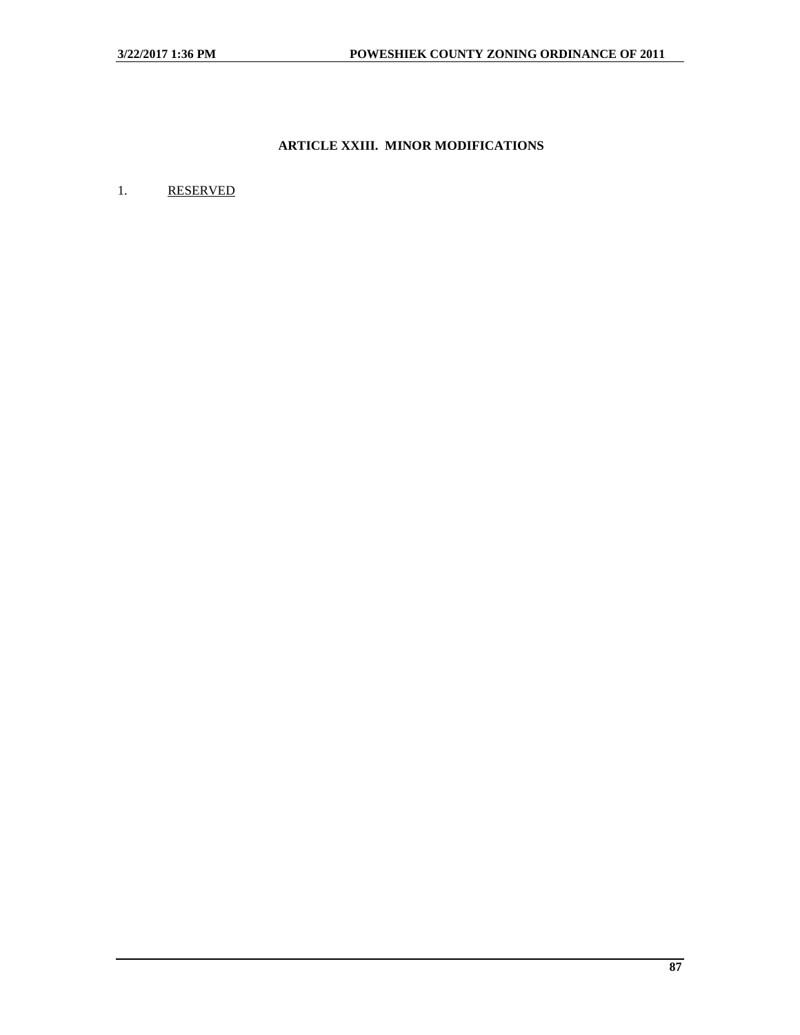# **ARTICLE XXIII. MINOR MODIFICATIONS**

## 1. RESERVED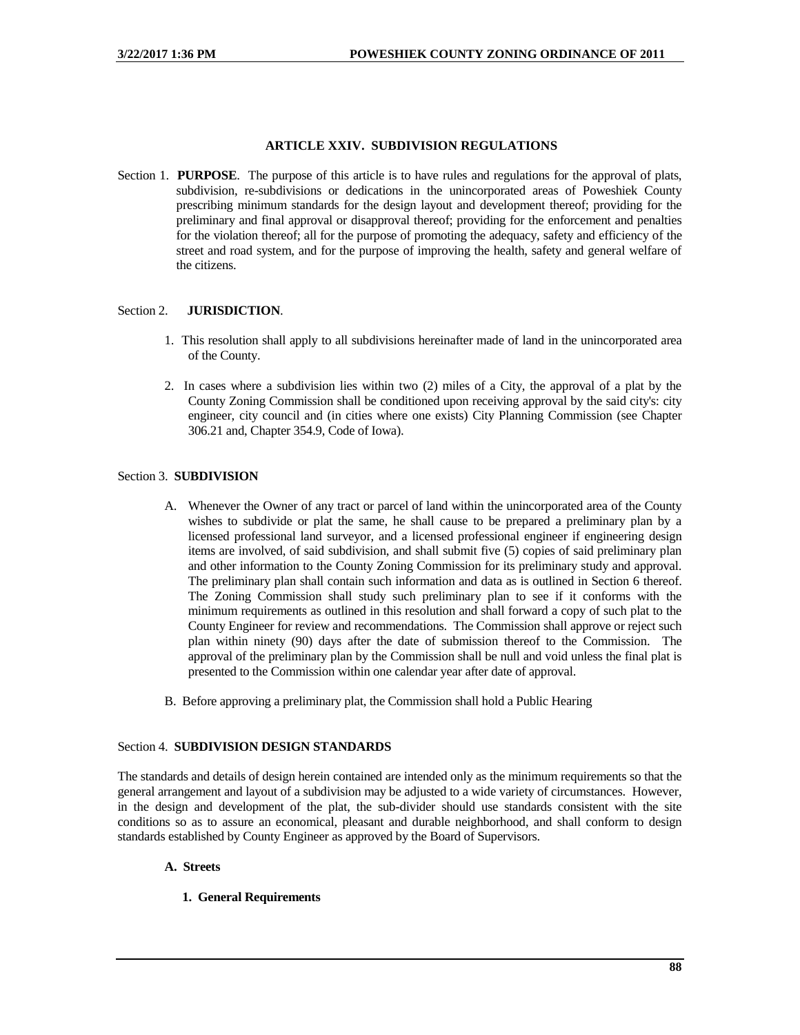## **ARTICLE XXIV. SUBDIVISION REGULATIONS**

Section 1. **PURPOSE**. The purpose of this article is to have rules and regulations for the approval of plats, subdivision, re-subdivisions or dedications in the unincorporated areas of Poweshiek County prescribing minimum standards for the design layout and development thereof; providing for the preliminary and final approval or disapproval thereof; providing for the enforcement and penalties for the violation thereof; all for the purpose of promoting the adequacy, safety and efficiency of the street and road system, and for the purpose of improving the health, safety and general welfare of the citizens.

## Section 2. **JURISDICTION**.

- 1. This resolution shall apply to all subdivisions hereinafter made of land in the unincorporated area of the County.
- 2. In cases where a subdivision lies within two (2) miles of a City, the approval of a plat by the County Zoning Commission shall be conditioned upon receiving approval by the said city's: city engineer, city council and (in cities where one exists) City Planning Commission (see Chapter 306.21 and, Chapter 354.9, Code of Iowa).

## Section 3. **SUBDIVISION**

- A. Whenever the Owner of any tract or parcel of land within the unincorporated area of the County wishes to subdivide or plat the same, he shall cause to be prepared a preliminary plan by a licensed professional land surveyor, and a licensed professional engineer if engineering design items are involved, of said subdivision, and shall submit five (5) copies of said preliminary plan and other information to the County Zoning Commission for its preliminary study and approval. The preliminary plan shall contain such information and data as is outlined in Section 6 thereof. The Zoning Commission shall study such preliminary plan to see if it conforms with the minimum requirements as outlined in this resolution and shall forward a copy of such plat to the County Engineer for review and recommendations. The Commission shall approve or reject such plan within ninety (90) days after the date of submission thereof to the Commission. The approval of the preliminary plan by the Commission shall be null and void unless the final plat is presented to the Commission within one calendar year after date of approval.
- B. Before approving a preliminary plat, the Commission shall hold a Public Hearing

## Section 4. **SUBDIVISION DESIGN STANDARDS**

The standards and details of design herein contained are intended only as the minimum requirements so that the general arrangement and layout of a subdivision may be adjusted to a wide variety of circumstances. However, in the design and development of the plat, the sub-divider should use standards consistent with the site conditions so as to assure an economical, pleasant and durable neighborhood, and shall conform to design standards established by County Engineer as approved by the Board of Supervisors.

## **A. Streets**

**1. General Requirements**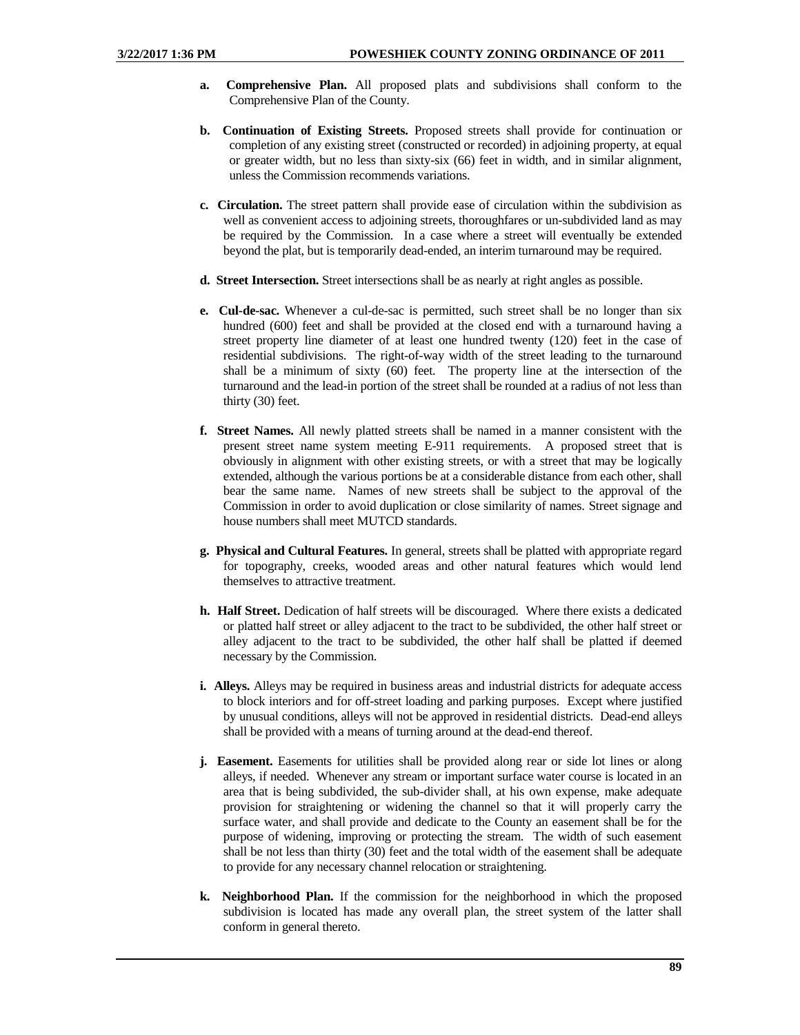- **a. Comprehensive Plan.** All proposed plats and subdivisions shall conform to the Comprehensive Plan of the County.
- **b. Continuation of Existing Streets.** Proposed streets shall provide for continuation or completion of any existing street (constructed or recorded) in adjoining property, at equal or greater width, but no less than sixty-six (66) feet in width, and in similar alignment, unless the Commission recommends variations.
- **c. Circulation.** The street pattern shall provide ease of circulation within the subdivision as well as convenient access to adjoining streets, thoroughfares or un-subdivided land as may be required by the Commission. In a case where a street will eventually be extended beyond the plat, but is temporarily dead-ended, an interim turnaround may be required.
- **d. Street Intersection.** Street intersections shall be as nearly at right angles as possible.
- **e. Cul-de-sac.** Whenever a cul-de-sac is permitted, such street shall be no longer than six hundred (600) feet and shall be provided at the closed end with a turnaround having a street property line diameter of at least one hundred twenty (120) feet in the case of residential subdivisions. The right-of-way width of the street leading to the turnaround shall be a minimum of sixty (60) feet. The property line at the intersection of the turnaround and the lead-in portion of the street shall be rounded at a radius of not less than thirty (30) feet.
- **f. Street Names.** All newly platted streets shall be named in a manner consistent with the present street name system meeting E-911 requirements. A proposed street that is obviously in alignment with other existing streets, or with a street that may be logically extended, although the various portions be at a considerable distance from each other, shall bear the same name. Names of new streets shall be subject to the approval of the Commission in order to avoid duplication or close similarity of names. Street signage and house numbers shall meet MUTCD standards.
- **g. Physical and Cultural Features.** In general, streets shall be platted with appropriate regard for topography, creeks, wooded areas and other natural features which would lend themselves to attractive treatment.
- **h. Half Street.** Dedication of half streets will be discouraged. Where there exists a dedicated or platted half street or alley adjacent to the tract to be subdivided, the other half street or alley adjacent to the tract to be subdivided, the other half shall be platted if deemed necessary by the Commission.
- **i. Alleys.** Alleys may be required in business areas and industrial districts for adequate access to block interiors and for off-street loading and parking purposes. Except where justified by unusual conditions, alleys will not be approved in residential districts. Dead-end alleys shall be provided with a means of turning around at the dead-end thereof.
- **j. Easement.** Easements for utilities shall be provided along rear or side lot lines or along alleys, if needed. Whenever any stream or important surface water course is located in an area that is being subdivided, the sub-divider shall, at his own expense, make adequate provision for straightening or widening the channel so that it will properly carry the surface water, and shall provide and dedicate to the County an easement shall be for the purpose of widening, improving or protecting the stream. The width of such easement shall be not less than thirty (30) feet and the total width of the easement shall be adequate to provide for any necessary channel relocation or straightening.
- **k. Neighborhood Plan.** If the commission for the neighborhood in which the proposed subdivision is located has made any overall plan, the street system of the latter shall conform in general thereto.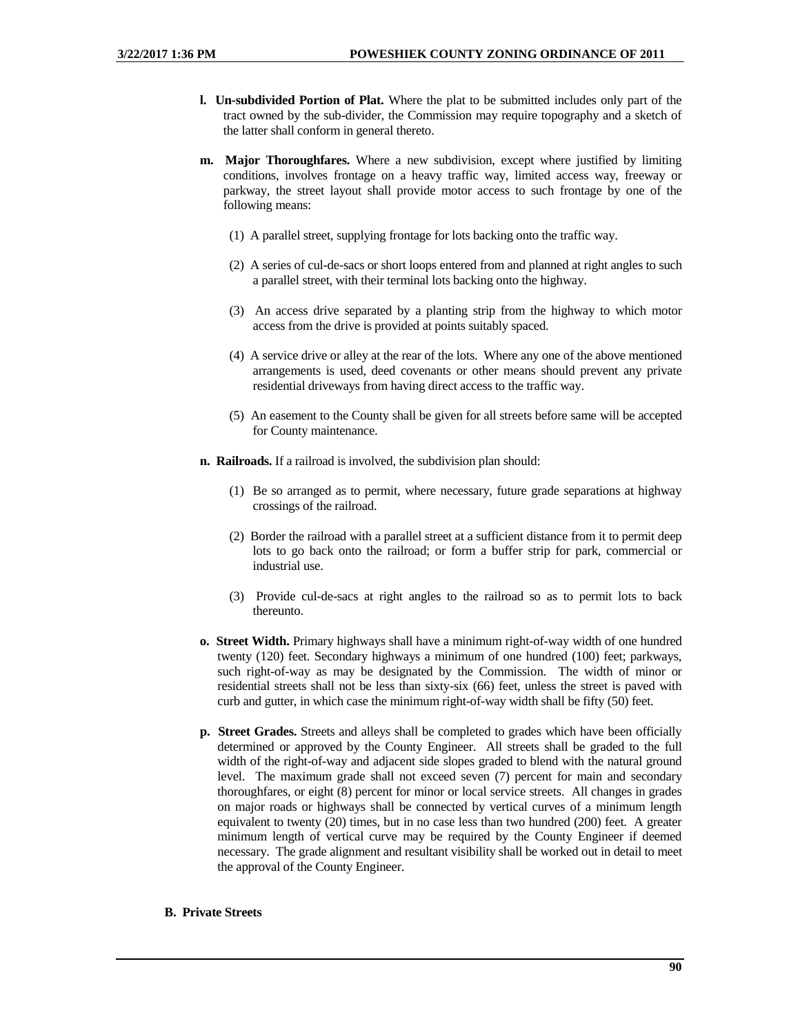- **l. Un-subdivided Portion of Plat.** Where the plat to be submitted includes only part of the tract owned by the sub-divider, the Commission may require topography and a sketch of the latter shall conform in general thereto.
- **m. Major Thoroughfares.** Where a new subdivision, except where justified by limiting conditions, involves frontage on a heavy traffic way, limited access way, freeway or parkway, the street layout shall provide motor access to such frontage by one of the following means:
	- (1) A parallel street, supplying frontage for lots backing onto the traffic way.
	- (2) A series of cul-de-sacs or short loops entered from and planned at right angles to such a parallel street, with their terminal lots backing onto the highway.
	- (3) An access drive separated by a planting strip from the highway to which motor access from the drive is provided at points suitably spaced.
	- (4) A service drive or alley at the rear of the lots. Where any one of the above mentioned arrangements is used, deed covenants or other means should prevent any private residential driveways from having direct access to the traffic way.
	- (5) An easement to the County shall be given for all streets before same will be accepted for County maintenance.
- **n. Railroads.** If a railroad is involved, the subdivision plan should:
	- (1) Be so arranged as to permit, where necessary, future grade separations at highway crossings of the railroad.
	- (2) Border the railroad with a parallel street at a sufficient distance from it to permit deep lots to go back onto the railroad; or form a buffer strip for park, commercial or industrial use.
	- (3) Provide cul-de-sacs at right angles to the railroad so as to permit lots to back thereunto.
- **o. Street Width.** Primary highways shall have a minimum right-of-way width of one hundred twenty (120) feet. Secondary highways a minimum of one hundred (100) feet; parkways, such right-of-way as may be designated by the Commission. The width of minor or residential streets shall not be less than sixty-six (66) feet, unless the street is paved with curb and gutter, in which case the minimum right-of-way width shall be fifty (50) feet.
- **p. Street Grades.** Streets and alleys shall be completed to grades which have been officially determined or approved by the County Engineer. All streets shall be graded to the full width of the right-of-way and adjacent side slopes graded to blend with the natural ground level. The maximum grade shall not exceed seven (7) percent for main and secondary thoroughfares, or eight (8) percent for minor or local service streets. All changes in grades on major roads or highways shall be connected by vertical curves of a minimum length equivalent to twenty (20) times, but in no case less than two hundred (200) feet. A greater minimum length of vertical curve may be required by the County Engineer if deemed necessary. The grade alignment and resultant visibility shall be worked out in detail to meet the approval of the County Engineer.

## **B. Private Streets**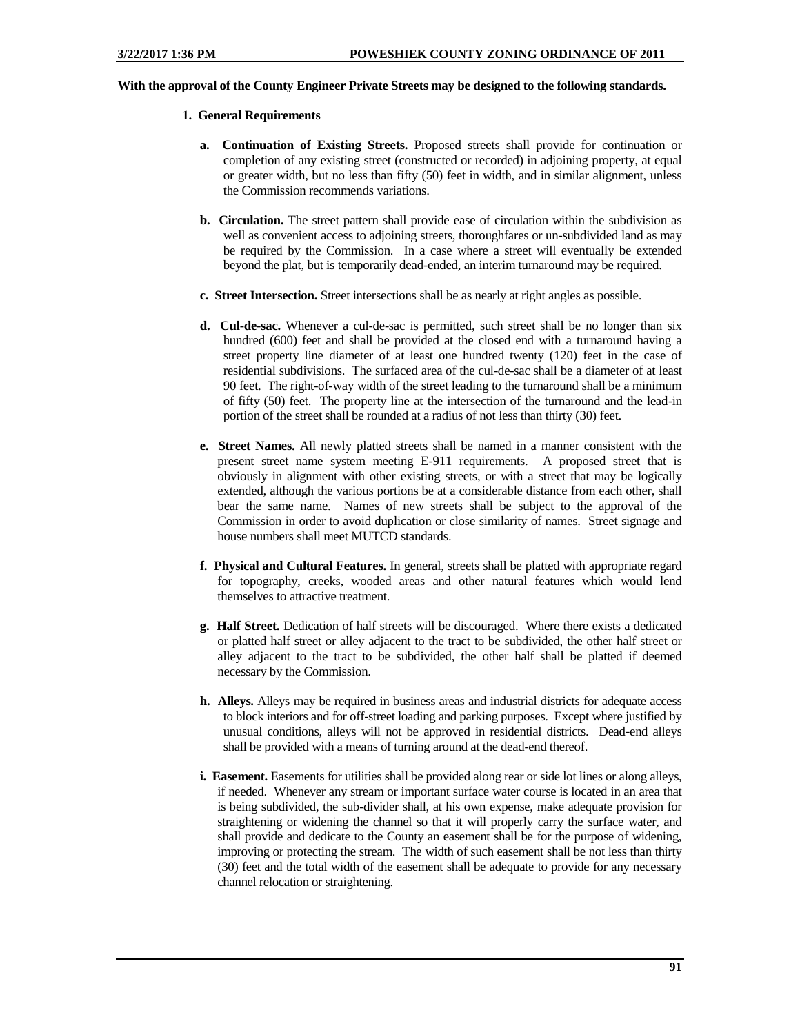#### **With the approval of the County Engineer Private Streets may be designed to the following standards.**

- **1. General Requirements**
	- **a. Continuation of Existing Streets.** Proposed streets shall provide for continuation or completion of any existing street (constructed or recorded) in adjoining property, at equal or greater width, but no less than fifty (50) feet in width, and in similar alignment, unless the Commission recommends variations.
	- **b. Circulation.** The street pattern shall provide ease of circulation within the subdivision as well as convenient access to adjoining streets, thoroughfares or un-subdivided land as may be required by the Commission. In a case where a street will eventually be extended beyond the plat, but is temporarily dead-ended, an interim turnaround may be required.
	- **c. Street Intersection.** Street intersections shall be as nearly at right angles as possible.
	- **d. Cul-de-sac.** Whenever a cul-de-sac is permitted, such street shall be no longer than six hundred (600) feet and shall be provided at the closed end with a turnaround having a street property line diameter of at least one hundred twenty (120) feet in the case of residential subdivisions. The surfaced area of the cul-de-sac shall be a diameter of at least 90 feet. The right-of-way width of the street leading to the turnaround shall be a minimum of fifty (50) feet. The property line at the intersection of the turnaround and the lead-in portion of the street shall be rounded at a radius of not less than thirty (30) feet.
	- **e. Street Names.** All newly platted streets shall be named in a manner consistent with the present street name system meeting E-911 requirements. A proposed street that is obviously in alignment with other existing streets, or with a street that may be logically extended, although the various portions be at a considerable distance from each other, shall bear the same name. Names of new streets shall be subject to the approval of the Commission in order to avoid duplication or close similarity of names. Street signage and house numbers shall meet MUTCD standards.
	- **f. Physical and Cultural Features.** In general, streets shall be platted with appropriate regard for topography, creeks, wooded areas and other natural features which would lend themselves to attractive treatment.
	- **g. Half Street.** Dedication of half streets will be discouraged. Where there exists a dedicated or platted half street or alley adjacent to the tract to be subdivided, the other half street or alley adjacent to the tract to be subdivided, the other half shall be platted if deemed necessary by the Commission.
	- **h. Alleys.** Alleys may be required in business areas and industrial districts for adequate access to block interiors and for off-street loading and parking purposes. Except where justified by unusual conditions, alleys will not be approved in residential districts. Dead-end alleys shall be provided with a means of turning around at the dead-end thereof.
	- **i. Easement.** Easements for utilities shall be provided along rear or side lot lines or along alleys, if needed. Whenever any stream or important surface water course is located in an area that is being subdivided, the sub-divider shall, at his own expense, make adequate provision for straightening or widening the channel so that it will properly carry the surface water, and shall provide and dedicate to the County an easement shall be for the purpose of widening, improving or protecting the stream. The width of such easement shall be not less than thirty (30) feet and the total width of the easement shall be adequate to provide for any necessary channel relocation or straightening.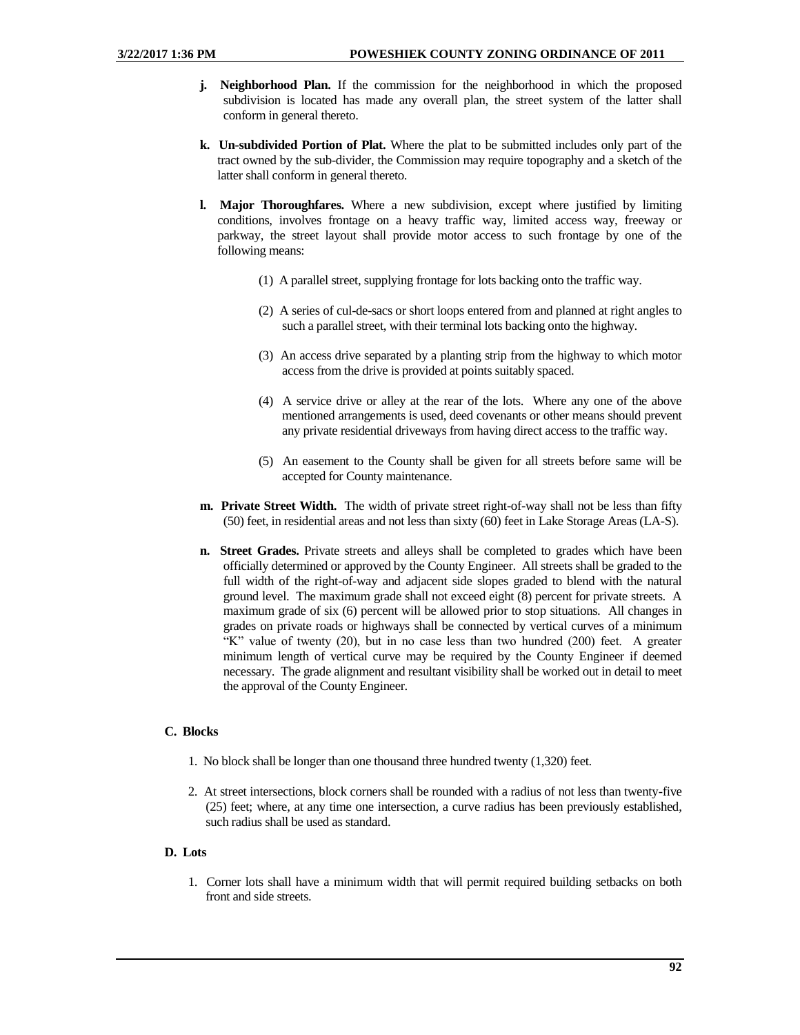- **j. Neighborhood Plan.** If the commission for the neighborhood in which the proposed subdivision is located has made any overall plan, the street system of the latter shall conform in general thereto.
- **k. Un-subdivided Portion of Plat.** Where the plat to be submitted includes only part of the tract owned by the sub-divider, the Commission may require topography and a sketch of the latter shall conform in general thereto.
- **l. Major Thoroughfares.** Where a new subdivision, except where justified by limiting conditions, involves frontage on a heavy traffic way, limited access way, freeway or parkway, the street layout shall provide motor access to such frontage by one of the following means:
	- (1) A parallel street, supplying frontage for lots backing onto the traffic way.
	- (2) A series of cul-de-sacs or short loops entered from and planned at right angles to such a parallel street, with their terminal lots backing onto the highway.
	- (3) An access drive separated by a planting strip from the highway to which motor access from the drive is provided at points suitably spaced.
	- (4) A service drive or alley at the rear of the lots. Where any one of the above mentioned arrangements is used, deed covenants or other means should prevent any private residential driveways from having direct access to the traffic way.
	- (5) An easement to the County shall be given for all streets before same will be accepted for County maintenance.
- **m. Private Street Width.** The width of private street right-of-way shall not be less than fifty (50) feet, in residential areas and not less than sixty (60) feet in Lake Storage Areas (LA-S).
- **n. Street Grades.** Private streets and alleys shall be completed to grades which have been officially determined or approved by the County Engineer. All streets shall be graded to the full width of the right-of-way and adjacent side slopes graded to blend with the natural ground level. The maximum grade shall not exceed eight (8) percent for private streets. A maximum grade of six (6) percent will be allowed prior to stop situations. All changes in grades on private roads or highways shall be connected by vertical curves of a minimum "K" value of twenty (20), but in no case less than two hundred (200) feet. A greater minimum length of vertical curve may be required by the County Engineer if deemed necessary. The grade alignment and resultant visibility shall be worked out in detail to meet the approval of the County Engineer.

## **C. Blocks**

- 1. No block shall be longer than one thousand three hundred twenty (1,320) feet.
- 2. At street intersections, block corners shall be rounded with a radius of not less than twenty-five (25) feet; where, at any time one intersection, a curve radius has been previously established, such radius shall be used as standard.

## **D. Lots**

1. Corner lots shall have a minimum width that will permit required building setbacks on both front and side streets.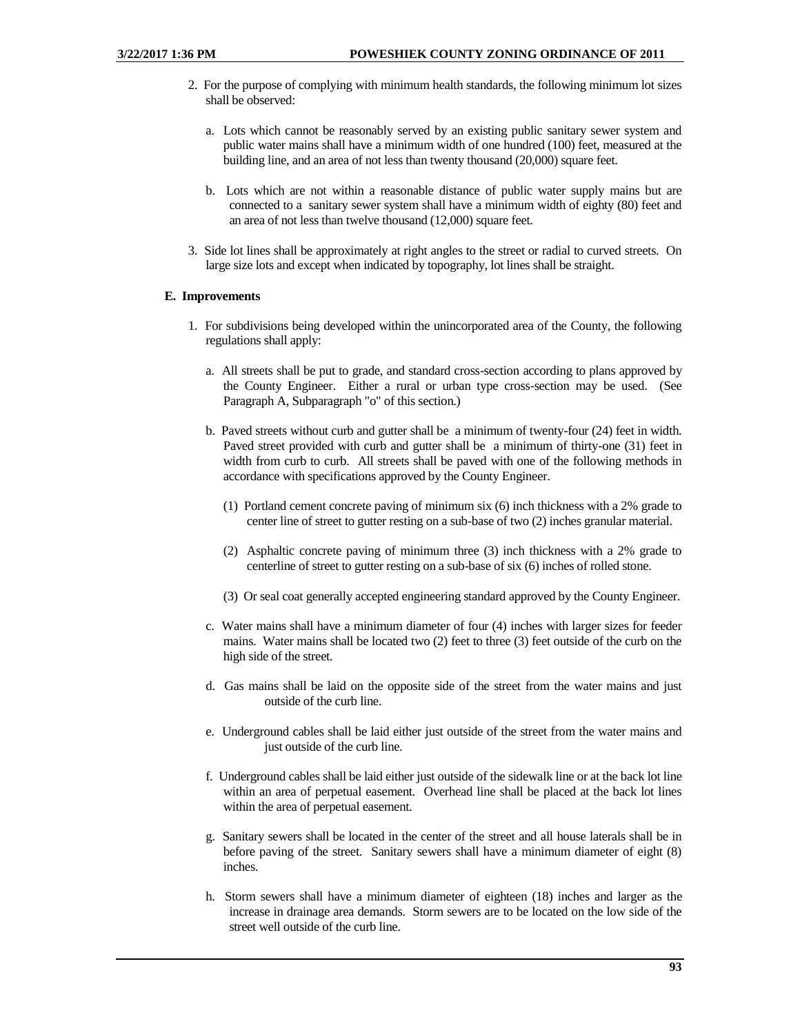- 2. For the purpose of complying with minimum health standards, the following minimum lot sizes shall be observed:
	- a. Lots which cannot be reasonably served by an existing public sanitary sewer system and public water mains shall have a minimum width of one hundred (100) feet, measured at the building line, and an area of not less than twenty thousand (20,000) square feet.
	- b. Lots which are not within a reasonable distance of public water supply mains but are connected to a sanitary sewer system shall have a minimum width of eighty (80) feet and an area of not less than twelve thousand (12,000) square feet.
- 3. Side lot lines shall be approximately at right angles to the street or radial to curved streets. On large size lots and except when indicated by topography, lot lines shall be straight.

## **E. Improvements**

- 1. For subdivisions being developed within the unincorporated area of the County, the following regulations shall apply:
	- a. All streets shall be put to grade, and standard cross-section according to plans approved by the County Engineer. Either a rural or urban type cross-section may be used. (See Paragraph A, Subparagraph "o" of this section.)
	- b. Paved streets without curb and gutter shall be a minimum of twenty-four (24) feet in width. Paved street provided with curb and gutter shall be a minimum of thirty-one (31) feet in width from curb to curb. All streets shall be paved with one of the following methods in accordance with specifications approved by the County Engineer.
		- (1) Portland cement concrete paving of minimum six (6) inch thickness with a 2% grade to center line of street to gutter resting on a sub-base of two (2) inches granular material.
		- (2) Asphaltic concrete paving of minimum three (3) inch thickness with a 2% grade to centerline of street to gutter resting on a sub-base of six (6) inches of rolled stone.
		- (3) Or seal coat generally accepted engineering standard approved by the County Engineer.
	- c. Water mains shall have a minimum diameter of four (4) inches with larger sizes for feeder mains. Water mains shall be located two (2) feet to three (3) feet outside of the curb on the high side of the street.
	- d. Gas mains shall be laid on the opposite side of the street from the water mains and just outside of the curb line.
	- e. Underground cables shall be laid either just outside of the street from the water mains and just outside of the curb line.
	- f. Underground cables shall be laid either just outside of the sidewalk line or at the back lot line within an area of perpetual easement. Overhead line shall be placed at the back lot lines within the area of perpetual easement.
	- g. Sanitary sewers shall be located in the center of the street and all house laterals shall be in before paving of the street. Sanitary sewers shall have a minimum diameter of eight (8) inches.
	- h. Storm sewers shall have a minimum diameter of eighteen (18) inches and larger as the increase in drainage area demands. Storm sewers are to be located on the low side of the street well outside of the curb line.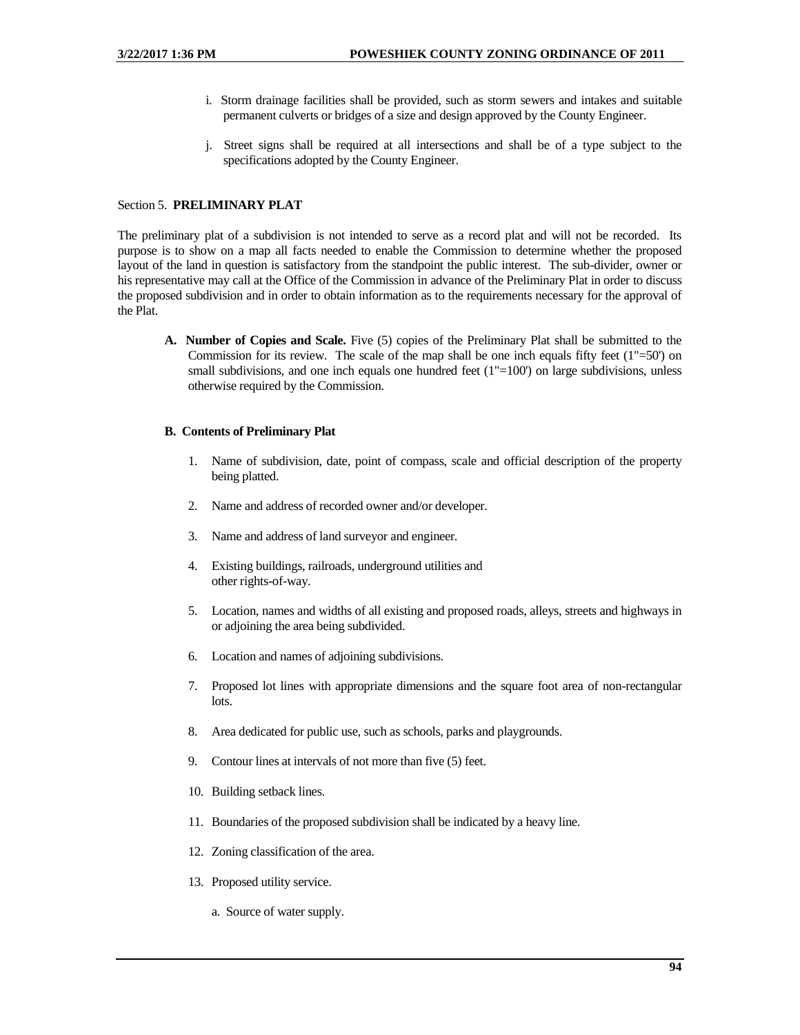- i. Storm drainage facilities shall be provided, such as storm sewers and intakes and suitable permanent culverts or bridges of a size and design approved by the County Engineer.
- j. Street signs shall be required at all intersections and shall be of a type subject to the specifications adopted by the County Engineer.

## Section 5. **PRELIMINARY PLAT**

The preliminary plat of a subdivision is not intended to serve as a record plat and will not be recorded. Its purpose is to show on a map all facts needed to enable the Commission to determine whether the proposed layout of the land in question is satisfactory from the standpoint the public interest. The sub-divider, owner or his representative may call at the Office of the Commission in advance of the Preliminary Plat in order to discuss the proposed subdivision and in order to obtain information as to the requirements necessary for the approval of the Plat.

**A. Number of Copies and Scale.** Five (5) copies of the Preliminary Plat shall be submitted to the Commission for its review. The scale of the map shall be one inch equals fifty feet  $(1"=\overline{50})$  on small subdivisions, and one inch equals one hundred feet  $(1"=100)$  on large subdivisions, unless otherwise required by the Commission.

#### **B. Contents of Preliminary Plat**

- 1. Name of subdivision, date, point of compass, scale and official description of the property being platted.
- 2. Name and address of recorded owner and/or developer.
- 3. Name and address of land surveyor and engineer.
- 4. Existing buildings, railroads, underground utilities and other rights-of-way.
- 5. Location, names and widths of all existing and proposed roads, alleys, streets and highways in or adjoining the area being subdivided.
- 6. Location and names of adjoining subdivisions.
- 7. Proposed lot lines with appropriate dimensions and the square foot area of non-rectangular lots.
- 8. Area dedicated for public use, such as schools, parks and playgrounds.
- 9. Contour lines at intervals of not more than five (5) feet.
- 10. Building setback lines.
- 11. Boundaries of the proposed subdivision shall be indicated by a heavy line.
- 12. Zoning classification of the area.
- 13. Proposed utility service.
	- a. Source of water supply.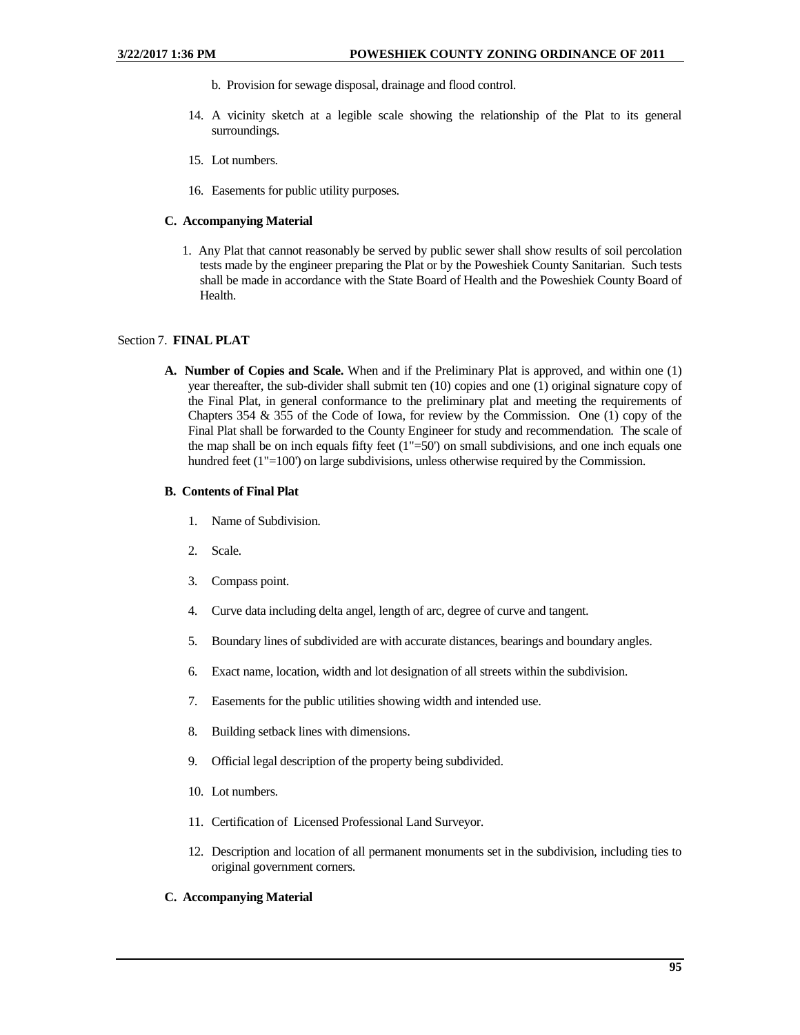- b. Provision for sewage disposal, drainage and flood control.
- 14. A vicinity sketch at a legible scale showing the relationship of the Plat to its general surroundings.
- 15. Lot numbers.
- 16. Easements for public utility purposes.

#### **C. Accompanying Material**

1. Any Plat that cannot reasonably be served by public sewer shall show results of soil percolation tests made by the engineer preparing the Plat or by the Poweshiek County Sanitarian. Such tests shall be made in accordance with the State Board of Health and the Poweshiek County Board of Health.

#### Section 7. **FINAL PLAT**

**A. Number of Copies and Scale.** When and if the Preliminary Plat is approved, and within one (1) year thereafter, the sub-divider shall submit ten (10) copies and one (1) original signature copy of the Final Plat, in general conformance to the preliminary plat and meeting the requirements of Chapters 354 & 355 of the Code of Iowa, for review by the Commission. One (1) copy of the Final Plat shall be forwarded to the County Engineer for study and recommendation. The scale of the map shall be on inch equals fifty feet (1"=50') on small subdivisions, and one inch equals one hundred feet (1"=100") on large subdivisions, unless otherwise required by the Commission.

#### **B. Contents of Final Plat**

- 1. Name of Subdivision.
- 2. Scale.
- 3. Compass point.
- 4. Curve data including delta angel, length of arc, degree of curve and tangent.
- 5. Boundary lines of subdivided are with accurate distances, bearings and boundary angles.
- 6. Exact name, location, width and lot designation of all streets within the subdivision.
- 7. Easements for the public utilities showing width and intended use.
- 8. Building setback lines with dimensions.
- 9. Official legal description of the property being subdivided.
- 10. Lot numbers.
- 11. Certification of Licensed Professional Land Surveyor.
- 12. Description and location of all permanent monuments set in the subdivision, including ties to original government corners.

## **C. Accompanying Material**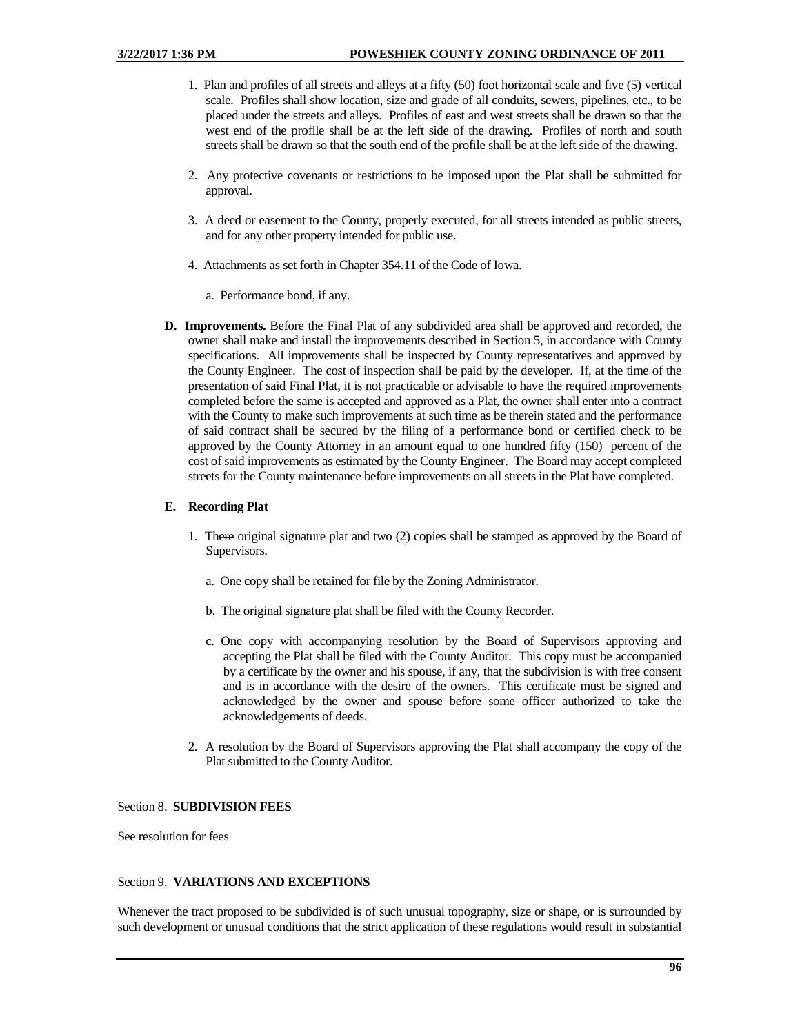- 1. Plan and profiles of all streets and alleys at a fifty (50) foot horizontal scale and five (5) vertical scale. Profiles shall show location, size and grade of all conduits, sewers, pipelines, etc., to be placed under the streets and alleys. Profiles of east and west streets shall be drawn so that the west end of the profile shall be at the left side of the drawing. Profiles of north and south streets shall be drawn so that the south end of the profile shall be at the left side of the drawing.
- 2. Any protective covenants or restrictions to be imposed upon the Plat shall be submitted for approval.
- 3. A deed or easement to the County, properly executed, for all streets intended as public streets, and for any other property intended for public use.
- 4. Attachments as set forth in Chapter 354.11 of the Code of Iowa.
	- a. Performance bond, if any.
- **D. Improvements.** Before the Final Plat of any subdivided area shall be approved and recorded, the owner shall make and install the improvements described in Section 5, in accordance with County specifications. All improvements shall be inspected by County representatives and approved by the County Engineer. The cost of inspection shall be paid by the developer. If, at the time of the presentation of said Final Plat, it is not practicable or advisable to have the required improvements completed before the same is accepted and approved as a Plat, the owner shall enter into a contract with the County to make such improvements at such time as be therein stated and the performance of said contract shall be secured by the filing of a performance bond or certified check to be approved by the County Attorney in an amount equal to one hundred fifty (150) percent of the cost of said improvements as estimated by the County Engineer. The Board may accept completed streets for the County maintenance before improvements on all streets in the Plat have completed.

#### **E. Recording Plat**

- 1. There original signature plat and two (2) copies shall be stamped as approved by the Board of Supervisors.
	- a. One copy shall be retained for file by the Zoning Administrator.
	- b. The original signature plat shall be filed with the County Recorder.
	- c. One copy with accompanying resolution by the Board of Supervisors approving and accepting the Plat shall be filed with the County Auditor. This copy must be accompanied by a certificate by the owner and his spouse, if any, that the subdivision is with free consent and is in accordance with the desire of the owners. This certificate must be signed and acknowledged by the owner and spouse before some officer authorized to take the acknowledgements of deeds.
- 2. A resolution by the Board of Supervisors approving the Plat shall accompany the copy of the Plat submitted to the County Auditor.

## Section 8. **SUBDIVISION FEES**

See resolution for fees

#### Section 9. **VARIATIONS AND EXCEPTIONS**

Whenever the tract proposed to be subdivided is of such unusual topography, size or shape, or is surrounded by such development or unusual conditions that the strict application of these regulations would result in substantial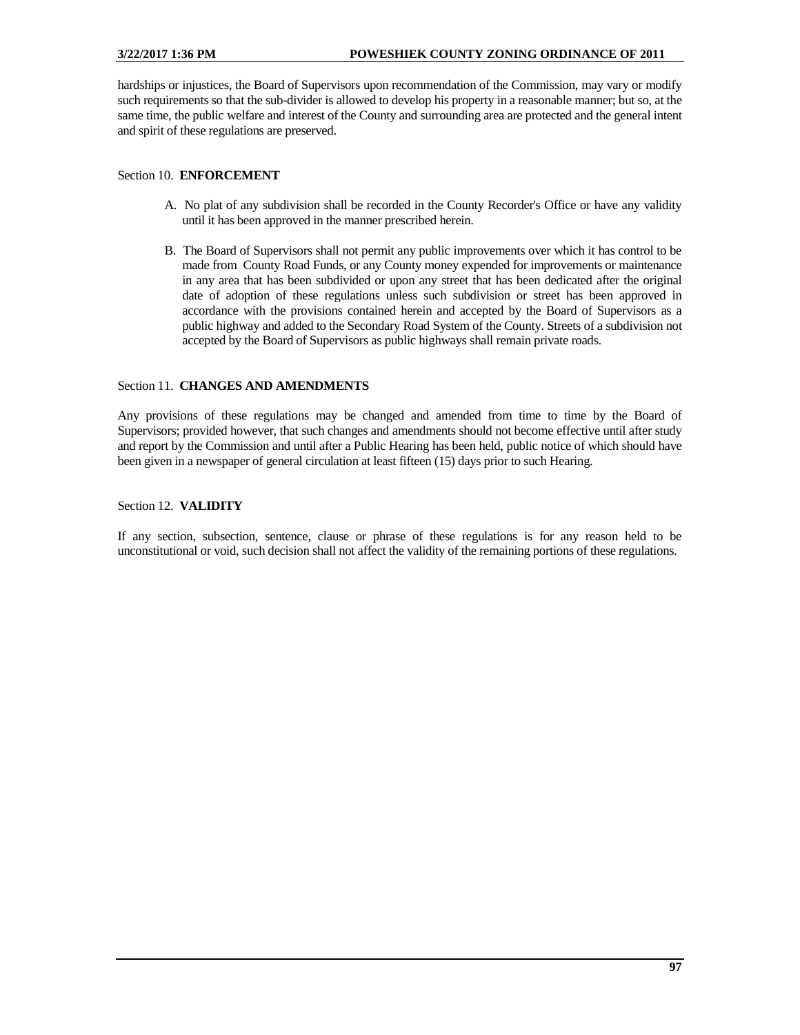hardships or injustices, the Board of Supervisors upon recommendation of the Commission, may vary or modify such requirements so that the sub-divider is allowed to develop his property in a reasonable manner; but so, at the same time, the public welfare and interest of the County and surrounding area are protected and the general intent and spirit of these regulations are preserved.

## Section 10. **ENFORCEMENT**

- A. No plat of any subdivision shall be recorded in the County Recorder's Office or have any validity until it has been approved in the manner prescribed herein.
- B. The Board of Supervisors shall not permit any public improvements over which it has control to be made from County Road Funds, or any County money expended for improvements or maintenance in any area that has been subdivided or upon any street that has been dedicated after the original date of adoption of these regulations unless such subdivision or street has been approved in accordance with the provisions contained herein and accepted by the Board of Supervisors as a public highway and added to the Secondary Road System of the County. Streets of a subdivision not accepted by the Board of Supervisors as public highways shall remain private roads.

## Section 11. **CHANGES AND AMENDMENTS**

Any provisions of these regulations may be changed and amended from time to time by the Board of Supervisors; provided however, that such changes and amendments should not become effective until after study and report by the Commission and until after a Public Hearing has been held, public notice of which should have been given in a newspaper of general circulation at least fifteen (15) days prior to such Hearing.

## Section 12. **VALIDITY**

If any section, subsection, sentence, clause or phrase of these regulations is for any reason held to be unconstitutional or void, such decision shall not affect the validity of the remaining portions of these regulations.